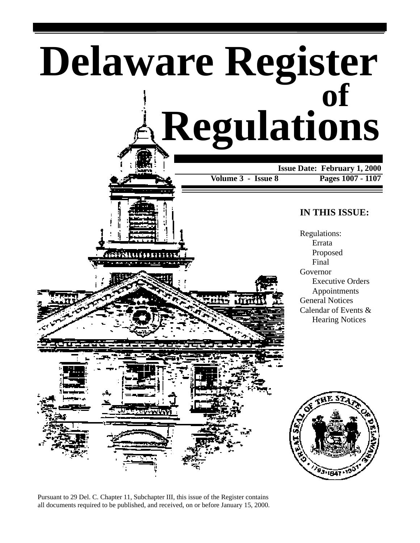# **Delaware Register Regulations of Issue Date: February 1, 2000 Volume 3 - Issue 8 Pages 1007 - 1107**

### **IN THIS ISSUE:**

Regulations: Errata Proposed Final Governor Executive Orders Appointments General Notices Calendar of Events & Hearing Notices





Pursuant to 29 Del. C. Chapter 11, Subchapter III, this issue of the Register contains all documents required to be published, and received, on or before January 15, 2000.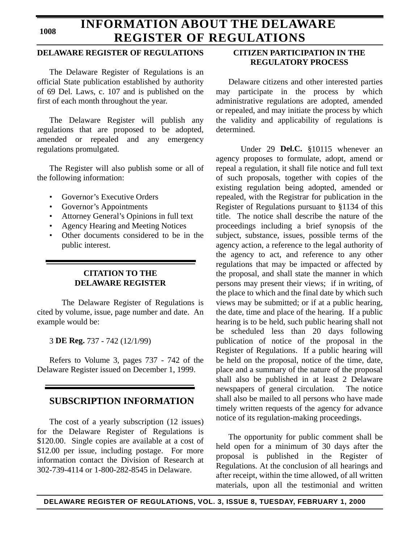### **1008**

### **INFORMATION ABOUT THE DELAWARE REGISTER OF REGULATIONS**

### **DELAWARE REGISTER OF REGULATIONS**

The Delaware Register of Regulations is an official State publication established by authority of 69 Del. Laws, c. 107 and is published on the first of each month throughout the year.

The Delaware Register will publish any regulations that are proposed to be adopted, amended or repealed and any emergency regulations promulgated.

The Register will also publish some or all of the following information:

- Governor's Executive Orders
- Governor's Appointments
- Attorney General's Opinions in full text
- Agency Hearing and Meeting Notices
- Other documents considered to be in the public interest.

### **CITATION TO THE DELAWARE REGISTER**

The Delaware Register of Regulations is cited by volume, issue, page number and date. An example would be:

3 **DE Reg.** 737 - 742 (12/1/99)

Refers to Volume 3, pages 737 - 742 of the Delaware Register issued on December 1, 1999.

### **SUBSCRIPTION INFORMATION**

The cost of a yearly subscription (12 issues) for the Delaware Register of Regulations is \$120.00. Single copies are available at a cost of \$12.00 per issue, including postage. For more information contact the Division of Research at 302-739-4114 or 1-800-282-8545 in Delaware.

### **CITIZEN PARTICIPATION IN THE REGULATORY PROCESS**

Delaware citizens and other interested parties may participate in the process by which administrative regulations are adopted, amended or repealed, and may initiate the process by which the validity and applicability of regulations is determined.

Under 29 **Del.C.** §10115 whenever an agency proposes to formulate, adopt, amend or repeal a regulation, it shall file notice and full text of such proposals, together with copies of the existing regulation being adopted, amended or repealed, with the Registrar for publication in the Register of Regulations pursuant to §1134 of this title. The notice shall describe the nature of the proceedings including a brief synopsis of the subject, substance, issues, possible terms of the agency action, a reference to the legal authority of the agency to act, and reference to any other regulations that may be impacted or affected by the proposal, and shall state the manner in which persons may present their views; if in writing, of the place to which and the final date by which such views may be submitted; or if at a public hearing, the date, time and place of the hearing. If a public hearing is to be held, such public hearing shall not be scheduled less than 20 days following publication of notice of the proposal in the Register of Regulations. If a public hearing will be held on the proposal, notice of the time, date, place and a summary of the nature of the proposal shall also be published in at least 2 Delaware newspapers of general circulation. The notice shall also be mailed to all persons who have made timely written requests of the agency for advance notice of its regulation-making proceedings.

The opportunity for public comment shall be held open for a minimum of 30 days after the proposal is published in the Register of Regulations. At the conclusion of all hearings and after receipt, within the time allowed, of all written materials, upon all the testimonial and written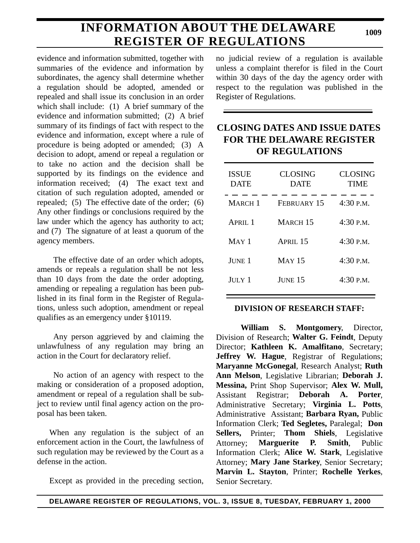# **INFORMATION ABOUT THE DELAWARE REGISTER OF REGULATIONS**

**1009**

evidence and information submitted, together with summaries of the evidence and information by subordinates, the agency shall determine whether a regulation should be adopted, amended or repealed and shall issue its conclusion in an order which shall include: (1) A brief summary of the evidence and information submitted; (2) A brief summary of its findings of fact with respect to the evidence and information, except where a rule of procedure is being adopted or amended; (3) A decision to adopt, amend or repeal a regulation or to take no action and the decision shall be supported by its findings on the evidence and information received; (4) The exact text and citation of such regulation adopted, amended or repealed; (5) The effective date of the order; (6) Any other findings or conclusions required by the law under which the agency has authority to act; and (7) The signature of at least a quorum of the agency members.

The effective date of an order which adopts, amends or repeals a regulation shall be not less than 10 days from the date the order adopting, amending or repealing a regulation has been published in its final form in the Register of Regulations, unless such adoption, amendment or repeal qualifies as an emergency under §10119.

Any person aggrieved by and claiming the unlawfulness of any regulation may bring an action in the Court for declaratory relief.

No action of an agency with respect to the making or consideration of a proposed adoption, amendment or repeal of a regulation shall be subject to review until final agency action on the proposal has been taken.

When any regulation is the subject of an enforcement action in the Court, the lawfulness of such regulation may be reviewed by the Court as a defense in the action.

Except as provided in the preceding section,

no judicial review of a regulation is available unless a complaint therefor is filed in the Court within 30 days of the day the agency order with respect to the regulation was published in the Register of Regulations.

### **CLOSING DATES AND ISSUE DATES FOR THE DELAWARE REGISTER OF REGULATIONS**

| <b>ISSUE</b><br><b>DATE</b> | <b>CLOSING</b><br><b>DATE</b> | <b>CLOSING</b><br><b>TIME</b> |
|-----------------------------|-------------------------------|-------------------------------|
| <b>MARCH</b> 1              | FEBRUARY 15                   | $4:30$ P.M.                   |
| APRII.1                     | MARCH 15                      | $4:30$ P.M.                   |
| $MAY$ 1                     | APRIL <sub>15</sub>           | $4:30$ P.M.                   |
| JUNE 1                      | <b>MAY 15</b>                 | $4:30$ P.M.                   |
| $J$ uly $1$                 | JUNE 15                       | 4:30 P.M.                     |

### **DIVISION OF RESEARCH STAFF:**

**William S. Montgomery**, Director, Division of Research; **Walter G. Feindt**, Deputy Director; **Kathleen K. Amalfitano**, Secretary; **Jeffrey W. Hague**, Registrar of Regulations; **Maryanne McGonegal**, Research Analyst; **Ruth Ann Melson**, Legislative Librarian; **Deborah J. Messina,** Print Shop Supervisor; **Alex W. Mull,** Assistant Registrar; **Deborah A. Porter**, Administrative Secretary; **Virginia L. Potts**, Administrative Assistant; **Barbara Ryan,** Public Information Clerk; **Ted Segletes,** Paralegal; **Don Sellers,** Printer; **Thom Shiels**, Legislative Attorney; **Marguerite P. Smith**, Public Information Clerk; **Alice W. Stark**, Legislative Attorney; **Mary Jane Starkey**, Senior Secretary; **Marvin L. Stayton**, Printer; **Rochelle Yerkes**, Senior Secretary.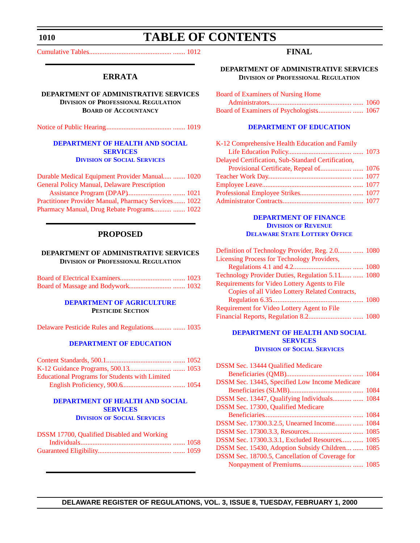### <span id="page-3-0"></span>**1010**

### **TABLE OF CONTENTS**

[Cumulative Tables................................................. ....... 1012](#page-5-0)

### **ERRATA**

**DEPARTMENT OF ADMINISTRATIVE SERVICES DIVISION OF PROFESSIONAL REGULATION BOARD OF ACCOUNTANCY**

[Notice of Public Hearing....................................... ....... 1019](#page-12-0)

#### **[DEPARTMENT OF HEALTH AND SOCIAL](http://www.state.de.us/dhss/irm/dss/dsshome.htm) SERVICES DIVISION OF SOCIAL SERVICES**

| Durable Medical Equipment Provider Manual  1020             |  |
|-------------------------------------------------------------|--|
| <b>General Policy Manual, Delaware Prescription</b>         |  |
|                                                             |  |
| <b>Practitioner Provider Manual, Pharmacy Services 1022</b> |  |
|                                                             |  |

### **PROPOSED**

#### **DEPARTMENT OF ADMINISTRATIVE SERVICES DIVISION OF PROFESSIONAL REGULATION**

#### **[DEPARTMENT OF AGRICULTURE](http://www.state.de.us/deptagri/index.htm) PESTICIDE SECTION**

[Delaware Pesticide Rules and Regulations........... ....... 1035](#page-28-0)

#### **[DEPARTMENT OF EDUCATION](http://www.doe.state.de.us/)**

| <b>Educational Programs for Students with Limited</b> |  |
|-------------------------------------------------------|--|
|                                                       |  |

#### **[DEPARTMENT OF HEALTH AND SOCIAL](http://www.state.de.us/dhss/irm/dss/dsshome.htm) SERVICES DIVISION OF SOCIAL SERVICES**

| DSSM 17700, Qualified Disabled and Working |  |
|--------------------------------------------|--|
|                                            |  |
|                                            |  |

### **FINAL**

**DEPARTMENT OF ADMINISTRATIVE SERVICES DIVISION OF PROFESSIONAL REGULATION**

| <b>Board of Examiners of Nursing Home</b> |  |
|-------------------------------------------|--|
|                                           |  |
|                                           |  |

#### **[DEPARTMENT OF EDUCATION](http://www.doe.state.de.us/)**

| K-12 Comprehensive Health Education and Family     |  |
|----------------------------------------------------|--|
|                                                    |  |
| Delayed Certification, Sub-Standard Certification, |  |
|                                                    |  |
|                                                    |  |
|                                                    |  |
|                                                    |  |
|                                                    |  |

#### **DEPARTMENT OF FINANCE DIVISION OF REVENUE [DELAWARE STATE LOTTERY OFFICE](http://www.state.de.us/finance/index.htm)**

| Definition of Technology Provider, Reg. 2.0  1080    |  |
|------------------------------------------------------|--|
| Licensing Process for Technology Providers,          |  |
|                                                      |  |
| Technology Provider Duties, Regulation 5.11  1080    |  |
| <b>Requirements for Video Lottery Agents to File</b> |  |
| Copies of all Video Lottery Related Contracts,       |  |
|                                                      |  |
| Requirement for Video Lottery Agent to File          |  |
|                                                      |  |
|                                                      |  |

#### **[DEPARTMENT OF HEALTH AND SOCIAL](http://www.state.de.us/dhss/irm/dss/dsshome.htm) SERVICES DIVISION OF SOCIAL SERVICES**

| DSSM Sec. 13447, Qualifying Individuals  1084    |
|--------------------------------------------------|
|                                                  |
|                                                  |
| DSSM Sec. 17300.3.2.5, Unearned Income  1084     |
|                                                  |
| DSSM Sec. 17300.3.3.1, Excluded Resources  1085  |
| DSSM Sec. 15430, Adoption Subsidy Children  1085 |
|                                                  |
|                                                  |
|                                                  |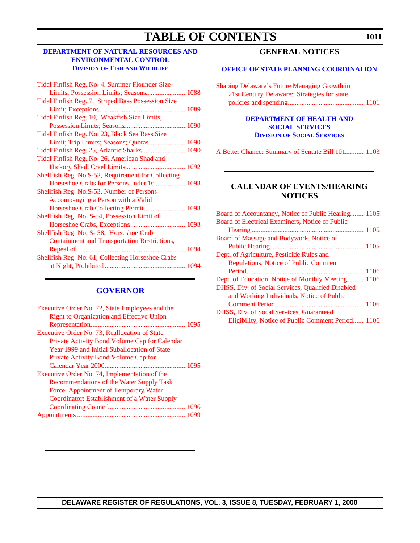# **TABLE OF CONTENTS**

### **[DEPARTMENT OF NATURAL RESOURCES AND](http://www.dnrec.state.de.us/fw/fwwel.htm) ENVIRONMENTAL CONTROL DIVISION OF FISH AND WILDLIFE**

| Tidal Finfish Reg. No. 4. Summer Flounder Size      |  |
|-----------------------------------------------------|--|
| Limits; Possession Limits; Seasons 1088             |  |
| Tidal Finfish Reg. 7, Striped Bass Possession Size  |  |
|                                                     |  |
| Tidal Finfish Reg. 10, Weakfish Size Limits;        |  |
|                                                     |  |
| Tidal Finfish Reg. No. 23, Black Sea Bass Size      |  |
| Limit; Trip Limits; Seasons; Quotas  1090           |  |
| Tidal Finfish Reg. 25, Atlantic Sharks 1090         |  |
| Tidal Finfish Reg. No. 26, American Shad and        |  |
|                                                     |  |
| Shellfish Reg. No.S-52, Requirement for Collecting  |  |
| Horseshoe Crabs for Persons under 16  1093          |  |
| Shellfish Reg. No.S-53, Number of Persons           |  |
| Accompanying a Person with a Valid                  |  |
|                                                     |  |
| Shellfish Reg. No. S-54, Possession Limit of        |  |
|                                                     |  |
| Shellfish Reg. No. S-58, Horseshoe Crab             |  |
| <b>Containment and Transportation Restrictions,</b> |  |
|                                                     |  |
| Shellfish Reg. No. 61, Collecting Horseshoe Crabs   |  |
|                                                     |  |
|                                                     |  |

### **[GOVERNOR](http://www.state.de.us/governor/index.htm)**

| Executive Order No. 72, State Employees and the  |      |
|--------------------------------------------------|------|
| <b>Right to Organization and Effective Union</b> |      |
|                                                  |      |
| Executive Order No. 73, Reallocation of State    |      |
| Private Activity Bond Volume Cap for Calendar    |      |
| Year 1999 and Initial Suballocation of State     |      |
| Private Activity Bond Volume Cap for             |      |
|                                                  |      |
| Executive Order No. 74, Implementation of the    |      |
| Recommendations of the Water Supply Task         |      |
| Force; Appointment of Temporary Water            |      |
| Coordinator; Establishment of a Water Supply     |      |
|                                                  |      |
|                                                  | 1099 |

### **GENERAL NOTICES**

#### **[OFFICE OF STATE PLANNING COORDINATION](http://www.state.de.us/planning/index.htm)**

| <b>Shaping Delaware's Future Managing Growth in</b> |  |
|-----------------------------------------------------|--|
| 21st Century Delaware: Strategies for state         |  |
|                                                     |  |

#### **[DEPARTMENT OF HEALTH AND](http://www.state.de.us/dhss/irm/dss/dsshome.htm) SOCIAL SERVICES DIVISION OF SOCIAL SERVICES**

[A Better Chance: Summary of Sentate Bill 101.... ...... 1103](#page-96-0)

### **CALENDAR OF EVENTS/HEARING NOTICES**

| Board of Accountancy, Notice of Public Hearing 1105 |  |
|-----------------------------------------------------|--|
| Board of Electrical Examiners, Notice of Public     |  |
|                                                     |  |
| Board of Massage and Bodywork, Notice of            |  |
|                                                     |  |
| Dept. of Agriculture, Pesticide Rules and           |  |
| <b>Regulations, Notice of Public Comment</b>        |  |
|                                                     |  |
| Dept. of Education, Notice of Monthly Meeting  1106 |  |
| DHSS, Div. of Social Services, Qualified Disabled   |  |
| and Working Individuals, Notice of Public           |  |
|                                                     |  |
| <b>DHSS, Div. of Socal Services, Guaranteed</b>     |  |
| Eligibility, Notice of Public Comment Period 1106   |  |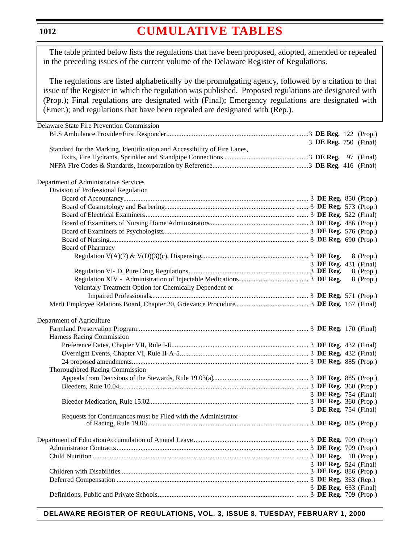#### <span id="page-5-0"></span>**1012**

# **[CUMULATIVE TABLES](#page-3-0)**

The table printed below lists the regulations that have been proposed, adopted, amended or repealed in the preceding issues of the current volume of the Delaware Register of Regulations.

The regulations are listed alphabetically by the promulgating agency, followed by a citation to that issue of the Register in which the regulation was published. Proposed regulations are designated with (Prop.); Final regulations are designated with (Final); Emergency regulations are designated with (Emer.); and regulations that have been repealed are designated with (Rep.).

| Delaware State Fire Prevention Commission                                 |                       |           |
|---------------------------------------------------------------------------|-----------------------|-----------|
|                                                                           |                       |           |
|                                                                           | 3 DE Reg. 750 (Final) |           |
| Standard for the Marking, Identification and Accessibility of Fire Lanes, |                       |           |
|                                                                           |                       |           |
|                                                                           |                       |           |
| Department of Administrative Services                                     |                       |           |
| Division of Professional Regulation                                       |                       |           |
|                                                                           |                       |           |
|                                                                           |                       |           |
|                                                                           |                       |           |
|                                                                           |                       |           |
|                                                                           |                       |           |
|                                                                           |                       |           |
| <b>Board of Pharmacy</b>                                                  |                       |           |
|                                                                           |                       | 8 (Prop.) |
|                                                                           | 3 DE Reg. 431 (Final) |           |
|                                                                           |                       | 8 (Prop.) |
|                                                                           |                       | 8 (Prop.) |
| Voluntary Treatment Option for Chemically Dependent or                    |                       |           |
|                                                                           |                       |           |
|                                                                           |                       |           |
|                                                                           |                       |           |
| Department of Agriculture                                                 |                       |           |
|                                                                           |                       |           |
| Harness Racing Commission                                                 |                       |           |
|                                                                           |                       |           |
|                                                                           |                       |           |
|                                                                           |                       |           |
| Thoroughbred Racing Commission                                            |                       |           |
|                                                                           |                       |           |
|                                                                           |                       |           |
|                                                                           |                       |           |
|                                                                           | 3 DE Reg. 754 (Final) |           |
|                                                                           | 3 DE Reg. 754 (Final) |           |
| Requests for Continuances must be Filed with the Administrator            |                       |           |
|                                                                           |                       |           |
|                                                                           |                       |           |
|                                                                           |                       |           |
|                                                                           |                       |           |
|                                                                           |                       |           |
|                                                                           | 3 DE Reg. 524 (Final) |           |
|                                                                           |                       |           |
|                                                                           |                       |           |
|                                                                           | 3 DE Reg. 633 (Final) |           |
|                                                                           |                       |           |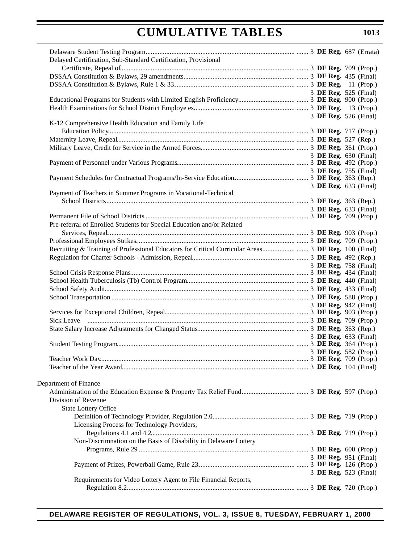|                       | Delayed Certification, Sub-Standard Certification, Provisional         |  |  |                       |
|-----------------------|------------------------------------------------------------------------|--|--|-----------------------|
|                       |                                                                        |  |  |                       |
|                       |                                                                        |  |  |                       |
|                       |                                                                        |  |  |                       |
|                       |                                                                        |  |  | 3 DE Reg. 525 (Final) |
|                       |                                                                        |  |  |                       |
|                       |                                                                        |  |  |                       |
|                       |                                                                        |  |  | 3 DE Reg. 526 (Final) |
|                       | K-12 Comprehensive Health Education and Family Life                    |  |  |                       |
|                       |                                                                        |  |  |                       |
|                       |                                                                        |  |  |                       |
|                       |                                                                        |  |  |                       |
|                       |                                                                        |  |  | 3 DE Reg. 630 (Final) |
|                       |                                                                        |  |  |                       |
|                       |                                                                        |  |  | 3 DE Reg. 755 (Final) |
|                       |                                                                        |  |  |                       |
|                       |                                                                        |  |  | 3 DE Reg. 633 (Final) |
|                       | Payment of Teachers in Summer Programs in Vocational-Technical         |  |  |                       |
|                       |                                                                        |  |  |                       |
|                       |                                                                        |  |  | 3 DE Reg. 633 (Final) |
|                       |                                                                        |  |  |                       |
|                       | Pre-referral of Enrolled Students for Special Education and/or Related |  |  |                       |
|                       |                                                                        |  |  |                       |
|                       |                                                                        |  |  |                       |
|                       |                                                                        |  |  |                       |
|                       |                                                                        |  |  |                       |
|                       |                                                                        |  |  | 3 DE Reg. 758 (Final) |
|                       |                                                                        |  |  |                       |
|                       |                                                                        |  |  |                       |
|                       |                                                                        |  |  |                       |
|                       |                                                                        |  |  |                       |
|                       |                                                                        |  |  | 3 DE Reg. 942 (Final) |
|                       |                                                                        |  |  |                       |
|                       |                                                                        |  |  |                       |
|                       |                                                                        |  |  |                       |
|                       |                                                                        |  |  | 3 DE Reg. 633 (Final) |
|                       |                                                                        |  |  |                       |
|                       |                                                                        |  |  | 3 DE Reg. 582 (Prop.) |
|                       |                                                                        |  |  |                       |
|                       |                                                                        |  |  |                       |
|                       |                                                                        |  |  |                       |
| Department of Finance |                                                                        |  |  |                       |
|                       |                                                                        |  |  |                       |
| Division of Revenue   |                                                                        |  |  |                       |
|                       | <b>State Lottery Office</b>                                            |  |  |                       |
|                       |                                                                        |  |  |                       |
|                       | Licensing Process for Technology Providers,                            |  |  |                       |
|                       |                                                                        |  |  |                       |
|                       | Non-Discrimnation on the Basis of Disability in Delaware Lottery       |  |  |                       |
|                       |                                                                        |  |  |                       |
|                       |                                                                        |  |  | 3 DE Reg. 951 (Final) |
|                       |                                                                        |  |  |                       |
|                       |                                                                        |  |  | 3 DE Reg. 523 (Final) |
|                       | Requirements for Video Lottery Agent to File Financial Reports,        |  |  |                       |
|                       |                                                                        |  |  |                       |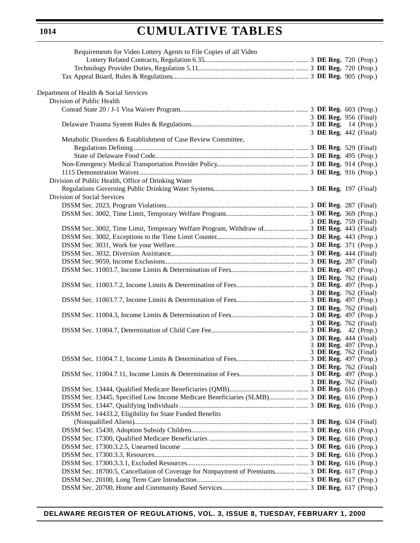### **1014**

# **CUMULATIVE TABLES**

| Requirements for Video Lottery Agents to File Copies of all Video                             |  |  |                       |
|-----------------------------------------------------------------------------------------------|--|--|-----------------------|
|                                                                                               |  |  |                       |
|                                                                                               |  |  |                       |
|                                                                                               |  |  |                       |
|                                                                                               |  |  |                       |
| Department of Health & Social Services                                                        |  |  |                       |
| Division of Public Health                                                                     |  |  |                       |
|                                                                                               |  |  |                       |
|                                                                                               |  |  | 3 DE Reg. 956 (Final) |
|                                                                                               |  |  |                       |
|                                                                                               |  |  | 3 DE Reg. 442 (Final) |
| Metabolic Disorders & Establishment of Case Review Committee,                                 |  |  |                       |
|                                                                                               |  |  |                       |
|                                                                                               |  |  |                       |
|                                                                                               |  |  |                       |
|                                                                                               |  |  |                       |
| Division of Public Health, Office of Drinking Water                                           |  |  |                       |
|                                                                                               |  |  |                       |
| Division of Social Services                                                                   |  |  |                       |
|                                                                                               |  |  |                       |
|                                                                                               |  |  |                       |
|                                                                                               |  |  | 3 DE Reg. 759 (Final) |
|                                                                                               |  |  |                       |
|                                                                                               |  |  |                       |
|                                                                                               |  |  |                       |
|                                                                                               |  |  |                       |
|                                                                                               |  |  |                       |
|                                                                                               |  |  |                       |
|                                                                                               |  |  | 3 DE Reg. 762 (Final) |
|                                                                                               |  |  |                       |
|                                                                                               |  |  | 3 DE Reg. 762 (Final) |
|                                                                                               |  |  | 3 DE Reg. 762 (Final) |
|                                                                                               |  |  |                       |
|                                                                                               |  |  | 3 DE Reg. 762 (Final) |
|                                                                                               |  |  |                       |
|                                                                                               |  |  | 3 DE Reg. 444 (Final) |
|                                                                                               |  |  | 3 DE Reg. 497 (Prop.) |
|                                                                                               |  |  | 3 DE Reg. 762 (Final) |
|                                                                                               |  |  |                       |
|                                                                                               |  |  | 3 DE Reg. 762 (Final) |
|                                                                                               |  |  | 3 DE Reg. 762 (Final) |
|                                                                                               |  |  |                       |
|                                                                                               |  |  |                       |
|                                                                                               |  |  |                       |
| DSSM Sec. 14433.2, Eligibility for State Funded Benefits                                      |  |  |                       |
|                                                                                               |  |  |                       |
|                                                                                               |  |  |                       |
|                                                                                               |  |  |                       |
|                                                                                               |  |  |                       |
|                                                                                               |  |  |                       |
|                                                                                               |  |  |                       |
| DSSM Sec. 18700.5, Cancellation of Coverage for Nonpayment of Premiums  3 DE Reg. 617 (Prop.) |  |  |                       |
|                                                                                               |  |  |                       |
|                                                                                               |  |  |                       |
|                                                                                               |  |  |                       |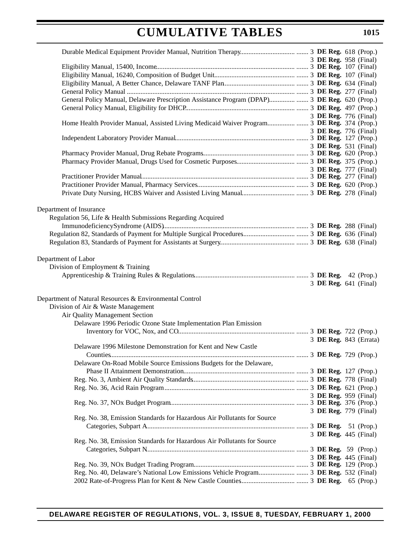|                                                                         |  |  | 3 DE Reg. 958 (Final)  |
|-------------------------------------------------------------------------|--|--|------------------------|
|                                                                         |  |  |                        |
|                                                                         |  |  |                        |
|                                                                         |  |  |                        |
|                                                                         |  |  |                        |
|                                                                         |  |  |                        |
|                                                                         |  |  | 3 DE Reg. 776 (Final)  |
|                                                                         |  |  |                        |
|                                                                         |  |  | 3 DE Reg. 776 (Final)  |
|                                                                         |  |  |                        |
|                                                                         |  |  | 3 DE Reg. 531 (Final)  |
|                                                                         |  |  |                        |
|                                                                         |  |  |                        |
|                                                                         |  |  | 3 DE Reg. 777 (Final)  |
|                                                                         |  |  |                        |
|                                                                         |  |  |                        |
|                                                                         |  |  |                        |
|                                                                         |  |  |                        |
| Department of Insurance                                                 |  |  |                        |
| Regulation 56, Life & Health Submissions Regarding Acquired             |  |  |                        |
|                                                                         |  |  |                        |
|                                                                         |  |  |                        |
|                                                                         |  |  |                        |
|                                                                         |  |  |                        |
| Department of Labor                                                     |  |  |                        |
| Division of Employment & Training                                       |  |  |                        |
|                                                                         |  |  |                        |
|                                                                         |  |  | 3 DE Reg. 641 (Final)  |
|                                                                         |  |  |                        |
| Department of Natural Resources & Environmental Control                 |  |  |                        |
| Division of Air & Waste Management                                      |  |  |                        |
| Air Quality Management Section                                          |  |  |                        |
| Delaware 1996 Periodic Ozone State Implementation Plan Emission         |  |  |                        |
|                                                                         |  |  |                        |
| Delaware 1996 Milestone Demonstration for Kent and New Castle           |  |  | 3 DE Reg. 843 (Errata) |
|                                                                         |  |  |                        |
| Delaware On-Road Mobile Source Emissions Budgets for the Delaware,      |  |  |                        |
|                                                                         |  |  |                        |
|                                                                         |  |  |                        |
|                                                                         |  |  |                        |
|                                                                         |  |  | 3 DE Reg. 959 (Final)  |
|                                                                         |  |  |                        |
|                                                                         |  |  | 3 DE Reg. 779 (Final)  |
| Reg. No. 38, Emission Standards for Hazardous Air Pollutants for Source |  |  |                        |
|                                                                         |  |  |                        |
|                                                                         |  |  | 3 DE Reg. 445 (Final)  |
| Reg. No. 38, Emission Standards for Hazardous Air Pollutants for Source |  |  |                        |
|                                                                         |  |  |                        |
|                                                                         |  |  | 3 DE Reg. 445 (Final)  |
|                                                                         |  |  |                        |
|                                                                         |  |  |                        |
|                                                                         |  |  |                        |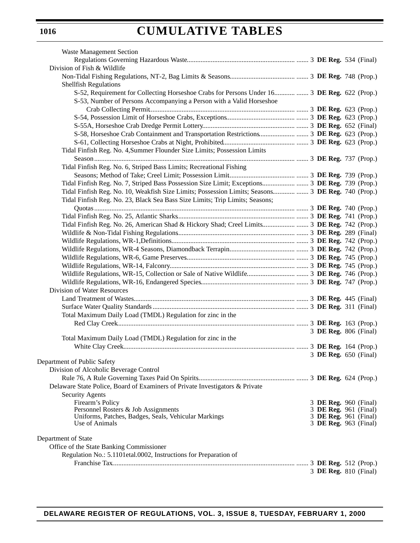| <b>Waste Management Section</b>                                                              |                       |  |
|----------------------------------------------------------------------------------------------|-----------------------|--|
|                                                                                              |                       |  |
| Division of Fish & Wildlife                                                                  |                       |  |
|                                                                                              |                       |  |
| <b>Shellfish Regulations</b>                                                                 |                       |  |
| S-52, Requirement for Collecting Horseshoe Crabs for Persons Under 16  3 DE Reg. 622 (Prop.) |                       |  |
| S-53, Number of Persons Accompanying a Person with a Valid Horseshoe                         |                       |  |
|                                                                                              |                       |  |
|                                                                                              |                       |  |
|                                                                                              |                       |  |
|                                                                                              |                       |  |
|                                                                                              |                       |  |
|                                                                                              |                       |  |
| Tidal Finfish Reg. No. 4, Summer Flounder Size Limits; Possession Limits                     |                       |  |
|                                                                                              |                       |  |
| Tidal Finfish Reg. No. 6, Striped Bass Limits; Recreational Fishing                          |                       |  |
|                                                                                              |                       |  |
|                                                                                              |                       |  |
|                                                                                              |                       |  |
| Tidal Finfish Reg. No. 23, Black Sea Bass Size Limits; Trip Limits; Seasons;                 |                       |  |
|                                                                                              |                       |  |
|                                                                                              |                       |  |
|                                                                                              |                       |  |
|                                                                                              |                       |  |
|                                                                                              |                       |  |
|                                                                                              |                       |  |
|                                                                                              |                       |  |
|                                                                                              |                       |  |
|                                                                                              |                       |  |
|                                                                                              |                       |  |
| Division of Water Resources                                                                  |                       |  |
|                                                                                              |                       |  |
|                                                                                              |                       |  |
| Total Maximum Daily Load (TMDL) Regulation for zinc in the                                   |                       |  |
|                                                                                              |                       |  |
|                                                                                              | 3 DE Reg. 806 (Final) |  |
| Total Maximum Daily Load (TMDL) Regulation for zinc in the                                   |                       |  |
|                                                                                              |                       |  |
|                                                                                              | 3 DE Reg. 650 (Final) |  |
| Department of Public Safety                                                                  |                       |  |
| Division of Alcoholic Beverage Control                                                       |                       |  |
|                                                                                              |                       |  |
| Delaware State Police, Board of Examiners of Private Investigators & Private                 |                       |  |
| <b>Security Agents</b>                                                                       |                       |  |
| Firearm's Policy                                                                             | 3 DE Reg. 960 (Final) |  |
| Personnel Rosters & Job Assignments                                                          | 3 DE Reg. 961 (Final) |  |
| Uniforms, Patches, Badges, Seals, Vehicular Markings                                         | 3 DE Reg. 961 (Final) |  |
| Use of Animals                                                                               | 3 DE Reg. 963 (Final) |  |
| Department of State                                                                          |                       |  |
| Office of the State Banking Commissioner                                                     |                       |  |
| Regulation No.: 5.1101etal.0002, Instructions for Preparation of                             |                       |  |
|                                                                                              |                       |  |
|                                                                                              | 3 DE Reg. 810 (Final) |  |
|                                                                                              |                       |  |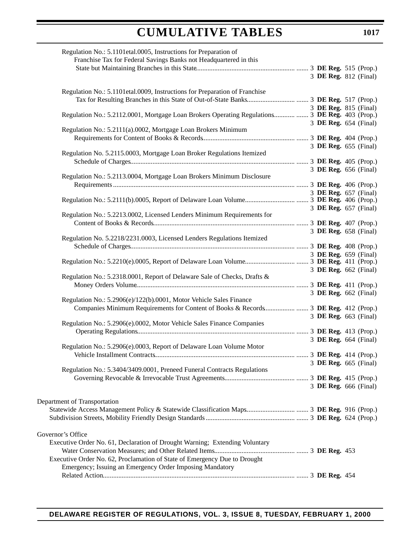| Regulation No.: 5.1101etal.0005, Instructions for Preparation of<br>Franchise Tax for Federal Savings Banks not Headquartered in this |  |  |                       |
|---------------------------------------------------------------------------------------------------------------------------------------|--|--|-----------------------|
|                                                                                                                                       |  |  |                       |
|                                                                                                                                       |  |  |                       |
|                                                                                                                                       |  |  | 3 DE Reg. 812 (Final) |
| Regulation No.: 5.1101etal.0009, Instructions for Preparation of Franchise                                                            |  |  |                       |
|                                                                                                                                       |  |  |                       |
|                                                                                                                                       |  |  | 3 DE Reg. 815 (Final) |
|                                                                                                                                       |  |  |                       |
|                                                                                                                                       |  |  | 3 DE Reg. 654 (Final) |
| Regulation No.: 5.2111(a).0002, Mortgage Loan Brokers Minimum                                                                         |  |  |                       |
|                                                                                                                                       |  |  |                       |
|                                                                                                                                       |  |  | 3 DE Reg. 655 (Final) |
| Regulation No. 5.2115.0003, Mortgage Loan Broker Regulations Itemized                                                                 |  |  |                       |
|                                                                                                                                       |  |  |                       |
|                                                                                                                                       |  |  | 3 DE Reg. 656 (Final) |
| Regulation No.: 5.2113.0004, Mortgage Loan Brokers Minimum Disclosure                                                                 |  |  |                       |
|                                                                                                                                       |  |  |                       |
|                                                                                                                                       |  |  | 3 DE Reg. 657 (Final) |
|                                                                                                                                       |  |  |                       |
|                                                                                                                                       |  |  | 3 DE Reg. 657 (Final) |
| Regulation No.: 5.2213.0002, Licensed Lenders Minimum Requirements for                                                                |  |  |                       |
|                                                                                                                                       |  |  |                       |
|                                                                                                                                       |  |  | 3 DE Reg. 658 (Final) |
| Regulation No. 5.2218/2231.0003, Licensed Lenders Regulations Itemized                                                                |  |  |                       |
|                                                                                                                                       |  |  |                       |
|                                                                                                                                       |  |  | 3 DE Reg. 659 (Final) |
|                                                                                                                                       |  |  |                       |
|                                                                                                                                       |  |  | 3 DE Reg. 662 (Final) |
| Regulation No.: 5.2318.0001, Report of Delaware Sale of Checks, Drafts &                                                              |  |  |                       |
|                                                                                                                                       |  |  |                       |
|                                                                                                                                       |  |  | 3 DE Reg. 662 (Final) |
| Regulation No.: 5.2906(e)/122(b).0001, Motor Vehicle Sales Finance                                                                    |  |  |                       |
|                                                                                                                                       |  |  |                       |
|                                                                                                                                       |  |  | 3 DE Reg. 663 (Final) |
| Regulation No.: 5.2906(e).0002, Motor Vehicle Sales Finance Companies                                                                 |  |  |                       |
|                                                                                                                                       |  |  |                       |
|                                                                                                                                       |  |  | 3 DE Reg. 664 (Final) |
| Regulation No.: 5.2906(e).0003, Report of Delaware Loan Volume Motor                                                                  |  |  |                       |
|                                                                                                                                       |  |  |                       |
|                                                                                                                                       |  |  | 3 DE Reg. 665 (Final) |
| Regulation No.: 5.3404/3409.0001, Preneed Funeral Contracts Regulations                                                               |  |  |                       |
|                                                                                                                                       |  |  |                       |
|                                                                                                                                       |  |  | 3 DE Reg. 666 (Final) |
|                                                                                                                                       |  |  |                       |
| Department of Transportation                                                                                                          |  |  |                       |
|                                                                                                                                       |  |  |                       |
|                                                                                                                                       |  |  |                       |
|                                                                                                                                       |  |  |                       |
|                                                                                                                                       |  |  |                       |
| Governor's Office                                                                                                                     |  |  |                       |
| Executive Order No. 61, Declaration of Drought Warning; Extending Voluntary                                                           |  |  |                       |
|                                                                                                                                       |  |  |                       |
| Executive Order No. 62, Proclamation of State of Emergency Due to Drought                                                             |  |  |                       |
| Emergency; Issuing an Emergency Order Imposing Mandatory                                                                              |  |  |                       |
|                                                                                                                                       |  |  |                       |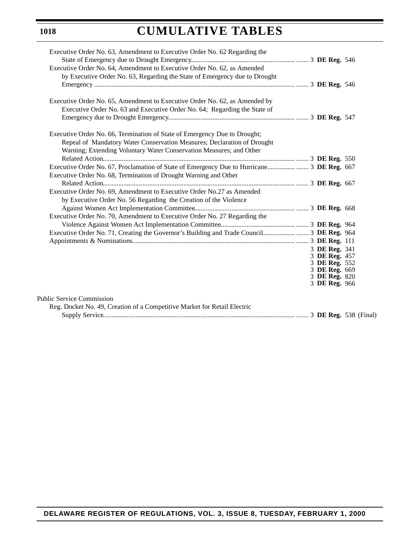| Executive Order No. 63, Amendment to Executive Order No. 62 Regarding the  |                                |  |
|----------------------------------------------------------------------------|--------------------------------|--|
| Executive Order No. 64, Amendment to Executive Order No. 62, as Amended    |                                |  |
| by Executive Order No. 63, Regarding the State of Emergency due to Drought |                                |  |
|                                                                            |                                |  |
| Executive Order No. 65, Amendment to Executive Order No. 62, as Amended by |                                |  |
| Executive Order No. 63 and Executive Order No. 64; Regarding the State of  |                                |  |
|                                                                            |                                |  |
|                                                                            |                                |  |
| Executive Order No. 66, Termination of State of Emergency Due to Drought;  |                                |  |
| Repeal of Mandatory Water Conservation Measures; Declaration of Drought    |                                |  |
| Warning; Extending Voluntary Water Conservation Measures; and Other        |                                |  |
|                                                                            |                                |  |
|                                                                            |                                |  |
| Executive Order No. 68, Termination of Drought Warning and Other           |                                |  |
|                                                                            |                                |  |
| Executive Order No. 69, Amendment to Executive Order No.27 as Amended      |                                |  |
| by Executive Order No. 56 Regarding the Creation of the Violence           |                                |  |
|                                                                            |                                |  |
| Executive Order No. 70, Amendment to Executive Order No. 27 Regarding the  |                                |  |
|                                                                            |                                |  |
|                                                                            |                                |  |
|                                                                            |                                |  |
|                                                                            | 3 DE Reg. 341                  |  |
|                                                                            | 3 DE Reg. 457<br>3 DE Reg. 552 |  |
|                                                                            | 3 DE Reg. 669                  |  |
|                                                                            | 3 DE Reg. 820                  |  |
|                                                                            | 3 DE Reg. 966                  |  |
| Public Service Commission                                                  |                                |  |
| Reg. Docket No. 49, Creation of a Competitive Market for Retail Electric   |                                |  |
|                                                                            |                                |  |
|                                                                            |                                |  |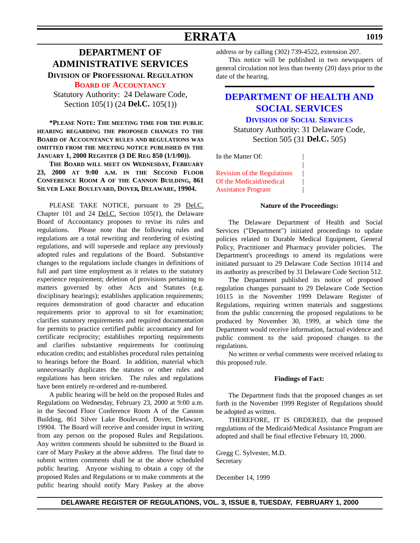### **ERRATA**

### <span id="page-12-0"></span>**DEPARTMENT OF ADMINISTRATIVE SERVICES**

**DIVISION OF PROFESSIONAL REGULATION**

**BOARD [OF ACCOUNTANCY](#page-3-0)**

Statutory Authority: 24 Delaware Code, Section 105(1) (24 **Del.C.** 105(1))

**\*PLEASE NOTE: THE MEETING TIME FOR THE PUBLIC HEARING REGARDING THE PROPOSED CHANGES TO THE BOARD OF ACCOUNTANCY RULES AND REGULATIONS WAS OMITTED FROM THE MEETING NOTICE PUBLISHED IN THE JANUARY 1, 2000 REGISTER (3 DE REG 850 (1/1/00)).** 

**THE BOARD WILL MEET ON WEDNESDAY, FEBRUARY 23, 2000 AT 9:00 A.M. IN THE SECOND FLOOR CONFERENCE ROOM A OF THE CANNON BUILDING, 861 SILVER LAKE BOULEVARD, DOVER, DELAWARE, 19904.**

PLEASE TAKE NOTICE, pursuant to 29 Del.C. Chapter 101 and 24 Del.C. Section 105(1), the Delaware Board of Accountancy proposes to revise its rules and regulations. Please note that the following rules and regulations are a total rewriting and reordering of existing regulations, and will supersede and replace any previously adopted rules and regulations of the Board. Substantive changes to the regulations include changes in definitions of full and part time employment as it relates to the statutory experience requirement; deletion of provisions pertaining to matters governed by other Acts and Statutes (e.g. disciplinary hearings); establishes application requirements; requires demonstration of good character and education requirements prior to approval to sit for examination; clarifies statutory requirements and required documentation for permits to practice certified public accountancy and for certificate reciprocity; establishes reporting requirements and clarifies substantive requirements for continuing education credits; and establishes procedural rules pertaining to hearings before the Board. In addition, material which unnecessarily duplicates the statutes or other rules and regulations has been stricken. The rules and regulations have been entirely re-ordered and re-numbered.

A public hearing will be held on the proposed Rules and Regulations on Wednesday, February 23, 2000 at 9:00 a.m. in the Second Floor Conference Room A of the Cannon Building, 861 Silver Lake Boulevard, Dover, Delaware, 19904. The Board will receive and consider input in writing from any person on the proposed Rules and Regulations. Any written comments should be submitted to the Board in care of Mary Paskey at the above address. The final date to submit written comments shall be at the above scheduled public hearing. Anyone wishing to obtain a copy of the proposed Rules and Regulations or to make comments at the public hearing should notify Mary Paskey at the above

address or by calling (302) 739-4522, extension 207.

This notice will be published in two newspapers of general circulation not less than twenty (20) days prior to the date of the hearing.

### **[DEPARTMENT OF HEALTH AND](http://www.state.de.us/dhss/irm/dss/dsshome.htm) SOCIAL SERVICES DIVISION OF SOCIAL SERVICES**

Statutory Authority: 31 Delaware Code, Section 505 (31 **Del.C.** 505)

|

In the Matter Of:

[Revision of the Regulations](#page-3-0) | Of the Medicaid/medical | Assistance Program |

#### **Nature of the Proceedings:**

The Delaware Department of Health and Social Services ("Department") initiated proceedings to update policies related to Durable Medical Equipment, General Policy, Practitioner and Pharmacy provider policies. The Department's proceedings to amend its regulations were initiated pursuant to 29 Delaware Code Section 10114 and its authority as prescribed by 31 Delaware Code Section 512.

The Department published its notice of proposed regulation changes pursuant to 29 Delaware Code Section 10115 in the November 1999 Delaware Register of Regulations, requiring written materials and suggestions from the public concerning the proposed regulations to be produced by November 30, 1999, at which time the Department would receive information, factual evidence and public comment to the said proposed changes to the regulations.

No written or verbal comments were received relating to this proposed rule.

#### **Findings of Fact:**

The Department finds that the proposed changes as set forth in the November 1999 Register of Regulations should be adopted as written.

THEREFORE, IT IS ORDERED, that the proposed regulations of the Medicaid/Medical Assistance Program are adopted and shall be final effective February 10, 2000.

Gregg C. Sylvester, M.D. Secretary

December 14, 1999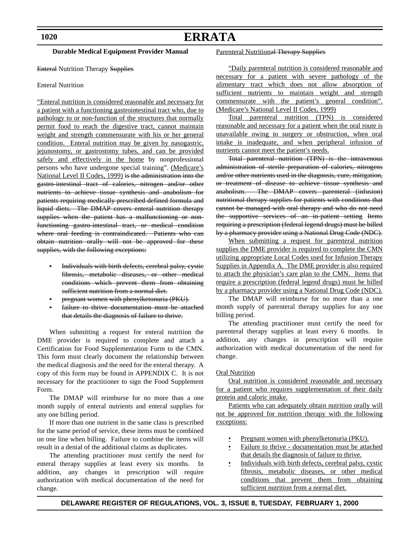# **ERRATA**

#### **Durable Medical Equipment Provider Manual**

**Enteral Nutrition Therapy Supplies** 

#### Enteral Nutrition

"Enteral nutrition is considered reasonable and necessary for a patient with a functioning gastrointestinal tract who, due to pathology to or non-function of the structures that normally permit food to reach the digestive tract, cannot maintain weight and strength commensurate with his or her general condition. Enteral nutrition may be given by nasogastric, jejunostomy, or gastrostomy tubes, and can be provided safely and effectively in the home by nonprofessional persons who have undergone special training". (Medicare's National Level II Codes, 1999) is the administration into the gastro-intestinal tract of calories, nitrogen and/or other nutrients to achieve tissue synthesis and anabolism for patients requiring medically prescribed defined formula and liquid diets. The DMAP covers enteral nutrition therapy supplies when the patient has a malfunctioning or nonfunctioning gastro-intestinal tract, or medical condition where oral feeding is contraindicated. Patients who can obtain nutrition orally will not be approved for these supplies, with the following exceptions:

- Individuals with birth defects, cerebral palsy, cystic fibrosis, metabolic diseases, or other medical conditions which prevent them from obtaining sufficient nutrition from a normal diet.
- pregnant women with phenylketonuria (PKU).
- failure to thrive documentation must be attached that details the diagnosis of failure to thrive.

When submitting a request for enteral nutrition the DME provider is required to complete and attach a Certification for Food Supplementation Form to the CMN. This form must clearly document the relationship between the medical diagnosis and the need for the enteral therapy. A copy of this form may be found in APPENDIX C. It is not necessary for the practitioner to sign the Food Supplement Form.

The DMAP will reimburse for no more than a one month supply of enteral nutrients and enteral supplies for any one billing period.

If more than one nutrient in the same class is prescribed for the same period of service, these items must be combined on one line when billing. Failure to combine the items will result in a denial of the additional claims as duplicates.

The attending practitioner must certify the need for enteral therapy supplies at least every six months. In addition, any changes in prescription will require authorization with medical documentation of the need for change.

#### Parenteral Nutritional Therapy Supplies

"Daily parenteral nutrition is considered reasonable and necessary for a patient with severe pathology of the alimentary tract which does not allow absorption of sufficient nutrients to maintain weight and strength commensurate with the patient's general condition". (Medicare's National Level II Codes, 1999)

Total parenteral nutrition (TPN) is considered reasonable and necessary for a patient when the oral route is unavailable owing to surgery or obstruction, when oral intake is inadequate, and when peripheral infusion of nutrients cannot meet the patient's needs.

Total parenteral nutrition (TPN) is the intravenous administration of sterile preparation of calories, nitrogens and/or other nutrients used in the diagnosis, cure, mitigation, or treatment of disease to achieve tissue synthesis and anabolism. The DMAP covers parenteral (infusion) nutritional therapy supplies for patients with conditions that cannot be managed with oral therapy and who do not need the supportive services of an in-patient setting Items requiring a prescription (federal legend drugs) must be billed by a pharmacy provider using a National Drug Code (NDC).

When submitting a request for parenteral nutrition supplies the DME provider is required to complete the CMN utilizing appropriate Local Codes used for Infusion Therapy Supplies in Appendix A. The DME provider is also required to attach the physician's care plan to the CMN. Items that require a prescription (federal legend drugs) must be billed by a pharmacy provider using a National Drug Code (NDC).

The DMAP will reimburse for no more than a one month supply of parenteral therapy supplies for any one billing period.

The attending practitioner must certify the need for parenteral therapy supplies at least every 6 months. In addition, any changes in prescription will require authorization with medical documentation of the need for change.

#### Oral Nutrition

Oral nutrition is considered reasonable and necessary for a patient who requires supplementation of their daily protein and caloric intake.

Patients who can adequately obtain nutrition orally will not be approved for nutrition therapy with the following exceptions:

- Pregnant women with phenylketonuria (PKU).
- Failure to thrive documentation must be attached that details the diagnosis of failure to thrive.
- Individuals with birth defects, cerebral palsy, cystic fibrosis, metabolic diseases, or other medical conditions that prevent them from obtaining sufficient nutrition from a normal diet.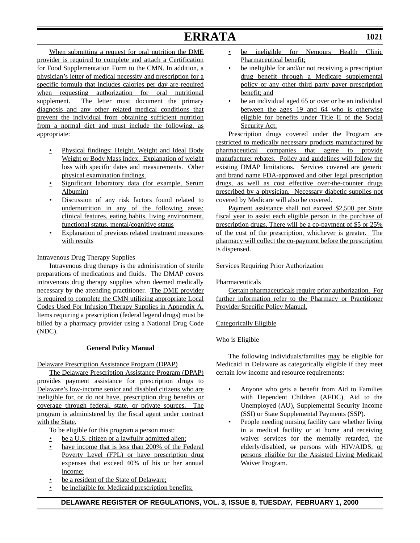# **ERRATA**

When submitting a request for oral nutrition the DME provider is required to complete and attach a Certification for Food Supplementation Form to the CMN. In addition, a physician's letter of medical necessity and prescription for a specific formula that includes calories per day are required when requesting authorization for oral nutritional supplement. The letter must document the primary diagnosis and any other related medical conditions that prevent the individual from obtaining sufficient nutrition from a normal diet and must include the following, as appropriate:

- Physical findings: Height, Weight and Ideal Body Weight or Body Mass Index. Explanation of weight loss with specific dates and measurements. Other physical examination findings.
- Significant laboratory data (for example, Serum Albumin)
- Discussion of any risk factors found related to undernutrition in any of the following areas: clinical features, eating habits, living environment, functional status, mental/cognitive status
- Explanation of previous related treatment measures with results

Intravenous Drug Therapy Supplies

Intravenous drug therapy is the administration of sterile preparations of medications and fluids. The DMAP covers intravenous drug therapy supplies when deemed medically necessary by the attending practitioner. The DME provider is required to complete the CMN utilizing appropriate Local Codes Used For Infusion Therapy Supplies in Appendix A. Items requiring a prescription (federal legend drugs) must be billed by a pharmacy provider using a National Drug Code (NDC).

#### **General Policy Manual**

#### Delaware Prescription Assistance Program (DPAP)

The Delaware Prescription Assistance Program (DPAP) provides payment assistance for prescription drugs to Delaware's low-income senior and disabled citizens who are ineligible for, or do not have, prescription drug benefits or coverage through federal, state, or private sources. The program is administered by the fiscal agent under contract with the State.

To be eligible for this program a person must:

- be a U.S. citizen or a lawfully admitted alien;
- have income that is less than 200% of the Federal Poverty Level (FPL) or have prescription drug expenses that exceed 40% of his or her annual income;
- be a resident of the State of Delaware;
- be ineligible for Medicaid prescription benefits;
- be ineligible for Nemours Health Clinic Pharmaceutical benefit;
- be ineligible for and/or not receiving a prescription drug benefit through a Medicare supplemental policy or any other third party payer prescription benefit; and
- be an individual aged 65 or over or be an individual between the ages 19 and 64 who is otherwise eligible for benefits under Title II of the Social Security Act.

Prescription drugs covered under the Program are restricted to medically necessary products manufactured by pharmaceutical companies that agree to provide manufacturer rebates. Policy and guidelines will follow the existing DMAP limitations. Services covered are generic and brand name FDA-approved and other legal prescription drugs, as well as cost effective over-the-counter drugs prescribed by a physician. Necessary diabetic supplies not covered by Medicare will also be covered.

Payment assistance shall not exceed \$2,500 per State fiscal year to assist each eligible person in the purchase of prescription drugs. There will be a co-payment of \$5 or 25% of the cost of the prescription, whichever is greater. The pharmacy will collect the co-payment before the prescription is dispensed.

Services Requiring Prior Authorization

### Pharmaceuticals

Certain pharmaceuticals require prior authorization. For further information refer to the Pharmacy or Practitioner Provider Specific Policy Manual.

#### Categorically Eligible

### Who is Eligible

The following individuals/families may be eligible for Medicaid in Delaware as categorically eligible if they meet certain low income and resource requirements:

- Anyone who gets a benefit from Aid to Families with Dependent Children (AFDC), Aid to the Unemployed (AU), Supplemental Security Income (SSI) or State Supplemental Payments (SSP).
- People needing nursing facility care whether living in a medical facility or at home and receiving waiver services for the mentally retarded, the elderly/disabled, or persons with HIV/AIDS, or persons eligible for the Assisted Living Medicaid Waiver Program.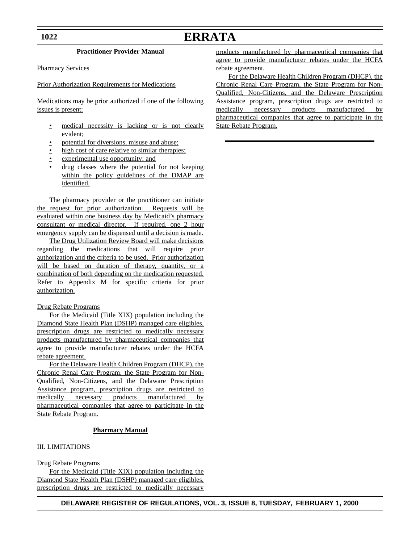**1022**

# **ERRATA**

#### **Practitioner Provider Manual**

Pharmacy Services

Prior Authorization Requirements for Medications

Medications may be prior authorized if one of the following issues is present:

- medical necessity is lacking or is not clearly evident;
- potential for diversions, misuse and abuse;
- high cost of care relative to similar therapies;
- experimental use opportunity; and
- drug classes where the potential for not keeping within the policy guidelines of the DMAP are identified.

The pharmacy provider or the practitioner can initiate the request for prior authorization. Requests will be evaluated within one business day by Medicaid's pharmacy consultant or medical director. If required, one 2 hour emergency supply can be dispensed until a decision is made.

The Drug Utilization Review Board will make decisions regarding the medications that will require prior authorization and the criteria to be used. Prior authorization will be based on duration of therapy, quantity, or a combination of both depending on the medication requested. Refer to Appendix M for specific criteria for prior authorization.

#### Drug Rebate Programs

For the Medicaid (Title XIX) population including the Diamond State Health Plan (DSHP) managed care eligibles, prescription drugs are restricted to medically necessary products manufactured by pharmaceutical companies that agree to provide manufacturer rebates under the HCFA rebate agreement.

For the Delaware Health Children Program (DHCP), the Chronic Renal Care Program, the State Program for Non-Qualified, Non-Citizens, and the Delaware Prescription Assistance program, prescription drugs are restricted to medically necessary products manufactured by pharmaceutical companies that agree to participate in the State Rebate Program.

#### **Pharmacy Manual**

#### III. LIMITATIONS

Drug Rebate Programs

For the Medicaid (Title XIX) population including the Diamond State Health Plan (DSHP) managed care eligibles, prescription drugs are restricted to medically necessary

agree to provide manufacturer rebates under the HCFA rebate agreement. For the Delaware Health Children Program (DHCP), the

products manufactured by pharmaceutical companies that

Chronic Renal Care Program, the State Program for Non-Qualified, Non-Citizens, and the Delaware Prescription Assistance program, prescription drugs are restricted to medically necessary products manufactured by pharmaceutical companies that agree to participate in the State Rebate Program.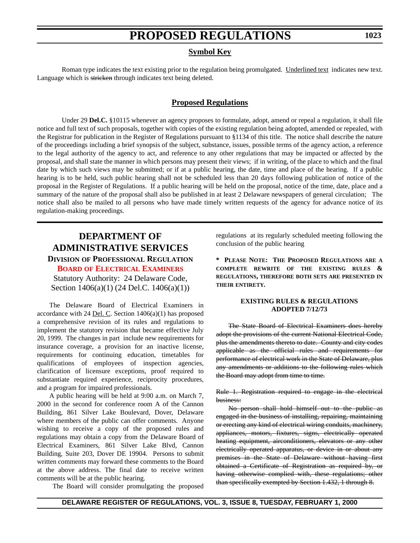#### **Symbol Key**

<span id="page-16-0"></span>Roman type indicates the text existing prior to the regulation being promulgated. Underlined text indicates new text. Language which is stricken through indicates text being deleted.

### **Proposed Regulations**

Under 29 **Del.C.** §10115 whenever an agency proposes to formulate, adopt, amend or repeal a regulation, it shall file notice and full text of such proposals, together with copies of the existing regulation being adopted, amended or repealed, with the Registrar for publication in the Register of Regulations pursuant to §1134 of this title. The notice shall describe the nature of the proceedings including a brief synopsis of the subject, substance, issues, possible terms of the agency action, a reference to the legal authority of the agency to act, and reference to any other regulations that may be impacted or affected by the proposal, and shall state the manner in which persons may present their views; if in writing, of the place to which and the final date by which such views may be submitted; or if at a public hearing, the date, time and place of the hearing. If a public hearing is to be held, such public hearing shall not be scheduled less than 20 days following publication of notice of the proposal in the Register of Regulations. If a public hearing will be held on the proposal, notice of the time, date, place and a summary of the nature of the proposal shall also be published in at least 2 Delaware newspapers of general circulation; The notice shall also be mailed to all persons who have made timely written requests of the agency for advance notice of its regulation-making proceedings.

### **DEPARTMENT OF ADMINISTRATIVE SERVICES DIVISION OF PROFESSIONAL REGULATION**

**BOARD [OF ELECTRICAL EXAMINERS](#page-3-0)**

Statutory Authority: 24 Delaware Code, Section 1406(a)(1) (24 Del.C. 1406(a)(1))

The Delaware Board of Electrical Examiners in accordance with 24 <u>Del. C</u>. Section  $1406(a)(1)$  has proposed a comprehensive revision of its rules and regulations to implement the statutory revision that became effective July 20, 1999. The changes in part include new requirements for insurance coverage, a provision for an inactive license, requirements for continuing education, timetables for qualifications of employees of inspection agencies, clarification of licensure exceptions, proof required to substantiate required experience, reciprocity procedures, and a program for impaired professionals.

A public hearing will be held at 9:00 a.m. on March 7, 2000 in the second for conference room A of the Cannon Building, 861 Silver Lake Boulevard, Dover, Delaware where members of the public can offer comments. Anyone wishing to receive a copy of the proposed rules and regulations may obtain a copy from the Delaware Board of Electrical Examiners, 861 Silver Lake Blvd, Cannon Building, Suite 203, Dover DE 19904. Persons to submit written comments may forward these comments to the Board at the above address. The final date to receive written comments will be at the public hearing.

The Board will consider promulgating the proposed

regulations at its regularly scheduled meeting following the conclusion of the public hearing

**\* PLEASE NOTE: THE PROPOSED REGULATIONS ARE A COMPLETE REWRITE OF THE EXISTING RULES & REGULATIONS, THEREFORE BOTH SETS ARE PRESENTED IN THEIR ENTIRETY.**

#### **EXISTING RULES & REGULATIONS ADOPTED 7/12/73**

The State Board of Electrical Examiners does hereby adopt the provisions of the current National Electrical Code, plus the amendments thereto to date. County and city codes applicable as the official rules and requirements for performance of electrical work in the State of Delaware, plus any amendments or additions to the following rules which the Board may adopt from time to time.

Rule 1. Registration required to engage in the electrical business:

No person shall hold himself out to the public as engaged in the business of installing, repairing, maintaining or erecting any kind of electrical wiring conduits, machinery, appliances, motors, fixtures, signs, electrically operated heating equipment, airconditioners, elevators or any other electrically operated apparatus, or device in or about any premises in the State of Delaware without having first obtained a Certificate of Registration as required by, or having otherwise complied with, these regulations; other than specifically exempted by Section 1.432, 1 through 8.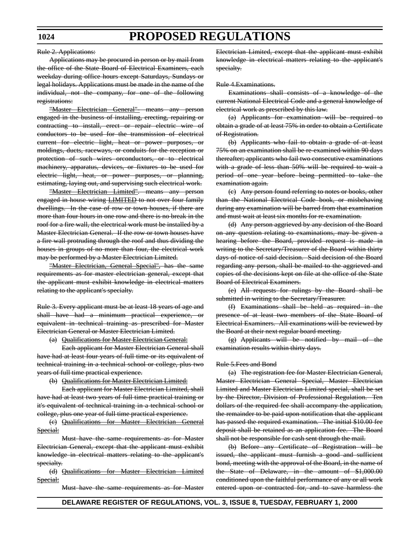Rule 2. Applications:

Applications may be procured in person or by mail from the office of the State Board of Electrical Examiners, each weekday during office hours except Saturdays, Sundays or legal holidays. Applications must be made in the name of the individual, not the company, for one of the following registrations:

"Master Electrician General"- means any person engaged in the business of installing, erecting, repairing or contracting to install, erect or repair electric wire of conductors to be used for the transmission of electrical current for electric light, heat or power purposes, or moldings, ducts, raceways, or conduits for the reception or protection of such wires orconductors, or to electrical machinery, apparatus, devices, or fixtures to be used for electric light, heat, or power purposes, or planning, estimating, laying out, and supervising such electrical work.

"Master Electrician Limited". means any person engaged in house wiring **LIMITED** to not over four family dwellings. In the case of row or town houses, if there are more than four hours in one row and there is no break in the roof for a fire wall, the electrical work must be installed by a Master Electrician General. If the row or town houses have a fire wall protruding through the roof and thus dividing the houses in groups of no more than four, the electrical work may be performed by a Master Electrician Limited.

"Master Electrician, General Special", has the same requirements as for master electrician general, except that the applicant must exhibit knowledge in electrical matters relating to the applicant's specialty.

Rule 3. Every applicant must be at least 18 years of age and shall have had a minimum practical experience, or equivalent in technical training as prescribed for Master Electrician General or Master Electrician Limited.

(a) Qualifications for Master Electrician General:

Each applicant for Master Electrician General shall have had at least four years of full time or its equivalent of technical training in a technical school or college, plus two years of full time practical experience.

(b) Qualifications for Master Electrician Limited:

Each applicant for Master Electrician Limited, shall have had at least two years of full time practical training or it's equivalent of technical training in a technical school or college, plus one year of full time practical experience.

(c) Qualifications for Master Electrician General Special:

Must have the same requirements as for Master Electrician General, except that the applicant must exhibit knowledge in electrical matters relating to the applicant's specialty.

(d) Qualifications for Master Electrician Limited Special:

Must have the same requirements as for Master

Electrician Limited, except that the applicant must exhibit knowledge in electrical matters relating to the applicant's specialty.

Rule 4.Examinations.

Examinations shall consists of a knowledge of the current National Electrical Code and a general knowledge of electrical work as prescribed by this law.

(a) Applicants for examination will be required to obtain a grade of at least 75% in order to obtain a Certificate of Registration.

(b) Applicants who fail to obtain a grade of at least 75% on an examination shall be re-examined within 90 days thereafter; applicants who fail two consecutive examinations with a grade of less than 50% will be required to wait a period of one year before being permitted to take the examination again.

(c) Any person found referring to notes or books, other than the National Electrical Code book, or misbehaving during any examination will be barred from that examination and must wait at least six months for re-examination.

(d) Any person aggrieved by any decision of the Board on any question relating to examinations, may be given a hearing before the Board, provided request is made in writing to the Secretary/Treasurer of the Board within thirty days of notice of said decision. Said decision of the Board regarding any person, shall be mailed to the aggrieved and copies of the decisions kept on file at the office of the State Board of Electrical Examiners.

(e) All requests for rulings by the Board shall be submitted in writing to the Secretary/Treasurer.

(f) Examinations shall be held as required in the presence of at least two members of the State Board of Electrical Examiners. All examinations will be reviewed by the Board at their next regular board meeting.

(g) Applicants will be notified by mail of the examination results within thirty days.

#### Rule 5.Fees and Bond

(a) The registration fee for Master Electrician General, Master Electrician General Special, Master Electrician Limited and Master Electrician Limited special, shall be set by the Director, Division of Professional Regulation. Ten dollars of the required fee shall accompany the application, the remainder to be paid upon notification that the applicant has passed the required examination. The initial \$10.00 fee deposit shall be retained as an application fee. The Board shall not be responsible for cash sent through the mail.

(b) Before any Certificate of Registration will be issued, the applicant must furnish a good and sufficient bond, meeting with the approval of the Board, in the name of the State of Delaware, in the amount of \$1,000.00 conditioned upon the faithful performance of any or all work entered upon or contracted for, and to save harmless the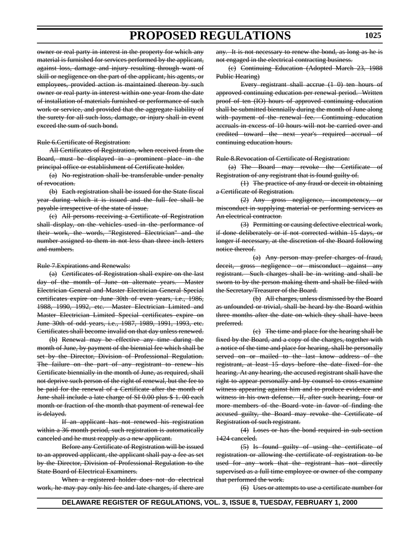owner or real party in interest in the property for which any material is furnished for services performed by the applicant, against loss, damage and injury resulting through want of skill or negligence on the part of the applicant, his agents, or employees, provided action is maintained thereon by such owner or real party in interest within one year from the date of installation of materials furnished or performance of such work or service, and provided that the aggregate liability of the surety for all such loss, damage, or injury shall in event exceed the sum of such bond.

#### Rule 6.Certificate of Registration:

All Certificates of Registration, when received from the Board, must be displayed in a prominent place in the principal office or establishment of Certificate holder.

(a) No registration shall be transferable under penalty of revocation.

(b) Each registration shall be issued for the State fiscal year during which it is issued and the full fee shall be payable irrespective of the state of issue.

(c) All persons receiving a Certificate of Registration shall display, on the vehicles used in the performance of their work, the words, "Registered Electrician" and the number assigned to them in not less than three inch letters and numbers.

#### Rule 7.Expirations and Renewals:

(a) Certificates of Registration shall expire on the last day of the month of June on alternate years. Master Electrician General and Master Electrician General Special certificates expire on June 30th of even years, i.e., 1986, 1988, 1990, 1992, etc. Master Electrician Limited and Master Electrician Limited Special certificates expire on June 30th of odd years, i.e., 1987, 1989, 1991, 1993, etc. Certificates shall become invalid on that day unless renewed.

(b) Renewal may be effective any time during the month of June, by payment of the biennial fee which shall be set by the Director, Division of Professional Regulation. The failure on the part of any registrant to renew his Certificate biennially in the month of June, as required, shall not deprive such person of the right of renewal, but the fee to be paid for the renewal of a Certificate after the month of June shall include a late charge of SI 0.00 plus \$ 1. 00 each month or fraction of the month that payment of renewal fee is delayed.

If an applicant has not renewed his registration within a 36 month period, such registration is automatically canceled and he must reapply as a new applicant.

Before any Certificate of Registration will be issued to an approved applicant, the applicant shall pay a fee as set by the Director, Division of Professional Regulation to the State Board of Electrical Examiners.

When a registered holder does not do electrical work, he may pay only his fee and late charges, if there are any. It is not necessary to renew the bond, as long as he is not engaged in the electrical contracting business.

(c) Continuing Education (Adopted March 23, 1988 Public Hearing)

Every registrant shall accrue (1 0) ten hours of approved continuing education per renewal period. Written proof of ten (IO) hours of approved continuing education shall be submitted biennially during the month of June along with payment of the renewal fee. Continuing education accruals in excess of 10 hours will not be carried over and credited toward the next year's required accrual of continuing education hours.

Rule 8.Revocation of Certificate of Registration:

(a) The Board may revoke the Certificate of Registration of any registrant that is found guilty of.

(1) The practice of any fraud or deceit in obtaining a Certificate of Registration.

(2) Any gross negligence, incompetency, or misconduct in supplying material or performing services as An electrical contractor.

(3) Permitting or causing defective electrical work, if done deliberately or if not corrected within 15 days, or longer if necessary, at the discretion of the Board following notice thereof.

(a) Any person may prefer charges of fraud, deceit, gross negligence or misconduct against any registrant. Such charges shall be in writing and shall be sworn to by the person making them and shall be filed with the Secretary/Treasurer of the Board.

(b) All charges, unless dismissed by the Board as unfounded or trivial, shall be heard by the Board within three months after the date on which they shall have been preferred.

(c) The time and place for the hearing shall be fixed by the Board, and a copy of the charges, together with a notice of the time and place for hearing, shall be personally served on or mailed to the last know address of the registrant, at least 15 days before the date fixed for the hearing. At any hearing, the accused registrant shall have the right to appear personally and by counsel to cross-examine witness appearing against him and to produce evidence and witness in his own defense. If, after such hearing, four or more members of the Board vote in favor of finding the accused guilty, the Board may revoke the Certificate of Registration of such registrant.

(4) Loses or has the bond required in sub-section 1424 canceled.

(5) Is found guilty of using the certificate of registration or allowing the certificate of registration to be used for any work that the registrant has not directly supervised as a full time employee or owner of the company that performed the work.

(6) Uses or attempts to use a certificate number for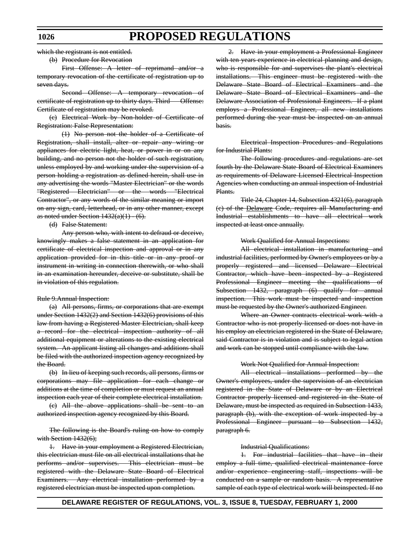which the registrant is not entitled.

(b) Procedure for Revocation

First Offense: A letter of reprimand and/or a temporary revocation of the certificate of registration up to seven days.

Second Offense: A temporary revocation of certificate of registration up to thirty days. Third Offense: Certificate of registration may be revoked.

(c) Electrical Work by Non-holder of Certificate of Registration: False Representation:

(1) No person not the holder of a Certificate of Registration, shall install, alter or repair any wiring or appliances for electric light, heat, or power in or on any building, and no person not the holder of such registration, unless employed by and working under the supervision of a person holding a registration as defined herein, shall use in any advertising the words "Master Electrician" or the words "Registered Electrician" or the words "Electrical Contractor", or any words of the similar meaning or import on any sign, card, letterhead, or in any other manner, except as noted under Section  $1432(a)(1) - (6)$ .

(d) False Statement:

Any person who, with intent to defraud or deceive, knowingly makes a false statement in an application for certificate of electrical inspection and approval or in any application provided for in this title or in any proof or instrument in writing in connection therewith, or who shall in an examination hereunder, deceive or substitute, shall be in violation of this regulation.

#### Rule 9.Annual Inspection:

(a) All persons, firms, or corporations that are exempt under Section 1432(2) and Section 1432(6) provisions of this law from having a Registered Master Electrician, shall keep a record for the electrical inspection authority of all additional equipment or alterations to the existing electrical system. An applicant listing all changes and additions shall be filed with the authorized inspection agency recognized by the Board.

(b) In lieu of keeping such records, all persons, firms or corporations may file application for each change or additions at the time of completion or must request an annual inspection each year of their complete electrical installation.

(c) All the above applications shall be sent to an authorized inspection agency recognized by this Board.

The following is the Board's ruling on how to comply with Section 1432(6);

1. Have in your employment a Registered Electrician, this electrician must file on all electrical installations that he performs and/or supervises. This electrician must be registered with the Delaware State Board of Electrical Examiners. Any electrical installation performed by a registered electrician must be inspected upon completion.

2. Have in your employment a Professional Engineer with ten years experience in electrical planning and design, who is responsible for and supervises the plant's electrical installations. This engineer must be registered with the Delaware State Board of Electrical Examiners and the Delaware State Board of Electrical Examiners and the Delaware Association of Professional Engineers. If a plant employs a Professional Engineer, all new installations performed during the year must be inspected on an annual basis.

Electrical Inspection Procedures and Regulations for Industrial Plants:

The following procedures and regulations are set fourth by the Delaware State Board of Electrical Examiners as requirements of Delaware Licensed Electrical Inspection Agencies when conducting an annual inspection of Industrial Plants.

Title 24, Chapter 14, Subsection 4321(6), paragraph (c) of the Delaware Code, requires all Manufacturing and Industrial establishments to have all electrical work inspected at least once annually.

#### Work Qualified for Annual Inspections:

All electrical installation in manufacturing and industrial facilities, performed by Owner's employees or by a properly registered and licensed Delaware Electrical Contractor, which have been inspected by a Registered Professional Engineer meeting the qualifications of Subsection 1432, paragraph (6) qualify for annual inspection. This work must be inspected and inspection must be requested by the Owner's authorized Engineer.

Where an Owner contracts electrical work with a Contractor who is not properly licensed or does not have in his employ an electrician registered in the State of Delaware, said Contractor is in violation and is subject to legal action and work can be stopped until compliance with the law.

#### Work Not Qualified for Annual Inspection:

All electrical installations performed by the Owner's employees, under the supervision of an electrician registered in the State of Delaware or by an Electrical Contractor properly licensed and registered in the State of Delaware, must be inspected as required in Subsection 1433, paragraph (b), with the exception of work inspected by a Professional Engineer pursuant to Subsection 1432, paragraph 6.

#### Industrial Qualifications:

1. For industrial facilities that have in their employ a full time, qualified electrical maintenance force and/or experience engineering staff, inspections will be conducted on a sample or random basis. A representative sample of each type of electrical work will beinspected. If no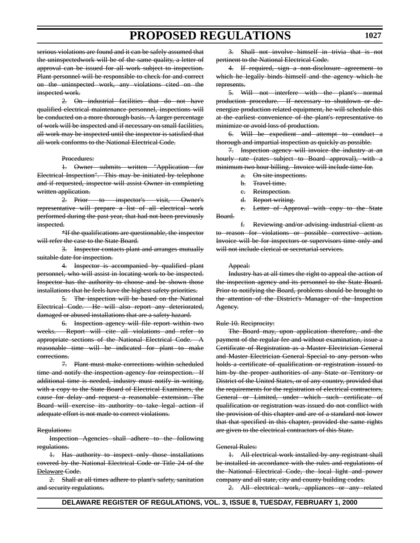serious violations are found and it can be safely assumed that the uninspectedwork will be of the same quality, a letter of approval can be issued for all work subject to inspection. Plant personnel will be responsible to check for and correct on the uninspected work, any violations cited on the inspected work.

2. On industrial facilities that do not have qualified electrical maintenance personnel, inspections will be conducted on a more thorough basis. A larger percentage of work will be inspected and if necessary on small facilities, all work may be inspected until the inspector is satisfied that all work conforms to the National Electrical Code.

#### Procedures:

1. Owner submits written "Application for Electrical Inspection". This may be initiated by telephone and if requested, inspector will assist Owner in completing written application.

2. Prior to inspector's visit, Owner's representative will prepare a list of all electrical work performed during the past year, that had not been previously inspected.

\*If the qualifications are questionable, the inspector will refer the case to the State Board.

3. Inspector contacts plant and arranges mutually suitable date for inspection.

4. Inspector is accompanied by qualified plant personnel, who will assist in locating work to be inspected. Inspector has the authority to choose and be shown those installations that he feels have the highest safety priorities.

5. The inspection will be based on the National Electrical Code. He will also report any deteriorated, damaged or abused installations that are a safety hazard.

6. Inspection agency will file report within two weeks. Report will cite all violations and refer to appropriate sections of the National Electrical Code. A reasonable time will be indicated for plant to make corrections.

7. Plant must make corrections within scheduled time and notify the inspection agency for reinspection. If additional time is needed, industry must notify in writing, with a copy to the State Board of Electrical Examiners, the cause for delay and request a reasonable extension. The Board will exercise its authority to take legal action if adequate effort is not made to correct violations.

#### Regulations:

Inspection Agencies shall adhere to the following regulations.

1. Has authority to inspect only those installations covered by the National Electrical Code or Title 24 of the Delaware Code.

2. Shall at all times adhere to plant's safety, sanitation and security regulations.

3. Shall not involve himself in trivia that is not pertinent to the National Electrical Code.

4. If required, sign a non-disclosure agreement to which he legally binds himself and the agency which he represents.

5. Will not interfere with the plant's normal production procedure. If necessary to shutdown or deenergize production related equipment, he will schedule this at the earliest convenience of the plant's representative to minimize or avoid loss of production.

6. Will be expedient and attempt to conduct a thorough and impartial inspection as quickly as possible.

7. Inspection agency will invoice the industry at an hourly rate (rates subject to Board approval), with a minimum two hour billing. Invoice will include time for.

- a. On site inspections.
- b. Travel time.
- e. Reinspection.
- d. Report writing.

e. Letter of Approval with copy to the State Board.

f. Reviewing and/or advising industrial client as to reason for violations or possible corrective action. Invoice will be for inspectors or supervisors time only and will not include clerical or secretarial services.

#### Appeal:

Industry has at all times the right to appeal the action of the inspection agency and its personnel to the State Board. Prior to notifying the Board, problems should be brought to the attention of the District's Manager of the Inspection Agency.

#### Rule 10. Reciprocity:

The Board may, upon application therefore, and the payment of the regular fee and without examination, issue a Certificate of Registration as a Master Electrician General and Master Electrician General Special to any person who holds a certificate of qualification or registration issued to him by the proper authorities of any State or Territory or District of the United States, or of any country, provided that the requirements for the registration of electrical contractors, General or Limited, under which such certificate of qualification or registration was issued do not conflict with the provision of this chapter and are of a standard not lower that that specified in this chapter, provided the same rights are given to the electrical contractors of this State.

#### General Rules:

1. All electrical work installed by any registrant shall be installed in accordance with the rules and regulations of the National Electrical Code, the local light and power company and all state, city and county building codes.

2. All electrical work, appliances or any related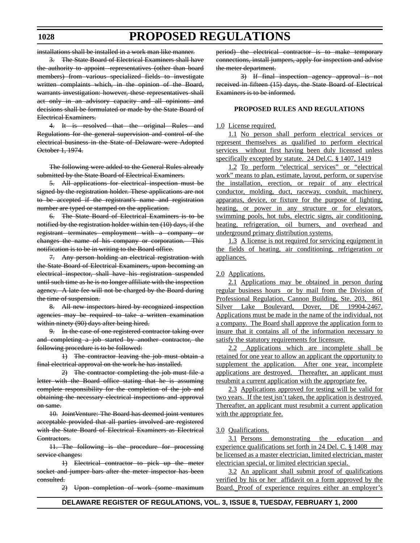installations shall be installed in a work man like manner.

3. The State Board of Electrical Examiners shall have the authority to appoint -representatives (other than board members) from various specialized fields to investigate written complaints which, in the opinion of the Board, warrants investigation: however, these representatives shall act only in an advisory capacity and all opinions and decisions shall be formulated or made by the State Board of Electrical Examiners.

4. It is resolved that the original Rules and Regulations for the general supervision and control of the electrical business in the State of Delaware were Adopted October 1, 1974.

The following were added to the General Rules already submitted by the State Board of Electrical Examiners.

5. All applications for electrical inspection must be signed by the registration holder. These applications are not to be accepted if the registrant's name and registration number are typed or stamped on the application.

6. The State Board of Electrical Examiners is to be notified by the registration holder within ten (10) days, if the registrant terminates employment with a company or changes the name of his company or corporation. This notification is to be in writing to the Board office.

7. Any person holding an electrical registration with the State Board of Electrical Examiners, upon becoming an electrical inspector, shall have his registration suspended until such time as he is no longer affiliate with the inspection agency. A late fee will not be charged by the Board during the time of suspension.

8. All new inspectors hired by recognized inspection agencies may be required to take a written examination within ninety (90) days after being hired.

9. In the case of one registered contractor taking over and completing a job started by another contractor, the following procedure is to be followed:

1) The contractor leaving the job must obtain a final electrical approval on the work he has installed.

2) The contractor completing the job must file a letter with the Board office stating that he is assuming complete responsibility for the completion of the job and obtaining the necessary electrical inspections and approval on same.

10. JointVenture: The Board has deemed joint ventures acceptable provided that all parties involved are registered with the State Board of Electrical Examiners as Electrical Contractors.

11. The following is the procedure for processing service changes:

1) Electrical contractor to pick up the meter socket and jumper bars after the meter inspector has been consulted.

2) Upon completion of work (some maximum

period) the electrical contractor is to make temporary connections, install jumpers, apply for inspection and advise the meter department.

3) If final inspection agency approval is not received in fifteen (15) days, the State Board of Electrical Examiners is to be informed.

#### **PROPOSED RULES AND REGULATIONS**

#### 1.0 License required.

1.1 No person shall perform electrical services or represent themselves as qualified to perform electrical services without first having been duly licensed unless specifically excepted by statute. 24 Del.C. § 1407, 1419

1.2 To perform "electrical services" or "electrical work" means to plan, estimate, layout, perform, or supervise the installation, erection, or repair of any electrical conductor, molding, duct, raceway, conduit, machinery, apparatus, device, or fixture for the purpose of lighting, heating, or power in any structure or for elevators, swimming pools, hot tubs, electric signs, air conditioning, heating, refrigeration, oil burners, and overhead and underground primary distribution systems.

1.3 A license is not required for servicing equipment in the fields of heating, air conditioning, refrigeration or appliances.

#### 2.0 Applications.

2.1 Applications may be obtained in person during regular business hours or by mail from the Division of Professional Regulation, Cannon Building, Ste. 203, 861 Silver Lake Boulevard, Dover, DE 19904-2467. Applications must be made in the name of the individual, not a company. The Board shall approve the application form to insure that it contains all of the information necessary to satisfy the statutory requirements for licensure.

2.2 Applications which are incomplete shall be retained for one year to allow an applicant the opportunity to supplement the application. After one year, incomplete applications are destroyed.Thereafter, an applicant must resubmit a current application with the appropriate fee.

2.3 Applications approved for testing will be valid for two years. If the test isn't taken, the application is destroyed. Thereafter, an applicant must resubmit a current application with the appropriate fee.

#### 3.0 Qualifications.

3.1 Persons demonstrating the education and experience qualifications set forth in 24 Del. C. § 1408 may be licensed as a master electrician, limited electrician, master electrician special, or limited electrician special.

3.2 An applicant shall submit proof of qualifications verified by his or her affidavit on a form approved by the Board. Proof of experience requires either an employer's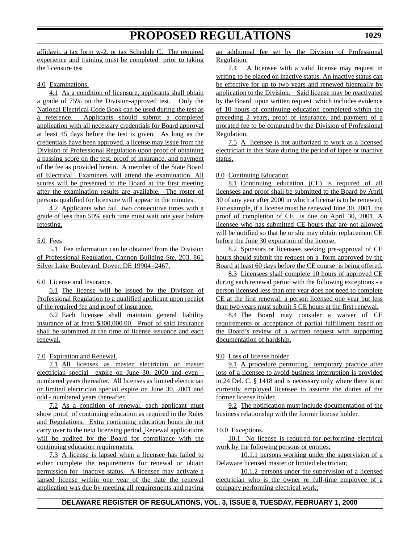affidavit, a tax form w-2, or tax Schedule C. The required experience and training must be completed prior to taking the licensure test

4.0 Examinations.

4.1 As a condition of licensure, applicants shall obtain a grade of 75% on the Division-approved test. Only the National Electrical Code Book can be used during the test as a reference. Applicants should submit a completed application with all necessary credentials for Board approval at least 45 days before the test is given. As long as the credentials have been approved, a license may issue from the Division of Professional Regulation upon proof of obtaining a passing score on the test, proof of insurance, and payment of the fee as provided herein. A member of the State Board of Electrical Examiners will attend the examination. All scores will be presented to the Board at the first meeting after the examination results are available. The roster of persons qualified for licensure will appear in the minutes.

4.2 Applicants who fail two consecutive times with a grade of less than 50% each time must wait one year before retesting.

#### 5.0 Fees

5.1 Fee information can be obtained from the Division of Professional Regulation, Cannon Building Ste. 203, 861 Silver Lake Boulevard, Dover, DE 19904 -2467.

6.0 License and Insurance.

6.1 The license will be issued by the Division of Professional Regulation to a qualified applicant upon receipt of the required fee and proof of insurance.

6.2 Each licensee shall maintain general liability insurance of at least \$300,000.00. Proof of said insurance shall be submitted at the time of license issuance and each renewal.

7.0 Expiration and Renewal.

7.1 All licenses as master electrician or master electrician special expire on June 30, 2000 and even numbered years thereafter. All licenses as limited electrician or limited electrician special expire on June 30, 2001 and odd - numbered years thereafter.

7.2 As a condition of renewal, each applicant must show proof of continuing education as required in the Rules and Regulations. Extra continuing education hours do not carry over to the next licensing period. Renewal applications will be audited by the Board for compliance with the continuing education requirements.

7.3 A license is lapsed when a licensee has failed to either complete the requirements for renewal or obtain permission for inactive status. A licensee may activate a lapsed license within one year of the date the renewal application was due by meeting all requirements and paying an additional fee set by the Division of Professional Regulation.

7.4 A licensee with a valid license may request in writing to be placed on inactive status. An inactive status can be effective for up to two years and renewed biennially by application to the Division. Said license may be reactivated by the Board upon written request which includes evidence of 10 hours of continuing education completed within the preceding 2 years, proof of insurance, and payment of a prorated fee to be computed by the Division of Professional Regulation.

7.5 A licensee is not authorized to work as a licensed electrician in this State during the period of lapse or inactive status.

#### 8.0 Continuing Education

8.1 Continuing education (CE) is required of all licensees and proof shall be submitted to the Board by April 30 of any year after 2000 in which a license is to be renewed. For example, if a license must be renewed June 30, 2001, the proof of completion of CE is due on April 30, 2001. A licensee who has submitted CE hours that are not allowed will be notified so that he or she may obtain replacement CE before the June 30 expiration of the license.

8.2 Sponsors or licensees seeking pre-approval of CE hours should submit the request on a form approved by the Board at least 60 days before the CE course is being offered.

8.3 Licensees shall complete 10 hours of approved CE during each renewal period with the following exceptions - a person licensed less than one year does not need to complete CE at the first renewal; a person licensed one year but less than two years must submit 5 CE hours at the first renewal.

8.4 The Board may consider a waiver of CE requirements or acceptance of partial fulfillment based on the Board's review of a written request with supporting documentation of hardship.

#### 9.0 Loss of license holder

9.1 A procedure permitting temporary practice after loss of a licensee to avoid business interruption is provided in 24 Del. C. § 1418 and is necessary only where there is no currently employed licensee to assume the duties of the former license holder.

9.2 The notification must include documentation of the business relationship with the former license holder.

#### 10.0 Exceptions.

10.1 No license is required for performing electrical work by the following persons or entities:

10.1.1 persons working under the supervision of a Delaware licensed master or limited electrician;

10.1.2 persons under the supervision of a licensed electrician who is the owner or full-time employee of a company performing electrical work;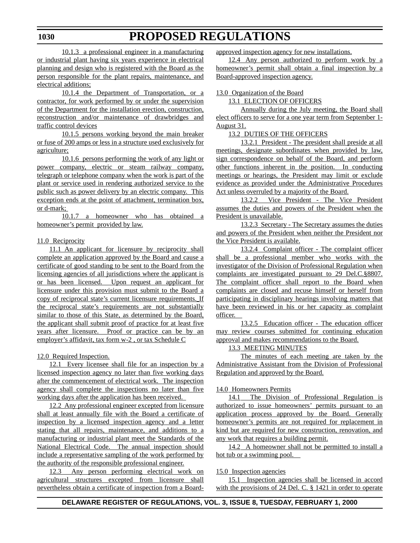#### **1030**

10.1.3 a professional engineer in a manufacturing or industrial plant having six years experience in electrical planning and design who is registered with the Board as the person responsible for the plant repairs, maintenance, and electrical additions;

10.1.4 the Department of Transportation, or a contractor, for work performed by or under the supervision of the Department for the installation erection, construction, reconstruction and/or maintenance of drawbridges and traffic control devices

10.1.5 persons working beyond the main breaker or fuse of 200 amps or less in a structure used exclusively for agriculture;

10.1.6 persons performing the work of any light or power company, electric or steam railway company, telegraph or telephone company when the work is part of the plant or service used in rendering authorized service to the public such as power delivery by an electric company. This exception ends at the point of attachment, termination box, or d-mark;

10.1.7 a homeowner who has obtained a homeowner's permit provided by law.

#### 11.0 Reciprocity

11.1 An applicant for licensure by reciprocity shall complete an application approved by the Board and cause a certificate of good standing to be sent to the Board from the licensing agencies of all jurisdictions where the applicant is or has been licensed. Upon request an applicant for licensure under this provision must submit to the Board a copy of reciprocal state's current licensure requirements. If the reciprocal state's requirements are not substantially similar to those of this State, as determined by the Board, the applicant shall submit proof of practice for at least five years after licensure. Proof or practice can be by an employer's affidavit, tax form w-2 , or tax Schedule C

#### 12.0 Required Inspection.

12.1 Every licensee shall file for an inspection by a licensed inspection agency no later than five working days after the commencement of electrical work. The inspection agency shall complete the inspections no later than five working days after the application has been received.

12.2 Any professional engineer excepted from licensure shall at least annually file with the Board a certificate of inspection by a licensed inspection agency and a letter stating that all repairs, maintenance, and additions to a manufacturing or industrial plant meet the Standards of the National Electrical Code. The annual inspection should include a representative sampling of the work performed by the authority of the responsible professional engineer.

12.3 Any person performing electrical work on agricultural structures excepted from licensure shall nevertheless obtain a certificate of inspection from a Boardapproved inspection agency for new installations.

12.4 Any person authorized to perform work by a homeowner's permit shall obtain a final inspection by a Board-approved inspection agency.

#### 13.0 Organization of the Board

13.1 ELECTION OF OFFICERS

Annually during the July meeting, the Board shall elect officers to serve for a one year term from September 1- August 31.

#### 13.2 DUTIES OF THE OFFICERS

13.2.1 President - The president shall preside at all meetings, designate subordinates when provided by law, sign correspondence on behalf of the Board, and perform other functions inherent in the position. In conducting meetings or hearings, the President may limit or exclude evidence as provided under the Administrative Procedures Act unless overruled by a majority of the Board.

13.2.2 Vice President - The Vice President assumes the duties and powers of the President when the President is unavailable.

13.2.3 Secretary - The Secretary assumes the duties and powers of the President when neither the President nor the Vice President is available.

13.2.4 Complaint officer - The complaint officer shall be a professional member who works with the investigator of the Division of Professional Regulation when complaints are investigated pursuant to 29 Del.C.§8807. The complaint officer shall report to the Board when complaints are closed and recuse himself or herself from participating in disciplinary hearings involving matters that have been reviewed in his or her capacity as complaint officer.

13.2.5 Education officer - The education officer may review courses submitted for continuing education approval and makes recommendations to the Board.

13.3 MEETING MINUTES

The minutes of each meeting are taken by the Administrative Assistant from the Division of Professional Regulation and approved by the Board.

#### 14.0 Homeowners Permits

14.1 The Division of Professional Regulation is authorized to issue homeowners' permits pursuant to an application process approved by the Board. Generally homeowner's permits are not required for replacement in kind but are required for new construction, renovation, and any work that requires a building permit.

14.2 A homeowner shall not be permitted to install a hot tub or a swimming pool.

#### 15.0 Inspection agencies

15.1 Inspection agencies shall be licensed in accord with the provisions of 24 Del. C. § 1421 in order to operate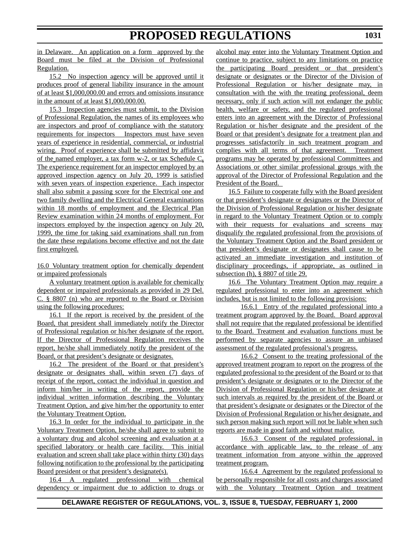**1031**

in Delaware. An application on a form approved by the Board must be filed at the Division of Professional Regulation.

15.2 No inspection agency will be approved until it produces proof of general liability insurance in the amount of at least \$1,000,000.00 and errors and omissions insurance in the amount of at least \$1,000,000.00.

15.3 Inspection agencies must submit, to the Division of Professional Regulation, the names of its employees who are inspectors and proof of compliance with the statutory requirements for inspectors Inspectors must have seven years of experience in residential, commercial, or industrial wiring. Proof of experience shall be submitted by affidavit of the named employer, a tax form w-2, or tax Schedule C**.** The experience requirement for an inspector employed by an approved inspection agency on July 20, 1999 is satisfied with seven years of inspection experience. Each inspector shall also submit a passing score for the Electrical one and two family dwelling and the Electrical General examinations within 18 months of employment and the Electrical Plan Review examination within 24 months of employment. For inspectors employed by the inspection agency on July 20, 1999, the time for taking said examinations shall run from the date these regulations become effective and not the date first employed.

16.0 Voluntary treatment option for chemically dependent or impaired professionals

A voluntary treatment option is available for chemically dependent or impaired professionals as provided in 29 Del. C. § 8807 (n) who are reported to the Board or Division using the following procedures:

16.1 If the report is received by the president of the Board, that president shall immediately notify the Director of Professional regulation or his/her designate of the report. If the Director of Professional Regulation receives the report, he/she shall immediately notify the president of the Board, or that president's designate or designates.

16.2 The president of the Board or that president's designate or designates shall, within seven (7) days of receipt of the report, contact the individual in question and inform him/her in writing of the report, provide the individual written information describing the Voluntary Treatment Option, and give him/her the opportunity to enter the Voluntary Treatment Option.

16.3 In order for the individual to participate in the Voluntary Treatment Option, he/she shall agree to submit to a voluntary drug and alcohol screening and evaluation at a specified laboratory or health care facility. This initial evaluation and screen shall take place within thirty (30) days following notification to the professional by the participating Board president or that president's designate(s).

16.4 A regulated professional with chemical dependency or impairment due to addiction to drugs or alcohol may enter into the Voluntary Treatment Option and continue to practice, subject to any limitations on practice the participating Board president or that president's designate or designates or the Director of the Division of Professional Regulation or his/her designate may, in consultation with the with the treating professional, deem necessary, only if such action will not endanger the public health, welfare or safety, and the regulated professional enters into an agreement with the Director of Professional Regulation or his/her designate and the president of the Board or that president's designate for a treatment plan and progresses satisfactorily in such treatment program and complies with all terms of that agreement. Treatment programs may be operated by professional Committees and Associations or other similar professional groups with the approval of the Director of Professional Regulation and the President of the Board.

16.5 Failure to cooperate fully with the Board president or that president's designate or designates or the Director of the Division of Professional Regulation or his/her designate in regard to the Voluntary Treatment Option or to comply with their requests for evaluations and screens may disqualify the regulated professional from the provisions of the Voluntary Treatment Option and the Board president or that president's designate or designates shall cause to be activated an immediate investigation and institution of disciplinary proceedings, if appropriate, as outlined in subsection (h), § 8807 of title 29.

16.6 The Voluntary Treatment Option may require a regulated professional to enter into an agreement which includes, but is not limited to the following provisions:

16.6.1 Entry of the regulated professional into a treatment program approved by the Board. Board approval shall not require that the regulated professional be identified to the Board. Treatment and evaluation functions must be performed by separate agencies to assure an unbiased assessment of the regulated professional's progress.

16.6.2 Consent to the treating professional of the approved treatment program to report on the progress of the regulated professional to the president of the Board or to that president's designate or designates or to the Director of the Division of Professional Regulation or his/her designate at such intervals as required by the president of the Board or that president's designate or designates or the Director of the Division of Professional Regulation or his/her designate, and such person making such report will not be liable when such reports are made in good faith and without malice.

16.6.3 Consent of the regulated professional, in accordance with applicable law, to the release of any treatment information from anyone within the approved treatment program.

16.6.4 Agreement by the regulated professional to be personally responsible for all costs and charges associated with the Voluntary Treatment Option and treatment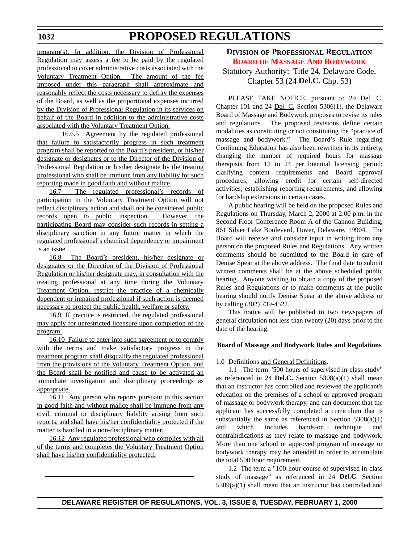<span id="page-25-0"></span>program(s). In addition, the Division of Professional Regulation may assess a fee to be paid by the regulated professional to cover administrative costs associated with the Voluntary Treatment Option. The amount of the fee imposed under this paragraph shall approximate and reasonably reflect the costs necessary to defray the expenses of the Board, as well as the proportional expenses incurred by the Division of Professional Regulation in its services on behalf of the Board in addition to the administrative costs associated with the Voluntary Treatment Option.

16.6.5 Agreement by the regulated professional that failure to satisfactorily progress in such treatment program shall be reported to the Board's president, or his/her designate or designates or to the Director of the Division of Professional Regulation or his/her designate by the treating professional who shall be immune from any liability for such reporting made in good faith and without malice.

16.7 The regulated professional's records of participation in the Voluntary Treatment Option will not reflect disciplinary action and shall not be considered public records open to public inspection. However, the participating Board may consider such records in setting a disciplinary sanction in any future matter in which the regulated professional's chemical dependency or impairment is an issue.

16.8 The Board's president, his/her designate or designates or the Direction of the Division of Professional Regulation or his/her designate may, in consultation with the treating professional at any time during the Voluntary Treatment Option, restrict the practice of a chemically dependent or impaired professional if such action is deemed necessary to protect the public health, welfare or safety.

16.9 If practice is restricted, the regulated professional may apply for unrestricted licensure upon completion of the program.

16.10 Failure to enter into such agreement or to comply with the terms and make satisfactory progress in the treatment program shall disqualify the regulated professional from the provisions of the Voluntary Treatment Option, and the Board shall be notified and cause to be activated an immediate investigation and disciplinary proceedings as appropriate.

16.11 Any person who reports pursuant to this section in good faith and without malice shall be immune from any civil, criminal or disciplinary liability arising from such reports, and shall have his/her confidentiality protected if the matter is handled in a non-disciplinary matter.

16.12 Any regulated professional who complies with all of the terms and completes the Voluntary Treatment Option shall have his/her confidentiality protected.

### **DIVISION OF PROFESSIONAL REGULATION BOARD [OF MASSAGE AND BODYWORK](#page-3-0)** Statutory Authority: Title 24, Delaware Code, Chapter 53 (24 **Del.C.** Chp. 53)

PLEASE TAKE NOTICE, pursuant to 29 Del. C. Chapter 101 and 24 Del. C. Section 5306(1), the Delaware Board of Massage and Bodywork proposes to revise its rules and regulations. The proposed revisions define certain modalities as constituting or not constituting the "practice of massage and bodywork." The Board's Rule regarding Continuing Education has also been rewritten in its entirety, changing the number of required hours for massage therapists from 12 to 24 per biennial licensing period; clarifying content requirements and Board approval procedures; allowing credit for certain self-directed activities; establishing reporting requirements, and allowing for hardship extensions in certain cases.

A public hearing will be held on the proposed Rules and Regulations on Thursday, March 2, 2000 at 2:00 p.m. in the Second Floor Conference Room A of the Cannon Building, 861 Silver Lake Boulevard, Dover, Delaware, 19904. The Board will receive and consider input in writing from any person on the proposed Rules and Regulations. Any written comments should be submitted to the Board in care of Denise Spear at the above address. The final date to submit written comments shall be at the above scheduled public hearing. Anyone wishing to obtain a copy of the proposed Rules and Regulations or to make comments at the public hearing should notify Denise Spear at the above address or by calling (302) 739-4522.

This notice will be published in two newspapers of general circulation not less than twenty (20) days prior to the date of the hearing.

#### **Board of Massage and Bodywork Rules and Regulations**

1.0 Definitions and General Definitions.

1.1 The term "500 hours of supervised in-class study" as referenced in 24 **Del.C.** Section 5308(a)(1) shall mean that an instructor has controlled and reviewed the applicant's education on the premises of a school or approved program of massage or bodywork therapy, and can document that the applicant has successfully completed a curriculum that is substantially the same as referenced in Section  $5308(a)(1)$ and which includes hands-on technique and contraindications as they relate to massage and bodywork. More than one school or approved program of massage or bodywork therapy may be attended in order to accumulate the total 500 hour requirement.

1.2 The term a "100-hour course of supervised in-class study of massage" as referenced in 24 **Del.C**. Section 5309(a)(1) shall mean that an instructor has controlled and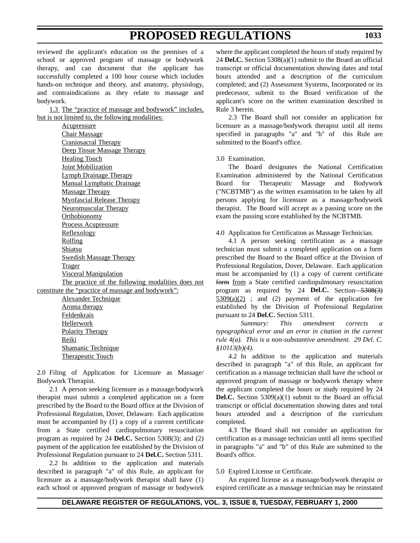reviewed the applicant's education on the premises of a school or approved program of massage or bodywork therapy, and can document that the applicant has successfully completed a 100 hour course which includes hands-on technique and theory, and anatomy, physiology, and contraindications as they relate to massage and bodywork.

1.3 The "practice of massage and bodywork" includes, but is not limited to, the following modalities:

**Acupressure** Chair Massage Craniosacral Therapy Deep Tissue Massage Therapy Healing Touch Joint Mobilization Lymph Drainage Therapy Manual Lymphatic Drainage Massage Therapy Myofascial Release Therapy Neuromuscular Therapy Orthobionomy Process Acupressure Reflexology Rolfing **Shiatsu** Swedish Massage Therapy Trager Visceral Manipulation The practice of the following modalities does not constitute the "practice of massage and bodywork":

Alexander Technique Aroma therapy Feldenkrais Hellerwork Polarity Therapy Reiki Shamanic Technique Therapeutic Touch

2.0 Filing of Application for Licensure as Massage/ Bodywork Therapist.

2.1 A person seeking licensure as a massage/bodywork therapist must submit a completed application on a form prescribed by the Board to the Board office at the Division of Professional Regulation, Dover, Delaware. Each application must be accompanied by (1) a copy of a current certificate from a State certified cardiopulmonary resuscitation program as required by 24 **Del.C.** Section 5308(3); and (2) payment of the application fee established by the Division of Professional Regulation pursuant to 24 **Del.C.** Section 5311.

2.2 In addition to the application and materials described in paragraph "a" of this Rule, an applicant for licensure as a massage/bodywork therapist shall have (1) each school or approved program of massage or bodywork

where the applicant completed the hours of study required by 24 **Del.C.** Section 5308(a)(1) submit to the Board an official transcript or official documentation showing dates and total hours attended and a description of the curriculum completed; and (2) Assessment Systems, Incorporated or its predecessor, submit to the Board verification of the applicant's score on the written examination described in Rule 3 herein.

2.3 The Board shall not consider an application for licensure as a massage/bodywork therapist until all items specified in paragraphs "a" and "b" of this Rule are submitted to the Board's office.

3.0 Examination.

The Board designates the National Certification Examination administered by the National Certification Board for Therapeutic Massage and Bodywork ("NCBTMB") as the written examination to be taken by all persons applying for licensure as a massage/bodywork therapist. The Board will accept as a passing score on the exam the passing score established by the NCBTMB.

4.0 Application for Certification as Massage Technician.

4.1 A person seeking certification as a massage technician must submit a completed application on a form prescribed the Board to the Board office at the Division of Professional Regulation, Dover, Delaware. Each application must be accompanied by (1) a copy of current certificate form from a State certified cardiopulmonary resuscitation program as required by 24 **Del.C.** Section - 5308(3)  $5309(a)(2)$ ; and (2) payment of the application fee established by the Division of Professional Regulation pursuant to 24 **Del.C.** Section 5311.

*Summary: This amendment corrects a typographical error and an error in citation in the current rule 4(a). This is a non-substantive amendment. 29 Del. C. §10113(b)(4).*

4.2 In addition to the application and materials described in paragraph "a" of this Rule, an applicant for certification as a massage technician shall have the school or approved program of massage or bodywork therapy where the applicant completed the hours or study required by 24 **Del.C.** Section 5309(a)(1) submit to the Board an official transcript or official documentation showing dates and total hours attended and a description of the curriculum completed.

4.3 The Board shall not consider an application for certification as a massage technician until all items specified in paragraphs "a" and "b" of this Rule are submitted to the Board's office.

5.0 Expired License or Certificate.

An expired license as a massage/bodywork therapist or expired certificate as a massage technician may be reinstated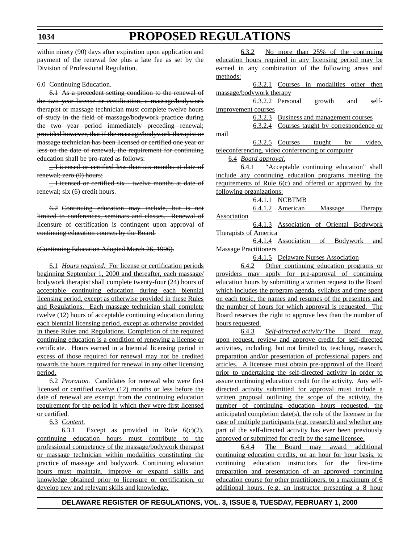within ninety (90) days after expiration upon application and payment of the renewal fee plus a late fee as set by the Division of Professional Regulation.

#### 6.0 Continuing Education.

6.1 As a precedent setting condition to the renewal of the two year license or certification, a massage/bodywork therapist or massage technician must complete twelve hours of study in the field of massage/bodywork practice during the two year period immediately preceding renewal; provided however, that if the massage/bodywork therapist or massage technician has been licensed or certified one year or less on the date of renewal, the requirement for continuing education shall be pro-rated as follows:

\_ Licensed or certified less than six months at date of renewal; zero (0) hours;

-Licensed or certified six - twelve months at date of renewal; six (6) credit hours.

6.2 Continuing education may include, but is not limited to conferences, seminars and classes. Renewal of licensure of certification is contingent upon approval of continuing education courses by the Board.

#### (Continuing Education Adopted March 26, 1996).

6.1 *Hours required.* For license or certification periods beginning September 1, 2000 and thereafter, each massage/ bodywork therapist shall complete twenty-four (24) hours of acceptable continuing education during each biennial licensing period, except as otherwise provided in these Rules and Regulations. Each massage technician shall complete twelve (12) hours of acceptable continuing education during each biennial licensing period, except as otherwise provided in these Rules and Regulations. Completion of the required continuing education is a condition of renewing a license or certificate. Hours earned in a biennial licensing period in excess of those required for renewal may not be credited towards the hours required for renewal in any other licensing period.

6.2 *Proration.* Candidates for renewal who were first licensed or certified twelve (12) months or less before the date of renewal are exempt from the continuing education requirement for the period in which they were first licensed or certified.

6.3 *Content.*

6.3.1 Except as provided in Rule  $6(c)(2)$ , continuing education hours must contribute to the professional competency of the massage/bodywork therapist or massage technician within modalities constituting the practice of massage and bodywork. Continuing education hours must maintain, improve or expand skills and knowledge obtained prior to licensure or certification, or develop new and relevant skills and knowledge.

6.3.2 No more than 25% of the continuing education hours required in any licensing period may be earned in any combination of the following areas and methods:

6.3.2.1 Courses in modalities other then massage/bodywork therapy

|                                                  |  | <u>6.3.2.2 Personal growth and</u>                 |  |        | self-  |  |  |  |
|--------------------------------------------------|--|----------------------------------------------------|--|--------|--------|--|--|--|
| improvement courses                              |  |                                                    |  |        |        |  |  |  |
|                                                  |  | <u>6.3.2.3 Business and management courses</u>     |  |        |        |  |  |  |
|                                                  |  | <u>6.3.2.4 Courses taught by correspondence or</u> |  |        |        |  |  |  |
| mail                                             |  |                                                    |  |        |        |  |  |  |
|                                                  |  | 6.3.2.5 Courses taught                             |  | $-$ by | video, |  |  |  |
| teleconferencing, video conferencing or computer |  |                                                    |  |        |        |  |  |  |

6.4 *Board approval.*

6.4.1 "Acceptable continuing education" shall include any continuing education programs meeting the requirements of Rule 6(c) and offered or approved by the following organizations:

6.4.1.1 NCBTMB

6.4.1.2 American Massage Therapy Association

6.4.1.3 Association of Oriental Bodywork Therapists of America

6.4.1.4 Association of Bodywork and Massage Practitioners

6.4.1.5 Delaware Nurses Association

6.4.2 Other continuing education programs or providers may apply for pre-approval of continuing education hours by submitting a written request to the Board which includes the program agenda, syllabus and time spent on each topic, the names and resumes of the presenters and the number of hours for which approval is requested. The Board reserves the right to approve less than the number of hours requested.

6.4.3 *Self-directed activity:*The Board may, upon request, review and approve credit for self-directed activities, including, but not limited to, teaching, research, preparation and/or presentation of professional papers and articles. A licensee must obtain pre-approval of the Board prior to undertaking the self-directed activity in order to assure continuing education credit for the activity. Any selfdirected activity submitted for approval must include a written proposal outlining the scope of the activity, the number of continuing education hours requested, the anticipated completion date(s), the role of the licensee in the case of multiple participants (e.g. research) and whether any part of the self-directed activity has ever been previously approved or submitted for credit by the same licensee.

6.4.4 The Board may award additional continuing education credits, on an hour for hour basis, to continuing education instructors for the first-time preparation and presentation of an approved continuing education course for other practitioners, to a maximum of 6 additional hours. (e.g. an instructor presenting a 8 hour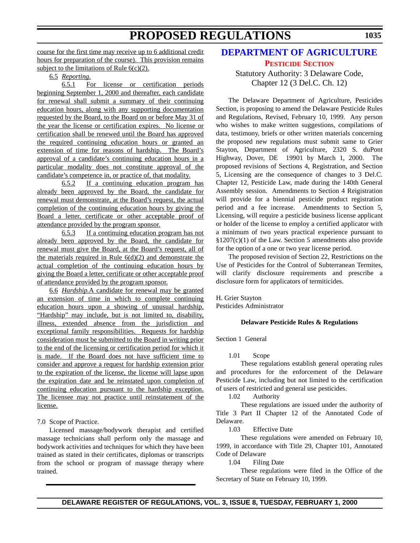<span id="page-28-0"></span>course for the first time may receive up to 6 additional credit hours for preparation of the course). This provision remains subject to the limitations of Rule  $6(c)(2)$ .

6.5 *Reporting.*

6.5.1 For license or certification periods beginning September 1, 2000 and thereafter, each candidate for renewal shall submit a summary of their continuing education hours, along with any supporting documentation requested by the Board, to the Board on or before May 31 of the year the license or certification expires. No license or certification shall be renewed until the Board has approved the required continuing education hours or granted an extension of time for reasons of hardship. The Board's approval of a candidate's continuing education hours in a particular modality does not constitute approval of the candidate's competence in, or practice of, that modality.

6.5.2 If a continuing education program has already been approved by the Board, the candidate for renewal must demonstrate, at the Board's request, the actual completion of the continuing education hours by giving the Board a letter, certificate or other acceptable proof of attendance provided by the program sponsor.

6.5.3 If a continuing education program has not already been approved by the Board, the candidate for renewal must give the Board, at the Board's request, all of the materials required in Rule  $6(d)(2)$  and demonstrate the actual completion of the continuing education hours by giving the Board a letter, certificate or other acceptable proof of attendance provided by the program sponsor.

6.6 *Hardship.*A candidate for renewal may be granted an extension of time in which to complete continuing education hours upon a showing of unusual hardship. "Hardship" may include, but is not limited to, disability, illness, extended absence from the jurisdiction and exceptional family responsibilities. Requests for hardship consideration must be submitted to the Board in writing prior to the end of the licensing or certification period for which it is made. If the Board does not have sufficient time to consider and approve a request for hardship extension prior to the expiration of the license, the license will lapse upon the expiration date and be reinstated upon completion of continuing education pursuant to the hardship exception. The licensee may not practice until reinstatement of the license.

7.0 Scope of Practice.

Licensed massage/bodywork therapist and certified massage technicians shall perform only the massage and bodywork activities and techniques for which they have been trained as stated in their certificates, diplomas or transcripts from the school or program of massage therapy where trained.

### **[DEPARTMENT OF AGRICULTURE](http://www.state.de.us/deptagri/index.htm) [PESTICIDE SECTION](#page-3-0)**

Statutory Authority: 3 Delaware Code, Chapter 12 (3 Del.C. Ch. 12)

The Delaware Department of Agriculture, Pesticides Section, is proposing to amend the Delaware Pesticide Rules and Regulations, Revised, February 10, 1999. Any person who wishes to make written suggestions, compilations of data, testimony, briefs or other written materials concerning the proposed new regulations must submit same to Grier Stayton, Department of Agriculture, 2320 S. duPont Highway, Dover, DE 19901 by March 1, 2000. The proposed revisions of Sections 4, Registration, and Section 5, Licensing are the consequence of changes to 3 Del.C. Chapter 12, Pesticide Law, made during the 140th General Assembly session. Amendments to Section 4 Reigistration will provide for a biennial pesticide product registration period and a fee increase. Amendments to Section 5, Licensing, will require a pesticide business license applicant or holder of the license to employ a certified applicator with a minimum of two years practical experience pursuant to  $$1207(c)(1)$  of the Law. Section 5 amendments also provide for the option of a one or two year license period.

The proposed revision of Section 22, Restrictions on the Use of Pesticides for the Control of Subterranean Termites, will clarify disclosure requirements and prescribe a disclosure form for applicators of termiticides.

H. Grier Stayton Pesticides Administrator

### **Delaware Pesticide Rules & Regulations**

Section 1 General

1.01 Scope

These regulations establish general operating rules and procedures for the enforcement of the Delaware Pesticide Law, including but not limited to the certification of users of restricted and general use pesticides.

1.02 Authority

These regulations are issued under the authority of Title 3 Part II Chapter 12 of the Annotated Code of Delaware.

1.03 Effective Date

These regulations were amended on February 10, 1999, in accordance with Title 29, Chapter 101, Annotated Code of Delaware

1.04 Filing Date

These regulations were filed in the Office of the Secretary of State on February 10, 1999.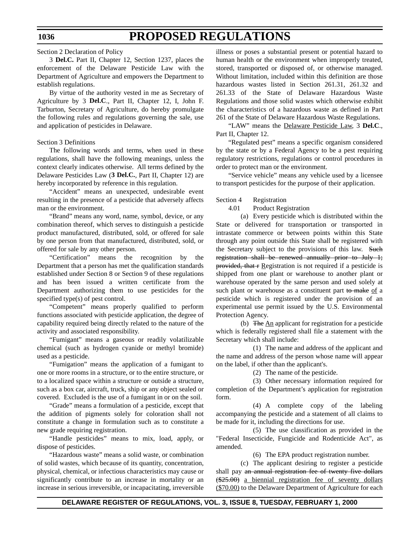Section 2 Declaration of Policy

3 **Del.C.** Part II, Chapter 12, Section 1237, places the enforcement of the Delaware Pesticide Law with the Department of Agriculture and empowers the Department to establish regulations.

By virtue of the authority vested in me as Secretary of Agriculture by 3 **Del.C**., Part II, Chapter 12, I, John F. Tarburton, Secretary of Agriculture, do hereby promulgate the following rules and regulations governing the sale, use and application of pesticides in Delaware.

#### Section 3 Definitions

The following words and terms, when used in these regulations, shall have the following meanings, unless the context clearly indicates otherwise. All terms defined by the Delaware Pesticides Law (**3 Del.C.**, Part II, Chapter 12) are hereby incorporated by reference in this regulation.

"Accident" means an unexpected, undesirable event resulting in the presence of a pesticide that adversely affects man or the environment.

"Brand" means any word, name, symbol, device, or any combination thereof, which serves to distinguish a pesticide product manufactured, distributed, sold, or offered for sale by one person from that manufactured, distributed, sold, or offered for sale by any other person.

"Certification" means the recognition by the Department that a person has met the qualification standards established under Section 8 or Section 9 of these regulations and has been issued a written certificate from the Department authorizing them to use pesticides for the specified type(s) of pest control.

"Competent" means properly qualified to perform functions associated with pesticide application, the degree of capability required being directly related to the nature of the activity and associated responsibility.

"Fumigant" means a gaseous or readily volatilizable chemical (such as hydrogen cyanide or methyl bromide) used as a pesticide.

"Fumigation" means the application of a fumigant to one or more rooms in a structure, or to the entire structure, or to a localized space within a structure or outside a structure, such as a box car, aircraft, truck, ship or any object sealed or covered. Excluded is the use of a fumigant in or on the soil.

"Grade" means a formulation of a pesticide, except that the addition of pigments solely for coloration shall not constitute a change in formulation such as to constitute a new grade requiring registration.

"Handle pesticides" means to mix, load, apply, or dispose of pesticides.

"Hazardous waste" means a solid waste, or combination of solid wastes, which because of its quantity, concentration, physical, chemical, or infectious characteristics may cause or significantly contribute to an increase in mortality or an increase in serious irreversible, or incapacitating, irreversible illness or poses a substantial present or potential hazard to human health or the environment when improperly treated, stored, transported or disposed of, or otherwise managed. Without limitation, included within this definition are those hazardous wastes listed in Section 261.31, 261.32 and 261.33 of the State of Delaware Hazardous Waste Regulations and those solid wastes which otherwise exhibit the characteristics of a hazardous waste as defined in Part 261 of the State of Delaware Hazardous Waste Regulations.

"LAW" means the Delaware Pesticide Law, 3 **Del.C**., Part II, Chapter 12.

"Regulated pest" means a specific organism considered by the state or by a Federal Agency to be a pest requiring regulatory restrictions, regulations or control procedures in order to protect man or the environment.

"Service vehicle" means any vehicle used by a licensee to transport pesticides for the purpose of their application.

#### Section 4 Registration

4.01 Product Registration

(a) Every pesticide which is distributed within the State or delivered for transportation or transported in intrastate commerce or between points within this State through any point outside this State shall be registered with the Secretary subject to the provisions of this law. Such registration shall be renewed annually prior to July 1; provided, that r Registration is not required if a pesticide is shipped from one plant or warehouse to another plant or warehouse operated by the same person and used solely at such plant or warehouse as a constituent part to make of a pesticide which is registered under the provision of an experimental use permit issued by the U.S. Environmental Protection Agency.

(b) The  $\Delta n$  applicant for registration for a pesticide which is federally registered shall file a statement with the Secretary which shall include:

(1) The name and address of the applicant and the name and address of the person whose name will appear on the label, if other than the applicant's.

(2) The name of the pesticide.

(3) Other necessary information required for completion of the Department's application for registration form.

(4) A complete copy of the labeling accompanying the pesticide and a statement of all claims to be made for it, including the directions for use.

(5) The use classification as provided in the "Federal Insecticide, Fungicide and Rodenticide Act", as amended.

(6) The EPA product registration number.

(c) The applicant desiring to register a pesticide shall pay an annual registration fee of twenty five dollars (\$25.00) a biennial registration fee of seventy dollars (\$70.00) to the Delaware Department of Agriculture for each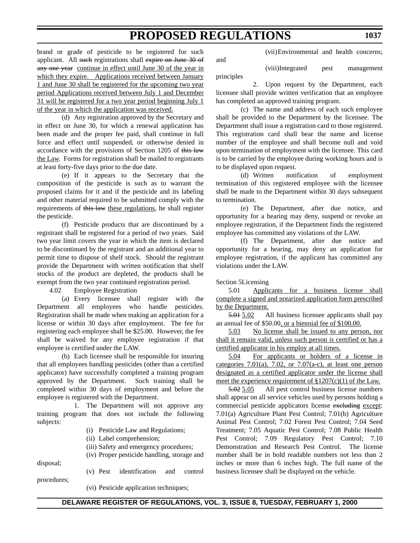and

brand or grade of pesticide to be registered for such applicant. All such registrations shall expire on June 30 of any one year continue in effect until June 30 of the year in which they expire. Applications received between January 1 and June 30 shall be registered for the upcoming two year period Applications received between July 1 and December 31 will be registered for a two year period beginning July 1 of the year in which the application was received.

(d) Any registration approved by the Secretary and in effect on June 30, for which a renewal application has been made and the proper fee paid, shall continue in full force and effect until suspended, or otherwise denied in accordance with the provisions of Section 1205 of this law the Law. Forms for registration shall be mailed to registrants at least forty-five days prior to the due date.

(e) If it appears to the Secretary that the composition of the pesticide is such as to warrant the proposed claims for it and if the pesticide and its labeling and other material required to be submitted comply with the requirements of this law these regulations, he shall register the pesticide.

(f) Pesticide products that are discontinued by a registrant shall be registered for a period of two years. Said two year limit covers the year in which the item is declared to be discontinued by the registrant and an additional year to permit time to dispose of shelf stock. Should the registrant provide the Department with written notification that shelf stocks of the product are depleted, the products shall be exempt from the two year continued registration period.

4.02 Employee Registration

(a) Every licensee shall register with the Department all employees who handle pesticides. Registration shall be made when making an application for a license or within 30 days after employment. The fee for registering each employee shall be \$25.00. However, the fee shall be waived for any employee registration if that employee is certified under the LAW.

(b) Each licensee shall be responsible for insuring that all employees handling pesticides (other than a certified applicator) have successfully completed a training program approved by the Department. Such training shall be completed within 30 days of employment and before the employee is registered with the Department.

1. The Department will not approve any training program that does not include the following subjects:

- (i) Pesticide Law and Regulations;
- (ii) Label comprehension;
- (iii) Safety and emergency procedures;

(iv) Proper pesticide handling, storage and

disposal; procedures;

(v) Pest identification and control

(vii)Environmental and health concerns;

(viii)Integrated pest management principles

2. Upon request by the Department, each licensee shall provide written verification that an employee has completed an approved training program.

(c) The name and address of each such employee shall be provided to the Department by the licensee. The Department shall issue a registration card to those registered. This registration card shall bear the name and license number of the employee and shall become null and void upon termination of employment with the licensee. This card is to be carried by the employee during working hours and is to be displayed upon request.

(d) Written notification of employment termination of this registered employee with the licensee shall be made to the Department within 30 days subsequent to termination.

(e) The Department, after due notice, and opportunity for a hearing may deny, suspend or revoke an employee registration, if the Department finds the registered employee has committed any violations of the LAW.

(f) The Department, after due notice and opportunity for a hearing, may deny an application for employee registration, if the applicant has committed any violations under the LAW.

#### Section 5Licensing

5.01 Applicants for a business license shall complete a signed and notarized application form prescribed by the Department.

5.01 5.02 All business licensee applicants shall pay an annual fee of \$50.00, or a biennial fee of \$100.00.

5.03 No license shall be issued to any person, nor shall it remain valid, unless such person is certified or has a certified applicator in his employ at all times.

5.04 For applicants or holders of a license in categories 7.01(a), 7.02, or 7.07(a-c), at least one person designated as a certified applicator under the license shall meet the experience requirement of  $$1207(c)(1)$  of the Law.

5.02 5.05 All pest control business license numbers shall appear on all service vehicles used by persons holding a commercial pesticide applicators license excluding except: 7.01(a) Agriculture Plant Pest Control; 7.01(b) Agriculture Animal Pest Control; 7.02 Forest Pest Control; 7.04 Seed Treatment; 7.05 Aquatic Pest Control; 7.08 Public Health Pest Control; 7.09 Regulatory Pest Control; 7.10 Demonstration and Research Pest Control. The license number shall be in bold readable numbers not less than 2 inches or more than 6 inches high. The full name of the business licensee shall be displayed on the vehicle.

(vi) Pesticide application techniques;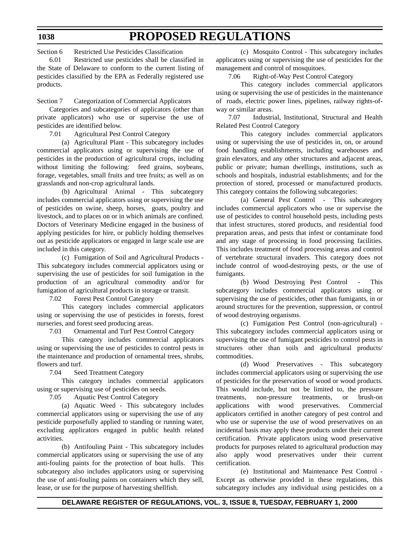Section 6 Restricted Use Pesticides Classification

6.01 Restricted use pesticides shall be classified in the State of Delaware to conform to the current listing of pesticides classified by the EPA as Federally registered use products.

Section 7 Categorization of Commercial Applicators

Categories and subcategories of applicators (other than private applicators) who use or supervise the use of pesticides are identified below.

7.01 Agricultural Pest Control Category

(a) Agricultural Plant - This subcategory includes commercial applicators using or supervising the use of pesticides in the production of agricultural crops, including without limiting the following: feed grains, soybeans, forage, vegetables, small fruits and tree fruits; as well as on grasslands and non-crop agricultural lands.

(b) Agricultural Animal - This subcategory includes commercial applicators using or supervising the use of pesticides on swine, sheep, horses, goats, poultry and livestock, and to places on or in which animals are confined. Doctors of Veterinary Medicine engaged in the business of applying pesticides for hire, or publicly holding themselves out as pesticide applicators or engaged in large scale use are included in this category.

(c) Fumigation of Soil and Agricultural Products - This subcategory includes commercial applicators using or supervising the use of pesticides for soil fumigation in the production of an agricultural commodity and/or for fumigation of agricultural products in storage or transit.

7.02 Forest Pest Control Category

This category includes commercial applicators using or supervising the use of pesticides in forests, forest nurseries, and forest seed producing areas.

7.03 Ornamental and Turf Pest Control Category

This category includes commercial applicators using or supervising the use of pesticides to control pests in the maintenance and production of ornamental trees, shrubs, flowers and turf.

7.04 Seed Treatment Category

This category includes commercial applicators using or supervising use of pesticides on seeds.

7.05 Aquatic Pest Control Category

(a) Aquatic Weed - This subcategory includes commercial applicators using or supervising the use of any pesticide purposefully applied to standing or running water, excluding applicators engaged in public health related activities.

(b) Antifouling Paint - This subcategory includes commercial applicators using or supervising the use of any anti-fouling paints for the protection of boat hulls. This subcategory also includes applicators using or supervising the use of anti-fouling paints on containers which they sell, lease, or use for the purpose of harvesting shellfish.

(c) Mosquito Control - This subcategory includes applicators using or supervising the use of pesticides for the management and control of mosquitoes.

7.06 Right-of-Way Pest Control Category

This category includes commercial applicators using or supervising the use of pesticides in the maintenance of roads, electric power lines, pipelines, railway rights-ofway or similar areas.

7.07 Industrial, Institutional, Structural and Health Related Pest Control Category

This category includes commercial applicators using or supervising the use of pesticides in, on, or around food handling establishments, including warehouses and grain elevators, and any other structures and adjacent areas, public or private; human dwellings, institutions, such as schools and hospitals, industrial establishments; and for the protection of stored, processed or manufactured products. This category contains the following subcategories:

(a) General Pest Control - This subcategory includes commercial applicators who use or supervise the use of pesticides to control household pests, including pests that infest structures, stored products, and residential food preparation areas, and pests that infest or contaminate food and any stage of processing in food processing facilities. This includes treatment of food processing areas and control of vertebrate structural invaders. This category does not include control of wood-destroying pests, or the use of fumigants.

(b) Wood Destroying Pest Control - This subcategory includes commercial applicators using or supervising the use of pesticides, other than fumigants, in or around structures for the prevention, suppression, or control of wood destroying organisms.

(c) Fumigation Pest Control (non-agricultural) - This subcategory includes commercial applicators using or supervising the use of fumigant pesticides to control pests in structures other than soils and agricultural products/ commodities.

(d) Wood Preservatives - This subcategory includes commercial applicators using or supervising the use of pesticides for the preservation of wood or wood products. This would include, but not be limited to, the pressure treatments, non-pressure treatments, or brush-on applications with wood preservatives. Commercial applicators certified in another category of pest control and who use or supervise the use of wood preservatives on an incidental basis may apply these products under their current certification. Private applicators using wood preservative products for purposes related to agricultural production may also apply wood preservatives under their current certification.

(e) Institutional and Maintenance Pest Control - Except as otherwise provided in these regulations, this subcategory includes any individual using pesticides on a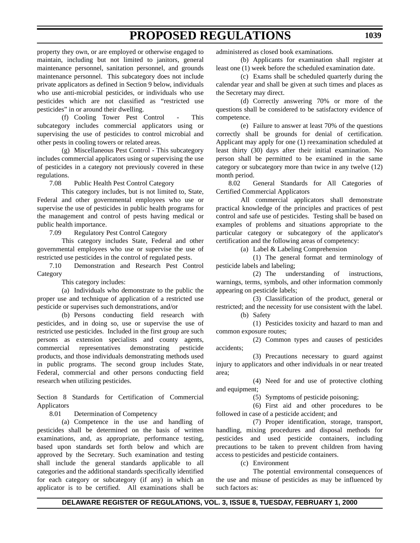property they own, or are employed or otherwise engaged to maintain, including but not limited to janitors, general maintenance personnel, sanitation personnel, and grounds maintenance personnel. This subcategory does not include private applicators as defined in Section 9 below, individuals who use anti-microbial pesticides, or individuals who use pesticides which are not classified as "restricted use pesticides" in or around their dwelling.

(f) Cooling Tower Pest Control - This subcategory includes commercial applicators using or supervising the use of pesticides to control microbial and other pests in cooling towers or related areas.

(g) Miscellaneous Pest Control - This subcategory includes commercial applicators using or supervising the use of pesticides in a category not previously covered in these regulations.

7.08 Public Health Pest Control Category

This category includes, but is not limited to, State, Federal and other governmental employees who use or supervise the use of pesticides in public health programs for the management and control of pests having medical or public health importance.

7.09 Regulatory Pest Control Category

This category includes State, Federal and other governmental employees who use or supervise the use of restricted use pesticides in the control of regulated pests.

7.10 Demonstration and Research Pest Control Category

This category includes:

(a) Individuals who demonstrate to the public the proper use and technique of application of a restricted use pesticide or supervises such demonstrations, and/or

(b) Persons conducting field research with pesticides, and in doing so, use or supervise the use of restricted use pesticides. Included in the first group are such persons as extension specialists and county agents, commercial representatives demonstrating pesticide products, and those individuals demonstrating methods used in public programs. The second group includes State, Federal, commercial and other persons conducting field research when utilizing pesticides.

Section 8 Standards for Certification of Commercial Applicators

8.01 Determination of Competency

(a) Competence in the use and handling of pesticides shall be determined on the basis of written examinations, and, as appropriate, performance testing, based upon standards set forth below and which are approved by the Secretary. Such examination and testing shall include the general standards applicable to all categories and the additional standards specifically identified for each category or subcategory (if any) in which an applicator is to be certified. All examinations shall be

administered as closed book examinations.

(b) Applicants for examination shall register at least one (1) week before the scheduled examination date.

(c) Exams shall be scheduled quarterly during the calendar year and shall be given at such times and places as the Secretary may direct.

(d) Correctly answering 70% or more of the questions shall be considered to be satisfactory evidence of competence.

(e) Failure to answer at least 70% of the questions correctly shall be grounds for denial of certification. Applicant may apply for one (1) reexamination scheduled at least thirty (30) days after their initial examination. No person shall be permitted to be examined in the same category or subcategory more than twice in any twelve (12) month period.

8.02 General Standards for All Categories of Certified Commercial Applicators

All commercial applicators shall demonstrate practical knowledge of the principles and practices of pest control and safe use of pesticides. Testing shall be based on examples of problems and situations appropriate to the particular category or subcategory of the applicator's certification and the following areas of competency:

(a) Label & Labeling Comprehension

(1) The general format and terminology of pesticide labels and labeling;

(2) The understanding of instructions, warnings, terms, symbols, and other information commonly appearing on pesticide labels;

(3) Classification of the product, general or restricted; and the necessity for use consistent with the label. (b) Safety

(1) Pesticides toxicity and hazard to man and common exposure routes;

(2) Common types and causes of pesticides accidents;

(3) Precautions necessary to guard against injury to applicators and other individuals in or near treated area;

(4) Need for and use of protective clothing and equipment;

(5) Symptoms of pesticide poisoning;

(6) First aid and other procedures to be followed in case of a pesticide accident; and

(7) Proper identification, storage, transport, handling, mixing procedures and disposal methods for pesticides and used pesticide containers, including precautions to be taken to prevent children from having access to pesticides and pesticide containers.

(c) Environment

The potential environmental consequences of the use and misuse of pesticides as may be influenced by such factors as: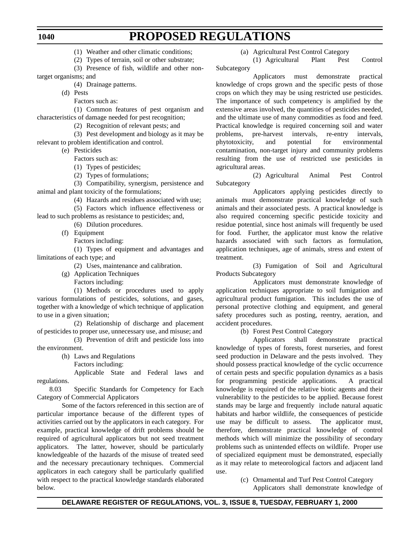(1) Weather and other climatic conditions;

(2) Types of terrain, soil or other substrate;

- (3) Presence of fish, wildlife and other nontarget organisms; and
	- (4) Drainage patterns.
	- (d) Pests
		- Factors such as:
- (1) Common features of pest organism and characteristics of damage needed for pest recognition;
	- (2) Recognition of relevant pests; and
- (3) Pest development and biology as it may be relevant to problem identification and control.
	- (e) Pesticides
		- Factors such as:
		- (1) Types of pesticides;
		- (2) Types of formulations;

(3) Compatibility, synergism, persistence and animal and plant toxicity of the formulations;

(4) Hazards and residues associated with use;

(5) Factors which influence effectiveness or lead to such problems as resistance to pesticides; and,

- (6) Dilution procedures.
- (f) Equipment

Factors including:

(1) Types of equipment and advantages and limitations of each type; and

- (2) Uses, maintenance and calibration.
- (g) Application Techniques
	- Factors including:

(1) Methods or procedures used to apply various formulations of pesticides, solutions, and gases, together with a knowledge of which technique of application to use in a given situation;

(2) Relationship of discharge and placement of pesticides to proper use, unnecessary use, and misuse; and

(3) Prevention of drift and pesticide loss into the environment.

- (h) Laws and Regulations
	- Factors including:

Applicable State and Federal laws and regulations.

8.03 Specific Standards for Competency for Each Category of Commercial Applicators

Some of the factors referenced in this section are of particular importance because of the different types of activities carried out by the applicators in each category. For example, practical knowledge of drift problems should be required of agricultural applicators but not seed treatment applicators. The latter, however, should be particularly knowledgeable of the hazards of the misuse of treated seed and the necessary precautionary techniques. Commercial applicators in each category shall be particularly qualified with respect to the practical knowledge standards elaborated below.

(a) Agricultural Pest Control Category

(1) Agricultural Plant Pest Control Subcategory

Applicators must demonstrate practical knowledge of crops grown and the specific pests of those crops on which they may be using restricted use pesticides. The importance of such competency is amplified by the extensive areas involved, the quantities of pesticides needed, and the ultimate use of many commodities as food and feed. Practical knowledge is required concerning soil and water problems, pre-harvest intervals, re-entry intervals, phytotoxicity, and potential for environmental contamination, non-target injury and community problems resulting from the use of restricted use pesticides in agricultural areas.

(2) Agricultural Animal Pest Control Subcategory

Applicators applying pesticides directly to animals must demonstrate practical knowledge of such animals and their associated pests. A practical knowledge is also required concerning specific pesticide toxicity and residue potential, since host animals will frequently be used for food. Further, the applicator must know the relative hazards associated with such factors as formulation, application techniques, age of animals, stress and extent of treatment.

(3) Fumigation of Soil and Agricultural Products Subcategory

Applicators must demonstrate knowledge of application techniques appropriate to soil fumigation and agricultural product fumigation. This includes the use of personal protective clothing and equipment, and general safety procedures such as posting, reentry, aeration, and accident procedures.

(b) Forest Pest Control Category

Applicators shall demonstrate practical knowledge of types of forests, forest nurseries, and forest seed production in Delaware and the pests involved. They should possess practical knowledge of the cyclic occurrence of certain pests and specific population dynamics as a basis for programming pesticide applications. A practical knowledge is required of the relative biotic agents and their vulnerability to the pesticides to be applied. Because forest stands may be large and frequently include natural aquatic habitats and harbor wildlife, the consequences of pesticide use may be difficult to assess. The applicator must, therefore, demonstrate practical knowledge of control methods which will minimize the possibility of secondary problems such as unintended effects on wildlife. Proper use of specialized equipment must be demonstrated, especially as it may relate to meteorological factors and adjacent land use.

(c) Ornamental and Turf Pest Control Category

Applicators shall demonstrate knowledge of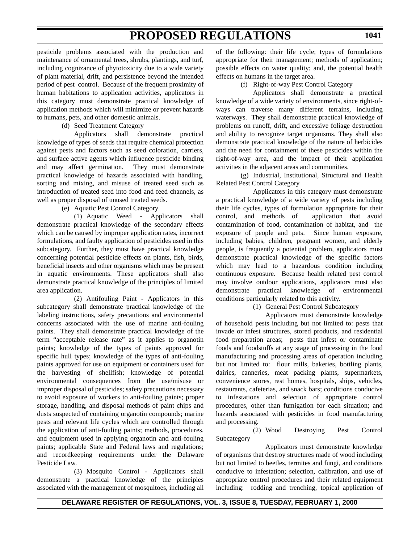pesticide problems associated with the production and maintenance of ornamental trees, shrubs, plantings, and turf, including cognizance of phytotoxicity due to a wide variety of plant material, drift, and persistence beyond the intended period of pest control. Because of the frequent proximity of human habitations to application activities, applicators in this category must demonstrate practical knowledge of application methods which will minimize or prevent hazards to humans, pets, and other domestic animals.

(d) Seed Treatment Category

Applicators shall demonstrate practical knowledge of types of seeds that require chemical protection against pests and factors such as seed coloration, carriers, and surface active agents which influence pesticide binding and may affect germination. They must demonstrate practical knowledge of hazards associated with handling, sorting and mixing, and misuse of treated seed such as introduction of treated seed into food and feed channels, as well as proper disposal of unused treated seeds.

(e) Aquatic Pest Control Category

(1) Aquatic Weed - Applicators shall demonstrate practical knowledge of the secondary effects which can be caused by improper application rates, incorrect formulations, and faulty application of pesticides used in this subcategory. Further, they must have practical knowledge concerning potential pesticide effects on plants, fish, birds, beneficial insects and other organisms which may be present in aquatic environments. These applicators shall also demonstrate practical knowledge of the principles of limited area application.

(2) Antifouling Paint - Applicators in this subcategory shall demonstrate practical knowledge of the labeling instructions, safety precautions and environmental concerns associated with the use of marine anti-fouling paints. They shall demonstrate practical knowledge of the term "acceptable release rate" as it applies to organotin paints; knowledge of the types of paints approved for specific hull types; knowledge of the types of anti-fouling paints approved for use on equipment or containers used for the harvesting of shellfish; knowledge of potential environmental consequences from the use/misuse or improper disposal of pesticides; safety precautions necessary to avoid exposure of workers to anti-fouling paints; proper storage, handling, and disposal methods of paint chips and dusts suspected of containing organotin compounds; marine pests and relevant life cycles which are controlled through the application of anti-fouling paints; methods, procedures, and equipment used in applying organotin and anti-fouling paints; applicable State and Federal laws and regulations; and recordkeeping requirements under the Delaware Pesticide Law.

(3) Mosquito Control - Applicators shall demonstrate a practical knowledge of the principles associated with the management of mosquitoes, including all of the following: their life cycle; types of formulations appropriate for their management; methods of application; possible effects on water quality; and, the potential health effects on humans in the target area.

(f) Right-of-way Pest Control Category

Applicators shall demonstrate a practical knowledge of a wide variety of environments, since right-ofways can traverse many different terrains, including waterways. They shall demonstrate practical knowledge of problems on runoff, drift, and excessive foliage destruction and ability to recognize target organisms. They shall also demonstrate practical knowledge of the nature of herbicides and the need for containment of these pesticides within the right-of-way area, and the impact of their application activities in the adjacent areas and communities.

(g) Industrial, Institutional, Structural and Health Related Pest Control Category

Applicators in this category must demonstrate a practical knowledge of a wide variety of pests including their life cycles, types of formulation appropriate for their control, and methods of application that avoid contamination of food, contamination of habitat, and the exposure of people and pets. Since human exposure, including babies, children, pregnant women, and elderly people, is frequently a potential problem, applicators must demonstrate practical knowledge of the specific factors which may lead to a hazardous condition including continuous exposure. Because health related pest control may involve outdoor applications, applicators must also demonstrate practical knowledge of environmental conditions particularly related to this activity.

(1) General Pest Control Subcategory

Applicators must demonstrate knowledge of household pests including but not limited to: pests that invade or infest structures, stored products, and residential food preparation areas; pests that infest or contaminate foods and foodstuffs at any stage of processing in the food manufacturing and processing areas of operation including but not limited to: flour mills, bakeries, bottling plants, dairies, canneries, meat packing plants, supermarkets, convenience stores, rest homes, hospitals, ships, vehicles, restaurants, cafeterias, and snack bars; conditions conducive to infestations and selection of appropriate control procedures, other than fumigation for each situation; and hazards associated with pesticides in food manufacturing and processing.

(2) Wood Destroying Pest Control Subcategory

Applicators must demonstrate knowledge of organisms that destroy structures made of wood including but not limited to beetles, termites and fungi, and conditions conducive to infestation; selection, calibration, and use of appropriate control procedures and their related equipment including: rodding and trenching, topical application of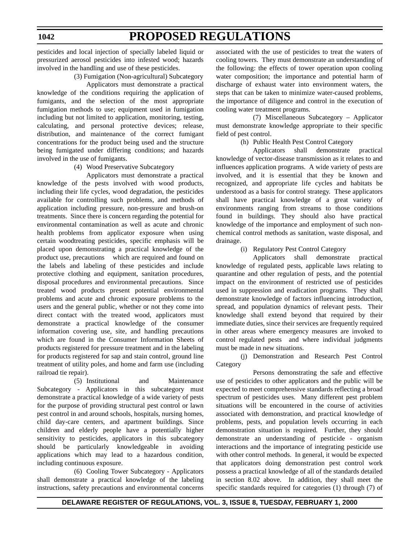pesticides and local injection of specially labeled liquid or pressurized aerosol pesticides into infested wood; hazards involved in the handling and use of these pesticides.

(3) Fumigation (Non-agricultural) Subcategory

Applicators must demonstrate a practical knowledge of the conditions requiring the application of fumigants, and the selection of the most appropriate fumigation methods to use; equipment used in fumigation including but not limited to application, monitoring, testing, calculating, and personal protective devices; release, distribution, and maintenance of the correct fumigant concentrations for the product being used and the structure being fumigated under differing conditions; and hazards involved in the use of fumigants.

#### (4) Wood Preservative Subcategory

Applicators must demonstrate a practical knowledge of the pests involved with wood products, including their life cycles, wood degradation, the pesticides available for controlling such problems, and methods of application including pressure, non-pressure and brush-on treatments. Since there is concern regarding the potential for environmental contamination as well as acute and chronic health problems from applicator exposure when using certain woodtreating pesticides, specific emphasis will be placed upon demonstrating a practical knowledge of the product use, precautions which are required and found on the labels and labeling of these pesticides and include protective clothing and equipment, sanitation procedures, disposal procedures and environmental precautions. Since treated wood products present potential environmental problems and acute and chronic exposure problems to the users and the general public, whether or not they come into direct contact with the treated wood, applicators must demonstrate a practical knowledge of the consumer information covering use, site, and handling precautions which are found in the Consumer Information Sheets of products registered for pressure treatment and in the labeling for products registered for sap and stain control, ground line treatment of utility poles, and home and farm use (including railroad tie repair).

(5) Institutional and Maintenance Subcategory - Applicators in this subcategory must demonstrate a practical knowledge of a wide variety of pests for the purpose of providing structural pest control or lawn pest control in and around schools, hospitals, nursing homes, child day-care centers, and apartment buildings. Since children and elderly people have a potentially higher sensitivity to pesticides, applicators in this subcategory should be particularly knowledgeable in avoiding applications which may lead to a hazardous condition, including continuous exposure.

(6) Cooling Tower Subcategory - Applicators shall demonstrate a practical knowledge of the labeling instructions, safety precautions and environmental concerns associated with the use of pesticides to treat the waters of cooling towers. They must demonstrate an understanding of the following: the effects of tower operation upon cooling water composition; the importance and potential harm of discharge of exhaust water into environment waters, the steps that can be taken to minimize water-caused problems, the importance of diligence and control in the execution of cooling water treatment programs.

(7) Miscellaneous Subcategory – Applicator must demonstrate knowledge appropriate to their specific field of pest control.

#### (h) Public Health Pest Control Category

Applicators shall demonstrate practical knowledge of vector-disease transmission as it relates to and influences application programs. A wide variety of pests are involved, and it is essential that they be known and recognized, and appropriate life cycles and habitats be understood as a basis for control strategy. These applicators shall have practical knowledge of a great variety of environments ranging from streams to those conditions found in buildings. They should also have practical knowledge of the importance and employment of such nonchemical control methods as sanitation, waste disposal, and drainage.

#### (i) Regulatory Pest Control Category

Applicators shall demonstrate practical knowledge of regulated pests, applicable laws relating to quarantine and other regulation of pests, and the potential impact on the environment of restricted use of pesticides used in suppression and eradication programs. They shall demonstrate knowledge of factors influencing introduction, spread, and population dynamics of relevant pests. Their knowledge shall extend beyond that required by their immediate duties, since their services are frequently required in other areas where emergency measures are invoked to control regulated pests and where individual judgments must be made in new situations.

(j) Demonstration and Research Pest Control Category

Persons demonstrating the safe and effective use of pesticides to other applicators and the public will be expected to meet comprehensive standards reflecting a broad spectrum of pesticides uses. Many different pest problem situations will be encountered in the course of activities associated with demonstration, and practical knowledge of problems, pests, and population levels occurring in each demonstration situation is required. Further, they should demonstrate an understanding of pesticide - organism interactions and the importance of integrating pesticide use with other control methods. In general, it would be expected that applicators doing demonstration pest control work possess a practical knowledge of all of the standards detailed in section 8.02 above. In addition, they shall meet the specific standards required for categories (1) through (7) of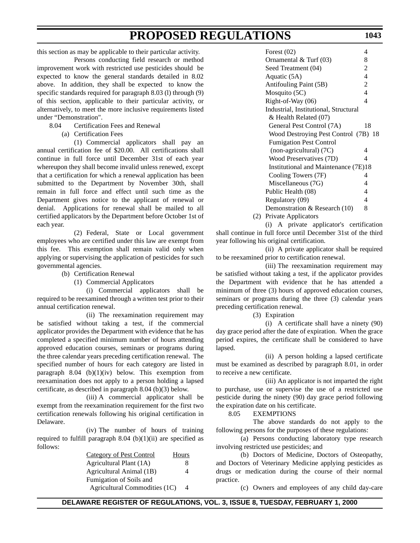this section as may be applicable to their particular activity.

Persons conducting field research or method improvement work with restricted use pesticides should be expected to know the general standards detailed in 8.02 above. In addition, they shall be expected to know the specific standards required for paragraph 8.03 (1) through (9) of this section, applicable to their particular activity, or alternatively, to meet the more inclusive requirements listed under "Demonstration".

- 8.04 Certification Fees and Renewal
	- (a) Certification Fees

(1) Commercial applicators shall pay an annual certification fee of \$20.00. All certifications shall continue in full force until December 31st of each year whereupon they shall become invalid unless renewed, except that a certification for which a renewal application has been submitted to the Department by November 30th, shall remain in full force and effect until such time as the Department gives notice to the applicant of renewal or denial. Applications for renewal shall be mailed to all certified applicators by the Department before October 1st of each year.

(2) Federal, State or Local government employees who are certified under this law are exempt from this fee. This exemption shall remain valid only when applying or supervising the application of pesticides for such governmental agencies.

(b) Certification Renewal

(1) Commercial Applicators

(i) Commercial applicators shall be required to be reexamined through a written test prior to their annual certification renewal.

(ii) The reexamination requirement may be satisfied without taking a test, if the commercial applicator provides the Department with evidence that he has completed a specified minimum number of hours attending approved education courses, seminars or programs during the three calendar years preceding certification renewal. The specified number of hours for each category are listed in paragraph  $8.04$  (b)(1)(iv) below. This exemption from reexamination does not apply to a person holding a lapsed certificate, as described in paragraph 8.04 (b)(3) below.

(iii) A commercial applicator shall be exempt from the reexamination requirement for the first two certification renewals following his original certification in Delaware.

(iv) The number of hours of training required to fulfill paragraph  $8.04$  (b)(1)(ii) are specified as follows:

| Category of Pest Control      | Hours |
|-------------------------------|-------|
| Agricultural Plant (1A)       | 8     |
| Agricultural Animal (1B)      | 4     |
| Fumigation of Soils and       |       |
| Agricultural Commodities (1C) | 4     |

| Forest $(02)$                         | 4  |
|---------------------------------------|----|
| Ornamental & Turf (03)                | 8  |
| Seed Treatment (04)                   | 2  |
| Aquatic (5A)                          | 4  |
| Antifouling Paint (5B)                | 2  |
| Mosquito $(5C)$                       | 4  |
| Right-of-Way (06)                     | 4  |
| Industrial, Institutional, Structural |    |
| & Health Related (07)                 |    |
| General Pest Control (7A)             | 18 |
| Wood Destroying Pest Control (7B) 18  |    |
| <b>Fumigation Pest Control</b>        |    |
| (non-agricultural) (7C)               | 4  |
| Wood Preservatives (7D)               | 4  |
| Institutional and Maintenance (7E)18  |    |
| Cooling Towers (7F)                   | 4  |
| Miscellaneous (7G)                    | 4  |
| Public Health (08)                    | 4  |
| Regulatory (09)                       | 4  |
| Demonstration & Research (10)         | 8  |
| Private Applicators                   |    |

(i) A private applicator's certification shall continue in full force until December 31st of the third year following his original certification.

(ii) A private applicator shall be required to be reexamined prior to certification renewal.

(iii) The reexamination requirement may be satisfied without taking a test, if the applicator provides the Department with evidence that he has attended a minimum of three (3) hours of approved education courses, seminars or programs during the three (3) calendar years preceding certification renewal.

(3) Expiration

(i) A certificate shall have a ninety (90) day grace period after the date of expiration. When the grace period expires, the certificate shall be considered to have lapsed.

(ii) A person holding a lapsed certificate must be examined as described by paragraph 8.01, in order to receive a new certificate.

(iii) An applicator is not imparted the right to purchase, use or supervise the use of a restricted use pesticide during the ninety (90) day grace period following the expiration date on his certificate.

### 8.05 EXEMPTIONS

The above standards do not apply to the following persons for the purposes of these regulations:

(a) Persons conducting laboratory type research involving restricted use pesticides; and

(b) Doctors of Medicine, Doctors of Osteopathy, and Doctors of Veterinary Medicine applying pesticides as drugs or medication during the course of their normal practice.

(c) Owners and employees of any child day-care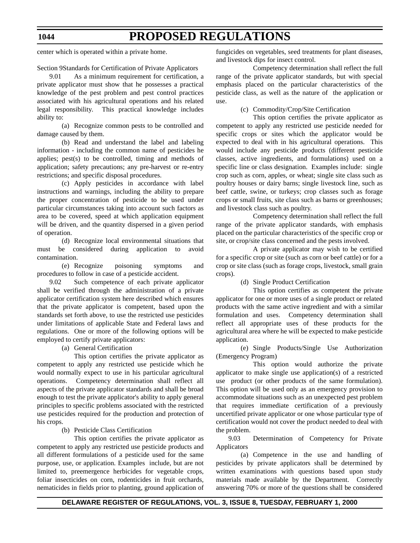center which is operated within a private home.

Section 9Standards for Certification of Private Applicators

9.01 As a minimum requirement for certification, a private applicator must show that he possesses a practical knowledge of the pest problem and pest control practices associated with his agricultural operations and his related legal responsibility. This practical knowledge includes ability to:

(a) Recognize common pests to be controlled and damage caused by them.

(b) Read and understand the label and labeling information - including the common name of pesticides he applies; pest(s) to be controlled, timing and methods of application; safety precautions; any pre-harvest or re-entry restrictions; and specific disposal procedures.

(c) Apply pesticides in accordance with label instructions and warnings, including the ability to prepare the proper concentration of pesticide to be used under particular circumstances taking into account such factors as area to be covered, speed at which application equipment will be driven, and the quantity dispersed in a given period of operation.

(d) Recognize local environmental situations that must be considered during application to avoid contamination.

(e) Recognize poisoning symptoms and procedures to follow in case of a pesticide accident.

9.02 Such competence of each private applicator shall be verified through the administration of a private applicator certification system here described which ensures that the private applicator is competent, based upon the standards set forth above, to use the restricted use pesticides under limitations of applicable State and Federal laws and regulations. One or more of the following options will be employed to certify private applicators:

(a) General Certification

This option certifies the private applicator as competent to apply any restricted use pesticide which he would normally expect to use in his particular agricultural operations. Competency determination shall reflect all aspects of the private applicator standards and shall be broad enough to test the private applicator's ability to apply general principles to specific problems associated with the restricted use pesticides required for the production and protection of his crops.

(b) Pesticide Class Certification

This option certifies the private applicator as competent to apply any restricted use pesticide products and all different formulations of a pesticide used for the same purpose, use, or application. Examples include, but are not limited to, preemergence herbicides for vegetable crops, foliar insecticides on corn, rodenticides in fruit orchards, nematicides in fields prior to planting, ground application of

fungicides on vegetables, seed treatments for plant diseases, and livestock dips for insect control.

Competency determination shall reflect the full range of the private applicator standards, but with special emphasis placed on the particular characteristics of the pesticide class, as well as the nature of the application or use.

(c) Commodity/Crop/Site Certification

This option certifies the private applicator as competent to apply any restricted use pesticide needed for specific crops or sites which the applicator would be expected to deal with in his agricultural operations. This would include any pesticide products (different pesticide classes, active ingredients, and formulations) used on a specific line or class designation. Examples include: single crop such as corn, apples, or wheat; single site class such as poultry houses or dairy barns; single livestock line, such as beef cattle, swine, or turkeys; crop classes such as forage crops or small fruits, site class such as barns or greenhouses; and livestock class such as poultry.

Competency determination shall reflect the full range of the private applicator standards, with emphasis placed on the particular characteristics of the specific crop or site, or crop/site class concerned and the pests involved.

A private applicator may wish to be certified for a specific crop or site (such as corn or beef cattle) or for a crop or site class (such as forage crops, livestock, small grain crops).

(d) Single Product Certification

This option certifies as competent the private applicator for one or more uses of a single product or related products with the same active ingredient and with a similar formulation and uses. Competency determination shall reflect all appropriate uses of these products for the agricultural area where he will be expected to make pesticide application.

(e) Single Products/Single Use Authorization (Emergency Program)

This option would authorize the private applicator to make single use application(s) of a restricted use product (or other products of the same formulation). This option will be used only as an emergency provision to accommodate situations such as an unexpected pest problem that requires immediate certification of a previously uncertified private applicator or one whose particular type of certification would not cover the product needed to deal with the problem.

9.03 Determination of Competency for Private Applicators

(a) Competence in the use and handling of pesticides by private applicators shall be determined by written examinations with questions based upon study materials made available by the Department. Correctly answering 70% or more of the questions shall be considered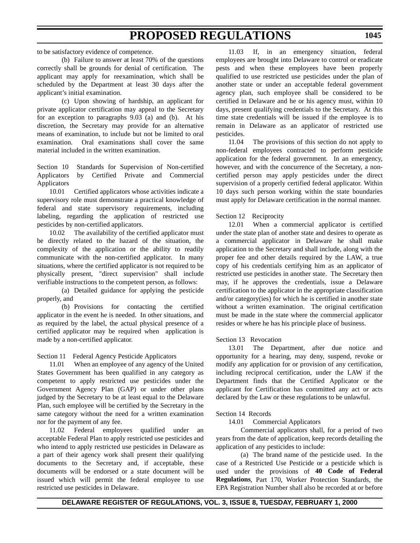to be satisfactory evidence of competence.

(b) Failure to answer at least 70% of the questions correctly shall be grounds for denial of certification. The applicant may apply for reexamination, which shall be scheduled by the Department at least 30 days after the applicant's initial examination.

(c) Upon showing of hardship, an applicant for private applicator certification may appeal to the Secretary for an exception to paragraphs 9.03 (a) and (b). At his discretion, the Secretary may provide for an alternative means of examination, to include but not be limited to oral examination. Oral examinations shall cover the same material included in the written examination.

Section 10 Standards for Supervision of Non-certified Applicators by Certified Private and Commercial Applicators

10.01 Certified applicators whose activities indicate a supervisory role must demonstrate a practical knowledge of federal and state supervisory requirements, including labeling, regarding the application of restricted use pesticides by non-certified applicators.

10.02 The availability of the certified applicator must be directly related to the hazard of the situation, the complexity of the application or the ability to readily communicate with the non-certified applicator. In many situations, where the certified applicator is not required to be physically present, "direct supervision" shall include verifiable instructions to the competent person, as follows:

(a) Detailed guidance for applying the pesticide properly, and

(b) Provisions for contacting the certified applicator in the event he is needed. In other situations, and as required by the label, the actual physical presence of a certified applicator may be required when application is made by a non-certified applicator.

Section 11 Federal Agency Pesticide Applicators

11.01 When an employee of any agency of the United States Government has been qualified in any category as competent to apply restricted use pesticides under the Government Agency Plan (GAP) or under other plans judged by the Secretary to be at least equal to the Delaware Plan, such employee will be certified by the Secretary in the same category without the need for a written examination nor for the payment of any fee.

11.02 Federal employees qualified under an acceptable Federal Plan to apply restricted use pesticides and who intend to apply restricted use pesticides in Delaware as a part of their agency work shall present their qualifying documents to the Secretary and, if acceptable, these documents will be endorsed or a state document will be issued which will permit the federal employee to use restricted use pesticides in Delaware.

11.03 If, in an emergency situation, federal employees are brought into Delaware to control or eradicate pests and when these employees have been properly qualified to use restricted use pesticides under the plan of another state or under an acceptable federal government agency plan, such employee shall be considered to be certified in Delaware and he or his agency must, within 10 days, present qualifying credentials to the Secretary. At this time state credentials will be issued if the employee is to remain in Delaware as an applicator of restricted use pesticides.

11.04 The provisions of this section do not apply to non-federal employees contracted to perform pesticide application for the federal government. In an emergency, however, and with the concurrence of the Secretary, a noncertified person may apply pesticides under the direct supervision of a properly certified federal applicator. Within 10 days such person working within the state boundaries must apply for Delaware certification in the normal manner.

### Section 12 Reciprocity

12.01 When a commercial applicator is certified under the state plan of another state and desires to operate as a commercial applicator in Delaware he shall make application to the Secretary and shall include, along with the proper fee and other details required by the LAW, a true copy of his credentials certifying him as an applicator of restricted use pesticides in another state. The Secretary then may, if he approves the credentials, issue a Delaware certification to the applicator in the appropriate classification and/or category(ies) for which he is certified in another state without a written examination. The original certification must be made in the state where the commercial applicator resides or where he has his principle place of business.

### Section 13 Revocation

13.01 The Department, after due notice and opportunity for a hearing, may deny, suspend, revoke or modify any application for or provision of any certification, including reciprocal certification, under the LAW if the Department finds that the Certified Applicator or the applicant for Certification has committed any act or acts declared by the Law or these regulations to be unlawful.

### Section 14 Records

14.01 Commercial Applicators

Commercial applicators shall, for a period of two years from the date of application, keep records detailing the application of any pesticides to include:

(a) The brand name of the pesticide used. In the case of a Restricted Use Pesticide or a pesticide which is used under the provisions of **40 Code of Federal Regulations**, Part 170, Worker Protection Standards, the EPA Registration Number shall also be recorded at or before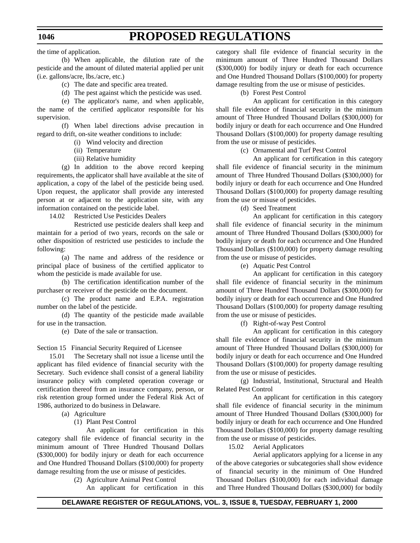the time of application.

(b) When applicable, the dilution rate of the pesticide and the amount of diluted material applied per unit (i.e. gallons/acre, lbs./acre, etc.)

(c) The date and specific area treated.

(d) The pest against which the pesticide was used.

(e) The applicator's name, and when applicable, the name of the certified applicator responsible for his supervision.

(f) When label directions advise precaution in regard to drift, on-site weather conditions to include:

(i) Wind velocity and direction

- (ii) Temperature
- (iii) Relative humidity

(g) In addition to the above record keeping requirements, the applicator shall have available at the site of application, a copy of the label of the pesticide being used. Upon request, the applicator shall provide any interested person at or adjacent to the application site, with any information contained on the pesticide label.

14.02 Restricted Use Pesticides Dealers

Restricted use pesticide dealers shall keep and maintain for a period of two years, records on the sale or other disposition of restricted use pesticides to include the following:

(a) The name and address of the residence or principal place of business of the certified applicator to whom the pesticide is made available for use.

(b) The certification identification number of the purchaser or receiver of the pesticide on the document.

(c) The product name and E.P.A. registration number on the label of the pesticide.

(d) The quantity of the pesticide made available for use in the transaction.

(e) Date of the sale or transaction.

Section 15 Financial Security Required of Licensee

15.01 The Secretary shall not issue a license until the applicant has filed evidence of financial security with the Secretary. Such evidence shall consist of a general liability insurance policy with completed operation coverage or certification thereof from an insurance company, person, or risk retention group formed under the Federal Risk Act of 1986, authorized to do business in Delaware.

(a) Agriculture

(1) Plant Pest Control

An applicant for certification in this category shall file evidence of financial security in the minimum amount of Three Hundred Thousand Dollars (\$300,000) for bodily injury or death for each occurrence and One Hundred Thousand Dollars (\$100,000) for property damage resulting from the use or misuse of pesticides.

(2) Agriculture Animal Pest Control

An applicant for certification in this

category shall file evidence of financial security in the minimum amount of Three Hundred Thousand Dollars (\$300,000) for bodily injury or death for each occurrence and One Hundred Thousand Dollars (\$100,000) for property damage resulting from the use or misuse of pesticides.

(b) Forest Pest Control

An applicant for certification in this category shall file evidence of financial security in the minimum amount of Three Hundred Thousand Dollars (\$300,000) for bodily injury or death for each occurrence and One Hundred Thousand Dollars (\$100,000) for property damage resulting from the use or misuse of pesticides.

(c) Ornamental and Turf Pest Control

An applicant for certification in this category shall file evidence of financial security in the minimum amount of Three Hundred Thousand Dollars (\$300,000) for bodily injury or death for each occurrence and One Hundred Thousand Dollars (\$100,000) for property damage resulting from the use or misuse of pesticides.

(d) Seed Treatment

An applicant for certification in this category shall file evidence of financial security in the minimum amount of Three Hundred Thousand Dollars (\$300,000) for bodily injury or death for each occurrence and One Hundred Thousand Dollars (\$100,000) for property damage resulting from the use or misuse of pesticides.

(e) Aquatic Pest Control

An applicant for certification in this category shall file evidence of financial security in the minimum amount of Three Hundred Thousand Dollars (\$300,000) for bodily injury or death for each occurrence and One Hundred Thousand Dollars (\$100,000) for property damage resulting from the use or misuse of pesticides.

(f) Right-of-way Pest Control

An applicant for certification in this category shall file evidence of financial security in the minimum amount of Three Hundred Thousand Dollars (\$300,000) for bodily injury or death for each occurrence and One Hundred Thousand Dollars (\$100,000) for property damage resulting from the use or misuse of pesticides.

(g) Industrial, Institutional, Structural and Health Related Pest Control

An applicant for certification in this category shall file evidence of financial security in the minimum amount of Three Hundred Thousand Dollars (\$300,000) for bodily injury or death for each occurrence and One Hundred Thousand Dollars (\$100,000) for property damage resulting from the use or misuse of pesticides.

15.02 Aerial Applicators

Aerial applicators applying for a license in any of the above categories or subcategories shall show evidence of financial security in the minimum of One Hundred Thousand Dollars (\$100,000) for each individual damage and Three Hundred Thousand Dollars (\$300,000) for bodily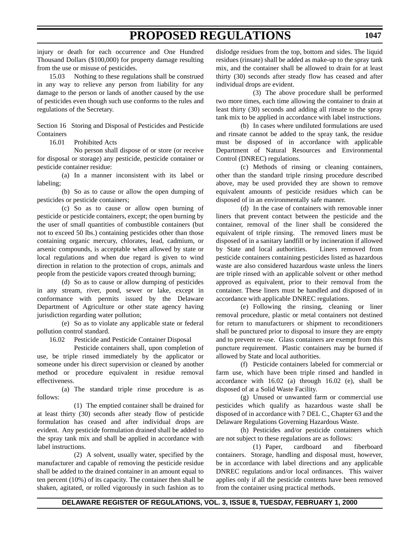injury or death for each occurrence and One Hundred Thousand Dollars (\$100,000) for property damage resulting from the use or misuse of pesticides.

15.03 Nothing to these regulations shall be construed in any way to relieve any person from liability for any damage to the person or lands of another caused by the use of pesticides even though such use conforms to the rules and regulations of the Secretary.

Section 16 Storing and Disposal of Pesticides and Pesticide Containers

16.01 Prohibited Acts

No person shall dispose of or store (or receive for disposal or storage) any pesticide, pesticide container or pesticide container residue:

(a) In a manner inconsistent with its label or labeling;

(b) So as to cause or allow the open dumping of pesticides or pesticide containers;

(c) So as to cause or allow open burning of pesticide or pesticide containers, except; the open burning by the user of small quantities of combustible containers (but not to exceed 50 lbs.) containing pesticides other than those containing organic mercury, chlorates, lead, cadmium, or arsenic compounds, is acceptable when allowed by state or local regulations and when due regard is given to wind direction in relation to the protection of crops, animals and people from the pesticide vapors created through burning;

(d) So as to cause or allow dumping of pesticides in any stream, river, pond, sewer or lake, except in conformance with permits issued by the Delaware Department of Agriculture or other state agency having jurisdiction regarding water pollution;

(e) So as to violate any applicable state or federal pollution control standard.

16.02 Pesticide and Pesticide Container Disposal

Pesticide containers shall, upon completion of use, be triple rinsed immediately by the applicator or someone under his direct supervision or cleaned by another method or procedure equivalent in residue removal effectiveness.

(a) The standard triple rinse procedure is as follows:

(1) The emptied container shall be drained for at least thirty (30) seconds after steady flow of pesticide formulation has ceased and after individual drops are evident. Any pesticide formulation drained shall be added to the spray tank mix and shall be applied in accordance with label instructions.

(2) A solvent, usually water, specified by the manufacturer and capable of removing the pesticide residue shall be added to the drained container in an amount equal to ten percent (10%) of its capacity. The container then shall be shaken, agitated, or rolled vigorously in such fashion as to dislodge residues from the top, bottom and sides. The liquid residues (rinsate) shall be added as make-up to the spray tank mix, and the container shall be allowed to drain for at least thirty (30) seconds after steady flow has ceased and after individual drops are evident.

(3) The above procedure shall be performed two more times, each time allowing the container to drain at least thirty (30) seconds and adding all rinsate to the spray tank mix to be applied in accordance with label instructions.

(b) In cases where undiluted formulations are used and rinsate cannot be added to the spray tank, the residue must be disposed of in accordance with applicable Department of Natural Resources and Environmental Control (DNREC) regulations.

(c) Methods of rinsing or cleaning containers, other than the standard triple rinsing procedure described above, may be used provided they are shown to remove equivalent amounts of pesticide residues which can be disposed of in an environmentally safe manner.

(d) In the case of containers with removable inner liners that prevent contact between the pesticide and the container, removal of the liner shall be considered the equivalent of triple rinsing. The removed liners must be disposed of in a sanitary landfill or by incineration if allowed by State and local authorities. Liners removed from pesticide containers containing pesticides listed as hazardous waste are also considered hazardous waste unless the liners are triple rinsed with an applicable solvent or other method approved as equivalent, prior to their removal from the container. These liners must be handled and disposed of in accordance with applicable DNREC regulations.

(e) Following the rinsing, cleaning or liner removal procedure, plastic or metal containers not destined for return to manufacturers or shipment to reconditioners shall be punctured prior to disposal to insure they are empty and to prevent re-use. Glass containers are exempt from this puncture requirement. Plastic containers may be burned if allowed by State and local authorities.

(f) Pesticide containers labeled for commercial or farm use, which have been triple rinsed and handled in accordance with 16.02 (a) through 16.02 (e), shall be disposed of at a Solid Waste Facility.

(g) Unused or unwanted farm or commercial use pesticides which qualify as hazardous waste shall be disposed of in accordance with 7 DEL C., Chapter 63 and the Delaware Regulations Governing Hazardous Waste.

(h) Pesticides and/or pesticide containers which are not subject to these regulations are as follows:

(1) Paper, cardboard and fiberboard containers. Storage, handling and disposal must, however, be in accordance with label directions and any applicable DNREC regulations and/or local ordinances. This waiver applies only if all the pesticide contents have been removed from the container using practical methods.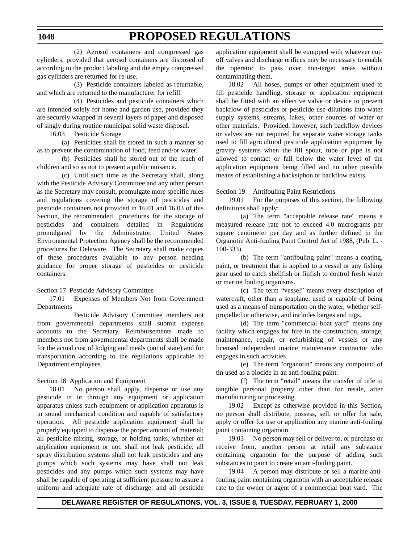### **1048**

(2) Aerosol containers and compressed gas cylinders, provided that aerosol containers are disposed of according to the product labeling and the empty compressed gas cylinders are returned for re-use.

(3) Pesticide containers labeled as returnable, and which are returned to the manufacturer for refill.

(4) Pesticides and pesticide containers which are intended solely for home and garden use, provided they are securely wrapped in several layers of paper and disposed of singly during routine municipal solid waste disposal.

16.03 Pesticide Storage

(a) Pesticides shall be stored in such a manner so as to prevent the contamination of food, feed and/or water.

(b) Pesticides shall be stored out of the reach of children and so as not to present a public nuisance.

(c) Until such time as the Secretary shall, along with the Pesticide Advisory Committee and any other person as the Secretary may consult, promulgate more specific rules and regulations covering the storage of pesticides and pesticide containers not provided in 16.01 and 16.03 of this Section, the recommended procedures for the storage of pesticides and containers detailed in Regulations promulgated by the Administrator, United States Environmental Protection Agency shall be the recommended procedures for Delaware. The Secretary shall make copies of these procedures available to any person needing guidance for proper storage of pesticides or pesticide containers.

Section 17 Pesticide Advisory Committee

17.01 Expenses of Members Not from Government Departments

Pesticide Advisory Committee members not from governmental departments shall submit expense accounts to the Secretary. Reimbursements made to members not from governmental departments shall be made for the actual cost of lodging and meals (out of state) and for transportation according to the regulations applicable to Department employees.

### Section 18 Application and Equipment

18.01 No person shall apply, dispense or use any pesticide in or through any equipment or application apparatus unless such equipment or application apparatus is in sound mechanical condition and capable of satisfactory operation. All pesticide application equipment shall be properly equipped to dispense the proper amount of material; all pesticide mixing, storage, or holding tanks, whether on application equipment or not, shall not leak pesticide; all spray distribution systems shall not leak pesticides and any pumps which such systems may have shall not leak pesticides and any pumps which such systems may have shall be capable of operating at sufficient pressure to assure a uniform and adequate rate of discharge; and all pesticide

application equipment shall be equipped with whatever cutoff valves and discharge orifices may be necessary to enable the operator to pass over non-target areas without contaminating them.

18.02 All hoses, pumps or other equipment used to fill pesticide handling, storage or application equipment shall be fitted with an effective valve or device to prevent backflow of pesticides or pesticide use-dilutions into water supply systems, streams, lakes, other sources of water or other materials. Provided, however, such backflow devices or valves are not required for separate water storage tanks used to fill agricultural pesticide application equipment by gravity systems when the fill spout, tube or pipe is not allowed to contact or fall below the water level of the application equipment being filled and no other possible means of establishing a backsiphon or backflow exists.

Section 19 Antifouling Paint Restrictions

19.01 For the purposes of this section, the following definitions shall apply:

(a) The term "acceptable release rate" means a measured release rate not to exceed 4.0 micrograms per square centimeter per day and as further defined in the Organotin Anti-fouling Paint Control Act of 1988, (Pub. L. - 100-333).

(b) The term "antifouling paint" means a coating, paint, or treatment that is applied to a vessel or any fishing gear used to catch shellfish or finfish to control fresh water or marine fouling organisms.

(c) The term "vessel" means every description of watercraft, other than a seaplane, used or capable of being used as a means of transportation on the water, whether selfpropelled or otherwise, and includes barges and tugs.

(d) The term "commercial boat yard" means any facility which engages for hire in the construction, storage, maintenance, repair, or refurbishing of vessels or any licensed independent marine maintenance contractor who engages in such activities.

(e) The term "organotin" means any compound of tin used as a biocide in an anti-fouling paint.

(f) The term "retail" means the transfer of title to tangible personal property other than for resale, after manufacturing or processing.

19.02 Except as otherwise provided in this Section, no person shall distribute, possess, sell, or offer for sale, apply or offer for use or application any marine anti-fouling paint containing organotin.

19.03 No person may sell or deliver to, or purchase or receive from, another person at retail any substance containing organotin for the purpose of adding such substances to paint to create an anti-fouling paint.

19.04 A person may distribute or sell a marine antifouling paint containing organotin with an acceptable release rate to the owner or agent of a commercial boat yard. The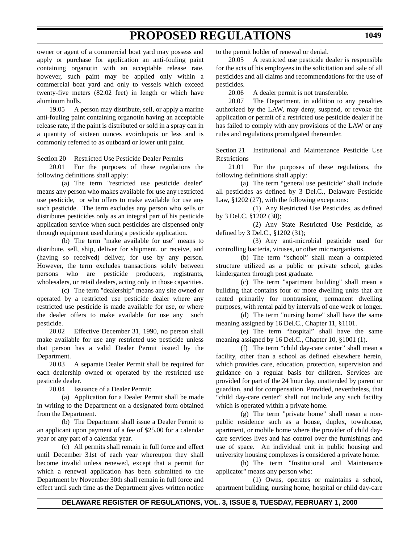owner or agent of a commercial boat yard may possess and apply or purchase for application an anti-fouling paint containing organotin with an acceptable release rate, however, such paint may be applied only within a commercial boat yard and only to vessels which exceed twenty-five meters (82.02 feet) in length or which have aluminum hulls.

19.05 A person may distribute, sell, or apply a marine anti-fouling paint containing organotin having an acceptable release rate, if the paint is distributed or sold in a spray can in a quantity of sixteen ounces avoirdupois or less and is commonly referred to as outboard or lower unit paint.

Section 20 Restricted Use Pesticide Dealer Permits

20.01 For the purposes of these regulations the following definitions shall apply:

(a) The term "restricted use pesticide dealer" means any person who makes available for use any restricted use pesticide, or who offers to make available for use any such pesticide. The term excludes any person who sells or distributes pesticides only as an integral part of his pesticide application service when such pesticides are dispensed only through equipment used during a pesticide application.

(b) The term "make available for use" means to distribute, sell, ship, deliver for shipment, or receive, and (having so received) deliver, for use by any person. However, the term excludes transactions solely between persons who are pesticide producers, registrants, wholesalers, or retail dealers, acting only in those capacities.

(c) The term "dealership" means any site owned or operated by a restricted use pesticide dealer where any restricted use pesticide is made available for use, or where the dealer offers to make available for use any such pesticide.

20.02 Effective December 31, 1990, no person shall make available for use any restricted use pesticide unless that person has a valid Dealer Permit issued by the Department.

20.03 A separate Dealer Permit shall be required for each dealership owned or operated by the restricted use pesticide dealer.

20.04 Issuance of a Dealer Permit:

(a) Application for a Dealer Permit shall be made in writing to the Department on a designated form obtained from the Department.

(b) The Department shall issue a Dealer Permit to an applicant upon payment of a fee of \$25.00 for a calendar year or any part of a calendar year.

(c) All permits shall remain in full force and effect until December 31st of each year whereupon they shall become invalid unless renewed, except that a permit for which a renewal application has been submitted to the Department by November 30th shall remain in full force and effect until such time as the Department gives written notice

to the permit holder of renewal or denial.

20.05 A restricted use pesticide dealer is responsible for the acts of his employees in the solicitation and sale of all pesticides and all claims and recommendations for the use of pesticides.

20.06 A dealer permit is not transferable.

20.07 The Department, in addition to any penalties authorized by the LAW, may deny, suspend, or revoke the application or permit of a restricted use pesticide dealer if he has failed to comply with any provisions of the LAW or any rules and regulations promulgated thereunder.

Section 21 Institutional and Maintenance Pesticide Use **Restrictions** 

21.01 For the purposes of these regulations, the following definitions shall apply:

(a) The term "general use pesticide" shall include all pesticides as defined by 3 Del.C., Delaware Pesticide Law, §1202 (27), with the following exceptions:

(1) Any Restricted Use Pesticides, as defined by 3 Del.C. §1202 (30);

(2) Any State Restricted Use Pesticide, as defined by 3 Del.C., §1202 (31);

(3) Any anti-microbial pesticide used for controlling bacteria, viruses, or other microorganisms.

(b) The term "school" shall mean a completed structure utilized as a public or private school, grades kindergarten through post graduate.

(c) The term "apartment building" shall mean a building that contains four or more dwelling units that are rented primarily for nontransient, permanent dwelling purposes, with rental paid by intervals of one week or longer.

(d) The term "nursing home" shall have the same meaning assigned by 16 Del.C., Chapter 11, §1101.

(e) The term "hospital" shall have the same meaning assigned by 16 Del.C., Chapter 10, §1001 (1).

(f) The term "child day-care center" shall mean a facility, other than a school as defined elsewhere herein, which provides care, education, protection, supervision and guidance on a regular basis for children. Services are provided for part of the 24 hour day, unattended by parent or guardian, and for compensation. Provided, nevertheless, that "child day-care center" shall not include any such facility which is operated within a private home.

(g) The term "private home" shall mean a nonpublic residence such as a house, duplex, townhouse, apartment, or mobile home where the provider of child daycare services lives and has control over the furnishings and use of space. An individual unit in public housing and university housing complexes is considered a private home.

(h) The term "Institutional and Maintenance applicator" means any person who:

(1) Owns, operates or maintains a school, apartment building, nursing home, hospital or child day-care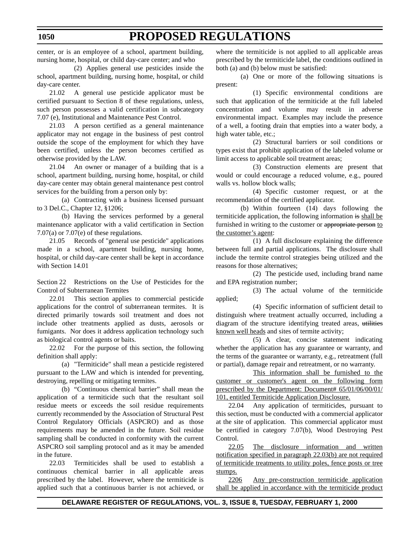center, or is an employee of a school, apartment building, nursing home, hospital, or child day-care center; and who

(2) Applies general use pesticides inside the school, apartment building, nursing home, hospital, or child day-care center.

21.02 A general use pesticide applicator must be certified pursuant to Section 8 of these regulations, unless, such person possesses a valid certification in subcategory 7.07 (e), Institutional and Maintenance Pest Control.

21.03 A person certified as a general maintenance applicator may not engage in the business of pest control outside the scope of the employment for which they have been certified, unless the person becomes certified as otherwise provided by the LAW.

21.04 An owner or manager of a building that is a school, apartment building, nursing home, hospital, or child day-care center may obtain general maintenance pest control services for the building from a person only by:

(a) Contracting with a business licensed pursuant to 3 Del.C., Chapter 12, §1206;

(b) Having the services performed by a general maintenance applicator with a valid certification in Section 7.07(a) or 7.07(e) of these regulations.

21.05 Records of "general use pesticide" applications made in a school, apartment building, nursing home, hospital, or child day-care center shall be kept in accordance with Section 14.01

Section 22 Restrictions on the Use of Pesticides for the Control of Subterranean Termites

22.01 This section applies to commercial pesticide applications for the control of subterranean termites. It is directed primarily towards soil treatment and does not include other treatments applied as dusts, aerosols or fumigants. Nor does it address application technology such as biological control agents or baits.

22.02 For the purpose of this section, the following definition shall apply:

(a) "Termiticide" shall mean a pesticide registered pursuant to the LAW and which is intended for preventing, destroying, repelling or mitigating termites.

(b) "Continuous chemical barrier" shall mean the application of a termiticide such that the resultant soil residue meets or exceeds the soil residue requirements currently recommended by the Association of Structural Pest Control Regulatory Officials (ASPCRO) and as those requirements may be amended in the future. Soil residue sampling shall be conducted in conformity with the current ASPCRO soil sampling protocol and as it may be amended in the future.

22.03 Termiticides shall be used to establish a continuous chemical barrier in all applicable areas prescribed by the label. However, where the termiticide is applied such that a continuous barrier is not achieved, or

where the termiticide is not applied to all applicable areas prescribed by the termiticide label, the conditions outlined in both (a) and (b) below must be satisfied:

(a) One or more of the following situations is present:

(1) Specific environmental conditions are such that application of the termiticide at the full labeled concentration and volume may result in adverse environmental impact. Examples may include the presence of a well, a footing drain that empties into a water body, a high water table, etc.;

(2) Structural barriers or soil conditions or types exist that prohibit application of the labeled volume or limit access to applicable soil treatment areas;

(3) Construction elements are present that would or could encourage a reduced volume, e.g., poured walls vs. hollow block walls;

(4) Specific customer request, or at the recommendation of the certified applicator.

(b) Within fourteen (14) days following the termiticide application, the following information is shall be furnished in writing to the customer or appropriate person to the customer's agent:

(1) A full disclosure explaining the difference between full and partial applications. The disclosure shall include the termite control strategies being utilized and the reasons for those alternatives;

(2) The pesticide used, including brand name and EPA registration number;

(3) The actual volume of the termiticide applied;

(4) Specific information of sufficient detail to distinguish where treatment actually occurred, including a diagram of the structure identifying treated areas, utilities known well heads and sites of termite activity;

(5) A clear, concise statement indicating whether the application has any guarantee or warranty, and the terms of the guarantee or warranty, e.g., retreatment (full or partial), damage repair and retreatment, or no warranty.

This information shall be furnished to the customer or customer's agent on the following form prescribed by the Department: Document# 65/01/06/00/01/ 101, entitled Termiticide Application Disclosure.

22.04 Any application of termiticides, pursuant to this section, must be conducted with a commercial applicator at the site of application. This commercial applicator must be certified in category 7.07(b), Wood Destroying Pest Control.

22.05 The disclosure information and written notification specified in paragraph 22.03(b) are not required of termiticide treatments to utility poles, fence posts or tree stumps.

2206 Any pre-construction termiticide application shall be applied in accordance with the termiticide product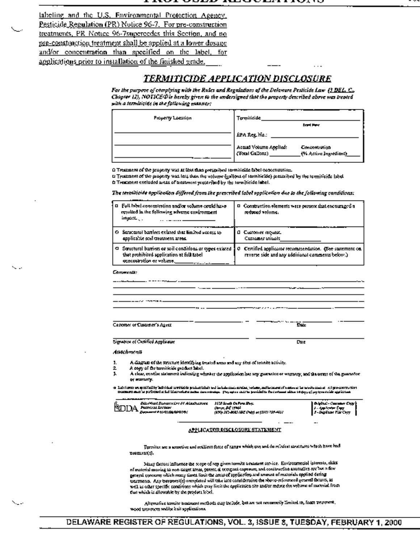labeling and the U.S. Environmental Protection Agency. Pesticide Regulation (PR) Notice 96-7. For pre-construction treatments, PR Notice 96-7supercedes this Section, and no pre-construction treatment shall be applied at a lower dosage and/or concentration than specified on the label, for applications prior to installation of the finished grade.

### <u>TERMITICIDE APPLICATION DISCLOSURE</u>

For the purpose of complying with the Rules and Regulations of the Delaware Pesticide Law (3 DEL, C., Chapter  $\Omega$ ), NOTICE  $\Phi$  is hereby given to the undersigned that the property described above was treated with a terminicide in the following manner:

| <b>Property Location</b> | ---<br>Termiticide                                                                 |
|--------------------------|------------------------------------------------------------------------------------|
|                          | <b>Brand Harve</b>                                                                 |
|                          | EPA Reg. No.:                                                                      |
|                          | Arnud Volume Applied:<br>Concentration<br>(Tech Grāsna).<br>(5) Active Introdient) |

O Treatment of the property was at link than prescribed termiticide label concentration.

t) Treatment of the property was less than the volume (gallens of termiticate) prescribed by the termiticide (abel th Treaterem excluded social of treatment presented by the termiticide label.

The termiticide application differed from the prescribed label application due to the following conditions:

| D. Full label concentration and/or volume could have<br>resulted in the following adverse environment.<br>impodE | D. Construction elements were present mat encouraged a<br>reduced volume.                                                                                              |
|------------------------------------------------------------------------------------------------------------------|------------------------------------------------------------------------------------------------------------------------------------------------------------------------|
| O Securitized barriers extend that limited secrets to<br>applicable soil treatment areas.                        | <b>B</b> Eustoniet request.<br><b>Customer mittels</b>                                                                                                                 |
| that prohibited application at full label.<br>concept that or volume. https://www.com                            | Saturbural barriers or soil continuous or types existed § 0 Certified applicator recommendation. (See statement on<br>reverse side and any additional comments below.) |

| Community |
|-----------|
|-----------|

Casterior or Customer's Agent

ĎÆ.

Signature of Cartified Applicator

Date

#### Anachrican

ı.

- A diagram of the structure identifying treated areas and any sites of tennite activity. 1.
- A eagy of the accuitable product label. 2
	- A clear, contine atatement indicating whether the application has any guarantee or warranty, and the terms of the guarantee or starturis.

a labitata engalisiky advisal umiside pulat labitati ad inklusionismis, wilayadament senya in avvocas at tripp<br>Butantana in printed siad linuwiate adama dayaway. Pepapu antar periodis in cerama dina teoppy (seperation gel

| Dúis Mart Daoine Aire ó Chlaichneach | <b>NY E-A O-Fra Pre</b>                    |
|--------------------------------------|--------------------------------------------|
| <b>SDIDA</b> horastrong              | <b>Great AP 1794</b>                       |
|                                      | (190) 213-8015 NRC (Pub) or (199) 219-411/ |

**GANGLE-CHIMNA CAS** والبوراء 1-Suplicar FilmOrg

#### **APPLICATOR DISCLOSURE STATEMENT**

Fermites are a accretive and cridient force of range which con and do relatest atroctores which have had usaments).

Many factors influence the scope of any given termits treatment service. Environmental interests, eiths of material moving to non-target areas, protect all temporal captures, and construction aroundles are but a free perend concerns which many times finds the assayed application and amount of materials englised dering  $\alpha$ extruction. Any trestrict (c) completed will take into consideration the observation and general factors, as well as other specific conditions which may limit the application site and/or reduce the volume of material from that which is allowable by the peodott lobel.

Alternative termite treatment methods may include, but are not receivedly Emited 16, foam recomment, wood usaimem and/se kait applications.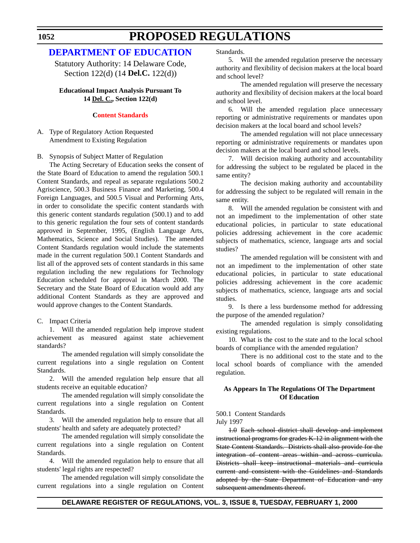### **[DEPARTMENT OF EDUCATION](http://www.doe.state.de.us/)**

Statutory Authority: 14 Delaware Code, Section 122(d) (14 **Del.C.** 122(d))

**Educational Impact Analysis Pursuant To 14 Del. C., Section 122(d)**

### **[Content Standards](#page-3-0)**

A. Type of Regulatory Action Requested Amendment to Existing Regulation

B. Synopsis of Subject Matter of Regulation

The Acting Secretary of Education seeks the consent of the State Board of Education to amend the regulation 500.1 Content Standards, and repeal as separate regulations 500.2 Agriscience, 500.3 Business Finance and Marketing, 500.4 Foreign Languages, and 500.5 Visual and Performing Arts, in order to consolidate the specific content standards with this generic content standards regulation (500.1) and to add to this generic regulation the four sets of content standards approved in September, 1995, (English Language Arts, Mathematics, Science and Social Studies). The amended Content Standards regulation would include the statements made in the current regulation 500.1 Content Standards and list all of the approved sets of content standards in this same regulation including the new regulations for Technology Education scheduled for approval in March 2000. The Secretary and the State Board of Education would add any additional Content Standards as they are approved and would approve changes to the Content Standards.

C. Impact Criteria

1. Will the amended regulation help improve student achievement as measured against state achievement standards?

The amended regulation will simply consolidate the current regulations into a single regulation on Content Standards.

2. Will the amended regulation help ensure that all students receive an equitable education?

The amended regulation will simply consolidate the current regulations into a single regulation on Content Standards.

3. Will the amended regulation help to ensure that all students' health and safety are adequately protected?

The amended regulation will simply consolidate the current regulations into a single regulation on Content Standards.

4. Will the amended regulation help to ensure that all students' legal rights are respected?

The amended regulation will simply consolidate the current regulations into a single regulation on Content Standards.

5. Will the amended regulation preserve the necessary authority and flexibility of decision makers at the local board and school level?

The amended regulation will preserve the necessary authority and flexibility of decision makers at the local board and school level.

6. Will the amended regulation place unnecessary reporting or administrative requirements or mandates upon decision makers at the local board and school levels?

The amended regulation will not place unnecessary reporting or administrative requirements or mandates upon decision makers at the local board and school levels.

7. Will decision making authority and accountability for addressing the subject to be regulated be placed in the same entity?

The decision making authority and accountability for addressing the subject to be regulated will remain in the same entity.

8. Will the amended regulation be consistent with and not an impediment to the implementation of other state educational policies, in particular to state educational policies addressing achievement in the core academic subjects of mathematics, science, language arts and social studies?

The amended regulation will be consistent with and not an impediment to the implementation of other state educational policies, in particular to state educational policies addressing achievement in the core academic subjects of mathematics, science, language arts and social studies.

9. Is there a less burdensome method for addressing the purpose of the amended regulation?

The amended regulation is simply consolidating existing regulations.

10. What is the cost to the state and to the local school boards of compliance with the amended regulation?

There is no additional cost to the state and to the local school boards of compliance with the amended regulation.

### **As Appears In The Regulations Of The Department Of Education**

500.1 Content Standards

July 1997

1.0 Each school district shall develop and implement instructional programs for grades K-12 in alignment with the State Content Standards. Districts shall also provide for the integration of content areas within and across curricula. Districts shall keep instructional materials and curricula current and consistent with the Guidelines and Standards adopted by the State Department of Education and any subsequent amendments thereof.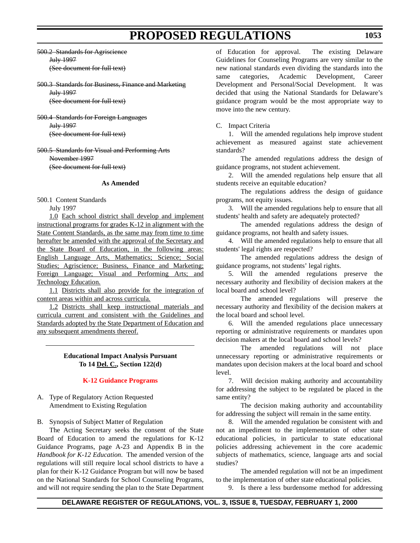- 500.2 Standards for Agriscience July 1997 (See document for full text)
- 500.3 Standards for Business, Finance and Marketing July 1997 (See document for full text)
- 500.4 Standards for Foreign Languages July 1997 (See document for full text)
- 500.5 Standards for Visual and Performing Arts November 1997 (See document for full text)

### **As Amended**

500.1 Content Standards

July 1997

1.0 Each school district shall develop and implement instructional programs for grades K-12 in alignment with the State Content Standards, as the same may from time to time hereafter be amended with the approval of the Secretary and the State Board of Education, in the following areas: English Language Arts, Mathematics; Science; Social Studies; Agriscience; Business, Finance and Marketing; Foreign Language; Visual and Performing Arts; and Technology Education.

1.1 Districts shall also provide for the integration of content areas within and across curricula.

1.2 Districts shall keep instructional materials and curricula current and consistent with the Guidelines and Standards adopted by the State Department of Education and any subsequent amendments thereof.

### **Educational Impact Analysis Pursuant To 14 Del. C., Section 122(d)**

### **[K-12 Guidance Programs](#page-3-0)**

- A. Type of Regulatory Action Requested Amendment to Existing Regulation
- B. Synopsis of Subject Matter of Regulation

The Acting Secretary seeks the consent of the State Board of Education to amend the regulations for K-12 Guidance Programs, page A-23 and Appendix B in the *Handbook for K-12 Education*. The amended version of the regulations will still require local school districts to have a plan for their K-12 Guidance Program but will now be based on the National Standards for School Counseling Programs, and will not require sending the plan to the State Department of Education for approval. The existing Delaware Guidelines for Counseling Programs are very similar to the new national standards even dividing the standards into the same categories, Academic Development, Career Development and Personal/Social Development. It was decided that using the National Standards for Delaware's guidance program would be the most appropriate way to move into the new century.

### C. Impact Criteria

1. Will the amended regulations help improve student achievement as measured against state achievement standards?

The amended regulations address the design of guidance programs, not student achievement.

2. Will the amended regulations help ensure that all students receive an equitable education?

The regulations address the design of guidance programs, not equity issues.

3. Will the amended regulations help to ensure that all students' health and safety are adequately protected?

The amended regulations address the design of guidance programs, not health and safety issues.

4. Will the amended regulations help to ensure that all students' legal rights are respected?

The amended regulations address the design of guidance programs, not students' legal rights.

5. Will the amended regulations preserve the necessary authority and flexibility of decision makers at the local board and school level?

The amended regulations will preserve the necessary authority and flexibility of the decision makers at the local board and school level.

6. Will the amended regulations place unnecessary reporting or administrative requirements or mandates upon decision makers at the local board and school levels?

The amended regulations will not place unnecessary reporting or administrative requirements or mandates upon decision makers at the local board and school level.

7. Will decision making authority and accountability for addressing the subject to be regulated be placed in the same entity?

The decision making authority and accountability for addressing the subject will remain in the same entity.

8. Will the amended regulation be consistent with and not an impediment to the implementation of other state educational policies, in particular to state educational policies addressing achievement in the core academic subjects of mathematics, science, language arts and social studies?

The amended regulation will not be an impediment to the implementation of other state educational policies.

9. Is there a less burdensome method for addressing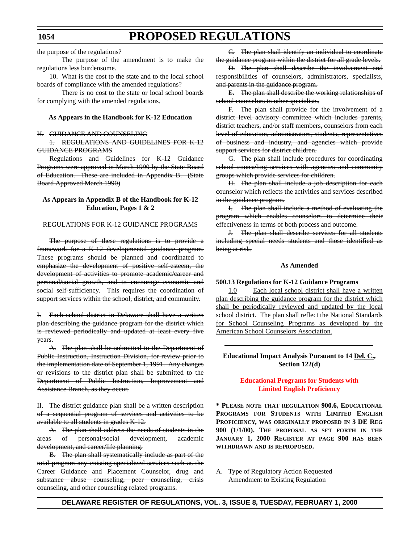the purpose of the regulations?

The purpose of the amendment is to make the regulations less burdensome.

10. What is the cost to the state and to the local school boards of compliance with the amended regulations?

There is no cost to the state or local school boards for complying with the amended regulations.

### **As Appears in the Handbook for K-12 Education**

#### H. GUIDANCE AND COUNSELING

1. REGULATIONS AND GUIDELINES FOR K-12 GUIDANCE PROGRAMS

Regulations and Guidelines for K-12 Guidance Programs were approved in March 1990 by the State Board of Education. These are included in Appendix B. (State Board Approved March 1990)

### **As Appears in Appendix B of the Handbook for K-12 Education, Pages 1 & 2**

### REGULATIONS FOR K-12 GUIDANCE PROGRAMS

The purpose of these regulations is to provide a framework for a K-12 developmental guidance program. These programs should be planned and coordinated to emphasize the development of positive self-esteem, the development of activities to promote academic/career and personal/social growth, and to encourage economic and social self-sufficiency. This requires the coordination of support services within the school, district, and community.

I. Each school district in Delaware shall have a written plan describing the guidance program for the district which is reviewed periodically and updated at least every five years.

A. The plan shall be submitted to the Department of Public Instruction, Instruction Division, for review prior to the implementation date of September 1, 1991. Any changes or revisions to the district plan shall be submitted to the Department of Public Instruction, Improvement and Assistance Branch, as they occur.

II. The district guidance plan shall be a written description of a sequential program of services and activities to be available to all students in grades K-12.

A. The plan shall address the needs of students in the areas of personal/social development, academic development, and career/life planning.

B. The plan shall systematically include as part of the total program any existing specialized services such as the Career Guidance and Placement Counselor, drug and substance abuse counseling, peer counseling, crisis counseling, and other counseling related programs.

C. The plan shall identify an individual to coordinate the guidance program within the district for all grade levels.

D. The plan shall describe the involvement and responsibilities of counselors, administrators, specialists, and parents in the guidance program.

E. The plan shall describe the working relationships of school counselors to other specialists.

F. The plan shall provide for the involvement of a district level advisory committee which includes parents, district teachers, and/or staff members, counselors from each level of education, administrators, students, representatives of business and industry, and agencies which provide support services for district children.

G. The plan shall include procedures for coordinating school counseling services with agencies and community groups which provide services for children.

H. The plan shall include a job description for each counselor which reflects the activities and services described in the guidance program.

I. The plan shall include a method of evaluating the program which enables counselors to determine their effectiveness in terms of both process and outcome.

J. The plan shall describe services for all students including special needs students and those identified as being at risk.

#### **As Amended**

#### **500.13 Regulations for K-12 Guidance Programs**

1.0 Each local school district shall have a written plan describing the guidance program for the district which shall be periodically reviewed and updated by the local school district. The plan shall reflect the National Standards for School Counseling Programs as developed by the American School Counselors Association.

### **Educational Impact Analysis Pursuant to 14 Del. C., Section 122(d)**

### **[Educational Programs for Students with](#page-3-0) Limited English Proficiency**

**\* PLEASE NOTE THAT REGULATION 900.6, EDUCATIONAL PROGRAMS FOR STUDENTS WITH LIMITED ENGLISH PROFICIENCY, WAS ORIGINALLY PROPOSED IN 3 DE REG 900 (1/1/00). THE PROPOSAL AS SET FORTH IN THE JANUARY 1, 2000 REGISTER AT PAGE 900 HAS BEEN WITHDRAWN AND IS REPROPOSED.** 

A. Type of Regulatory Action Requested Amendment to Existing Regulation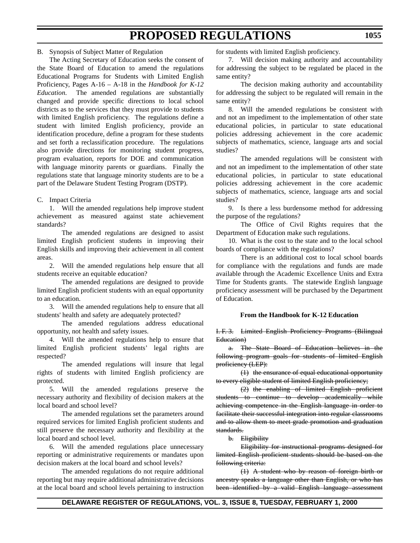### B. Synopsis of Subject Matter of Regulation

The Acting Secretary of Education seeks the consent of the State Board of Education to amend the regulations Educational Programs for Students with Limited English Proficiency, Pages A-16 – A-18 in the *Handbook for K-12 Education*. The amended regulations are substantially changed and provide specific directions to local school districts as to the services that they must provide to students with limited English proficiency. The regulations define a student with limited English proficiency, provide an identification procedure, define a program for these students and set forth a reclassification procedure. The regulations also provide directions for monitoring student progress, program evaluation, reports for DOE and communication with language minority parents or guardians. Finally the regulations state that language minority students are to be a part of the Delaware Student Testing Program (DSTP).

### C. Impact Criteria

1. Will the amended regulations help improve student achievement as measured against state achievement standards?

The amended regulations are designed to assist limited English proficient students in improving their English skills and improving their achievement in all content areas.

2. Will the amended regulations help ensure that all students receive an equitable education?

The amended regulations are designed to provide limited English proficient students with an equal opportunity to an education.

3. Will the amended regulations help to ensure that all students' health and safety are adequately protected?

The amended regulations address educational opportunity, not health and safety issues.

4. Will the amended regulations help to ensure that limited English proficient students' legal rights are respected?

The amended regulations will insure that legal rights of students with limited English proficiency are protected.

5. Will the amended regulations preserve the necessary authority and flexibility of decision makers at the local board and school level?

The amended regulations set the parameters around required services for limited English proficient students and still preserve the necessary authority and flexibility at the local board and school level.

6. Will the amended regulations place unnecessary reporting or administrative requirements or mandates upon decision makers at the local board and school levels?

The amended regulations do not require additional reporting but may require additional administrative decisions at the local board and school levels pertaining to instruction for students with limited English proficiency.

7. Will decision making authority and accountability for addressing the subject to be regulated be placed in the same entity?

The decision making authority and accountability for addressing the subject to be regulated will remain in the same entity?

8. Will the amended regulations be consistent with and not an impediment to the implementation of other state educational policies, in particular to state educational policies addressing achievement in the core academic subjects of mathematics, science, language arts and social studies?

The amended regulations will be consistent with and not an impediment to the implementation of other state educational policies, in particular to state educational policies addressing achievement in the core academic subjects of mathematics, science, language arts and social studies?

9. Is there a less burdensome method for addressing the purpose of the regulations?

The Office of Civil Rights requires that the Department of Education make such regulations.

10. What is the cost to the state and to the local school boards of compliance with the regulations?

There is an additional cost to local school boards for compliance with the regulations and funds are made available through the Academic Excellence Units and Extra Time for Students grants. The statewide English language proficiency assessment will be purchased by the Department of Education.

### **From the Handbook for K-12 Education**

I. F. 3. Limited English Proficiency Programs (Bilingual Education)

a. The State Board of Education believes in the following program goals for students of limited English proficiency (LEP):

(1) the ensurance of equal educational opportunity to every eligible student of limited English proficiency;

(2) the enabling of limited English proficient students to continue to develop academically while achieving competence in the English language in order to facilitate their successful integration into regular classrooms and to allow them to meet grade promotion and graduation standards.

b. Eligibility

Eligibility for instructional programs designed for limited English proficient students should be based on the following criteria:

(1) A student who by reason of foreign birth or ancestry speaks a language other than English, or who has been identified by a valid English language assessment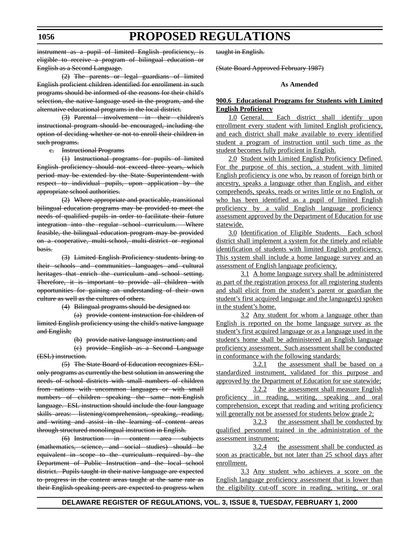instrument as a pupil of limited English proficiency, is eligible to receive a program of bilingual education or English as a Second Language.

(2) The parents or legal guardians of limited English proficient children identified for enrollment in such programs should be informed of the reasons for their child's selection, the native language used in the program, and the alternative educational programs in the local district.

(3) Parental involvement in their children's instructional program should be encouraged, including the option of deciding whether or not to enroll their children in such programs.

c. Instructional Programs

(1) Instructional programs for pupils of limited English proficiency should not exceed three years, which period may be extended by the State Superintendent with respect to individual pupils, upon application by the appropriate school authorities.

(2) Where appropriate and practicable, transitional bilingual education programs may be provided to meet the needs of qualified pupils in order to facilitate their future integration into the regular school curriculum. Where feasible, the bilingual education program may be provided on a cooperative, multi-school, multi-district or regional basis.

(3) Limited English Proficiency students bring to their schools and communities languages and cultural heritages that enrich the curriculum and school setting. Therefore, it is important to provide all children with opportunities for gaining an understanding of their own culture as well as the cultures of others.

(4) Bilingual programs should be designed to:

(a) provide content instruction for children of limited English proficiency using the child's native language and English;

(b) provide native language instruction; and

(c) provide English as a Second Language (ESL) instruction.

(5) The State Board of Education recognizes ESLonly programs as currently the best solution in answering the needs of school districts with small numbers of children from nations with uncommon languages or with small numbers of children speaking the same non-English language. ESL instruction should include the four language skills areas: listening/comprehension, speaking, reading, and writing and assist in the learning of content areas through structured monolingual instruction in English.

(6) Instruction in content area subjects (mathematics, science, and social studies) should be equivalent in scope to the curriculum required by the Department of Public Instruction and the local school district. Pupils taught in their native language are expected to progress in the content areas taught at the same rate as their English-speaking peers are expected to progress when

taught in English.

(State Board Approved February 1987)

#### **As Amended**

### **900.6 Educational Programs for Students with Limited English Proficiency**

1.0 General. Each district shall identify upon enrollment every student with limited English proficiency, and each district shall make available to every identified student a program of instruction until such time as the student becomes fully proficient in English.

2.0 Student with Limited English Proficiency Defined. For the purpose of this section, a student with limited English proficiency is one who, by reason of foreign birth or ancestry, speaks a language other than English, and either comprehends, speaks, reads or writes little or no English, or who has been identified as a pupil of limited English proficiency by a valid English language proficiency assessment approved by the Department of Education for use statewide.

3.0 Identification of Eligible Students. Each school district shall implement a system for the timely and reliable identification of students with limited English proficiency. This system shall include a home language survey and an assessment of English language proficiency.

3.1 A home language survey shall be administered as part of the registration process for all registering students and shall elicit from the student's parent or guardian the student's first acquired language and the language(s) spoken in the student's home.

3.2 Any student for whom a language other than English is reported on the home language survey as the student's first acquired language or as a language used in the student's home shall be administered an English language proficiency assessment. Such assessment shall be conducted in conformance with the following standards:

3.2.1 the assessment shall be based on a standardized instrument, validated for this purpose and approved by the Department of Education for use statewide;

3.2.2 the assessment shall measure English proficiency in reading, writing, speaking and oral comprehension, except that reading and writing proficiency will generally not be assessed for students below grade 2;

3.2.3 the assessment shall be conducted by qualified personnel trained in the administration of the assessment instrument;

3.2.4 the assessment shall be conducted as soon as practicable, but not later than 25 school days after enrollment.

3.3 Any student who achieves a score on the English language proficiency assessment that is lower than the eligibility cut-off score in reading, writing, or oral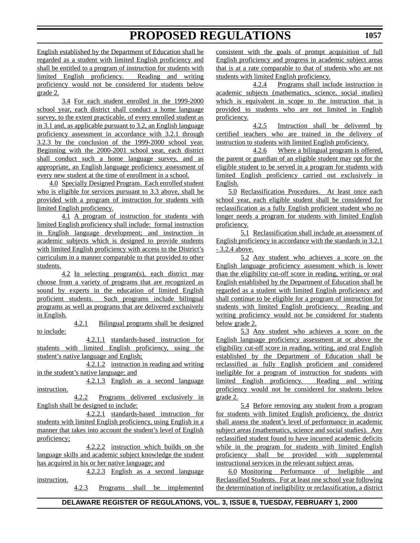English established by the Department of Education shall be regarded as a student with limited English proficiency and shall be entitled to a program of instruction for students with limited English proficiency. Reading and writing proficiency would not be considered for students below grade 2.

3.4 For each student enrolled in the 1999-2000 school year, each district shall conduct a home language survey, to the extent practicable, of every enrolled student as in 3.1 and, as applicable pursuant to 3.2, an English language proficiency assessment in accordance with 3.2.1 through 3.2.3 by the conclusion of the 1999-2000 school year. Beginning with the 2000-2001 school year, each district shall conduct such a home language survey, and as appropriate, an English language proficiency assessment of every new student at the time of enrollment in a school.

4.0 Specially Designed Program. Each enrolled student who is eligible for services pursuant to 3.3 above, shall be provided with a program of instruction for students with limited English proficiency.

4.1 A program of instruction for students with limited English proficiency shall include: formal instruction in English language development; and instruction in academic subjects which is designed to provide students with limited English proficiency with access to the District's curriculum in a manner comparable to that provided to other students.

4.2 In selecting program(s), each district may choose from a variety of programs that are recognized as sound by experts in the education of limited English proficient students. Such programs include bilingual programs as well as programs that are delivered exclusively in English.

4.2.1 Bilingual programs shall be designed to include:

4.2.1.1 standards-based instruction for students with limited English proficiency, using the student's native language and English;

4.2.1.2 instruction in reading and writing in the student's native language; and

4.2.1.3 English as a second language instruction.

4.2.2 Programs delivered exclusively in English shall be designed to include:

4.2.2.1 standards-based instruction for students with limited English proficiency, using English in a manner that takes into account the student's level of English proficiency;

4.2.2.2 instruction which builds on the language skills and academic subject knowledge the student has acquired in his or her native language; and

4.2.2.3 English as a second language instruction.

4.2.3 Programs shall be implemented

consistent with the goals of prompt acquisition of full English proficiency and progress in academic subject areas that is at a rate comparable to that of students who are not students with limited English proficiency.

4.2.4 Programs shall include instruction in academic subjects (mathematics, science, social studies) which is equivalent in scope to the instruction that is provided to students who are not limited in English proficiency.

4.2.5 Instruction shall be delivered by certified teachers who are trained in the delivery of instruction to students with limited English proficiency.

4.2.6 Where a bilingual program is offered, the parent or guardian of an eligible student may opt for the eligible student to be served in a program for students with limited English proficiency carried out exclusively in English.

5.0 Reclassification Procedures. At least once each school year, each eligible student shall be considered for reclassification as a fully English proficient student who no longer needs a program for students with limited English proficiency.

5.1 Reclassification shall include an assessment of English proficiency in accordance with the standards in 3.2.1 - 3.2.4 above.

5.2 Any student who achieves a score on the English language proficiency assessment which is lower than the eligibility cut-off score in reading, writing, or oral English established by the Department of Education shall be regarded as a student with limited English proficiency and shall continue to be eligible for a program of instruction for students with limited English proficiency. Reading and writing proficiency would not be considered for students below grade 2.

5.3 Any student who achieves a score on the English language proficiency assessment at or above the eligibility cut-off score in reading, writing, and oral English established by the Department of Education shall be reclassified as fully English proficient and considered ineligible for a program of instruction for students with limited English proficiency. Reading and writing proficiency would not be considered for students below grade 2.

5.4 Before removing any student from a program for students with limited English proficiency, the district shall assess the student's level of performance in academic subject areas (mathematics, science and social studies). Any reclassified student found to have incurred academic deficits while in the program for students with limited English proficiency shall be provided with supplemental instructional services in the relevant subject areas.

6.0 Monitoring Performance of Ineligible and Reclassified Students. For at least one school year following the determination of ineligibility or reclassification, a district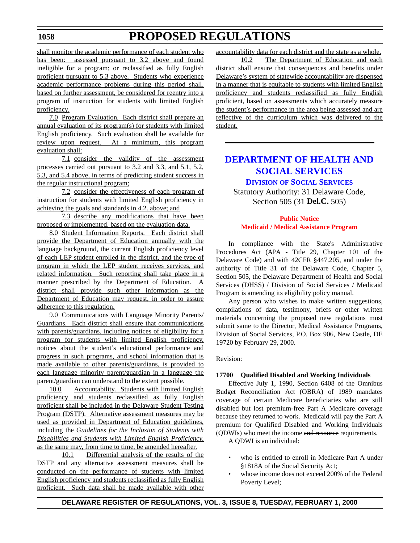# **PROPOSED REGULATIONS**

shall monitor the academic performance of each student who has been: assessed pursuant to 3.2 above and found ineligible for a program; or reclassified as fully English proficient pursuant to 5.3 above. Students who experience academic performance problems during this period shall, based on further assessment, be considered for reentry into a program of instruction for students with limited English proficiency.

7.0 Program Evaluation. Each district shall prepare an annual evaluation of its program(s) for students with limited English proficiency. Such evaluation shall be available for review upon request. At a minimum, this program evaluation shall:

7.1 consider the validity of the assessment processes carried out pursuant to 3.2 and 3.3, and 5.1, 5.2, 5.3, and 5.4 above, in terms of predicting student success in the regular instructional program;

7.2 consider the effectiveness of each program of instruction for students with limited English proficiency in achieving the goals and standards in 4.2. above; and

7.3 describe any modifications that have been proposed or implemented, based on the evaluation data.

8.0 Student Information Reports. Each district shall provide the Department of Education annually with the language background, the current English proficiency level of each LEP student enrolled in the district, and the type of program in which the LEP student receives services, and related information. Such reporting shall take place in a manner prescribed by the Department of Education. A district shall provide such other information as the Department of Education may request, in order to assure adherence to this regulation.

9.0 Communications with Language Minority Parents/ Guardians. Each district shall ensure that communications with parents/guardians, including notices of eligibility for a program for students with limited English proficiency, notices about the student's educational performance and progress in such programs, and school information that is made available to other parents/guardians, is provided to each language minority parent/guardian in a language the parent/guardian can understand to the extent possible.

10.0 Accountability. Students with limited English proficiency and students reclassified as fully English proficient shall be included in the Delaware Student Testing Program (DSTP). Alternative assessment measures may be used as provided in Department of Education guidelines, including the *Guidelines for the Inclusion of Students with Disabilities and Students with Limited English Proficiency*, as the same may, from time to time, be amended hereafter.

10.1 Differential analysis of the results of the DSTP and any alternative assessment measures shall be conducted on the performance of students with limited English proficiency and students reclassified as fully English proficient. Such data shall be made available with other accountability data for each district and the state as a whole.

10.2 The Department of Education and each district shall ensure that consequences and benefits under Delaware's system of statewide accountability are dispensed in a manner that is equitable to students with limited English proficiency and students reclassified as fully English proficient, based on assessments which accurately measure the student's performance in the area being assessed and are reflective of the curriculum which was delivered to the student.

### **[DEPARTMENT OF HEALTH AND](http://www.state.de.us/dhss/irm/dss/dsshome.htm) SOCIAL SERVICES**

### **DIVISION OF SOCIAL SERVICES**

Statutory Authority: 31 Delaware Code, Section 505 (31 **Del.C.** 505)

### **Public Notice [Medicaid / Medical Assistance Program](#page-3-0)**

In compliance with the State's Administrative Procedures Act (APA - Title 29, Chapter 101 of the Delaware Code) and with 42CFR §447.205, and under the authority of Title 31 of the Delaware Code, Chapter 5, Section 505, the Delaware Department of Health and Social Services (DHSS) / Division of Social Services / Medicaid Program is amending its eligibility policy manual.

Any person who wishes to make written suggestions, compilations of data, testimony, briefs or other written materials concerning the proposed new regulations must submit same to the Director, Medical Assistance Programs, Division of Social Services, P.O. Box 906, New Castle, DE 19720 by February 29, 2000.

### Revision:

### **17700 Qualified Disabled and Working Individuals**

Effective July 1, 1990, Section 6408 of the Omnibus Budget Reconciliation Act (OBRA) of 1989 mandates coverage of certain Medicare beneficiaries who are still disabled but lost premium-free Part A Medicare coverage because they returned to work. Medicaid will pay the Part A premium for Qualified Disabled and Working Individuals (QDWIs) who meet the income and resource requirements.

A QDWI is an individual:

- who is entitled to enroll in Medicare Part A under §1818A of the Social Security Act;
- whose income does not exceed 200% of the Federal Poverty Level;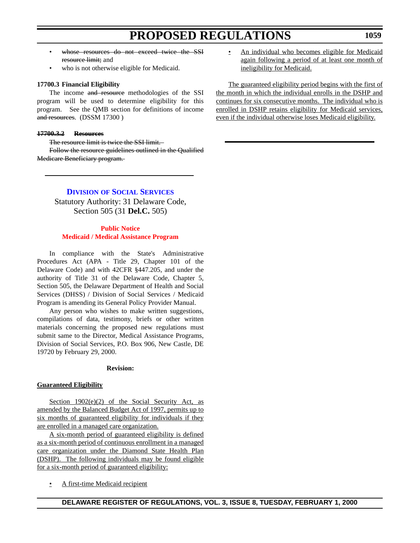- whose resources do not exceed twice the SSI resource limit; and
- who is not otherwise eligible for Medicaid.

### **17700.3 Financial Eligibility**

The income and resource methodologies of the SSI program will be used to determine eligibility for this program. See the QMB section for definitions of income and resources. (DSSM 17300)

### **17700.3.2 Resources**

The resource limit is twice the SSI limit.

Follow the resource guidelines outlined in the Qualified Medicare Beneficiary program.

An individual who becomes eligible for Medicaid again following a period of at least one month of ineligibility for Medicaid.

The guaranteed eligibility period begins with the first of the month in which the individual enrolls in the DSHP and continues for six consecutive months. The individual who is enrolled in DSHP retains eligibility for Medicaid services, even if the individual otherwise loses Medicaid eligibility.

### **DIVISION OF SOCIAL SERVICES**

Statutory Authority: 31 Delaware Code, Section 505 (31 **Del.C.** 505)

### **Public Notice [Medicaid / Medical Assistance Program](#page-3-0)**

In compliance with the State's Administrative Procedures Act (APA - Title 29, Chapter 101 of the Delaware Code) and with 42CFR §447.205, and under the authority of Title 31 of the Delaware Code, Chapter 5, Section 505, the Delaware Department of Health and Social Services (DHSS) / Division of Social Services / Medicaid Program is amending its General Policy Provider Manual.

Any person who wishes to make written suggestions, compilations of data, testimony, briefs or other written materials concerning the proposed new regulations must submit same to the Director, Medical Assistance Programs, Division of Social Services, P.O. Box 906, New Castle, DE 19720 by February 29, 2000.

### **Revision:**

### **Guaranteed Eligibility**

Section  $1902(e)(2)$  of the Social Security Act, as amended by the Balanced Budget Act of 1997, permits up to six months of guaranteed eligibility for individuals if they are enrolled in a managed care organization.

A six-month period of guaranteed eligibility is defined as a six-month period of continuous enrollment in a managed care organization under the Diamond State Health Plan (DSHP). The following individuals may be found eligible for a six-month period of guaranteed eligibility:

• A first-time Medicaid recipient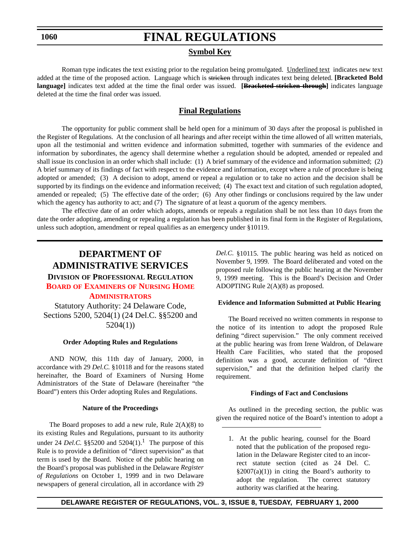# **FINAL REGULATIONS**

### **Symbol Key**

Roman type indicates the text existing prior to the regulation being promulgated. Underlined text indicates new text added at the time of the proposed action. Language which is stricken through indicates text being deleted. **[Bracketed Bold language]** indicates text added at the time the final order was issued. **[Bracketed stricken through]** indicates language deleted at the time the final order was issued.

### **Final Regulations**

The opportunity for public comment shall be held open for a minimum of 30 days after the proposal is published in the Register of Regulations. At the conclusion of all hearings and after receipt within the time allowed of all written materials, upon all the testimonial and written evidence and information submitted, together with summaries of the evidence and information by subordinates, the agency shall determine whether a regulation should be adopted, amended or repealed and shall issue its conclusion in an order which shall include: (1) A brief summary of the evidence and information submitted; (2) A brief summary of its findings of fact with respect to the evidence and information, except where a rule of procedure is being adopted or amended; (3) A decision to adopt, amend or repeal a regulation or to take no action and the decision shall be supported by its findings on the evidence and information received; (4) The exact text and citation of such regulation adopted, amended or repealed; (5) The effective date of the order; (6) Any other findings or conclusions required by the law under which the agency has authority to act; and (7) The signature of at least a quorum of the agency members.

The effective date of an order which adopts, amends or repeals a regulation shall be not less than 10 days from the date the order adopting, amending or repealing a regulation has been published in its final form in the Register of Regulations, unless such adoption, amendment or repeal qualifies as an emergency under §10119.

### **DEPARTMENT OF ADMINISTRATIVE SERVICES DIVISION OF PROFESSIONAL REGULATION BOARD OF EXAMINERS [OF NURSING HOME](#page-3-0) ADMINISTRATORS**

Statutory Authority: 24 Delaware Code, Sections 5200, 5204(1) (24 Del.C. §§5200 and 5204(1))

### **Order Adopting Rules and Regulations**

AND NOW, this 11th day of January, 2000, in accordance with 29 *Del.C.* §10118 and for the reasons stated hereinafter, the Board of Examiners of Nursing Home Administrators of the State of Delaware (hereinafter "the Board") enters this Order adopting Rules and Regulations.

### **Nature of the Proceedings**

The Board proposes to add a new rule, Rule  $2(A)(8)$  to its existing Rules and Regulations, pursuant to its authority under 24 *Del.C.* §§5200 and  $5204(1)$ .<sup>1</sup> The purpose of this Rule is to provide a definition of "direct supervision" as that term is used by the Board. Notice of the public hearing on the Board's proposal was published in the Delaware *Register of Regulations* on October 1, 1999 and in two Delaware newspapers of general circulation, all in accordance with 29

*Del.C.* §10115. The public hearing was held as noticed on November 9, 1999. The Board deliberated and voted on the proposed rule following the public hearing at the November 9, 1999 meeting. This is the Board's Decision and Order ADOPTING Rule 2(A)(8) as proposed.

### **Evidence and Information Submitted at Public Hearing**

The Board received no written comments in response to the notice of its intention to adopt the proposed Rule defining "direct supervision." The only comment received at the public hearing was from Irene Waldron, of Delaware Health Care Facilities, who stated that the proposed definition was a good, accurate definition of "direct supervision," and that the definition helped clarify the requirement.

### **Findings of Fact and Conclusions**

As outlined in the preceding section, the public was given the required notice of the Board's intention to adopt a

1. At the public hearing, counsel for the Board noted that the publication of the proposed regulation in the Delaware Register cited to an incorrect statute section (cited as 24 Del. C.  $§2007(a)(1))$  in citing the Board's authority to adopt the regulation. The correct statutory authority was clarified at the hearing.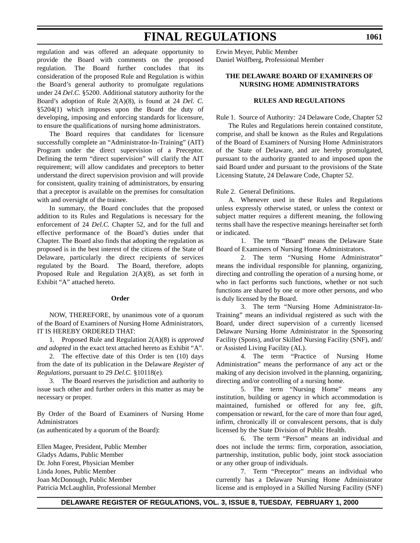regulation and was offered an adequate opportunity to provide the Board with comments on the proposed regulation. The Board further concludes that its consideration of the proposed Rule and Regulation is within the Board's general authority to promulgate regulations under 24 *Del.C.* §5200. Additional statutory authority for the Board's adoption of Rule 2(A)(8), is found at 24 *Del. C.* §5204(1) which imposes upon the Board the duty of developing, imposing and enforcing standards for licensure, to ensure the qualifications of nursing home administrators.

The Board requires that candidates for licensure successfully complete an "Administrator-In-Training" (AIT) Program under the direct supervision of a Preceptor. Defining the term "direct supervision" will clarify the AIT requirement; will allow candidates and preceptors to better understand the direct supervision provision and will provide for consistent, quality training of administrators, by ensuring that a preceptor is available on the premises for consultation with and oversight of the trainee.

In summary, the Board concludes that the proposed addition to its Rules and Regulations is necessary for the enforcement of 24 *Del.C.* Chapter 52, and for the full and effective performance of the Board's duties under that Chapter. The Board also finds that adopting the regulation as proposed is in the best interest of the citizens of the State of Delaware, particularly the direct recipients of services regulated by the Board. The Board, therefore, adopts Proposed Rule and Regulation 2(A)(8), as set forth in Exhibit "A" attached hereto.

### **Order**

NOW, THEREFORE, by unanimous vote of a quorum of the Board of Examiners of Nursing Home Administrators, IT IS HEREBY ORDERED THAT:

1. Proposed Rule and Regulation 2(A)(8) is *approved and adopted* in the exact text attached hereto as Exhibit "A".

2. The effective date of this Order is ten (10) days from the date of its publication in the Delaware *Register of Regulations*, pursuant to 29 *Del.C.* §10118(e).

3. The Board reserves the jurisdiction and authority to issue such other and further orders in this matter as may be necessary or proper.

By Order of the Board of Examiners of Nursing Home Administrators

(as authenticated by a quorum of the Board):

Ellen Magee, President, Public Member Gladys Adams, Public Member Dr. John Forest, Physician Member Linda Jones, Public Member Joan McDonough, Public Member Patricia McLaughlin, Professional Member Erwin Meyer, Public Member Daniel Wolfberg, Professional Member

### **THE DELAWARE BOARD OF EXAMINERS OF NURSING HOME ADMINISTRATORS**

### **RULES AND REGULATIONS**

Rule 1. Source of Authority: 24 Delaware Code, Chapter 52

The Rules and Regulations herein contained constitute, comprise, and shall be known as the Rules and Regulations of the Board of Examiners of Nursing Home Administrators of the State of Delaware, and are hereby promulgated, pursuant to the authority granted to and imposed upon the said Board under and pursuant to the provisions of the State Licensing Statute, 24 Delaware Code, Chapter 52.

### Rule 2. General Definitions.

A. Whenever used in these Rules and Regulations unless expressly otherwise stated, or unless the context or subject matter requires a different meaning, the following terms shall have the respective meanings hereinafter set forth or indicated.

1. The term "Board" means the Delaware State Board of Examiners of Nursing Home Administrators.

2. The term "Nursing Home Administrator" means the individual responsible for planning, organizing, directing and controlling the operation of a nursing home, or who in fact performs such functions, whether or not such functions are shared by one or more other persons, and who is duly licensed by the Board.

3. The term "Nursing Home Administrator-In-Training" means an individual registered as such with the Board, under direct supervision of a currently licensed Delaware Nursing Home Administrator in the Sponsoring Facility (Spons), and/or Skilled Nursing Facility (SNF), and/ or Assisted Living Facility (AL).

4. The term "Practice of Nursing Home Administration" means the performance of any act or the making of any decision involved in the planning, organizing, directing and/or controlling of a nursing home.

5. The term "Nursing Home" means any institution, building or agency in which accommodation is maintained, furnished or offered for any fee, gift, compensation or reward, for the care of more than four aged, infirm, chronically ill or convalescent persons, that is duly licensed by the State Division of Public Health.

6. The term "Person" means an individual and does not include the terms: firm, corporation, association, partnership, institution, public body, joint stock association or any other group of individuals.

7. Term "Preceptor" means an individual who currently has a Delaware Nursing Home Administrator license and is employed in a Skilled Nursing Facility (SNF)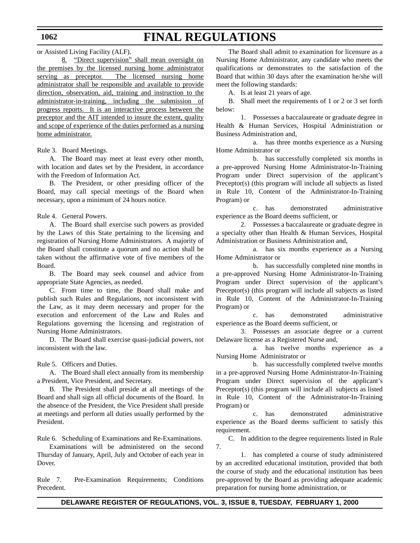or Assisted Living Facility (ALF).

8. "Direct supervision" shall mean oversight on the premises by the licensed nursing home administrator serving as preceptor. The licensed nursing home administrator shall be responsible and available to provide direction, observation, aid, training and instruction to the administrator-in-training, including the submission of progress reports. It is an interactive process between the preceptor and the AIT intended to insure the extent, quality and scope of experience of the duties performed as a nursing home administrator.

### Rule 3. Board Meetings.

A. The Board may meet at least every other month, with location and dates set by the President, in accordance with the Freedom of Information Act.

B. The President, or other presiding officer of the Board, may call special meetings of the Board when necessary, upon a minimum of 24 hours notice.

Rule 4. General Powers.

A. The Board shall exercise such powers as provided by the Laws of this State pertaining to the licensing and registration of Nursing Home Administrators. A majority of the Board shall constitute a quorum and no action shall be taken without the affirmative vote of five members of the Board.

B. The Board may seek counsel and advice from appropriate State Agencies, as needed.

C. From time to time, the Board shall make and publish such Rules and Regulations, not inconsistent with the Law, as it may deem necessary and proper for the execution and enforcement of the Law and Rules and Regulations governing the licensing and registration of Nursing Home Administrators.

D. The Board shall exercise quasi-judicial powers, not inconsistent with the law.

Rule 5. Officers and Duties.

A. The Board shall elect annually from its membership a President, Vice President, and Secretary.

B. The President shall preside at all meetings of the Board and shall sign all official documents of the Board. In the absence of the President, the Vice President shall preside at meetings and perform all duties usually performed by the President.

Rule 6. Scheduling of Examinations and Re-Examinations.

Examinations will be administered on the second Thursday of January, April, July and October of each year in Dover.

Rule 7. Pre-Examination Requirements; Conditions Precedent.

The Board shall admit to examination for licensure as a Nursing Home Administrator, any candidate who meets the qualifications or demonstrates to the satisfaction of the Board that within 30 days after the examination he/she will meet the following standards:

A. Is at least 21 years of age.

B. Shall meet the requirements of 1 or 2 or 3 set forth below:

1. Possesses a baccalaureate or graduate degree in Health & Human Services, Hospital Administration or Business Administration and,

a. has three months experience as a Nursing Home Administrator or

b. has successfully completed six months in a pre-approved Nursing Home Administrator-In-Training Program under Direct supervision of the applicant's Preceptor(s) (this program will include all subjects as listed in Rule 10, Content of the Administrator-In-Training Program) or

c. has demonstrated administrative experience as the Board deems sufficient, or

2. Possesses a baccalaureate or graduate degree in a specialty other than Health & Human Services, Hospital Administration or Business Administration and,

a. has six months experience as a Nursing Home Administrator or

b. has successfully completed nine months in a pre-approved Nursing Home Administrator-In-Training Program under Direct supervision of the applicant's Preceptor(s) (this program will include all subjects as listed in Rule 10, Content of the Administrator-In-Training Program) or

c. has demonstrated administrative experience as the Board deems sufficient, or

3. Possesses an associate degree or a current Delaware license as a Registered Nurse and,

a. has twelve months experience as a Nursing Home Administrator or

b. has successfully completed twelve months in a pre-approved Nursing Home Administrator-In-Training Program under Direct supervision of the applicant's Preceptor(s) (this program will include all subjects as listed in Rule 10, Content of the Administrator-In-Training Program) or

c. has demonstrated administrative experience as the Board deems sufficient to satisfy this requirement.

C. In addition to the degree requirements listed in Rule 7.

1. has completed a course of study administered by an accredited educational institution, provided that both the course of study and the educational institution has been pre-approved by the Board as providing adequate academic preparation for nursing home administration, or

### **DELAWARE REGISTER OF REGULATIONS, VOL. 3, ISSUE 8, TUESDAY, FEBRUARY 1, 2000**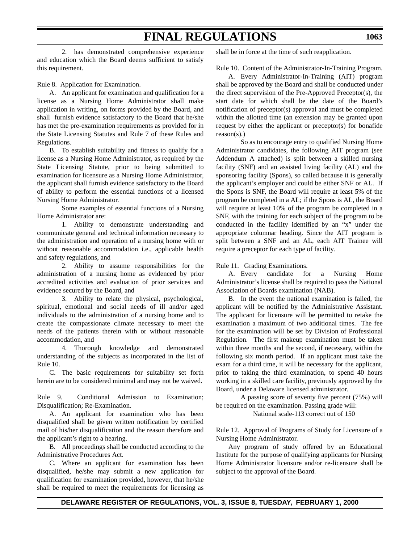2. has demonstrated comprehensive experience and education which the Board deems sufficient to satisfy this requirement.

Rule 8. Application for Examination.

A. An applicant for examination and qualification for a license as a Nursing Home Administrator shall make application in writing, on forms provided by the Board, and shall furnish evidence satisfactory to the Board that he/she has met the pre-examination requirements as provided for in the State Licensing Statutes and Rule 7 of these Rules and Regulations.

B. To establish suitability and fitness to qualify for a license as a Nursing Home Administrator, as required by the State Licensing Statute, prior to being submitted to examination for licensure as a Nursing Home Administrator, the applicant shall furnish evidence satisfactory to the Board of ability to perform the essential functions of a licensed Nursing Home Administrator.

Some examples of essential functions of a Nursing Home Administrator are:

1. Ability to demonstrate understanding and communicate general and technical information necessary to the administration and operation of a nursing home with or without reasonable accommodation i.e., applicable health and safety regulations, and

2. Ability to assume responsibilities for the administration of a nursing home as evidenced by prior accredited activities and evaluation of prior services and evidence secured by the Board, and

3. Ability to relate the physical, psychological, spiritual, emotional and social needs of ill and/or aged individuals to the administration of a nursing home and to create the compassionate climate necessary to meet the needs of the patients therein with or without reasonable accommodation, and

4. Thorough knowledge and demonstrated understanding of the subjects as incorporated in the list of Rule 10.

C. The basic requirements for suitability set forth herein are to be considered minimal and may not be waived.

Rule 9. Conditional Admission to Examination; Disqualification; Re-Examination.

A. An applicant for examination who has been disqualified shall be given written notification by certified mail of his/her disqualification and the reason therefore and the applicant's right to a hearing.

B. All proceedings shall be conducted according to the Administrative Procedures Act.

C. Where an applicant for examination has been disqualified, he/she may submit a new application for qualification for examination provided, however, that he/she shall be required to meet the requirements for licensing as

shall be in force at the time of such reapplication.

Rule 10. Content of the Administrator-In-Training Program.

A. Every Administrator-In-Training (AIT) program shall be approved by the Board and shall be conducted under the direct supervision of the Pre-Approved Preceptor(s), the start date for which shall be the date of the Board's notification of preceptor(s) approval and must be completed within the allotted time (an extension may be granted upon request by either the applicant or preceptor(s) for bonafide reason(s).)

So as to encourage entry to qualified Nursing Home Administrator candidates, the following AIT program (see Addendum A attached) is split between a skilled nursing facility (SNF) and an assisted living facility (AL) and the sponsoring facility (Spons), so called because it is generally the applicant's employer and could be either SNF or AL. If the Spons is SNF, the Board will require at least 5% of the program be completed in a AL; if the Spons is AL, the Board will require at least 10% of the program be completed in a SNF, with the training for each subject of the program to be conducted in the facility identified by an "x" under the appropriate columnar heading. Since the AIT program is split between a SNF and an AL, each AIT Trainee will require a preceptor for each type of facility.

Rule 11. Grading Examinations.

A. Every candidate for a Nursing Home Administrator's license shall be required to pass the National Association of Boards examination (NAB).

B. In the event the national examination is failed, the applicant will be notified by the Administrative Assistant. The applicant for licensure will be permitted to retake the examination a maximum of two additional times. The fee for the examination will be set by Division of Professional Regulation. The first makeup examination must be taken within three months and the second, if necessary, within the following six month period. If an applicant must take the exam for a third time, it will be necessary for the applicant, prior to taking the third examination, to spend 40 hours working in a skilled care facility, previously approved by the Board, under a Delaware licensed administrator.

A passing score of seventy five percent (75%) will be required on the examination. Passing grade will:

National scale-113 correct out of 150

Rule 12. Approval of Programs of Study for Licensure of a Nursing Home Administrator.

Any program of study offered by an Educational Institute for the purpose of qualifying applicants for Nursing Home Administrator licensure and/or re-licensure shall be subject to the approval of the Board.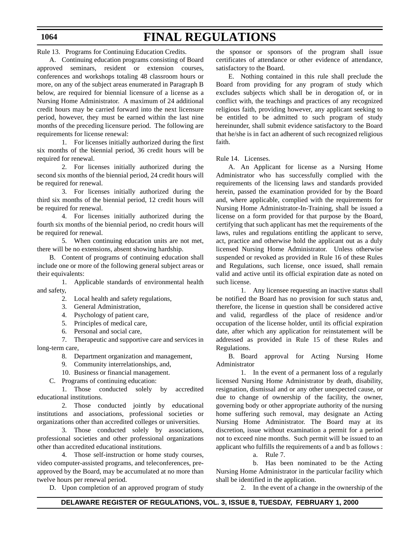# **FINAL REGULATIONS**

Rule 13. Programs for Continuing Education Credits.

A. Continuing education programs consisting of Board approved seminars, resident or extension courses, conferences and workshops totaling 48 classroom hours or more, on any of the subject areas enumerated in Paragraph B below, are required for biennial licensure of a license as a Nursing Home Administrator. A maximum of 24 additional credit hours may be carried forward into the next licensure period, however, they must be earned within the last nine months of the preceding licensure period. The following are requirements for license renewal:

1. For licenses initially authorized during the first six months of the biennial period, 36 credit hours will be required for renewal.

2. For licenses initially authorized during the second six months of the biennial period, 24 credit hours will be required for renewal.

3. For licenses initially authorized during the third six months of the biennial period, 12 credit hours will be required for renewal.

4. For licenses initially authorized during the fourth six months of the biennial period, no credit hours will be required for renewal.

5. When continuing education units are not met, there will be no extensions, absent showing hardship.

B. Content of programs of continuing education shall include one or more of the following general subject areas or their equivalents:

1. Applicable standards of environmental health and safety,

- 2. Local health and safety regulations,
- 3. General Administration,
- 4. Psychology of patient care,
- 5. Principles of medical care,
- 6. Personal and social care,

7. Therapeutic and supportive care and services in long-term care,

- 8. Department organization and management,
- 9. Community interrelationships, and,
- 10. Business or financial management.
- C. Programs of continuing education:

1. Those conducted solely by accredited educational institutions.

2. Those conducted jointly by educational institutions and associations, professional societies or organizations other than accredited colleges or universities.

3. Those conducted solely by associations, professional societies and other professional organizations other than accredited educational institutions.

4. Those self-instruction or home study courses, video computer-assisted programs, and teleconferences, preapproved by the Board, may be accumulated at no more than twelve hours per renewal period.

D. Upon completion of an approved program of study

the sponsor or sponsors of the program shall issue certificates of attendance or other evidence of attendance, satisfactory to the Board.

E. Nothing contained in this rule shall preclude the Board from providing for any program of study which excludes subjects which shall be in derogation of, or in conflict with, the teachings and practices of any recognized religious faith, providing however, any applicant seeking to be entitled to be admitted to such program of study hereinunder, shall submit evidence satisfactory to the Board that he/she is in fact an adherent of such recognized religious faith.

Rule 14. Licenses.

A. An Applicant for license as a Nursing Home Administrator who has successfully complied with the requirements of the licensing laws and standards provided herein, passed the examination provided for by the Board and, where applicable, complied with the requirements for Nursing Home Administrator-In-Training, shall be issued a license on a form provided for that purpose by the Board, certifying that such applicant has met the requirements of the laws, rules and regulations entitling the applicant to serve, act, practice and otherwise hold the applicant out as a duly licensed Nursing Home Administrator. Unless otherwise suspended or revoked as provided in Rule 16 of these Rules and Regulations, such license, once issued, shall remain valid and active until its official expiration date as noted on such license.

1. Any licensee requesting an inactive status shall be notified the Board has no provision for such status and, therefore, the license in question shall be considered active and valid, regardless of the place of residence and/or occupation of the license holder, until its official expiration date, after which any application for reinstatement will be addressed as provided in Rule 15 of these Rules and Regulations.

B. Board approval for Acting Nursing Home Administrator

1. In the event of a permanent loss of a regularly licensed Nursing Home Administrator by death, disability, resignation, dismissal and or any other unexpected cause, or due to change of ownership of the facility, the owner, governing body or other appropriate authority of the nursing home suffering such removal, may designate an Acting Nursing Home Administrator. The Board may at its discretion, issue without examination a permit for a period not to exceed nine months. Such permit will be issued to an applicant who fulfills the requirements of a and b as follows :

a. Rule 7.

b. Has been nominated to be the Acting Nursing Home Administrator in the particular facility which shall be identified in the application.

2. In the event of a change in the ownership of the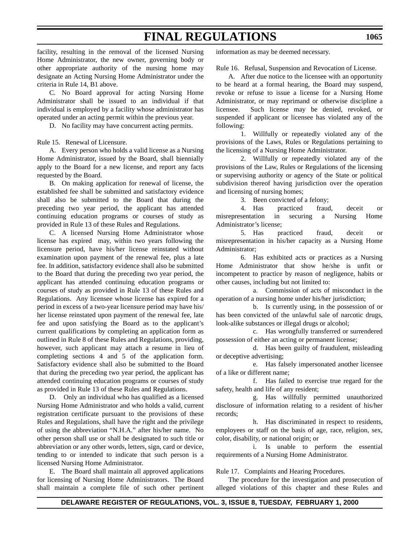facility, resulting in the removal of the licensed Nursing Home Administrator, the new owner, governing body or other appropriate authority of the nursing home may designate an Acting Nursing Home Administrator under the criteria in Rule 14, B1 above.

C. No Board approval for acting Nursing Home Administrator shall be issued to an individual if that individual is employed by a facility whose administrator has operated under an acting permit within the previous year.

D. No facility may have concurrent acting permits.

Rule 15. Renewal of Licensure.

A. Every person who holds a valid license as a Nursing Home Administrator, issued by the Board, shall biennially apply to the Board for a new license, and report any facts requested by the Board.

B. On making application for renewal of license, the established fee shall be submitted and satisfactory evidence shall also be submitted to the Board that during the preceding two year period, the applicant has attended continuing education programs or courses of study as provided in Rule 13 of these Rules and Regulations.

C. A licensed Nursing Home Administrator whose license has expired may, within two years following the licensure period, have his/her license reinstated without examination upon payment of the renewal fee, plus a late fee. In addition, satisfactory evidence shall also be submitted to the Board that during the preceding two year period, the applicant has attended continuing education programs or courses of study as provided in Rule 13 of these Rules and Regulations. Any licensee whose license has expired for a period in excess of a two-year licensure period may have his/ her license reinstated upon payment of the renewal fee, late fee and upon satisfying the Board as to the applicant's current qualifications by completing an application form as outlined in Rule 8 of these Rules and Regulations, providing, however, such applicant may attach a resume in lieu of completing sections 4 and 5 of the application form. Satisfactory evidence shall also be submitted to the Board that during the preceding two year period, the applicant has attended continuing education programs or courses of study as provided in Rule 13 of these Rules and Regulations.

D. Only an individual who has qualified as a licensed Nursing Home Administrator and who holds a valid, current registration certificate pursuant to the provisions of these Rules and Regulations, shall have the right and the privilege of using the abbreviation "N.H.A." after his/her name. No other person shall use or shall be designated to such title or abbreviation or any other words, letters, sign, card or device, tending to or intended to indicate that such person is a licensed Nursing Home Administrator.

E. The Board shall maintain all approved applications for licensing of Nursing Home Administrators. The Board shall maintain a complete file of such other pertinent information as may be deemed necessary.

Rule 16. Refusal, Suspension and Revocation of License.

A. After due notice to the licensee with an opportunity to be heard at a formal hearing, the Board may suspend, revoke or refuse to issue a license for a Nursing Home Administrator, or may reprimand or otherwise discipline a licensee. Such license may be denied, revoked, or suspended if applicant or licensee has violated any of the following:

1. Willfully or repeatedly violated any of the provisions of the Laws, Rules or Regulations pertaining to the licensing of a Nursing Home Administrator.

2. Willfully or repeatedly violated any of the provisions of the Law, Rules or Regulations of the licensing or supervising authority or agency of the State or political subdivision thereof having jurisdiction over the operation and licensing of nursing homes;

3. Been convicted of a felony;

4. Has practiced fraud, deceit or misrepresentation in securing a Nursing Home Administrator's license;

5. Has practiced fraud, deceit or misrepresentation in his/her capacity as a Nursing Home Administrator;

6. Has exhibited acts or practices as a Nursing Home Administrator that show he/she is unfit or incompetent to practice by reason of negligence, habits or other causes, including but not limited to:

a. Commission of acts of misconduct in the operation of a nursing home under his/her jurisdiction;

b. Is currently using, in the possession of or has been convicted of the unlawful sale of narcotic drugs, look-alike substances or illegal drugs or alcohol;

c. Has wrongfully transferred or surrendered possession of either an acting or permanent license;

d. Has been guilty of fraudulent, misleading or deceptive advertising;

e. Has falsely impersonated another licensee of a like or different name;

f. Has failed to exercise true regard for the safety, health and life of any resident;

g. Has willfully permitted unauthorized disclosure of information relating to a resident of his/her records;

h. Has discriminated in respect to residents, employees or staff on the basis of age, race, religion, sex, color, disability, or national origin; or

i. Is unable to perform the essential requirements of a Nursing Home Administrator.

Rule 17. Complaints and Hearing Procedures.

The procedure for the investigation and prosecution of alleged violations of this chapter and these Rules and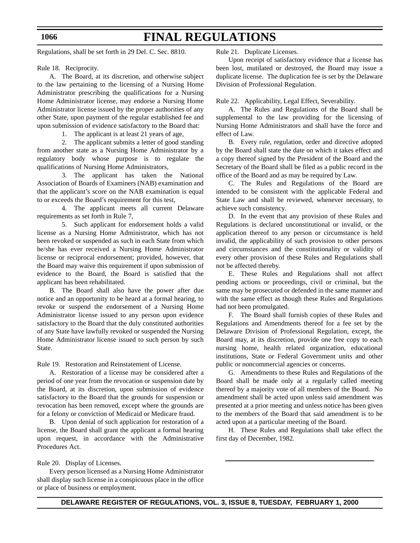Regulations, shall be set forth in 29 Del. C. Sec. 8810.

Rule 18. Reciprocity.

A. The Board, at its discretion, and otherwise subject to the law pertaining to the licensing of a Nursing Home Administrator prescribing the qualifications for a Nursing Home Administrator license, may endorse a Nursing Home Administrator license issued by the proper authorities of any other State, upon payment of the regular established fee and upon submission of evidence satisfactory to the Board that:

1. The applicant is at least 21 years of age,

2. The applicant submits a letter of good standing from another state as a Nursing Home Administrator by a regulatory body whose purpose is to regulate the qualifications of Nursing Home Administrators,

3. The applicant has taken the National Association of Boards of Examiners (NAB) examination and that the applicant's score on the NAB examination is equal to or exceeds the Board's requirement for this test,

4. The applicant meets all current Delaware requirements as set forth in Rule 7,

5. Such applicant for endorsement holds a valid license as a Nursing Home Administrator, which has not been revoked or suspended as such in each State from which he/she has ever received a Nursing Home Administrator license or reciprocal endorsement; provided, however, that the Board may waive this requirement if upon submission of evidence to the Board, the Board is satisfied that the applicant has been rehabilitated.

B. The Board shall also have the power after due notice and an opportunity to be heard at a formal hearing, to revoke or suspend the endorsement of a Nursing Home Administrator license issued to any person upon evidence satisfactory to the Board that the duly constituted authorities of any State have lawfully revoked or suspended the Nursing Home Administrator license issued to such person by such State.

Rule 19. Restoration and Reinstatement of License.

A. Restoration of a license may be considered after a period of one year from the revocation or suspension date by the Board, at its discretion, upon submission of evidence satisfactory to the Board that the grounds for suspension or revocation has been removed, except where the grounds are for a felony or conviction of Medicaid or Medicare fraud.

B. Upon denial of such application for restoration of a license, the Board shall grant the applicant a formal hearing upon request, in accordance with the Administrative Procedures Act.

Rule 20. Display of Licenses.

Every person licensed as a Nursing Home Administrator shall display such license in a conspicuous place in the office or place of business or employment.

Rule 21. Duplicate Licenses.

Upon receipt of satisfactory evidence that a license has been lost, mutilated or destroyed, the Board may issue a duplicate license. The duplication fee is set by the Delaware Division of Professional Regulation.

Rule 22. Applicability, Legal Effect, Severability.

A. The Rules and Regulations of the Board shall be supplemental to the law providing for the licensing of Nursing Home Administrators and shall have the force and effect of Law.

B. Every rule, regulation, order and directive adopted by the Board shall state the date on which it takes effect and a copy thereof signed by the President of the Board and the Secretary of the Board shall be filed as a public record in the office of the Board and as may be required by Law.

C. The Rules and Regulations of the Board are intended to be consistent with the applicable Federal and State Law and shall be reviewed, whenever necessary, to achieve such consistency.

D. In the event that any provision of these Rules and Regulations is declared unconstitutional or invalid, or the application thereof to any person or circumstance is held invalid, the applicability of such provision to other persons and circumstances and the constitutionality or validity of every other provision of these Rules and Regulations shall not be affected thereby.

E. These Rules and Regulations shall not affect pending actions or proceedings, civil or criminal, but the same may be prosecuted or defended in the same manner and with the same effect as though these Rules and Regulations had not been promulgated.

F. The Board shall furnish copies of these Rules and Regulations and Amendments thereof for a fee set by the Delaware Division of Professional Regulation, except, the Board may, at its discretion, provide one free copy to each nursing home, health related organization, educational institutions, State or Federal Government units and other public or noncommercial agencies or concerns.

G. Amendments to these Rules and Regulations of the Board shall be made only at a regularly called meeting thereof by a majority vote of all members of the Board. No amendment shall be acted upon unless said amendment was presented at a prior meeting and unless notice has been given to the members of the Board that said amendment is to be acted upon at a particular meeting of the Board.

H. These Rules and Regulations shall take effect the first day of December, 1982.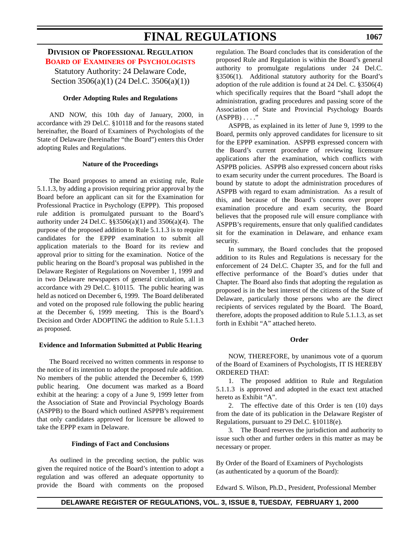### **DIVISION OF PROFESSIONAL REGULATION BOARD OF EXAMINERS [OF PSYCHOLOGISTS](#page-3-0)**

Statutory Authority: 24 Delaware Code, Section 3506(a)(1) (24 Del.C. 3506(a)(1))

### **Order Adopting Rules and Regulations**

AND NOW, this 10th day of January, 2000, in accordance with 29 Del.C. §10118 and for the reasons stated hereinafter, the Board of Examiners of Psychologists of the State of Delaware (hereinafter "the Board") enters this Order adopting Rules and Regulations.

### **Nature of the Proceedings**

The Board proposes to amend an existing rule, Rule 5.1.1.3, by adding a provision requiring prior approval by the Board before an applicant can sit for the Examination for Professional Practice in Psychology (EPPP). This proposed rule addition is promulgated pursuant to the Board's authority under 24 Del.C. §§3506(a)(1) and 3506(a)(4). The purpose of the proposed addition to Rule 5.1.1.3 is to require candidates for the EPPP examination to submit all application materials to the Board for its review and approval prior to sitting for the examination. Notice of the public hearing on the Board's proposal was published in the Delaware Register of Regulations on November 1, 1999 and in two Delaware newspapers of general circulation, all in accordance with 29 Del.C. §10115. The public hearing was held as noticed on December 6, 1999. The Board deliberated and voted on the proposed rule following the public hearing at the December 6, 1999 meeting. This is the Board's Decision and Order ADOPTING the addition to Rule 5.1.1.3 as proposed.

### **Evidence and Information Submitted at Public Hearing**

The Board received no written comments in response to the notice of its intention to adopt the proposed rule addition. No members of the public attended the December 6, 1999 public hearing. One document was marked as a Board exhibit at the hearing: a copy of a June 9, 1999 letter from the Association of State and Provincial Psychology Boards (ASPPB) to the Board which outlined ASPPB's requirement that only candidates approved for licensure be allowed to take the EPPP exam in Delaware.

### **Findings of Fact and Conclusions**

As outlined in the preceding section, the public was given the required notice of the Board's intention to adopt a regulation and was offered an adequate opportunity to provide the Board with comments on the proposed regulation. The Board concludes that its consideration of the proposed Rule and Regulation is within the Board's general authority to promulgate regulations under 24 Del.C. §3506(1). Additional statutory authority for the Board's adoption of the rule addition is found at 24 Del. C. §3506(4) which specifically requires that the Board "shall adopt the administration, grading procedures and passing score of the Association of State and Provincial Psychology Boards  $(ASPPB) \ldots$ ."

ASPPB, as explained in its letter of June 9, 1999 to the Board, permits only approved candidates for licensure to sit for the EPPP examination. ASPPB expressed concern with the Board's current procedure of reviewing licensure applications after the examination, which conflicts with ASPPB policies. ASPPB also expressed concern about risks to exam security under the current procedures. The Board is bound by statute to adopt the administration procedures of ASPPB with regard to exam administration. As a result of this, and because of the Board's concerns over proper examination procedure and exam security, the Board believes that the proposed rule will ensure compliance with ASPPB's requirements, ensure that only qualified candidates sit for the examination in Delaware, and enhance exam security.

In summary, the Board concludes that the proposed addition to its Rules and Regulations is necessary for the enforcement of 24 Del.C. Chapter 35, and for the full and effective performance of the Board's duties under that Chapter. The Board also finds that adopting the regulation as proposed is in the best interest of the citizens of the State of Delaware, particularly those persons who are the direct recipients of services regulated by the Board. The Board, therefore, adopts the proposed addition to Rule 5.1.1.3, as set forth in Exhibit "A" attached hereto.

### **Order**

NOW, THEREFORE, by unanimous vote of a quorum of the Board of Examiners of Psychologists, IT IS HEREBY ORDERED THAT:

1. The proposed addition to Rule and Regulation 5.1.1.3 is approved and adopted in the exact text attached hereto as Exhibit "A".

2. The effective date of this Order is ten (10) days from the date of its publication in the Delaware Register of Regulations, pursuant to 29 Del.C. §10118(e).

3. The Board reserves the jurisdiction and authority to issue such other and further orders in this matter as may be necessary or proper.

By Order of the Board of Examiners of Psychologists (as authenticated by a quorum of the Board):

Edward S. Wilson, Ph.D., President, Professional Member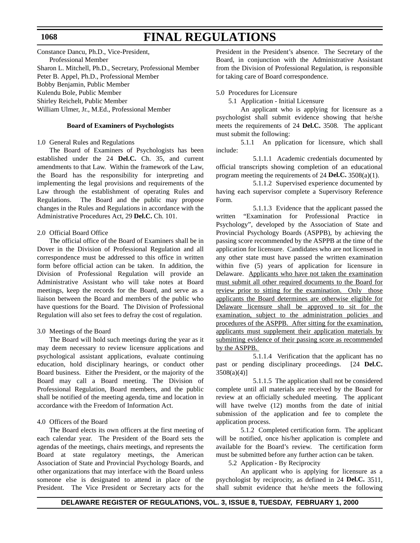Constance Dancu, Ph.D., Vice-President, Professional Member Sharon L. Mitchell, Ph.D., Secretary, Professional Member Peter B. Appel, Ph.D., Professional Member Bobby Benjamin, Public Member Kulendu Bole, Public Member Shirley Reichelt, Public Member William Ulmer, Jr., M.Ed., Professional Member

### **Board of Examiners of Psychologists**

1.0 General Rules and Regulations

The Board of Examiners of Psychologists has been established under the 24 **Del.C.** Ch. 35, and current amendments to that Law. Within the framework of the Law, the Board has the responsibility for interpreting and implementing the legal provisions and requirements of the Law through the establishment of operating Rules and Regulations. The Board and the public may propose changes in the Rules and Regulations in accordance with the Administrative Procedures Act, 29 **Del.C.** Ch. 101.

#### 2.0 Official Board Office

The official office of the Board of Examiners shall be in Dover in the Division of Professional Regulation and all correspondence must be addressed to this office in written form before official action can be taken. In addition, the Division of Professional Regulation will provide an Administrative Assistant who will take notes at Board meetings, keep the records for the Board, and serve as a liaison between the Board and members of the public who have questions for the Board. The Division of Professional Regulation will also set fees to defray the cost of regulation.

### 3.0 Meetings of the Board

The Board will hold such meetings during the year as it may deem necessary to review licensure applications and psychological assistant applications, evaluate continuing education, hold disciplinary hearings, or conduct other Board business. Either the President, or the majority of the Board may call a Board meeting. The Division of Professional Regulation, Board members, and the public shall be notified of the meeting agenda, time and location in accordance with the Freedom of Information Act.

### 4.0 Officers of the Board

The Board elects its own officers at the first meeting of each calendar year. The President of the Board sets the agendas of the meetings, chairs meetings, and represents the Board at state regulatory meetings, the American Association of State and Provincial Psychology Boards, and other organizations that may interface with the Board unless someone else is designated to attend in place of the President. The Vice President or Secretary acts for the President in the President's absence. The Secretary of the Board, in conjunction with the Administrative Assistant from the Division of Professional Regulation, is responsible for taking care of Board correspondence.

5.0 Procedures for Licensure

5.1 Application - Initial Licensure

An applicant who is applying for licensure as a psychologist shall submit evidence showing that he/she meets the requirements of 24 **Del.C.** 3508. The applicant must submit the following:

5.1.1 An pplication for licensure, which shall include:

5.1.1.1 Academic credentials documented by official transcripts showing completion of an educational program meeting the requirements of 24 **Del.C.** 3508(a)(1).

5.1.1.2 Supervised experience documented by having each supervisor complete a Supervisory Reference Form.

5.1.1.3 Evidence that the applicant passed the written "Examination for Professional Practice in Psychology", developed by the Association of State and Provincial Psychology Boards (ASPPB), by achieving the passing score recommended by the ASPPB at the time of the application for licensure. Candidates who are not licensed in any other state must have passed the written examination within five (5) years of application for licensure in Delaware. Applicants who have not taken the examination must submit all other required documents to the Board for review prior to sitting for the examination. Only those applicants the Board determines are otherwise eligible for Delaware licensure shall be approved to sit for the examination, subject to the administration policies and procedures of the ASPPB. After sitting for the examination, applicants must supplement their application materials by submitting evidence of their passing score as recommended by the ASPPB.

5.1.1.4 Verification that the applicant has no past or pending disciplinary proceedings. [24 **Del.C.**  $3508(a)(4)$ ]

5.1.1.5 The application shall not be considered complete until all materials are received by the Board for review at an officially scheduled meeting. The applicant will have twelve (12) months from the date of initial submission of the application and fee to complete the application process.

5.1.2 Completed certification form. The applicant will be notified, once his/her application is complete and available for the Board's review. The certification form must be submitted before any further action can be taken.

5.2 Application - By Reciprocity

An applicant who is applying for licensure as a psychologist by reciprocity, as defined in 24 **Del.C.** 3511, shall submit evidence that he/she meets the following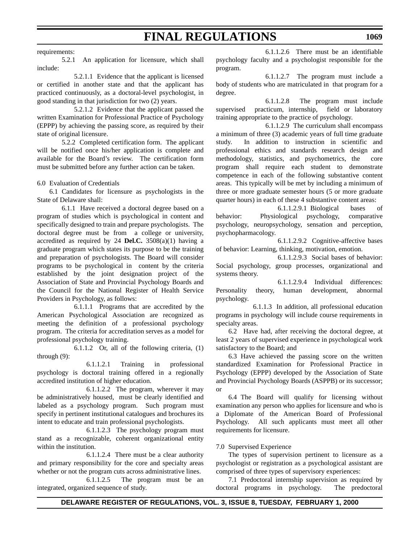### requirements:

5.2.1 An application for licensure, which shall include:

5.2.1.1 Evidence that the applicant is licensed or certified in another state and that the applicant has practiced continuously, as a doctoral-level psychologist, in good standing in that jurisdiction for two (2) years.

5.2.1.2 Evidence that the applicant passed the written Examination for Professional Practice of Psychology (EPPP) by achieving the passing score, as required by their state of original licensure.

5.2.2 Completed certification form. The applicant will be notified once his/her application is complete and available for the Board's review. The certification form must be submitted before any further action can be taken.

### 6.0 Evaluation of Credentials

6.1 Candidates for licensure as psychologists in the State of Delaware shall:

6.1.1 Have received a doctoral degree based on a program of studies which is psychological in content and specifically designed to train and prepare psychologists. The doctoral degree must be from a college or university, accredited as required by 24 **Del.C.** 3508(a)(1) having a graduate program which states its purpose to be the training and preparation of psychologists. The Board will consider programs to be psychological in content by the criteria established by the joint designation project of the Association of State and Provincial Psychology Boards and the Council for the National Register of Health Service Providers in Psychology, as follows:

6.1.1.1 Programs that are accredited by the American Psychological Association are recognized as meeting the definition of a professional psychology program. The criteria for accreditation serves as a model for professional psychology training.

6.1.1.2 Or, all of the following criteria, (1) through (9):

6.1.1.2.1 Training in professional psychology is doctoral training offered in a regionally accredited institution of higher education.

6.1.1.2.2 The program, wherever it may be administratively housed, must be clearly identified and labeled as a psychology program. Such program must specify in pertinent institutional catalogues and brochures its intent to educate and train professional psychologists.

6.1.1.2.3 The psychology program must stand as a recognizable, coherent organizational entity within the institution.

6.1.1.2.4 There must be a clear authority and primary responsibility for the core and specialty areas whether or not the program cuts across administrative lines.

6.1.1.2.5 The program must be an integrated, organized sequence of study.

6.1.1.2.6 There must be an identifiable psychology faculty and a psychologist responsible for the program.

6.1.1.2.7 The program must include a body of students who are matriculated in that program for a degree.

6.1.1.2.8 The program must include supervised practicum, internship, field or laboratory training appropriate to the practice of psychology.

6.1.1.2.9 The curriculum shall encompass a minimum of three (3) academic years of full time graduate study. In addition to instruction in scientific and professional ethics and standards research design and methodology, statistics, and psychometrics, the core program shall require each student to demonstrate competence in each of the following substantive content areas. This typically will be met by including a minimum of three or more graduate semester hours (5 or more graduate quarter hours) in each of these 4 substantive content areas:

6.1.1.2.9.1 Biological bases of behavior: Physiological psychology, comparative psychology, neuropsychology, sensation and perception, psychopharmacology.

6.1.1.2.9.2 Cognitive-affective bases of behavior: Learning, thinking, motivation, emotion.

6.1.1.2.9.3 Social bases of behavior: Social psychology, group processes, organizational and systems theory.

6.1.1.2.9.4 Individual differences: Personality theory, human development, abnormal psychology.

6.1.1.3 In addition, all professional education programs in psychology will include course requirements in specialty areas.

6.2 Have had, after receiving the doctoral degree, at least 2 years of supervised experience in psychological work satisfactory to the Board; and

6.3 Have achieved the passing score on the written standardized Examination for Professional Practice in Psychology (EPPP) developed by the Association of State and Provincial Psychology Boards (ASPPB) or its successor; or

6.4 The Board will qualify for licensing without examination any person who applies for licensure and who is a Diplomate of the American Board of Professional Psychology. All such applicants must meet all other requirements for licensure.

### 7.0 Supervised Experience

The types of supervision pertinent to licensure as a psychologist or registration as a psychological assistant are comprised of three types of supervisory experiences:

7.1 Predoctoral internship supervision as required by doctoral programs in psychology. The predoctoral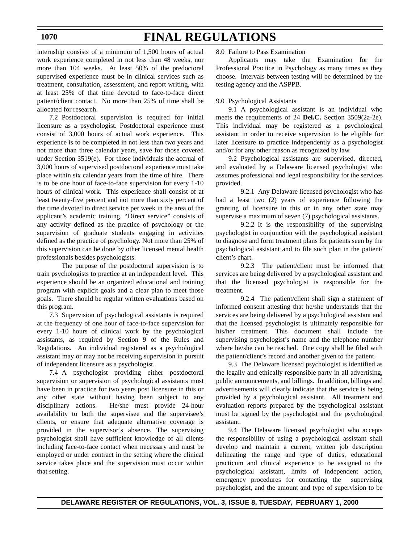# **FINAL REGULATIONS**

internship consists of a minimum of 1,500 hours of actual work experience completed in not less than 48 weeks, nor more than 104 weeks. At least 50% of the predoctoral supervised experience must be in clinical services such as treatment, consultation, assessment, and report writing, with at least 25% of that time devoted to face-to-face direct patient/client contact. No more than 25% of time shall be allocated for research.

7.2 Postdoctoral supervision is required for initial licensure as a psychologist. Postdoctoral experience must consist of 3,000 hours of actual work experience. This experience is to be completed in not less than two years and not more than three calendar years, save for those covered under Section 3519(e). For those individuals the accrual of 3,000 hours of supervised postdoctoral experience must take place within six calendar years from the time of hire. There is to be one hour of face-to-face supervision for every 1-10 hours of clinical work. This experience shall consist of at least twenty-five percent and not more than sixty percent of the time devoted to direct service per week in the area of the applicant's academic training. "Direct service" consists of any activity defined as the practice of psychology or the supervision of graduate students engaging in activities defined as the practice of psychology. Not more than 25% of this supervision can be done by other licensed mental health professionals besides psychologists.

The purpose of the postdoctoral supervision is to train psychologists to practice at an independent level. This experience should be an organized educational and training program with explicit goals and a clear plan to meet those goals. There should be regular written evaluations based on this program.

7.3 Supervision of psychological assistants is required at the frequency of one hour of face-to-face supervision for every 1-10 hours of clinical work by the psychological assistants, as required by Section 9 of the Rules and Regulations. An individual registered as a psychological assistant may or may not be receiving supervision in pursuit of independent licensure as a psychologist.

7.4 A psychologist providing either postdoctoral supervision or supervision of psychological assistants must have been in practice for two years post licensure in this or any other state without having been subject to any disciplinary actions. He/she must provide 24-hour availability to both the supervisee and the supervisee's clients, or ensure that adequate alternative coverage is provided in the supervisor's absence. The supervising psychologist shall have sufficient knowledge of all clients including face-to-face contact when necessary and must be employed or under contract in the setting where the clinical service takes place and the supervision must occur within that setting.

8.0 Failure to Pass Examination

Applicants may take the Examination for the Professional Practice in Psychology as many times as they choose. Intervals between testing will be determined by the testing agency and the ASPPB.

### 9.0 Psychological Assistants

9.1 A psychological assistant is an individual who meets the requirements of 24 **Del.C.** Section 3509(2a-2e). This individual may be registered as a psychological assistant in order to receive supervision to be eligible for later licensure to practice independently as a psychologist and/or for any other reason as recognized by law.

9.2 Psychological assistants are supervised, directed, and evaluated by a Delaware licensed psychologist who assumes professional and legal responsibility for the services provided.

9.2.1 Any Delaware licensed psychologist who has had a least two (2) years of experience following the granting of licensure in this or in any other state may supervise a maximum of seven (7) psychological assistants.

9.2.2 It is the responsibility of the supervising psychologist in conjunction with the psychological assistant to diagnose and form treatment plans for patients seen by the psychological assistant and to file such plan in the patient/ client's chart.

9.2.3 The patient/client must be informed that services are being delivered by a psychological assistant and that the licensed psychologist is responsible for the treatment.

9.2.4 The patient/client shall sign a statement of informed consent attesting that he/she understands that the services are being delivered by a psychological assistant and that the licensed psychologist is ultimately responsible for his/her treatment. This document shall include the supervising psychologist's name and the telephone number where he/she can be reached. One copy shall be filed with the patient/client's record and another given to the patient.

9.3 The Delaware licensed psychologist is identified as the legally and ethically responsible party in all advertising, public announcements, and billings. In addition, billings and advertisements will clearly indicate that the service is being provided by a psychological assistant. All treatment and evaluation reports prepared by the psychological assistant must be signed by the psychologist and the psychological assistant.

9.4 The Delaware licensed psychologist who accepts the responsibility of using a psychological assistant shall develop and maintain a current, written job description delineating the range and type of duties, educational practicum and clinical experience to be assigned to the psychological assistant, limits of independent action, emergency procedures for contacting the supervising psychologist, and the amount and type of supervision to be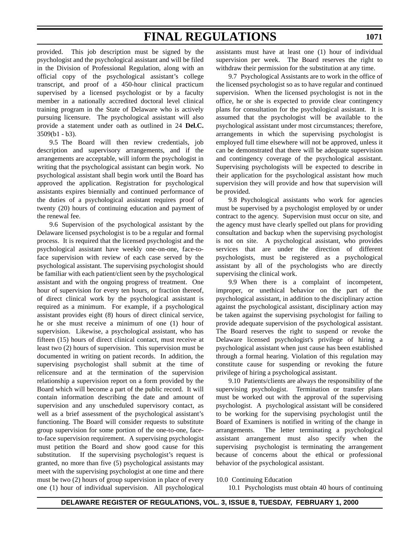provided. This job description must be signed by the psychologist and the psychological assistant and will be filed in the Division of Professional Regulation, along with an official copy of the psychological assistant's college transcript, and proof of a 450-hour clinical practicum supervised by a licensed psychologist or by a faculty member in a nationally accredited doctoral level clinical training program in the State of Delaware who is actively pursuing licensure. The psychological assistant will also provide a statement under oath as outlined in 24 **Del.C.** 3509(b1 - b3).

9.5 The Board will then review credentials, job description and supervisory arrangements, and if the arrangements are acceptable, will inform the psychologist in writing that the psychological assistant can begin work. No psychological assistant shall begin work until the Board has approved the application. Registration for psychological assistants expires biennially and continued performance of the duties of a psychological assistant requires proof of twenty (20) hours of continuing education and payment of the renewal fee.

9.6 Supervision of the psychological assistant by the Delaware licensed psychologist is to be a regular and formal process. It is required that the licensed psychologist and the psychological assistant have weekly one-on-one, face-toface supervision with review of each case served by the psychological assistant. The supervising psychologist should be familiar with each patient/client seen by the psychological assistant and with the ongoing progress of treatment. One hour of supervision for every ten hours, or fraction thereof, of direct clinical work by the psychological assistant is required as a minimum. For example, if a psychological assistant provides eight (8) hours of direct clinical service, he or she must receive a minimum of one (1) hour of supervision. Likewise, a psychological assistant, who has fifteen (15) hours of direct clinical contact, must receive at least two (2) hours of supervision. This supervision must be documented in writing on patient records. In addition, the supervising psychologist shall submit at the time of relicensure and at the termination of the supervision relationship a supervision report on a form provided by the Board which will become a part of the public record. It will contain information describing the date and amount of supervision and any unscheduled supervisory contact, as well as a brief assessment of the psychological assistant's functioning. The Board will consider requests to substitute group supervision for some portion of the one-to-one, faceto-face supervision requirement. A supervising psychologist must petition the Board and show good cause for this substitution. If the supervising psychologist's request is granted, no more than five (5) psychological assistants may meet with the supervising psychologist at one time and there must be two (2) hours of group supervision in place of every one (1) hour of individual supervision. All psychological

assistants must have at least one (1) hour of individual supervision per week. The Board reserves the right to withdraw their permission for the substitution at any time.

9.7 Psychological Assistants are to work in the office of the licensed psychologist so as to have regular and continued supervision. When the licensed psychologist is not in the office, he or she is expected to provide clear contingency plans for consultation for the psychological assistant. It is assumed that the psychologist will be available to the psychological assistant under most circumstances; therefore, arrangements in which the supervising psychologist is employed full time elsewhere will not be approved, unless it can be demonstrated that there will be adequate supervision and contingency coverage of the psychological assistant. Supervising psychologists will be expected to describe in their application for the psychological assistant how much supervision they will provide and how that supervision will be provided.

9.8 Psychological assistants who work for agencies must be supervised by a psychologist employed by or under contract to the agency. Supervision must occur on site, and the agency must have clearly spelled out plans for providing consultation and backup when the supervising psychologist is not on site. A psychological assistant, who provides services that are under the direction of different psychologists, must be registered as a psychological assistant by all of the psychologists who are directly supervising the clinical work.

9.9 When there is a complaint of incompetent, improper, or unethical behavior on the part of the psychological assistant, in addition to the disciplinary action against the psychological assistant, disciplinary action may be taken against the supervising psychologist for failing to provide adequate supervision of the psychological assistant. The Board reserves the right to suspend or revoke the Delaware licensed psychologist's privilege of hiring a psychological assistant when just cause has been established through a formal hearing. Violation of this regulation may constitute cause for suspending or revoking the future privilege of hiring a psychological assistant.

9.10 Patients/clients are always the responsibility of the supervising psychologist. Termination or transfer plans must be worked out with the approval of the supervising psychologist. A psychological assistant will be considered to be working for the supervising psychologist until the Board of Examiners is notified in writing of the change in arrangements. The letter terminating a psychological assistant arrangement must also specify when the supervising psychologist is terminating the arrangement because of concerns about the ethical or professional behavior of the psychological assistant.

### 10.0 Continuing Education

10.1 Psychologists must obtain 40 hours of continuing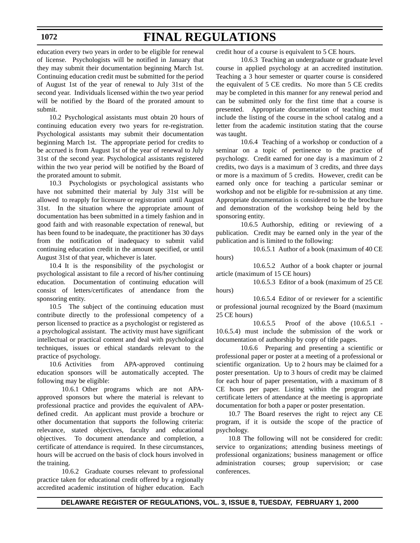# **FINAL REGULATIONS**

education every two years in order to be eligible for renewal of license. Psychologists will be notified in January that they may submit their documentation beginning March 1st. Continuing education credit must be submitted for the period of August 1st of the year of renewal to July 31st of the second year. Individuals licensed within the two year period will be notified by the Board of the prorated amount to submit.

10.2 Psychological assistants must obtain 20 hours of continuing education every two years for re-registration. Psychological assistants may submit their documentation beginning March 1st. The appropriate period for credits to be accrued is from August 1st of the year of renewal to July 31st of the second year. Psychological assistants registered within the two year period will be notified by the Board of the prorated amount to submit.

10.3 Psychologists or psychological assistants who have not submitted their material by July 31st will be allowed to reapply for licensure or registration until August 31st. In the situation where the appropriate amount of documentation has been submitted in a timely fashion and in good faith and with reasonable expectation of renewal, but has been found to be inadequate, the practitioner has 30 days from the notification of inadequacy to submit valid continuing education credit in the amount specified, or until August 31st of that year, whichever is later.

10.4 It is the responsibility of the psychologist or psychological assistant to file a record of his/her continuing education. Documentation of continuing education will consist of letters/certificates of attendance from the sponsoring entity.

10.5 The subject of the continuing education must contribute directly to the professional competency of a person licensed to practice as a psychologist or registered as a psychological assistant. The activity must have significant intellectual or practical content and deal with psychological techniques, issues or ethical standards relevant to the practice of psychology.

10.6 Activities from APA-approved continuing education sponsors will be automatically accepted. The following may be eligible:

10.6.1 Other programs which are not APAapproved sponsors but where the material is relevant to professional practice and provides the equivalent of APAdefined credit. An applicant must provide a brochure or other documentation that supports the following criteria: relevance, stated objectives, faculty and educational objectives. To document attendance and completion, a certificate of attendance is required. In these circumstances, hours will be accrued on the basis of clock hours involved in the training.

10.6.2 Graduate courses relevant to professional practice taken for educational credit offered by a regionally accredited academic institution of higher education. Each credit hour of a course is equivalent to 5 CE hours.

10.6.3 Teaching an undergraduate or graduate level course in applied psychology at an accredited institution. Teaching a 3 hour semester or quarter course is considered the equivalent of 5 CE credits. No more than 5 CE credits may be completed in this manner for any renewal period and can be submitted only for the first time that a course is presented. Appropriate documentation of teaching must include the listing of the course in the school catalog and a letter from the academic institution stating that the course was taught.

10.6.4 Teaching of a workshop or conduction of a seminar on a topic of pertinence to the practice of psychology. Credit earned for one day is a maximum of 2 credits, two days is a maximum of 3 credits, and three days or more is a maximum of 5 credits. However, credit can be earned only once for teaching a particular seminar or workshop and not be eligible for re-submission at any time. Appropriate documentation is considered to be the brochure and demonstration of the workshop being held by the sponsoring entity.

10.6.5 Authorship, editing or reviewing of a publication. Credit may be earned only in the year of the publication and is limited to the following:

10.6.5.1 Author of a book (maximum of 40 CE hours)

10.6.5.2 Author of a book chapter or journal article (maximum of 15 CE hours)

10.6.5.3 Editor of a book (maximum of 25 CE hours)

10.6.5.4 Editor of or reviewer for a scientific or professional journal recognized by the Board (maximum 25 CE hours)

10.6.5.5 Proof of the above (10.6.5.1 - 10.6.5.4) must include the submission of the work or documentation of authorship by copy of title pages.

 10.6.6 Preparing and presenting a scientific or professional paper or poster at a meeting of a professional or scientific organization. Up to 2 hours may be claimed for a poster presentation. Up to 3 hours of credit may be claimed for each hour of paper presentation, with a maximum of 8 CE hours per paper. Listing within the program and certificate letters of attendance at the meeting is appropriate documentation for both a paper or poster presentation.

10.7 The Board reserves the right to reject any CE program, if it is outside the scope of the practice of psychology.

10.8 The following will not be considered for credit: service to organizations; attending business meetings of professional organizations; business management or office administration courses; group supervision; or case conferences.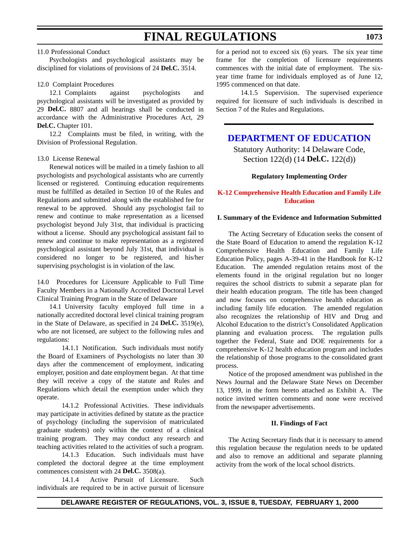### 11.0 Professional Conduct

Psychologists and psychological assistants may be disciplined for violations of provisions of 24 **Del.C.** 3514.

### 12.0 Complaint Procedures

12.1 Complaints against psychologists and psychological assistants will be investigated as provided by 29 **Del.C.** 8807 and all hearings shall be conducted in accordance with the Administrative Procedures Act, 29 **Del.C.** Chapter 101.

12.2 Complaints must be filed, in writing, with the Division of Professional Regulation.

### 13.0 License Renewal

Renewal notices will be mailed in a timely fashion to all psychologists and psychological assistants who are currently licensed or registered. Continuing education requirements must be fulfilled as detailed in Section 10 of the Rules and Regulations and submitted along with the established fee for renewal to be approved. Should any psychologist fail to renew and continue to make representation as a licensed psychologist beyond July 31st, that individual is practicing without a license. Should any psychological assistant fail to renew and continue to make representation as a registered psychological assistant beyond July 31st, that individual is considered no longer to be registered, and his/her supervising psychologist is in violation of the law.

14.0 Procedures for Licensure Applicable to Full Time Faculty Members in a Nationally Accredited Doctoral Level Clinical Training Program in the State of Delaware

14.1 University faculty employed full time in a nationally accredited doctoral level clinical training program in the State of Delaware, as specified in 24 **Del.C.** 3519(e), who are not licensed, are subject to the following rules and regulations:

14.1.1 Notification. Such individuals must notify the Board of Examiners of Psychologists no later than 30 days after the commencement of employment, indicating employer, position and date employment began. At that time they will receive a copy of the statute and Rules and Regulations which detail the exemption under which they operate.

14.1.2 Professional Activities. These individuals may participate in activities defined by statute as the practice of psychology (including the supervision of matriculated graduate students) only within the context of a clinical training program. They may conduct any research and teaching activities related to the activities of such a program.

14.1.3 Education. Such individuals must have completed the doctoral degree at the time employment commences consistent with 24 **Del.C.** 3508(a).

14.1.4 Active Pursuit of Licensure. Such individuals are required to be in active pursuit of licensure for a period not to exceed six (6) years. The six year time frame for the completion of licensure requirements commences with the initial date of employment. The sixyear time frame for individuals employed as of June 12, 1995 commenced on that date.

14.1.5 Supervision. The supervised experience required for licensure of such individuals is described in Section 7 of the Rules and Regulations.

### **[DEPARTMENT OF EDUCATION](http://www.doe.state.de.us/)**

Statutory Authority: 14 Delaware Code, Section 122(d) (14 **Del.C.** 122(d))

### **Regulatory Implementing Order**

### **[K-12 Comprehensive Health Education and Family Life](#page-3-0) Education**

### **I. Summary of the Evidence and Information Submitted**

The Acting Secretary of Education seeks the consent of the State Board of Education to amend the regulation K-12 Comprehensive Health Education and Family Life Education Policy, pages A-39-41 in the Handbook for K-12 Education. The amended regulation retains most of the elements found in the original regulation but no longer requires the school districts to submit a separate plan for their health education program. The title has been changed and now focuses on comprehensive health education as including family life education. The amended regulation also recognizes the relationship of HIV and Drug and Alcohol Education to the district's Consolidated Application planning and evaluation process. The regulation pulls together the Federal, State and DOE requirements for a comprehensive K-12 health education program and includes the relationship of those programs to the consolidated grant process.

Notice of the proposed amendment was published in the News Journal and the Delaware State News on December 13, 1999, in the form hereto attached as Exhibit A. The notice invited written comments and none were received from the newspaper advertisements.

#### **II. Findings of Fact**

The Acting Secretary finds that it is necessary to amend this regulation because the regulation needs to be updated and also to remove an additional and separate planning activity from the work of the local school districts.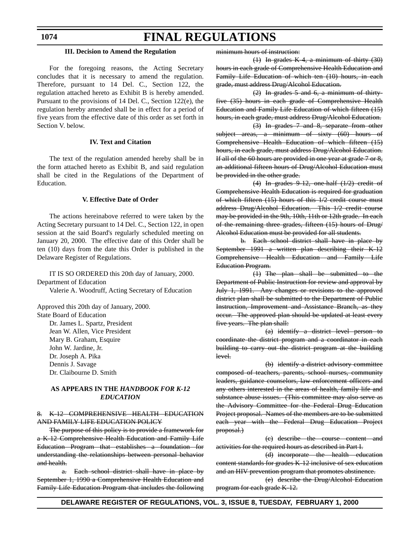# **FINAL REGULATIONS**

### **III. Decision to Amend the Regulation**

For the foregoing reasons, the Acting Secretary concludes that it is necessary to amend the regulation. Therefore, pursuant to 14 Del. C., Section 122, the regulation attached hereto as Exhibit B is hereby amended. Pursuant to the provisions of 14 Del. C., Section 122(e), the regulation hereby amended shall be in effect for a period of five years from the effective date of this order as set forth in Section V. below.

### **IV. Text and Citation**

The text of the regulation amended hereby shall be in the form attached hereto as Exhibit B, and said regulation shall be cited in the Regulations of the Department of Education.

### **V. Effective Date of Order**

The actions hereinabove referred to were taken by the Acting Secretary pursuant to 14 Del. C., Section 122, in open session at the said Board's regularly scheduled meeting on January 20, 2000. The effective date of this Order shall be ten (10) days from the date this Order is published in the Delaware Register of Regulations.

IT IS SO ORDERED this 20th day of January, 2000. Department of Education Valerie A. Woodruff, Acting Secretary of Education

Approved this 20th day of January, 2000. State Board of Education

Dr. James L. Spartz, President Jean W. Allen, Vice President Mary B. Graham, Esquire John W. Jardine, Jr. Dr. Joseph A. Pika Dennis J. Savage Dr. Claibourne D. Smith

### **AS APPEARS IN THE** *HANDBOOK FOR K-12 EDUCATION*

### 8. K-12 COMPREHENSIVE HEALTH EDUCATION AND FAMILY LIFE EDUCATION POLICY

The purpose of this policy is to provide a framework for a K-12 Comprehensive Health Education and Family Life Education Program that establishes a foundation for understanding the relationships between personal behavior and health.

a. Each school district shall have in place by September 1, 1990 a Comprehensive Health Education and Family Life Education Program that includes the following minimum hours of instruction:

(1) In grades K-4, a minimum of thirty (30) hours in each grade of Comprehensive Health Education and Family Life Education of which ten (10) hours, in each grade, must address Drug/Alcohol Education.

(2) In grades 5 and 6, a minimum of thirtyfive (35) hours in each grade of Comprehensive Health Education and Family Life Education of which fifteen (15) hours, in each grade, must address Drug/Alcohol Education.

(3) In grades 7 and 8, separate from other subject areas, a minimum of sixty (60) hours of Comprehensive Health Education of which fifteen (15) hours, in each grade, must address Drug/Alcohol Education. If all of the 60 hours are provided in one year at grade 7 or 8, an additional fifteen hours of Drug/Alcohol Education must be provided in the other grade.

(4) In grades 9-12, one-half (1/2) credit of Comprehensive Health Education is required for graduation of which fifteen (15) hours of this 1/2 credit course must address Drug/Alcohol Education. This 1/2 credit course may be provided in the 9th, 10th, 11th or 12th grade. In each of the remaining three grades, fifteen (15) hours of Drug/ Alcohol Education must be provided for all students.

b. Each school district shall have in place by September 1991 a written plan describing their K-12 Comprehensive Health Education and Family Life Education Program.

(1) The plan shall be submitted to the Department of Public Instruction for review and approval by July 1, 1991. Any changes or revisions to the approved district plan shall be submitted to the Department of Public Instruction, Improvement and Assistance Branch, as they occur. The approved plan should be updated at least every five years. The plan shall:

(a) identify a district level person to coordinate the district program and a coordinator in each building to carry out the district program at the building level.

(b) identify a district advisory committee composed of teachers, parents, school nurses, community leaders, guidance counselors, law enforcement officers and any others interested in the areas of health, family life and substance abuse issues. (This committee may also serve as the Advisory Committee for the Federal Drug Education Project proposal. Names of the members are to be submitted each year with the Federal Drug Education Project proposal.)

(c) describe the course content and activities for the required hours as described in Part I.

(d) incorporate the health education content standards for grades K-12 inclusive of sex education and an HIV prevention program that promotes abstinence.

(e) describe the Drug/Alcohol Education program for each grade K-12.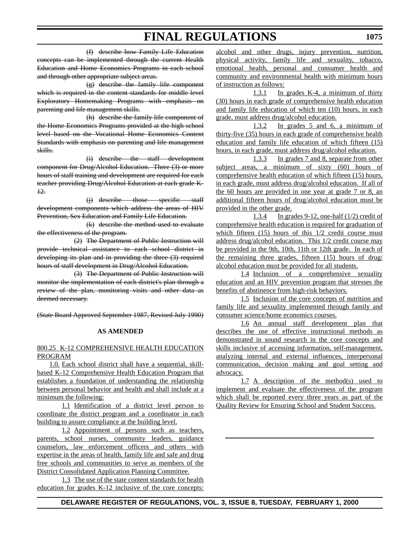(f) describe how Family Life Education concepts can be implemented through the current Health Education and Home Economics Programs in each school and through other appropriate subject areas.

(g) describe the family life component which is required in the content standards for middle level Exploratory Homemaking Programs with emphasis on parenting and life management skills.

(h) describe the family life component of the Home Economics Programs provided at the high school level based on the Vocational Home Economics Content Standards with emphasis on parenting and life management skills.

(i) describe the staff development component for Drug/Alcohol Education. Three (3) or more hours of staff training and development are required for each teacher providing Drug/Alcohol Education at each grade K-12.

(j) describe those specific staff development components which address the areas of HIV Prevention, Sex Education and Family Life Education.

(k) describe the method used to evaluate the effectiveness of the program.

(2) The Department of Public Instruction will provide technical assistance to each school district in developing its plan and in providing the three (3) required hours of staff development in Drug/Alcohol Education.

(3) The Department of Public Instruction will monitor the implementation of each district's plan through a review of the plan, monitoring visits and other data as deemed necessary.

(State Board Approved September 1987, Revised July 1990)

### **AS AMENDED**

### 800.25 K-12 COMPREHENSIVE HEALTH EDUCATION PROGRAM

1.0. Each school district shall have a sequential, skillbased K-12 Comprehensive Health Education Program that establishes a foundation of understanding the relationship between personal behavior and health and shall include at a minimum the following:

1.1 Identification of a district level person to coordinate the district program and a coordinator in each building to assure compliance at the building level.

1.2 Appointment of persons such as teachers, parents, school nurses, community leaders, guidance counselors, law enforcement officers and others with expertise in the areas of health, family life and safe and drug free schools and communities to serve as members of the District Consolidated Application Planning Committee.

1.3 The use of the state content standards for health education for grades K-12 inclusive of the core concepts: alcohol and other drugs, injury prevention, nutrition, physical activity, family life and sexuality, tobacco, emotional health, personal and consumer health and community and environmental health with minimum hours of instruction as follows:

1.3.1 In grades K-4, a minimum of thirty (30) hours in each grade of comprehensive health education and family life education of which ten (10) hours, in each grade, must address drug/alcohol education.

1.3.2 In grades 5 and 6, a minimum of thirty-five (35) hours in each grade of comprehensive health education and family life education of which fifteen (15) hours, in each grade, must address drug/alcohol education.

1.3.3 In grades 7 and 8, separate from other subject areas, a minimum of sixty (60) hours of comprehensive health education of which fifteen (15) hours, in each grade, must address drug/alcohol education. If all of the 60 hours are provided in one year at grade 7 or 8, an additional fifteen hours of drug/alcohol education must be provided in the other grade.

1.3.4 In grades 9-12, one-half (1/2) credit of comprehensive health education is required for graduation of which fifteen (15) hours of this  $1/2$  credit course must address drug/alcohol education. This 1/2 credit course may be provided in the 9th, 10th, 11th or 12th grade. In each of the remaining three grades, fifteen (15) hours of drug/ alcohol education must be provided for all students.

1.4 Inclusion of a comprehensive sexuality education and an HIV prevention program that stresses the benefits of abstinence from high-risk behaviors.

1.5 Inclusion of the core concepts of nutrition and family life and sexuality implemented through family and consumer science/home economics courses.

1.6 An annual staff development plan that describes the use of effective instructional methods as demonstrated in sound research in the core concepts and skills inclusive of accessing information, self-management, analyzing internal and external influences, interpersonal communication, decision making and goal setting and advocacy.

1.7 A description of the method(s) used to implement and evaluate the effectiveness of the program which shall be reported every three years as part of the Quality Review for Ensuring School and Student Success.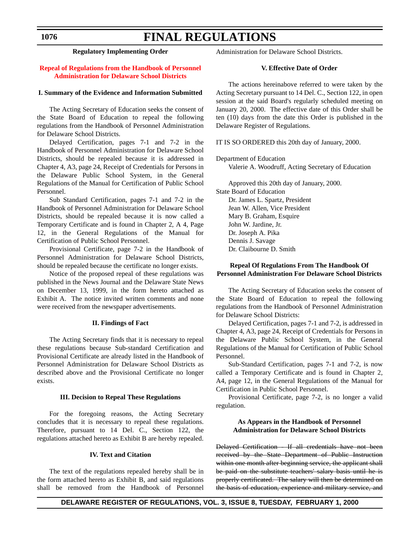# **FINAL REGULATIONS**

**Regulatory Implementing Order**

### **[Repeal of Regulations from the Handbook of Personnel](#page-3-0) Administration for Delaware School Districts**

### **I. Summary of the Evidence and Information Submitted**

The Acting Secretary of Education seeks the consent of the State Board of Education to repeal the following regulations from the Handbook of Personnel Administration for Delaware School Districts.

Delayed Certification, pages 7-1 and 7-2 in the Handbook of Personnel Administration for Delaware School Districts, should be repealed because it is addressed in Chapter 4, A3, page 24, Receipt of Credentials for Persons in the Delaware Public School System, in the General Regulations of the Manual for Certification of Public School Personnel.

Sub Standard Certification, pages 7-1 and 7-2 in the Handbook of Personnel Administration for Delaware School Districts, should be repealed because it is now called a Temporary Certificate and is found in Chapter 2, A 4, Page 12, in the General Regulations of the Manual for Certification of Public School Personnel.

Provisional Certificate, page 7-2 in the Handbook of Personnel Administration for Delaware School Districts, should be repealed because the certificate no longer exists.

Notice of the proposed repeal of these regulations was published in the News Journal and the Delaware State News on December 13, 1999, in the form hereto attached as Exhibit A. The notice invited written comments and none were received from the newspaper advertisements.

### **II. Findings of Fact**

The Acting Secretary finds that it is necessary to repeal these regulations because Sub-standard Certification and Provisional Certificate are already listed in the Handbook of Personnel Administration for Delaware School Districts as described above and the Provisional Certificate no longer exists.

### **III. Decision to Repeal These Regulations**

For the foregoing reasons, the Acting Secretary concludes that it is necessary to repeal these regulations. Therefore, pursuant to 14 Del. C., Section 122, the regulations attached hereto as Exhibit B are hereby repealed.

### **IV. Text and Citation**

The text of the regulations repealed hereby shall be in the form attached hereto as Exhibit B, and said regulations shall be removed from the Handbook of Personnel Administration for Delaware School Districts.

### **V. Effective Date of Order**

The actions hereinabove referred to were taken by the Acting Secretary pursuant to 14 Del. C., Section 122, in open session at the said Board's regularly scheduled meeting on January 20, 2000. The effective date of this Order shall be ten (10) days from the date this Order is published in the Delaware Register of Regulations.

IT IS SO ORDERED this 20th day of January, 2000.

Department of Education

Valerie A. Woodruff, Acting Secretary of Education

Approved this 20th day of January, 2000. State Board of Education Dr. James L. Spartz, President Jean W. Allen, Vice President

Mary B. Graham, Esquire John W. Jardine, Jr. Dr. Joseph A. Pika Dennis J. Savage Dr. Claibourne D. Smith

### **Repeal Of Regulations From The Handbook Of Personnel Administration For Delaware School Districts**

The Acting Secretary of Education seeks the consent of the State Board of Education to repeal the following regulations from the Handbook of Personnel Administration for Delaware School Districts:

Delayed Certification, pages 7-1 and 7-2, is addressed in Chapter 4, A3, page 24, Receipt of Credentials for Persons in the Delaware Public School System, in the General Regulations of the Manual for Certification of Public School Personnel.

Sub-Standard Certification, pages 7-1 and 7-2, is now called a Temporary Certificate and is found in Chapter 2, A4, page 12, in the General Regulations of the Manual for Certification in Public School Personnel.

Provisional Certificate, page 7-2, is no longer a valid regulation.

### **As Appears in the Handbook of Personnel Administration for Delaware School Districts**

Delayed Certification - If all credentials have not been received by the State Department of Public Instruction within one month after beginning service, the applicant shall be paid on the substitute teachers' salary basis until he is properly certificated. The salary will then be determined on the basis of education, experience and military service, and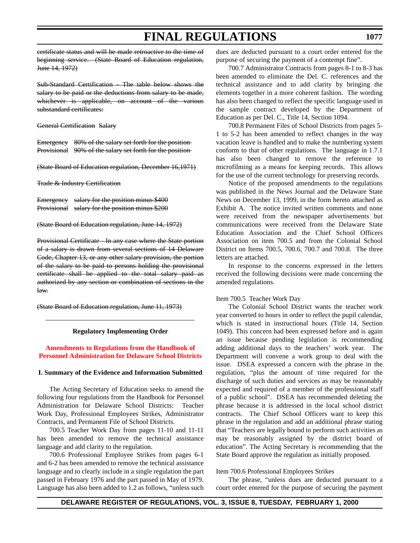certificate status and will be made retroactive to the time of beginning service. (State Board of Education regulation, June 14, 1972)

Sub-Standard Certification - The table below shows the salary to be paid or the deductions from salary to be made, whichever is applicable, on account of the various substandard certificates:

General Certification Salary

Emergency 80% of the salary set forth for the position Provisional 90% of the salary set forth for the position

(State Board of Education regulation, December 16,1971)

Trade & Industry Certification

Emergency salary for the position minus \$400 Provisional salary for the position minus \$200

(State Board of Education regulation, June 14, 1972)

Provisional Certificate - In any case where the State portion of a salary is drawn from several sections of 14 Delaware Code, Chapter 13, or any other salary provision, the portion of the salary to be paid to persons holding the provisional certificate shall be applied to the total salary paid as authorized by any section or combination of sections in the law.

(State Board of Education regulation, June 11, 1973)

### **Regulatory Implementing Order**

### **Amendments to Regulations from the Handbook of [Personnel Administration for Delaware School Districts](#page-3-0)**

### **I. Summary of the Evidence and Information Submitted**

The Acting Secretary of Education seeks to amend the following four regulations from the Handbook for Personnel Administration for Delaware School Districts: Teacher Work Day, Professional Employees Strikes, Administrator Contracts, and Permanent File of School Districts.

700.5 Teacher Work Day from pages 11-10 and 11-11 has been amended to remove the technical assistance language and add clarity to the regulation.

700.6 Professional Employee Strikes from pages 6-1 and 6-2 has been amended to remove the technical assistance language and to clearly include in a single regulation the part passed in February 1976 and the part passed in May of 1979. Language has also been added to 1.2 as follows, "unless such dues are deducted pursuant to a court order entered for the purpose of securing the payment of a contempt fine".

700.7 Administrator Contracts from pages 8-1 to 8-3 has been amended to eliminate the Del. C. references and the technical assistance and to add clarity by bringing the elements together in a more coherent fashion. The wording has also been changed to reflect the specific language used in the sample contract developed by the Department of Education as per Del. C., Title 14, Section 1094.

700.8 Permanent Files of School Districts from pages 5- 1 to 5-2 has been amended to reflect changes in the way vacation leave is handled and to make the numbering system conform to that of other regulations. The language in 1.7.1 has also been changed to remove the reference to microfilming as a means for keeping records. This allows for the use of the current technology for preserving records.

Notice of the proposed amendments to the regulations was published in the News Journal and the Delaware State News on December 13, 1999, in the form hereto attached as Exhibit A. The notice invited written comments and none were received from the newspaper advertisements but communications were received from the Delaware State Education Association and the Chief School Officers Association on item 700.5 and from the Colonial School District on Items 700.5, 700.6, 700.7 and 700.8. The three letters are attached.

In response to the concerns expressed in the letters received the following decisions were made concerning the amended regulations.

### Item 700.5 Teacher Work Day

The Colonial School District wants the teacher work year converted to hours in order to reflect the pupil calendar, which is stated in instructional hours (Title 14, Section 1049). This concern had been expressed before and is again an issue because pending legislation is recommending adding additional days to the teachers' work year. The Department will convene a work group to deal with the issue. DSEA expressed a concern with the phrase in the regulation, "plus the amount of time required for the discharge of such duties and services as may be reasonably expected and required of a member of the professional staff of a public school". DSEA has recommended deleting the phrase because it is addressed in the local school district contracts. The Chief School Officers want to keep this phrase in the regulation and add an additional phrase stating that "Teachers are legally bound to perform such activities as may be reasonably assigned by the district board of education". The Acting Secretary is recommending that the State Board approve the regulation as initially proposed.

Item 700.6 Professional Employees Strikes

The phrase, "unless dues are deducted pursuant to a court order entered for the purpose of securing the payment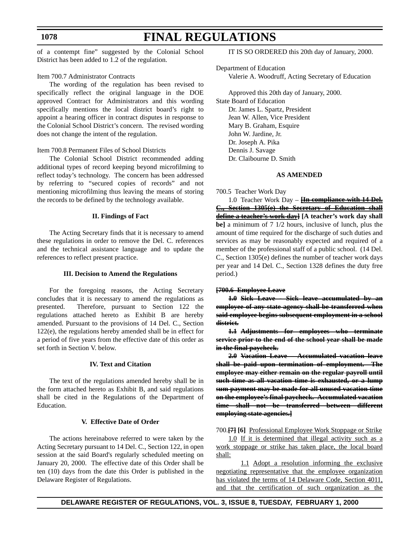# **FINAL REGULATIONS**

of a contempt fine" suggested by the Colonial School District has been added to 1.2 of the regulation.

### Item 700.7 Administrator Contracts

The wording of the regulation has been revised to specifically reflect the original language in the DOE approved Contract for Administrators and this wording specifically mentions the local district board's right to appoint a hearing officer in contract disputes in response to the Colonial School District's concern. The revised wording does not change the intent of the regulation.

### Item 700.8 Permanent Files of School Districts

The Colonial School District recommended adding additional types of record keeping beyond microfilming to reflect today's technology. The concern has been addressed by referring to "secured copies of records" and not mentioning microfilming thus leaving the means of storing the records to be defined by the technology available.

### **II. Findings of Fact**

The Acting Secretary finds that it is necessary to amend these regulations in order to remove the Del. C. references and the technical assistance language and to update the references to reflect present practice.

### **III. Decision to Amend the Regulations**

For the foregoing reasons, the Acting Secretary concludes that it is necessary to amend the regulations as presented. Therefore, pursuant to Section 122 the regulations attached hereto as Exhibit B are hereby amended. Pursuant to the provisions of 14 Del. C., Section 122(e), the regulations hereby amended shall be in effect for a period of five years from the effective date of this order as set forth in Section V. below.

### **IV. Text and Citation**

The text of the regulations amended hereby shall be in the form attached hereto as Exhibit B, and said regulations shall be cited in the Regulations of the Department of Education.

### **V. Effective Date of Order**

The actions hereinabove referred to were taken by the Acting Secretary pursuant to 14 Del. C., Section 122, in open session at the said Board's regularly scheduled meeting on January 20, 2000. The effective date of this Order shall be ten (10) days from the date this Order is published in the Delaware Register of Regulations.

IT IS SO ORDERED this 20th day of January, 2000.

Department of Education Valerie A. Woodruff, Acting Secretary of Education

Approved this 20th day of January, 2000. State Board of Education Dr. James L. Spartz, President Jean W. Allen, Vice President Mary B. Graham, Esquire John W. Jardine, Jr. Dr. Joseph A. Pika Dennis J. Savage Dr. Claibourne D. Smith

### **AS AMENDED**

700.5 Teacher Work Day

1.0 Teacher Work Day – **[In compliance with 14 Del. C., Section 1305(e) the Secretary of Education shall define a teacher's work day] [A teacher's work day shall be]** a minimum of 7 1/2 hours, inclusive of lunch, plus the amount of time required for the discharge of such duties and services as may be reasonably expected and required of a member of the professional staff of a public school. (14 Del. C., Section 1305(e) defines the number of teacher work days per year and 14 Del. C., Section 1328 defines the duty free period.)

### **[700.6 Employee Leave**

**1.0 Sick Leave - Sick leave accumulated by an employee of any state agency shall be transferred when said employee begins subsequent employment in a school district.**

**1.1 Adjustments for employees who terminate service prior to the end of the school year shall be made in the final paycheck.**

**2.0 Vacation Leave – Accumulated vacation leave shall be paid upon termination of employment. The employee may either remain on the regular payroll until such time as all vacation time is exhausted, or a lump sum payment may be made for all unused vacation time on the employee's final paycheck. Accumulated vacation time shall not be transferred between different employing state agencies.]**

700.**[7] [6]** Professional Employee Work Stoppage or Strike

1.0 If it is determined that illegal activity such as a work stoppage or strike has taken place, the local board shall:

1.1 Adopt a resolution informing the exclusive negotiating representative that the employee organization has violated the terms of 14 Delaware Code, Section 4011, and that the certification of such organization as the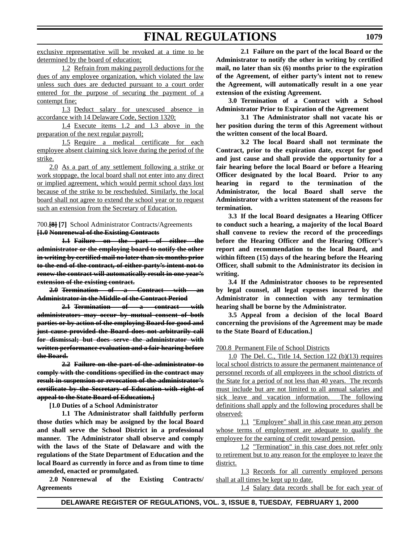exclusive representative will be revoked at a time to be determined by the board of education;

1.2 Refrain from making payroll deductions for the dues of any employee organization, which violated the law unless such dues are deducted pursuant to a court order entered for the purpose of securing the payment of a contempt fine;

1.3 Deduct salary for unexcused absence in accordance with 14 Delaware Code, Section 1320;

1.4 Execute items 1.2 and 1.3 above in the preparation of the next regular payroll;

1.5 Require a medical certificate for each employee absent claiming sick leave during the period of the strike.

2.0 As a part of any settlement following a strike or work stoppage, the local board shall not enter into any direct or implied agreement, which would permit school days lost because of the strike to be rescheduled. Similarly, the local board shall not agree to extend the school year or to request such an extension from the Secretary of Education.

700.**[8] [7]** School Administrator Contracts/Agreements **[1.0 Nonrenewal of the Existing Contracts**

**1.1 Failure on the part of either the administrator or the employing board to notify the other in writing by certified mail no later than six months prior to the end of the contract, of either party's intent not to renew the contract will automatically result in one year's extension of the existing contract.**

**2.0 Termination of a Contract with an Administrator in the Middle of the Contract Period**

**2.1 Termination of a contract with administrators may occur by mutual consent of both parties or by action of the employing Board for good and just cause provided the Board does not arbitrarily call for dismissal; but does serve the administrator with written performance evaluation and a fair hearing before the Board.**

**2.2 Failure on the part of the administrator to comply with the conditions specified in the contract may result in suspension or revocation of the administrator's certificate by the Secretary of Education with right of appeal to the State Board of Education.]**

**[1.0 Duties of a School Administrator**

**1.1 The Administrator shall faithfully perform those duties which may be assigned by the local Board and shall serve the School District in a professional manner. The Administrator shall observe and comply with the laws of the State of Delaware and with the regulations of the State Department of Education and the local Board as currently in force and as from time to time amended, enacted or promulgated.**

**2.0 Nonrenewal of the Existing Contracts/ Agreements**

**2.1 Failure on the part of the local Board or the Administrator to notify the other in writing by certified mail, no later than six (6) months prior to the expiration of the Agreement, of either party's intent not to renew the Agreement, will automatically result in a one year extension of the existing Agreement.**

**3.0 Termination of a Contract with a School Administrator Prior to Expiration of the Agreement**

**3.1 The Administrator shall not vacate his or her position during the term of this Agreement without the written consent of the local Board.**

**3.2 The local Board shall not terminate the Contract, prior to the expiration date, except for good and just cause and shall provide the opportunity for a fair hearing before the local Board or before a Hearing Officer designated by the local Board. Prior to any hearing in regard to the termination of the Administrator, the local Board shall serve the Administrator with a written statement of the reasons for termination.**

**3.3 If the local Board designates a Hearing Officer to conduct such a hearing, a majority of the local Board shall convene to review the record of the proceedings before the Hearing Officer and the Hearing Officer's report and recommendation to the local Board, and within fifteen (15) days of the hearing before the Hearing Officer, shall submit to the Administrator its decision in writing.**

**3.4 If the Administrator chooses to be represented by legal counsel, all legal expenses incurred by the Administrator in connection with any termination hearing shall be borne by the Administrator.**

**3.5 Appeal from a decision of the local Board concerning the provisions of the Agreement may be made to the State Board of Education.]**

700.8 Permanent File of School Districts

1.0 The Del. C., Title 14, Section 122 (b)(13) requires local school districts to assure the permanent maintenance of personnel records of all employees in the school districts of the State for a period of not less than 40 years. The records must include but are not limited to all annual salaries and sick leave and vacation information. The following definitions shall apply and the following procedures shall be observed:

1.1 "Employee" shall in this case mean any person whose terms of employment are adequate to qualify the employee for the earning of credit toward pension.

1.2 "Termination" in this case does not refer only to retirement but to any reason for the employee to leave the district.

1.3 Records for all currently employed persons shall at all times be kept up to date.

1.4 Salary data records shall be for each year of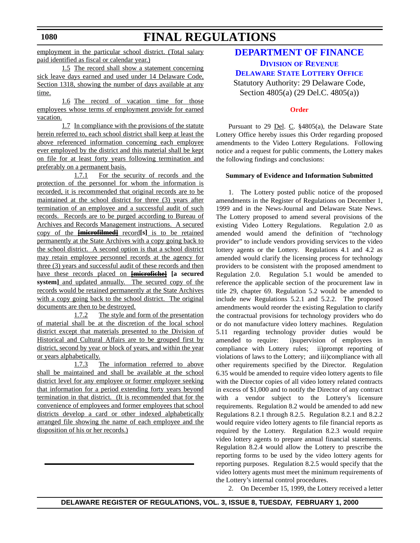**1080**

# **FINAL REGULATIONS**

employment in the particular school district. (Total salary paid identified as fiscal or calendar year.)

1.5 The record shall show a statement concerning sick leave days earned and used under 14 Delaware Code, Section 1318, showing the number of days available at any time.

1.6 The record of vacation time for those employees whose terms of employment provide for earned vacation.

1.7 In compliance with the provisions of the statute herein referred to, each school district shall keep at least the above referenced information concerning each employee ever employed by the district and this material shall be kept on file for at least forty years following termination and preferably on a permanent basis.

1.7.1 For the security of records and the protection of the personnel for whom the information is recorded, it is recommended that original records are to be maintained at the school district for three (3) years after termination of an employee and a successful audit of such records. Records are to be purged according to Bureau of Archives and Records Management instructions. A secured copy of the **[microfilmed]** record**[s]** is to be retained permanently at the State Archives with a copy going back to the school district. A second option is that a school district may retain employee personnel records at the agency for three (3) years and successful audit of these records and then have these records placed on **[microfiche] [a secured** system] and updated annually. The secured copy of the records would be retained permanently at the State Archives with a copy going back to the school district. The original documents are then to be destroyed.

1.7.2 The style and form of the presentation of material shall be at the discretion of the local school district except that materials presented to the Division of Historical and Cultural Affairs are to be grouped first by district, second by year or block of years, and within the year or years alphabetically.

1.7.3 The information referred to above shall be maintained and shall be available at the school district level for any employee or former employee seeking that information for a period extending forty years beyond termination in that district. (It is recommended that for the convenience of employees and former employees that school districts develop a card or other indexed alphabetically arranged file showing the name of each employee and the disposition of his or her records.)

# **[DEPARTMENT OF FINANCE](http://www.state.de.us/finance/index.htm) DIVISION OF REVENUE**

**DELAWARE STATE LOTTERY OFFICE**

Statutory Authority: 29 Delaware Code, Section 4805(a) (29 Del.C. 4805(a))

# **[Order](#page-3-0)**

Pursuant to 29 Del. C. §4805(a), the Delaware State Lottery Office hereby issues this Order regarding proposed amendments to the Video Lottery Regulations. Following notice and a request for public comments, the Lottery makes the following findings and conclusions:

# **Summary of Evidence and Information Submitted**

1. The Lottery posted public notice of the proposed amendments in the Register of Regulations on December 1, 1999 and in the News-Journal and Delaware State News. The Lottery proposed to amend several provisions of the existing Video Lottery Regulations. Regulation 2.0 as amended would amend the definition of "technology provider" to include vendors providing services to the video lottery agents or the Lottery. Regulations 4.1 and 4.2 as amended would clarify the licensing process for technology providers to be consistent with the proposed amendment to Regulation 2.0. Regulation 5.1 would be amended to reference the applicable section of the procurement law in title 29, chapter 69. Regulation 5.2 would be amended to include new Regulations 5.2.1 and 5.2.2. The proposed amendments would reorder the existing Regulation to clarify the contractual provisions for technology providers who do or do not manufacture video lottery machines. Regulation 5.11 regarding technology provider duties would be amended to require: i)supervision of employees in compliance with Lottery rules; ii)prompt reporting of violations of laws to the Lottery; and iii)compliance with all other requirements specified by the Director. Regulation 6.35 would be amended to require video lottery agents to file with the Director copies of all video lottery related contracts in excess of \$1,000 and to notify the Director of any contract with a vendor subject to the Lottery's licensure requirements. Regulation 8.2 would be amended to add new Regulations 8.2.1 through 8.2.5. Regulation 8.2.1 and 8.2.2 would require video lottery agents to file financial reports as required by the Lottery. Regulation 8.2.3 would require video lottery agents to prepare annual financial statements. Regulation 8.2.4 would allow the Lottery to prescribe the reporting forms to be used by the video lottery agents for reporting purposes. Regulation 8.2.5 would specify that the video lottery agents must meet the minimum requirements of the Lottery's internal control procedures.

2. On December 15, 1999, the Lottery received a letter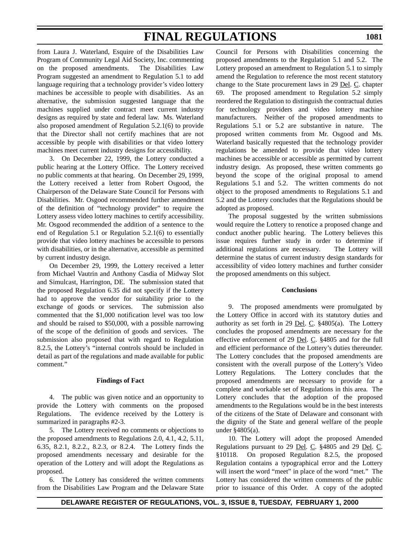from Laura J. Waterland, Esquire of the Disabilities Law Program of Community Legal Aid Society, Inc. commenting on the proposed amendments. The Disabilities Law Program suggested an amendment to Regulation 5.1 to add language requiring that a technology provider's video lottery machines be accessible to people with disabilities. As an alternative, the submission suggested language that the machines supplied under contract meet current industry designs as required by state and federal law. Ms. Waterland also proposed amendment of Regulation 5.2.1(6) to provide that the Director shall not certify machines that are not accessible by people with disabilities or that video lottery machines meet current industry designs for accessibility.

3. On December 22, 1999, the Lottery conducted a public hearing at the Lottery Office. The Lottery received no public comments at that hearing. On December 29, 1999, the Lottery received a letter from Robert Osgood, the Chairperson of the Delaware State Council for Persons with Disabilities. Mr. Osgood recommended further amendment of the definition of "technology provider" to require the Lottery assess video lottery machines to certify accessibility. Mr. Osgood recommended the addition of a sentence to the end of Regulation 5.1 or Regulation 5.2.1(6) to essentially provide that video lottery machines be accessible to persons with disabilities, or in the alternative, accessible as permitted by current industry design.

On December 29, 1999, the Lottery received a letter from Michael Vautrin and Anthony Casdia of Midway Slot and Simulcast, Harrington, DE. The submission stated that the proposed Regulation 6.35 did not specify if the Lottery had to approve the vendor for suitability prior to the exchange of goods or services. The submission also commented that the \$1,000 notification level was too low and should be raised to \$50,000, with a possible narrowing of the scope of the definition of goods and services. The submission also proposed that with regard to Regulation 8.2.5, the Lottery's "internal controls should be included in detail as part of the regulations and made available for public comment."

# **Findings of Fact**

4. The public was given notice and an opportunity to provide the Lottery with comments on the proposed Regulations. The evidence received by the Lottery is summarized in paragraphs #2-3.

5. The Lottery received no comments or objections to the proposed amendments to Regulations 2.0, 4.1, 4.2, 5.11, 6.35, 8.2.1, 8.2.2., 8.2.3, or 8.2.4. The Lottery finds the proposed amendments necessary and desirable for the operation of the Lottery and will adopt the Regulations as proposed.

6. The Lottery has considered the written comments from the Disabilities Law Program and the Delaware State Council for Persons with Disabilities concerning the proposed amendments to the Regulation 5.1 and 5.2. The Lottery proposed an amendment to Regulation 5.1 to simply amend the Regulation to reference the most recent statutory change to the State procurement laws in 29 Del. C. chapter 69. The proposed amendment to Regulation 5.2 simply reordered the Regulation to distinguish the contractual duties for technology providers and video lottery machine manufacturers. Neither of the proposed amendments to Regulations 5.1 or 5.2 are substantive in nature. The proposed written comments from Mr. Osgood and Ms. Waterland basically requested that the technology provider regulations be amended to provide that video lottery machines be accessible or accessible as permitted by current industry design. As proposed, these written comments go beyond the scope of the original proposal to amend Regulations 5.1 and 5.2. The written comments do not object to the proposed amendments to Regulations 5.1 and 5.2 and the Lottery concludes that the Regulations should be adopted as proposed.

The proposal suggested by the written submissions would require the Lottery to renotice a proposed change and conduct another public hearing. The Lottery believes this issue requires further study in order to determine if additional regulations are necessary. The Lottery will determine the status of current industry design standards for accessibility of video lottery machines and further consider the proposed amendments on this subject.

# **Conclusions**

9. The proposed amendments were promulgated by the Lottery Office in accord with its statutory duties and authority as set forth in 29 <u>Del</u>. C.  $\S 4805(a)$ . The Lottery concludes the proposed amendments are necessary for the effective enforcement of 29 Del. C. §4805 and for the full and efficient performance of the Lottery's duties thereunder. The Lottery concludes that the proposed amendments are consistent with the overall purpose of the Lottery's Video Lottery Regulations. The Lottery concludes that the proposed amendments are necessary to provide for a complete and workable set of Regulations in this area. The Lottery concludes that the adoption of the proposed amendments to the Regulations would be in the best interests of the citizens of the State of Delaware and consonant with the dignity of the State and general welfare of the people under §4805(a).

10. The Lottery will adopt the proposed Amended Regulations pursuant to 29 Del. C. §4805 and 29 Del. C. §10118. On proposed Regulation 8.2.5, the proposed Regulation contains a typographical error and the Lottery will insert the word "meet" in place of the word "met." The Lottery has considered the written comments of the public prior to issuance of this Order. A copy of the adopted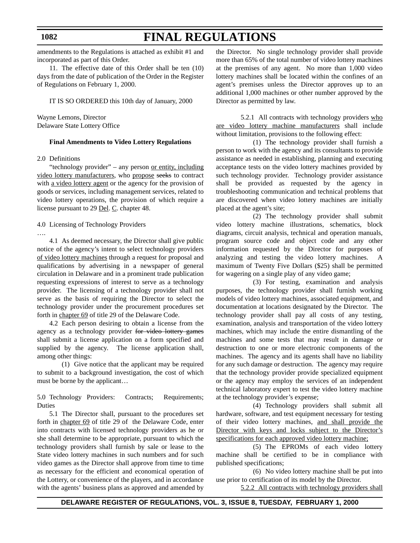amendments to the Regulations is attached as exhibit #1 and incorporated as part of this Order.

**FINAL REGULATIONS**

11. The effective date of this Order shall be ten (10) days from the date of publication of the Order in the Register of Regulations on February 1, 2000.

IT IS SO ORDERED this 10th day of January, 2000

Wayne Lemons, Director Delaware State Lottery Office

### **Final Amendments to Video Lottery Regulations**

2.0 Definitions

"technology provider" – any person or entity, including video lottery manufacturers, who propose seeks to contract with a video lottery agent or the agency for the provision of goods or services, including management services, related to video lottery operations, the provision of which require a license pursuant to 29 Del. C. chapter 48.

4.0 Licensing of Technology Providers

….

4.1 As deemed necessary, the Director shall give public notice of the agency's intent to select technology providers of video lottery machines through a request for proposal and qualifications by advertising in a newspaper of general circulation in Delaware and in a prominent trade publication requesting expressions of interest to serve as a technology provider. The licensing of a technology provider shall not serve as the basis of requiring the Director to select the technology provider under the procurement procedures set forth in chapter 69 of title 29 of the Delaware Code.

4.2 Each person desiring to obtain a license from the agency as a technology provider for video lottery games shall submit a license application on a form specified and supplied by the agency. The license application shall, among other things:

(1) Give notice that the applicant may be required to submit to a background investigation, the cost of which must be borne by the applicant…

5.0 Technology Providers: Contracts; Requirements; Duties

5.1 The Director shall, pursuant to the procedures set forth in chapter 69 of title 29 of the Delaware Code, enter into contracts with licensed technology providers as he or she shall determine to be appropriate, pursuant to which the technology providers shall furnish by sale or lease to the State video lottery machines in such numbers and for such video games as the Director shall approve from time to time as necessary for the efficient and economical operation of the Lottery, or convenience of the players, and in accordance with the agents' business plans as approved and amended by

the Director. No single technology provider shall provide more than 65% of the total number of video lottery machines at the premises of any agent. No more than 1,000 video lottery machines shall be located within the confines of an agent's premises unless the Director approves up to an additional 1,000 machines or other number approved by the Director as permitted by law.

5.2.1 All contracts with technology providers who are video lottery machine manufacturers shall include without limitation, provisions to the following effect:

(1) The technology provider shall furnish a person to work with the agency and its consultants to provide assistance as needed in establishing, planning and executing acceptance tests on the video lottery machines provided by such technology provider. Technology provider assistance shall be provided as requested by the agency in troubleshooting communication and technical problems that are discovered when video lottery machines are initially placed at the agent's site;

(2) The technology provider shall submit video lottery machine illustrations, schematics, block diagrams, circuit analysis, technical and operation manuals, program source code and object code and any other information requested by the Director for purposes of analyzing and testing the video lottery machines. A maximum of Twenty Five Dollars (\$25) shall be permitted for wagering on a single play of any video game;

(3) For testing, examination and analysis purposes, the technology provider shall furnish working models of video lottery machines, associated equipment, and documentation at locations designated by the Director. The technology provider shall pay all costs of any testing, examination, analysis and transportation of the video lottery machines, which may include the entire dismantling of the machines and some tests that may result in damage or destruction to one or more electronic components of the machines. The agency and its agents shall have no liability for any such damage or destruction. The agency may require that the technology provider provide specialized equipment or the agency may employ the services of an independent technical laboratory expert to test the video lottery machine at the technology provider's expense;

(4) Technology providers shall submit all hardware, software, and test equipment necessary for testing of their video lottery machines, and shall provide the Director with keys and locks subject to the Director's specifications for each approved video lottery machine;

(5) The EPROMs of each video lottery machine shall be certified to be in compliance with published specifications;

(6) No video lottery machine shall be put into use prior to certification of its model by the Director.

5.2.2 All contracts with technology providers shall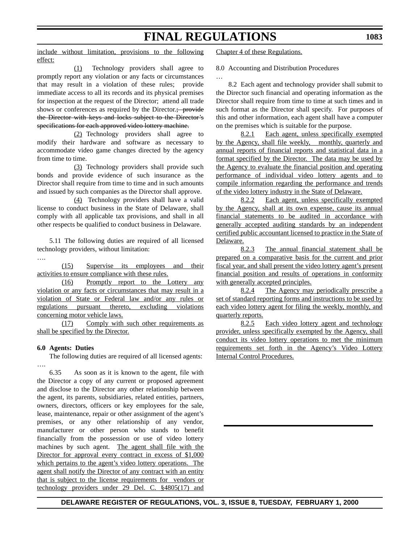…

include without limitation, provisions to the following effect:

(1) Technology providers shall agree to promptly report any violation or any facts or circumstances that may result in a violation of these rules; provide immediate access to all its records and its physical premises for inspection at the request of the Director; attend all trade shows or conferences as required by the Director.; provide the Director with keys and locks subject to the Director's specifications for each approved video lottery machine.

(2) Technology providers shall agree to modify their hardware and software as necessary to accommodate video game changes directed by the agency from time to time.

(3) Technology providers shall provide such bonds and provide evidence of such insurance as the Director shall require from time to time and in such amounts and issued by such companies as the Director shall approve.

(4) Technology providers shall have a valid license to conduct business in the State of Delaware, shall comply with all applicable tax provisions, and shall in all other respects be qualified to conduct business in Delaware.

5.11 The following duties are required of all licensed technology providers, without limitation:

…. (15) Supervise its employees and their activities to ensure compliance with these rules.

(16) Promptly report to the Lottery any violation or any facts or circumstances that may result in a violation of State or Federal law and/or any rules or regulations pursuant thereto, excluding violations concerning motor vehicle laws.

(17) Comply with such other requirements as shall be specified by the Director.

# **6.0 Agents: Duties**

The following duties are required of all licensed agents: ….

6.35 As soon as it is known to the agent, file with the Director a copy of any current or proposed agreement and disclose to the Director any other relationship between the agent, its parents, subsidiaries, related entities, partners, owners, directors, officers or key employees for the sale, lease, maintenance, repair or other assignment of the agent's premises, or any other relationship of any vendor, manufacturer or other person who stands to benefit financially from the possession or use of video lottery machines by such agent. The agent shall file with the Director for approval every contract in excess of \$1,000 which pertains to the agent's video lottery operations. The agent shall notify the Director of any contract with an entity that is subject to the license requirements for vendors or technology providers under 29 Del. C. §4805(17) and Chapter 4 of these Regulations.

8.0 Accounting and Distribution Procedures

8.2 Each agent and technology provider shall submit to the Director such financial and operating information as the Director shall require from time to time at such times and in such format as the Director shall specify. For purposes of this and other information, each agent shall have a computer on the premises which is suitable for the purpose.

8.2.1 Each agent, unless specifically exempted by the Agency, shall file weekly, monthly, quarterly and annual reports of financial reports and statistical data in a format specified by the Director. The data may be used by the Agency to evaluate the financial position and operating performance of individual video lottery agents and to compile information regarding the performance and trends of the video lottery industry in the State of Delaware.

8.2.2 Each agent, unless specifically exempted by the Agency, shall at its own expense, cause its annual financial statements to be audited in accordance with generally accepted auditing standards by an independent certified public accountant licensed to practice in the State of Delaware.

8.2.3 The annual financial statement shall be prepared on a comparative basis for the current and prior fiscal year, and shall present the video lottery agent's present financial position and results of operations in conformity with generally accepted principles.

8.2.4 The Agency may periodically prescribe a set of standard reporting forms and instructions to be used by each video lottery agent for filing the weekly, monthly, and quarterly reports.

8.2.5 Each video lottery agent and technology provider, unless specifically exempted by the Agency, shall conduct its video lottery operations to met the minimum requirements set forth in the Agency's Video Lottery Internal Control Procedures.

**DELAWARE REGISTER OF REGULATIONS, VOL. 3, ISSUE 8, TUESDAY, FEBRUARY 1, 2000**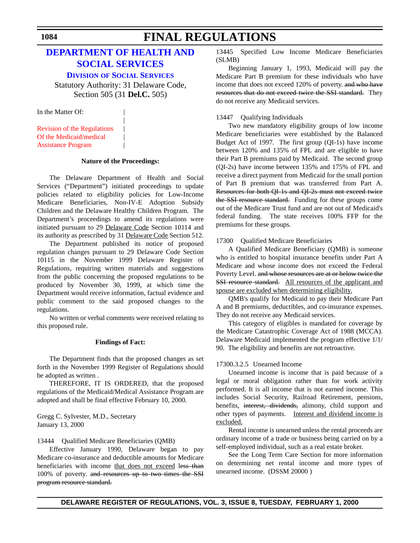# **[DEPARTMENT OF HEALTH AND](http://www.state.de.us/dhss/irm/dss/dsshome.htm) SOCIAL SERVICES**

**DIVISION OF SOCIAL SERVICES**

Statutory Authority: 31 Delaware Code, Section 505 (31 **Del.C.** 505)

|

In the Matter Of:

[Revision of the Regulations](#page-3-0) | Of the Medicaid/medical | Assistance Program |

### **Nature of the Proceedings:**

The Delaware Department of Health and Social Services ("Department") initiated proceedings to update policies related to eligibility policies for Low-Income Medicare Beneficiaries, Non-IV-E Adoption Subsidy Children and the Delaware Healthy Children Program. The Department's proceedings to amend its regulations were initiated pursuant to 29 Delaware Code Section 10114 and its authority as prescribed by 31 Delaware Code Section 512.

The Department published its notice of proposed regulation changes pursuant to 29 Delaware Code Section 10115 in the November 1999 Delaware Register of Regulations, requiring written materials and suggestions from the public concerning the proposed regulations to be produced by November 30, 1999, at which time the Department would receive information, factual evidence and public comment to the said proposed changes to the regulations.

No written or verbal comments were received relating to this proposed rule.

# **Findings of Fact:**

The Department finds that the proposed changes as set forth in the November 1999 Register of Regulations should be adopted as written .

THEREFORE, IT IS ORDERED, that the proposed regulations of the Medicaid/Medical Assistance Program are adopted and shall be final effective February 10, 2000.

Gregg C. Sylvester, M.D., Secretary January 13, 2000

### 13444 Qualified Medicare Beneficiaries (QMB)

Effective January 1990, Delaware began to pay Medicare co-insurance and deductible amounts for Medicare beneficiaries with income that does not exceed less than 100% of poverty. and resources up to two times the SSI program resource standard.

13445 Specified Low Income Medicare Beneficiaries (SLMB)

Beginning January 1, 1993, Medicaid will pay the Medicare Part B premium for these individuals who have income that does not exceed 120% of poverty. and who have resources that do not exceed twice the SSI standard. They do not receive any Medicaid services.

# 13447 Qualifying Individuals

Two new mandatory eligibility groups of low income Medicare beneficiaries were established by the Balanced Budget Act of 1997. The first group (QI-1s) have income between 120% and 135% of FPL and are eligible to have their Part B premiums paid by Medicaid. The second group (QI-2s) have income between 135% and 175% of FPL and receive a direct payment from Medicaid for the small portion of Part B premium that was transferred from Part A. Resources for both QI-1s and QI-2s must not exceed twice the SSI resource standard. Funding for these groups come out of the Medicare Trust fund and are not out of Medicaid's federal funding. The state receives 100% FFP for the premiums for these groups.

# 17300 Qualified Medicare Beneficiaries

A Qualified Medicare Beneficiary (QMB) is someone who is entitled to hospital insurance benefits under Part A Medicare and whose income does not exceed the Federal Poverty Level. and whose resources are at or below twice the SSI resource standard. All resources of the applicant and spouse are excluded when determining eligibility.

QMB's qualify for Medicaid to pay their Medicare Part A and B premiums, deductibles, and co-insurance expenses. They do not receive any Medicaid services.

This category of eligibles is mandated for coverage by the Medicare Catastrophic Coverage Act of 1988 (MCCA). Delaware Medicaid implemented the program effective 1/1/ 90. The eligibility and benefits are not retroactive.

# 17300.3.2.5 Unearned Income

Unearned income is income that is paid because of a legal or moral obligation rather than for work activity performed. It is all income that is not earned income. This includes Social Security, Railroad Retirement, pensions, benefits, interest, dividends, alimony, child support and other types of payments. Interest and dividend income is excluded.

Rental income is unearned unless the rental proceeds are ordinary income of a trade or business being carried on by a self-employed individual, such as a real estate broker.

See the Long Term Care Section for more information on determining net rental income and more types of unearned income. (DSSM 20000 )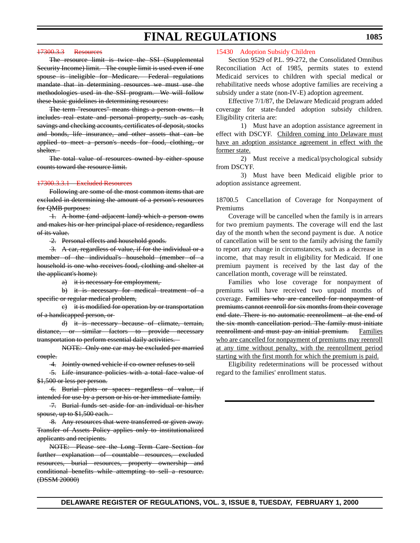# $17300.3.3$  [Resources](#page-3-0)

The resource limit is twice the SSI (Supplemental Security Income) limit. The couple limit is used even if one spouse is ineligible for Medicare. Federal regulations mandate that in determining resources we must use the methodologies used in the SSI program. We will follow these basic guidelines in determining resources:

The term "resources" means things a person owns. It includes real estate and personal property, such as cash, savings and checking accounts, certificates of deposit, stocks and bonds, life insurance, and other assets that can be applied to meet a person's needs for food, clothing, or shelter.

The total value of resources owned by either spouse counts toward the resource limit.

### $17300.3.3.1$  Excluded Re

Following are some of the most common items that are excluded in determining the amount of a person's resources for QMB purposes:

 1. A home (and adjacent land) which a person owns and makes his or her principal place of residence, regardless of its value.

2. Personal effects and household goods.

 3. A car, regardless of value, if for the individual or a member of the individual's household (member of a household is one who receives food, clothing and shelter at the applicant's home):

a) it is necessary for employment,

b) it is necessary for medical treatment of a specific or regular medical problem,

c) it is modified for operation by or transportation of a handicapped person, or

d) it is necessary because of climate, terrain, distance, or similar factors to provide necessary transportation to perform essential daily activities.

NOTE: Only one car may be excluded per married couple.

4. Jointly owned vehicle if co-owner refuses to sell

 5. Life insurance policies with a total face value of \$1,500 or less per person.

 6. Burial plots or spaces regardless of value, if intended for use by a person or his or her immediate family.

 7. Burial funds set aside for an individual or his/her spouse, up to \$1,500 each.

8. Any resources that were transferred or given away. Transfer of Assets Policy applies only to institutionalized applicants and recipients.

NOTE: Please see the Long Term Care Section for further explanation of countable resources, excluded resources, burial resources, property ownership and conditional benefits while attempting to sell a resource. (DSSM 20000)

### [15430 Adoption Subsidy Children](#page-3-0)

Section 9529 of P.L. 99-272, the Consolidated Omnibus Reconciliation Act of 1985, permits states to extend Medicaid services to children with special medical or rehabilitative needs whose adoptive families are receiving a subsidy under a state (non-IV-E) adoption agreement.

Effective 7/1/87, the Delaware Medicaid program added coverage for state-funded adoption subsidy children. Eligibility criteria are:

1) Must have an adoption assistance agreement in effect with DSCYF. Children coming into Delaware must have an adoption assistance agreement in effect with the former state.

2) Must receive a medical/psychological subsidy from DSCYF.

3) Must have been Medicaid eligible prior to adoption assistance agreement.

18700.5 Cancellation of Coverage for Nonpayment of Premiums

Coverage will be cancelled when the family is in arrears for two premium payments. The coverage will end the last day of the month when the second payment is due. A notice of cancellation will be sent to the family advising the family to report any change in circumstances, such as a decrease in income, that may result in eligibility for Medicaid. If one premium payment is received by the last day of the cancellation month, coverage will be reinstated.

Families who lose coverage for nonpayment of premiums will have received two unpaid months of coverage. Families who are cancelled for nonpayment of premiums cannot reenroll for six months from their coverage end date. There is no automatic reenrollment at the end of the six month cancellation period. The family must initiate reenrollment and must pay an initial premium. Families who are cancelled for nonpayment of premiums may reenroll at any time without penalty, with the reenrollment period starting with the first month for which the premium is paid.

Eligibility redeterminations will be processed without regard to the families' enrollment status.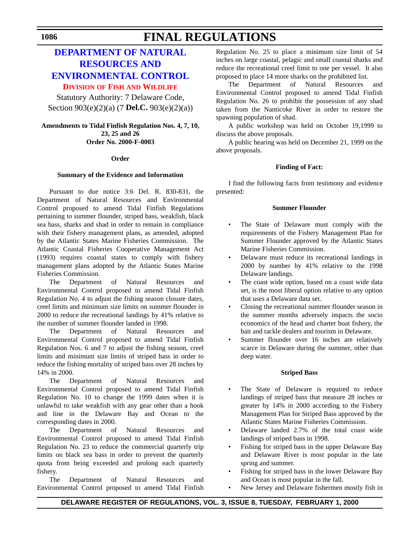# **DEPARTMENT OF NATURAL RESOURCES AND [ENVIRONMENTAL CONTROL](http://www.dnrec.state.de.us/fw/fwwel.htm) DIVISION OF FISH [AND WILDLIFE](#page-4-0)**

Statutory Authority: 7 Delaware Code, Section 903(e)(2)(a) (7 **Del.C.** 903(e)(2)(a))

# **Amendments to Tidal Finfish Regulation Nos. 4, 7, 10, 23, 25 and 26 Order No. 2000-F-0003**

# **Order**

# **Summary of the Evidence and Information**

Pursuant to due notice 3:6 Del. R. 830-831, the Department of Natural Resources and Environmental Control proposed to amend Tidal Finfish Regulations pertaining to summer flounder, striped bass, weakfish, black sea bass, sharks and shad in order to remain in compliance with their fishery management plans, as amended, adopted by the Atlantic States Marine Fisheries Commission. The Atlantic Coastal Fisheries Cooperative Management Act (1993) requires coastal states to comply with fishery management plans adopted by the Atlantic States Marine Fisheries Commission.

The Department of Natural Resources and Environmental Control proposed to amend Tidal Finfish Regulation No. 4 to adjust the fishing season closure dates, creel limits and minimum size limits on summer flounder in 2000 to reduce the recreational landings by 41% relative to the number of summer flounder landed in 1998.

The Department of Natural Resources and Environmental Control proposed to amend Tidal Finfish Regulation Nos. 6 and 7 to adjust the fishing season, creel limits and minimum size limits of striped bass in order to reduce the fishing mortality of striped bass over 28 inches by 14% in 2000.

The Department of Natural Resources and Environmental Control proposed to amend Tidal Finfish Regulation No. 10 to change the 1999 dates when it is unlawful to take weakfish with any gear other than a hook and line in the Delaware Bay and Ocean to the corresponding dates in 2000.

The Department of Natural Resources and Environmental Control proposed to amend Tidal Finfish Regulation No. 23 to reduce the commercial quarterly trip limits on black sea bass in order to prevent the quarterly quota from being exceeded and prolong each quarterly fishery.

The Department of Natural Resources and Environmental Control proposed to amend Tidal Finfish Regulation No. 25 to place a minimum size limit of 54 inches on large coastal, pelagic and small coastal sharks and reduce the recreational creel limit to one per vessel. It also proposed to place 14 more sharks on the prohibited list.

The Department of Natural Resources and Environmental Control proposed to amend Tidal Finfish Regulation No. 26 to prohibit the possession of any shad taken from the Nanticoke River in order to restore the spawning population of shad.

A public workshop was held on October 19,1999 to discuss the above proposals.

A public hearing was held on December 21, 1999 on the above proposals.

# **Finding of Fact:**

I find the following facts from testimony and evidence presented:

# **Summer Flounder**

- The State of Delaware must comply with the requirements of the Fishery Management Plan for Summer Flounder approved by the Atlantic States Marine Fisheries Commission.
- Delaware must reduce its recreational landings in 2000 by number by 41% relative to the 1998 Delaware landings.
- The coast wide option, based on a coast wide data set, is the most liberal option relative to any option that uses a Delaware data set.
- Closing the recreational summer flounder season in the summer months adversely impacts the socio economics of the head and charter boat fishery, the bait and tackle dealers and tourism in Delaware.
- Summer flounder over 16 inches are relatively scarce in Delaware during the summer, other than deep water.

# **Striped Bass**

- The State of Delaware is required to reduce landings of striped bass that measure 28 inches or greater by 14% in 2000 according to the Fishery Management Plan for Striped Bass approved by the Atlantic States Marine Fisheries Commission.
- Delaware landed 2.7% of the total coast wide landings of striped bass in 1998.
- Fishing for striped bass in the upper Delaware Bay and Delaware River is most popular in the late spring and summer.
- Fishing for striped bass in the lower Delaware Bay and Ocean is most popular in the fall.
- New Jersey and Delaware fishermen mostly fish in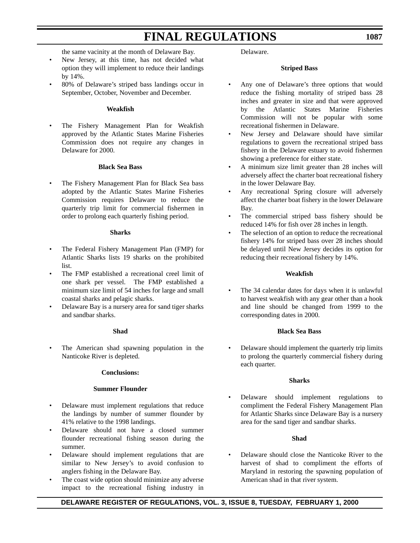the same vacinity at the month of Delaware Bay.

- New Jersey, at this time, has not decided what option they will implement to reduce their landings by 14%.
- 80% of Delaware's striped bass landings occur in September, October, November and December.

# **Weakfish**

• The Fishery Management Plan for Weakfish approved by the Atlantic States Marine Fisheries Commission does not require any changes in Delaware for 2000.

# **Black Sea Bass**

The Fishery Management Plan for Black Sea bass adopted by the Atlantic States Marine Fisheries Commission requires Delaware to reduce the quarterly trip limit for commercial fishermen in order to prolong each quarterly fishing period.

### **Sharks**

- The Federal Fishery Management Plan (FMP) for Atlantic Sharks lists 19 sharks on the prohibited list.
- The FMP established a recreational creel limit of one shark per vessel. The FMP established a minimum size limit of 54 inches for large and small coastal sharks and pelagic sharks.
- Delaware Bay is a nursery area for sand tiger sharks and sandbar sharks.

# **Shad**

The American shad spawning population in the Nanticoke River is depleted.

### **Conclusions:**

### **Summer Flounder**

- Delaware must implement regulations that reduce the landings by number of summer flounder by 41% relative to the 1998 landings.
- Delaware should not have a closed summer flounder recreational fishing season during the summer.
- Delaware should implement regulations that are similar to New Jersey's to avoid confusion to anglers fishing in the Delaware Bay.
- The coast wide option should minimize any adverse impact to the recreational fishing industry in

Delaware.

# **Striped Bass**

- Any one of Delaware's three options that would reduce the fishing mortality of striped bass 28 inches and greater in size and that were approved by the Atlantic States Marine Fisheries Commission will not be popular with some recreational fishermen in Delaware.
- New Jersey and Delaware should have similar regulations to govern the recreational striped bass fishery in the Delaware estuary to avoid fishermen showing a preference for either state.
- A minimum size limit greater than 28 inches will adversely affect the charter boat recreational fishery in the lower Delaware Bay.
- Any recreational Spring closure will adversely affect the charter boat fishery in the lower Delaware Bay.
- The commercial striped bass fishery should be reduced 14% for fish over 28 inches in length.
- The selection of an option to reduce the recreational fishery 14% for striped bass over 28 inches should be delayed until New Jersey decides its option for reducing their recreational fishery by 14%.

# **Weakfish**

The 34 calendar dates for days when it is unlawful to harvest weakfish with any gear other than a hook and line should be changed from 1999 to the corresponding dates in 2000.

# **Black Sea Bass**

• Delaware should implement the quarterly trip limits to prolong the quarterly commercial fishery during each quarter.

# **Sharks**

• Delaware should implement regulations to compliment the Federal Fishery Management Plan for Atlantic Sharks since Delaware Bay is a nursery area for the sand tiger and sandbar sharks.

# **Shad**

• Delaware should close the Nanticoke River to the harvest of shad to compliment the efforts of Maryland in restoring the spawning population of American shad in that river system.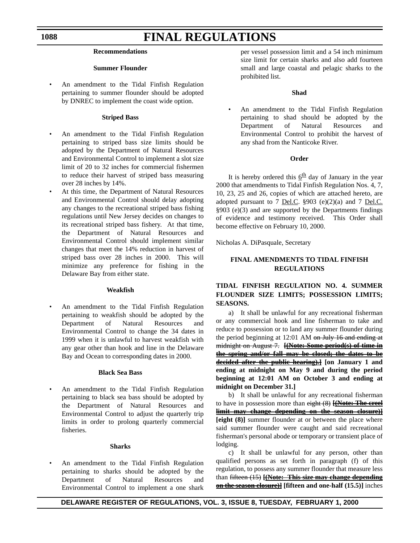# **Recommendations**

### **Summer Flounder**

• An amendment to the Tidal Finfish Regulation pertaining to summer flounder should be adopted by DNREC to implement the coast wide option.

### **Striped Bass**

- An amendment to the Tidal Finfish Regulation pertaining to striped bass size limits should be adopted by the Department of Natural Resources and Environmental Control to implement a slot size limit of 20 to 32 inches for commercial fishermen to reduce their harvest of striped bass measuring over 28 inches by 14%.
- At this time, the Department of Natural Resources and Environmental Control should delay adopting any changes to the recreational striped bass fishing regulations until New Jersey decides on changes to its recreational striped bass fishery. At that time, the Department of Natural Resources and Environmental Control should implement similar changes that meet the 14% reduction in harvest of striped bass over 28 inches in 2000. This will minimize any preference for fishing in the Delaware Bay from either state.

### **Weakfish**

• An amendment to the Tidal Finfish Regulation pertaining to weakfish should be adopted by the Department of Natural Resources and Environmental Control to change the 34 dates in 1999 when it is unlawful to harvest weakfish with any gear other than hook and line in the Delaware Bay and Ocean to corresponding dates in 2000.

# **Black Sea Bass**

• An amendment to the Tidal Finfish Regulation pertaining to black sea bass should be adopted by the Department of Natural Resources and Environmental Control to adjust the quarterly trip limits in order to prolong quarterly commercial fisheries.

### **Sharks**

• An amendment to the Tidal Finfish Regulation pertaining to sharks should be adopted by the Department of Natural Resources and Environmental Control to implement a one shark per vessel possession limit and a 54 inch minimum size limit for certain sharks and also add fourteen small and large coastal and pelagic sharks to the prohibited list.

### **Shad**

• An amendment to the Tidal Finfish Regulation pertaining to shad should be adopted by the Department of Natural Resources and Environmental Control to prohibit the harvest of any shad from the Nanticoke River.

# **Order**

It is hereby ordered this  $6t$ <sup>th</sup> day of January in the year 2000 that amendments to Tidal Finfish Regulation Nos. 4, 7, 10, 23, 25 and 26, copies of which are attached hereto, are adopted pursuant to 7 <u>Del.C</u>.  $$903$  (e)(2)(a) and 7 <u>Del.C.</u> §903 (e)(3) and are supported by the Departments findings of evidence and testimony received. This Order shall become effective on February 10, 2000.

Nicholas A. DiPasquale, Secretary

# **FINAL AMENDMENTS TO TIDAL FINFISH REGULATIONS**

# **TIDAL FINFISH REGULATION NO. 4. SUMMER FLOUNDER SIZE LIMITS; POSSESSION LIMITS; SEASONS.**

a) It shall be unlawful for any recreational fisherman or any commercial hook and line fisherman to take and reduce to possession or to land any summer flounder during the period beginning at 12:01 AM on July 16 and ending at midnight on August 7. **[(Note: Some period(s) of time in the spring and/or fall may be closed; the dates to be decided after the public hearing).] [on January 1 and ending at midnight on May 9 and during the period beginning at 12:01 AM on October 3 and ending at midnight on December 31.]**

b) It shall be unlawful for any recreational fisherman to have in possession more than eight (8) **[(Note: The creel limit may change depending on the season closure)] [eight (8)]** summer flounder at or between the place where said summer flounder were caught and said recreational fisherman's personal abode or temporary or transient place of lodging.

c) It shall be unlawful for any person, other than qualified persons as set forth in paragraph (f) of this regulation, to possess any summer flounder that measure less than fifteen (15) **[(Note: This size may change depending on the season closure)] [fifteen and one-half (15.5)]** inches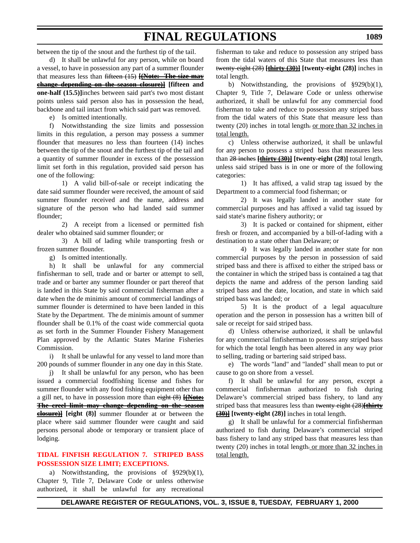between the tip of the snout and the furthest tip of the tail.

d) It shall be unlawful for any person, while on board a vessel, to have in possession any part of a summer flounder that measures less than fifteen (15) **[(Note: The size may change depending on the season closure)] [fifteen and one-half (15.5)]**inches between said part's two most distant points unless said person also has in possession the head, backbone and tail intact from which said part was removed.

e) Is omitted intentionally.

f) Notwithstanding the size limits and possession limits in this regulation, a person may possess a summer flounder that measures no less than fourteen (14) inches between the tip of the snout and the furthest tip of the tail and a quantity of summer flounder in excess of the possession limit set forth in this regulation, provided said person has one of the following:

1) A valid bill-of-sale or receipt indicating the date said summer flounder were received, the amount of said summer flounder received and the name, address and signature of the person who had landed said summer flounder;

2) A receipt from a licensed or permitted fish dealer who obtained said summer flounder; or

3) A bill of lading while transporting fresh or frozen summer flounder.

g) Is omitted intentionally.

h) It shall be unlawful for any commercial finfisherman to sell, trade and or barter or attempt to sell, trade and or barter any summer flounder or part thereof that is landed in this State by said commercial fisherman after a date when the de minimis amount of commercial landings of summer flounder is determined to have been landed in this State by the Department. The de minimis amount of summer flounder shall be 0.1% of the coast wide commercial quota as set forth in the Summer Flounder Fishery Management Plan approved by the Atlantic States Marine Fisheries Commission.

i) It shall be unlawful for any vessel to land more than 200 pounds of summer flounder in any one day in this State.

j) It shall be unlawful for any person, who has been issued a commercial foodfishing license and fishes for summer flounder with any food fishing equipment other than a gill net, to have in possession more than eight (8) **[(Note: The creel limit may change depending on the season closure)] [eight (8)]** summer flounder at or between the place where said summer flounder were caught and said persons personal abode or temporary or transient place of lodging.

# **[TIDAL FINFISH REGULATION 7. STRIPED BASS](#page-4-0) POSSESSION SIZE LIMIT; EXCEPTIONS.**

a) Notwithstanding, the provisions of §929(b)(1), Chapter 9, Title 7, Delaware Code or unless otherwise authorized, it shall be unlawful for any recreational

fisherman to take and reduce to possession any striped bass from the tidal waters of this State that measures less than twenty-eight (28) **[thirty (30)] [twenty-eight (28)]** inches in total length.

b) Notwithstanding, the provisions of §929(b)(1), Chapter 9, Title 7, Delaware Code or unless otherwise authorized, it shall be unlawful for any commercial food fisherman to take and reduce to possession any striped bass from the tidal waters of this State that measure less than twenty (20) inches in total length. or more than 32 inches in total length.

c) Unless otherwise authorized, it shall be unlawful for any person to possess a striped bass that measures less than 28 inches **[thirty (30)] [twenty-eight (28)]** total length, unless said striped bass is in one or more of the following categories:

1) It has affixed, a valid strap tag issued by the Department to a commercial food fisherman; or

2) It was legally landed in another state for commercial purposes and has affixed a valid tag issued by said state's marine fishery authority; or

3) It is packed or contained for shipment, either fresh or frozen, and accompanied by a bill-of-lading with a destination to a state other than Delaware; or

4) It was legally landed in another state for non commercial purposes by the person in possession of said striped bass and there is affixed to either the striped bass or the container in which the striped bass is contained a tag that depicts the name and address of the person landing said striped bass and the date, location, and state in which said striped bass was landed; or

5) It is the product of a legal aquaculture operation and the person in possession has a written bill of sale or receipt for said striped bass.

d) Unless otherwise authorized, it shall be unlawful for any commercial finfisherman to possess any striped bass for which the total length has been altered in any way prior to selling, trading or bartering said striped bass.

e) The words "land" and "landed" shall mean to put or cause to go on shore from a vessel.

f) It shall be unlawful for any person, except a commercial finfisherman authorized to fish during Delaware's commercial striped bass fishery, to land any striped bass that measures less than twenty eight (28)**[thirty (30)] [twenty-eight (28)]** inches in total length.

g) It shall be unlawful for a commercial finfisherman authorized to fish during Delaware's commercial striped bass fishery to land any striped bass that measures less than twenty (20) inches in total length. or more than 32 inches in total length.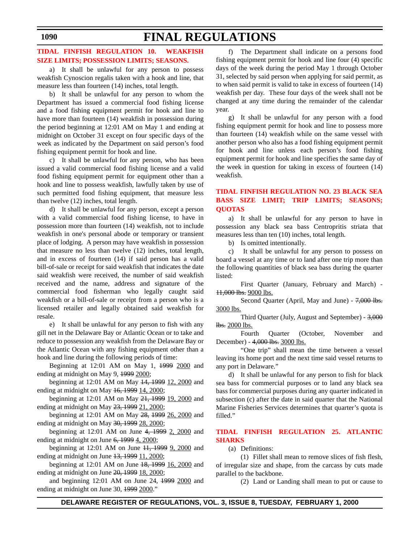# **[TIDAL FINFISH REGULATION 10. WEAKFISH](#page-4-0) SIZE LIMITS; POSSESSION LIMITS; SEASONS.**

a) It shall be unlawful for any person to possess weakfish Cynoscion regalis taken with a hook and line, that measure less than fourteen (14) inches, total length.

b) It shall be unlawful for any person to whom the Department has issued a commercial food fishing license and a food fishing equipment permit for hook and line to have more than fourteen (14) weakfish in possession during the period beginning at 12:01 AM on May 1 and ending at midnight on October 31 except on four specific days of the week as indicated by the Department on said person's food fishing equipment permit for hook and line.

c) It shall be unlawful for any person, who has been issued a valid commercial food fishing license and a valid food fishing equipment permit for equipment other than a hook and line to possess weakfish, lawfully taken by use of such permitted food fishing equipment, that measure less than twelve (12) inches, total length.

d) It shall be unlawful for any person, except a person with a valid commercial food fishing license, to have in possession more than fourteen (14) weakfish, not to include weakfish in one's personal abode or temporary or transient place of lodging. A person may have weakfish in possession that measure no less than twelve (12) inches, total length, and in excess of fourteen (14) if said person has a valid bill-of-sale or receipt for said weakfish that indicates the date said weakfish were received, the number of said weakfish received and the name, address and signature of the commercial food fisherman who legally caught said weakfish or a bill-of-sale or receipt from a person who is a licensed retailer and legally obtained said weakfish for resale.

e) It shall be unlawful for any person to fish with any gill net in the Delaware Bay or Atlantic Ocean or to take and reduce to possession any weakfish from the Delaware Bay or the Atlantic Ocean with any fishing equipment other than a hook and line during the following periods of time:

Beginning at 12:01 AM on May 1, 1999 2000 and ending at midnight on May 9, 1999 2000;

beginning at 12:01 AM on May 14, 1999 12, 2000 and ending at midnight on May  $16, 1999$   $14, 2000$ ;

beginning at 12:01 AM on May 21, 1999 19, 2000 and ending at midnight on May 23, 1999 21, 2000;

beginning at 12:01 AM on May 28, 1999 26, 2000 and ending at midnight on May  $30, 199928, 2000$ ;

beginning at  $12:01$  AM on June  $4, 1999$   $2, 2000$  and ending at midnight on June  $6, 19994, 2000$ ;

beginning at 12:01 AM on June 11, 1999 9, 2000 and ending at midnight on June  $13, 1999$   $11, 2000$ ;

beginning at 12:01 AM on June 18, 1999 16, 2000 and ending at midnight on June 20, 1999 18, 2000;

and beginning 12:01 AM on June 24, 1999 2000 and ending at midnight on June 30, 1999 2000."

f) The Department shall indicate on a persons food fishing equipment permit for hook and line four (4) specific days of the week during the period May 1 through October 31, selected by said person when applying for said permit, as to when said permit is valid to take in excess of fourteen (14) weakfish per day. These four days of the week shall not be changed at any time during the remainder of the calendar year.

g) It shall be unlawful for any person with a food fishing equipment permit for hook and line to possess more than fourteen (14) weakfish while on the same vessel with another person who also has a food fishing equipment permit for hook and line unless each person's food fishing equipment permit for hook and line specifies the same day of the week in question for taking in excess of fourteen (14) weakfish.

# **TIDAL FINFISH REGULATION NO. 23 BLACK SEA [BASS SIZE LIMIT; TRIP LIMITS; SEASONS;](#page-4-0) QUOTAS**

a) It shall be unlawful for any person to have in possession any black sea bass Centropritis striata that measures less than ten (10) inches, total length.

b) Is omitted intentionally.

c) It shall be unlawful for any person to possess on board a vessel at any time or to land after one trip more than the following quantities of black sea bass during the quarter listed:

First Quarter (January, February and March) - 11,000 lbs. 9000 lbs.

Second Quarter (April, May and June) - 7,000 lbs. 3000 lbs.

Third Quarter (July, August and September) - 3,000  $lbs. 2000$  lbs.

Fourth Quarter (October, November and December) - 4,000 lbs. 3000 lbs.

"One trip" shall mean the time between a vessel leaving its home port and the next time said vessel returns to any port in Delaware."

d) It shall be unlawful for any person to fish for black sea bass for commercial purposes or to land any black sea bass for commercial purposes during any quarter indicated in subsection (c) after the date in said quarter that the National Marine Fisheries Services determines that quarter's quota is filled."

# **[TIDAL FINFISH REGULATION 25. ATLANTIC](#page-4-0) SHARKS**

(a) Definitions:

(1) Fillet shall mean to remove slices of fish flesh, of irregular size and shape, from the carcass by cuts made parallel to the backbone.

(2) Land or Landing shall mean to put or cause to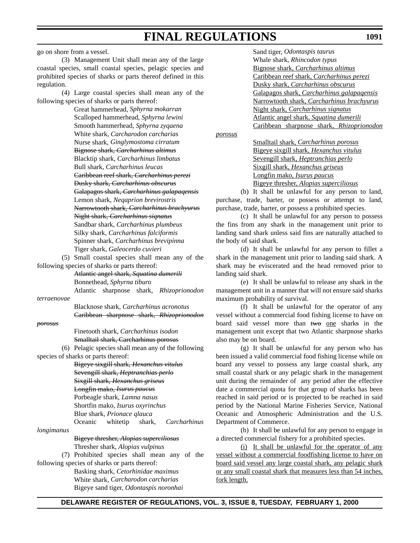go on shore from a vessel.

(3) Management Unit shall mean any of the large coastal species, small coastal species, pelagic species and prohibited species of sharks or parts thereof defined in this regulation.

(4) Large coastal species shall mean any of the following species of sharks or parts thereof:

> Great hammerhead, *Sphyrna mokarran* Scalloped hammerhead, *Sphyrna lewini* Smooth hammerhead, *Sphyrna zyqaena* White shark, *Carcharodon carcharias* Nurse shark, *Ginglymostoma cirratum* Bignose shark, *Carcharhinus altimus* Blacktip shark, *Carcharhinus limbatus* Bull shark, *Carcharhinus leucas* Caribbean reef shark, *Carcharhinus perezi* Dusky shark, *Carcharhinus obscurus* Galapagos shark, *Carcharhinus galapaqensis* Lemon shark, *Neqaprion brevirostris* Narrowtooth shark, *Carcharhinus brachyurus* Night shark, *Carcharhinus siqnatus* Sandbar shark, *Carcharhinus plumbeus* Silky shark, *Carcharhinus falciformis* Spinner shark, *Carcharhinus brevipinna* Tiger shark, *Galeocerdo cuvieri*

(5) Small coastal species shall mean any of the following species of sharks or parts thereof:

> Atlantic angel shark, *Squatina dumerili* Bonnethead, *Sphyrna tiburo* Atlantic sharpnose shark, *Rhizoprionodon*

*terraenovae*

Blacknose shark, *Carcharhinus acronotus* Caribbean sharpnose shark, *Rhizoprionodon*

### *porosus*

Finetooth shark, *Carcharhinus isodon* Smalltail shark, Carcharhinus porosus

(6) Pelagic species shall mean any of the following species of sharks or parts thereof:

> Bigeye sixgill shark, *Hexanchus vitulus* Sevengill shark, *Heptranchias perlo* Sixgill shark, *Hexanchus griseus* Longfin mako, *Isurus paucus* Porbeagle shark, *Lamna nasus* Shortfin mako, *Isurus oxyrinchus* Blue shark, *Prionace qlauca* Oceanic whitetip shark, *Carcharhinus*

*longimanus*

Bigeye thresher, *Alopias superciliosus*

Thresher shark, *Alopias vulpinus*

(7) Prohibited species shall mean any of the following species of sharks or parts thereof:

> Basking shark, *Cetorhinidae maximus* White shark, *Carcharodon carcharias* Bigeye sand tiger, *Odontaspis noronhai*

Sand tiger, *Odontaspis taurus* Whale shark, *Rhincodon typus* Bignose shark, *Carcharhinus altimus* Caribbean reef shark, *Carcharhinus perezi* Dusky shark, *Carcharhinus obscurus* Galapagos shark, *Carcharhinus galapaqensis* Narrowtooth shark, *Carcharhinus brachyurus* Night shark, *Carcharhinus siqnatus* Atlantic angel shark, *Squatina dumerili* Caribbean sharpnose shark, *Rhizoprionodon*

*porosus*

Smalltail shark, *Carcharhinus porosus* Bigeye sixgill shark, *Hexanchus vitulus* Sevengill shark, *Heptranchias perlo* Sixgill shark, *Hexanchus griseus* Longfin mako, *Isurus paucus* Bigeye thresher, *Alopias superciliosus*

(b) It shall be unlawful for any person to land, purchase, trade, barter, or possess or attempt to land, purchase, trade, barter, or possess a prohibited species.

(c) It shall be unlawful for any person to possess the fins from any shark in the management unit prior to landing sand shark unless said fins are naturally attached to the body of said shark.

(d) It shall be unlawful for any person to fillet a shark in the management unit prior to landing said shark. A shark may be eviscerated and the head removed prior to landing said shark.

(e) It shall be unlawful to release any shark in the management unit in a manner that will not ensure said sharks maximum probability of survival.

(f) It shall be unlawful for the operator of any vessel without a commercial food fishing license to have on board said vessel more than two one sharks in the management unit except that two Atlantic sharpnose sharks also may be on board.

(g) It shall be unlawful for any person who has been issued a valid commercial food fishing license while on board any vessel to possess any large coastal shark, any small coastal shark or any pelagic shark in the management unit during the remainder of any period after the effective date a commercial quota for that group of sharks has been reached in said period or is projected to be reached in said period by the National Marine Fisheries Service, National Oceanic and Atmospheric Administration and the U.S. Department of Commerce.

(h) It shall be unlawful for any person to engage in a directed commercial fishery for a prohibited species.

(i) It shall be unlawful for the operator of any vessel without a commercial foodfishing license to have on board said vessel any large coastal shark, any pelagic shark or any small coastal shark that measures less than 54 inches, fork length.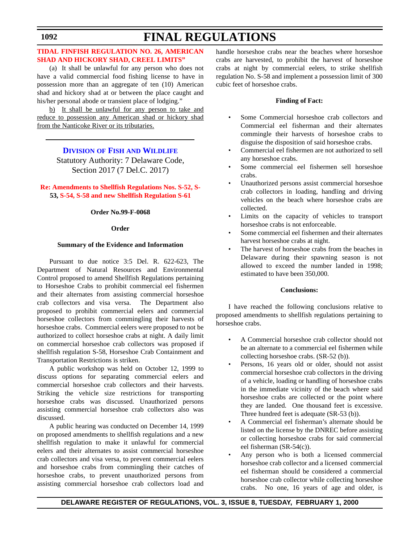# **1092**

# **FINAL REGULATIONS**

# **[TIDAL FINFISH REGULATION NO. 26, AMERICAN](#page-4-0) SHAD AND HICKORY SHAD, CREEL LIMITS"**

(a) It shall be unlawful for any person who does not have a valid commercial food fishing license to have in possession more than an aggregate of ten (10) American shad and hickory shad at or between the place caught and his/her personal abode or transient place of lodging."

b) It shall be unlawful for any person to take and reduce to possession any American shad or hickory shad from the Nanticoke River or its tributaries.

> **DIVISION OF FISH [AND WILDLIFE](http://www.dnrec.state.de.us/fw/fwwel.htm)** Statutory Authority: 7 Delaware Code, Section 2017 (7 Del.C. 2017)

# **[Re: Amendments to Shellfish Regulations Nos. S-52,](#page-4-0) S-53, S-54, S-58 and new Shellfish Regulation S-61**

# **Order No.99-F-0068**

# **Order**

# **Summary of the Evidence and Information**

Pursuant to due notice 3:5 Del. R. 622-623, The Department of Natural Resources and Environmental Control proposed to amend Shellfish Regulations pertaining to Horseshoe Crabs to prohibit commercial eel fishermen and their alternates from assisting commercial horseshoe crab collectors and visa versa. The Department also proposed to prohibit commercial eelers and commercial horseshoe collectors from commingling their harvests of horseshoe crabs. Commercial eelers were proposed to not be authorized to collect horseshoe crabs at night. A daily limit on commercial horseshoe crab collectors was proposed if shellfish regulation S-58, Horseshoe Crab Containment and Transportation Restrictions is striken.

A public workshop was held on October 12, 1999 to discuss options for separating commercial eelers and commercial horseshoe crab collectors and their harvests. Striking the vehicle size restrictions for transporting horseshoe crabs was discussed. Unauthorized persons assisting commercial horseshoe crab collectors also was discussed.

A public hearing was conducted on December 14, 1999 on proposed amendments to shellfish regulations and a new shellfish regulation to make it unlawful for commercial eelers and their alternates to assist commercial horseshoe crab collectors and visa versa, to prevent commercial eelers and horseshoe crabs from commingling their catches of horseshoe crabs, to prevent unauthorized persons from assisting commercial horseshoe crab collectors load and

handle horseshoe crabs near the beaches where horseshoe crabs are harvested, to prohibit the harvest of horseshoe crabs at night by commercial eelers, to strike shellfish regulation No. S-58 and implement a possession limit of 300 cubic feet of horseshoe crabs.

# **Finding of Fact:**

- Some Commercial horseshoe crab collectors and Commercial eel fisherman and their alternates commingle their harvests of horseshoe crabs to disguise the disposition of said horseshoe crabs.
- Commercial eel fishermen are not authorized to sell any horseshoe crabs.
- Some commercial eel fishermen sell horseshoe crabs.
- Unauthorized persons assist commercial horseshoe crab collectors in loading, handling and driving vehicles on the beach where horseshoe crabs are collected.
- Limits on the capacity of vehicles to transport horseshoe crabs is not enforceable.
- Some commercial eel fishermen and their alternates harvest horseshoe crabs at night.
- The harvest of horseshoe crabs from the beaches in Delaware during their spawning season is not allowed to exceed the number landed in 1998; estimated to have been 350,000.

# **Conclusions:**

I have reached the following conclusions relative to proposed amendments to shellfish regulations pertaining to horseshoe crabs.

- A Commercial horseshoe crab collector should not be an alternate to a commercial eel fishermen while collecting horseshoe crabs. (SR-52 (b)).
- Persons, 16 years old or older, should not assist commercial horseshoe crab collectors in the driving of a vehicle, loading or handling of horseshoe crabs in the immediate vicinity of the beach where said horseshoe crabs are collected or the point where they are landed. One thousand feet is excessive. Three hundred feet is adequate (SR-53 (b)).
- A Commercial eel fisherman's alternate should be listed on the license by the DNREC before assisting or collecting horseshoe crabs for said commercial eel fisherman (SR-54(c)).
- Any person who is both a licensed commercial horseshoe crab collector and a licensed commercial eel fisherman should be considered a commercial horseshoe crab collector while collecting horseshoe crabs. No one, 16 years of age and older, is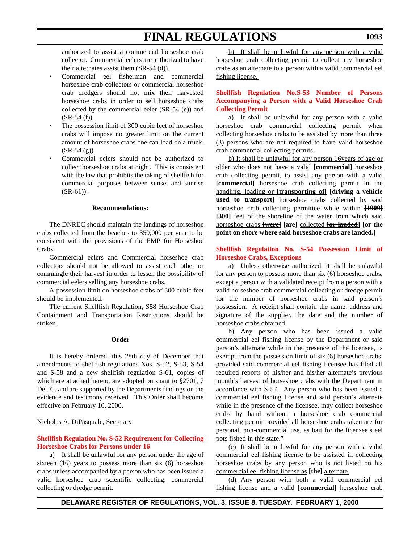authorized to assist a commercial horseshoe crab collector. Commercial eelers are authorized to have their alternates assist them (SR-54 (d)).

- Commercial eel fisherman and commercial horseshoe crab collectors or commercial horseshoe crab dredgers should not mix their harvested horseshoe crabs in order to sell horseshoe crabs collected by the commercial eeler (SR-54 (e)) and  $(SR-54(f)).$
- The possession limit of 300 cubic feet of horseshoe crabs will impose no greater limit on the current amount of horseshoe crabs one can load on a truck.  $(SR-54(g))$ .
- Commercial eelers should not be authorized to collect horseshoe crabs at night. This is consistent with the law that prohibits the taking of shellfish for commercial purposes between sunset and sunrise  $(SR-61)$ ).

### **Recommendations:**

The DNREC should maintain the landings of horseshoe crabs collected from the beaches to 350,000 per year to be consistent with the provisions of the FMP for Horseshoe Crabs.

Commercial eelers and Commercial horseshoe crab collectors should not be allowed to assist each other or commingle their harvest in order to lessen the possibility of commercial eelers selling any horseshoe crabs.

A possession limit on horseshoe crabs of 300 cubic feet should be implemented.

The current Shellfish Regulation, S58 Horseshoe Crab Containment and Transportation Restrictions should be striken.

### **Order**

It is hereby ordered, this 28th day of December that amendments to shellfish regulations Nos. S-52, S-53, S-54 and S-58 and a new shellfish regulation S-61, copies of which are attached hereto, are adopted pursuant to §2701, 7 Del. C. and are supported by the Departments findings on the evidence and testimony received. This Order shall become effective on February 10, 2000.

Nicholas A. DiPasquale, Secretary

# **[Shellfish Regulation No. S-52 Requirement for Collecting](#page-4-0) Horseshoe Crabs for Persons under 16**

a) It shall be unlawful for any person under the age of sixteen (16) years to possess more than six (6) horseshoe crabs unless accompanied by a person who has been issued a valid horseshoe crab scientific collecting, commercial collecting or dredge permit.

b) It shall be unlawful for any person with a valid horseshoe crab collecting permit to collect any horseshoe crabs as an alternate to a person with a valid commercial eel fishing license.

# **[Shellfish Regulation No.S-53 Number of Persons](#page-4-0) Accompanying a Person with a Valid Horseshoe Crab Collecting Permit**

a) It shall be unlawful for any person with a valid horseshoe crab commercial collecting permit when collecting horseshoe crabs to be assisted by more than three (3) persons who are not required to have valid horseshoe crab commercial collecting permits.

b) It shall be unlawful for any person 16years of age or older who does not have a valid **[commercial]** horseshoe crab collecting permit, to assist any person with a valid **[commercial]** horseshoe crab collecting permit in the handling, loading or **[transporting of] [driving a vehicle** used to transport] horseshoe crabs collected by said horseshoe crab collecting permittee while within **[1000]** [300] feet of the shoreline of the water from which said horseshoe crabs **[were] [are]** collected **[or landed] [or the point on shore where said horseshoe crabs are landed.]**

# **[Shellfish Regulation No. S-54 Possession Limit of](#page-4-0) Horseshoe Crabs, Exceptions**

a) Unless otherwise authorized, it shall be unlawful for any person to possess more than six (6) horseshoe crabs, except a person with a validated receipt from a person with a valid horseshoe crab commercial collecting or dredge permit for the number of horseshoe crabs in said person's possession. A receipt shall contain the name, address and signature of the supplier, the date and the number of horseshoe crabs obtained.

b) Any person who has been issued a valid commercial eel fishing license by the Department or said person's alternate while in the presence of the licensee, is exempt from the possession limit of six (6) horseshoe crabs, provided said commercial eel fishing licensee has filed all required reports of his/her and his/her alternate's previous month's harvest of horseshoe crabs with the Department in accordance with S-57. Any person who has been issued a commercial eel fishing license and said person's alternate while in the presence of the licensee, may collect horseshoe crabs by hand without a horseshoe crab commercial collecting permit provided all horseshoe crabs taken are for personal, non-commercial use, as bait for the licensee's eel pots fished in this state."

(c) It shall be unlawful for any person with a valid commercial eel fishing license to be assisted in collecting horseshoe crabs by any person who is not listed on his commercial eel fishing license as **[the]** alternate.

(d) Any person with both a valid commercial eel fishing license and a valid **[commercial]** horseshoe crab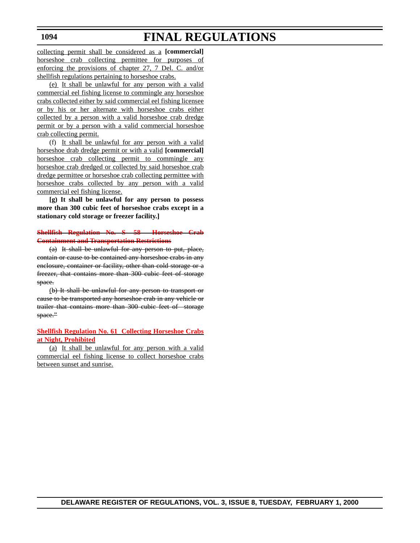collecting permit shall be considered as a **[commercial]** horseshoe crab collecting permittee for purposes of enforcing the provisions of chapter 27, 7 Del. C. and/or shellfish regulations pertaining to horseshoe crabs.

(e) It shall be unlawful for any person with a valid commercial eel fishing license to commingle any horseshoe crabs collected either by said commercial eel fishing licensee or by his or her alternate with horseshoe crabs either collected by a person with a valid horseshoe crab dredge permit or by a person with a valid commercial horseshoe crab collecting permit.

(f) It shall be unlawful for any person with a valid horseshoe drab dredge permit or with a valid **[commercial]** horseshoe crab collecting permit to commingle any horseshoe crab dredged or collected by said horseshoe crab dredge permittee or horseshoe crab collecting permittee with horseshoe crabs collected by any person with a valid commercial eel fishing license.

**[g) It shall be unlawful for any person to possess more than 300 cubic feet of horseshoe crabs except in a stationary cold storage or freezer facility.]**

# **[Shellfish Regulation No. S- 58 Horseshoe Crab](#page-4-0) Containment and Transportation Restrictions**

(a) It shall be unlawful for any person to put, place, contain or cause to be contained any horseshoe crabs in any enclosure, container or facility, other than cold storage or a freezer, that contains more than 300 cubic feet of storage space.

(b) It shall be unlawful for any person to transport or cause to be transported any horseshoe crab in any vehicle or trailer that contains more than 300 cubic feet of storage space."

# **[Shellfish Regulation No. 61 Collecting Horseshoe Crabs](#page-4-0) at Night, Prohibited**

(a) It shall be unlawful for any person with a valid commercial eel fishing license to collect horseshoe crabs between sunset and sunrise.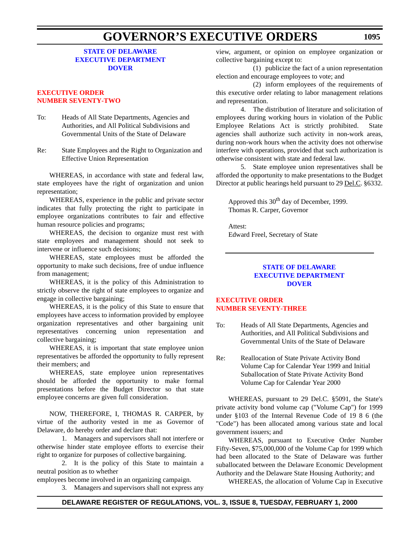# **STATE OF DELAWARE [EXECUTIVE DEPARTMENT](http://www.state.de.us/governor/index.htm) DOVER**

# **EXECUTIVE ORDER [NUMBER SEVENTY-TWO](#page-4-0)**

- To: Heads of All State Departments, Agencies and Authorities, and All Political Subdivisions and Governmental Units of the State of Delaware
- Re: State Employees and the Right to Organization and Effective Union Representation

WHEREAS, in accordance with state and federal law, state employees have the right of organization and union representation;

WHEREAS, experience in the public and private sector indicates that fully protecting the right to participate in employee organizations contributes to fair and effective human resource policies and programs;

WHEREAS, the decision to organize must rest with state employees and management should not seek to intervene or influence such decisions;

WHEREAS, state employees must be afforded the opportunity to make such decisions, free of undue influence from management;

WHEREAS, it is the policy of this Administration to strictly observe the right of state employees to organize and engage in collective bargaining;

WHEREAS, it is the policy of this State to ensure that employees have access to information provided by employee organization representatives and other bargaining unit representatives concerning union representation and collective bargaining;

WHEREAS, it is important that state employee union representatives be afforded the opportunity to fully represent their members; and

WHEREAS, state employee union representatives should be afforded the opportunity to make formal presentations before the Budget Director so that state employee concerns are given full consideration.

NOW, THEREFORE, I, THOMAS R. CARPER, by virtue of the authority vested in me as Governor of Delaware, do hereby order and declare that:

1. Managers and supervisors shall not interfere or otherwise hinder state employee efforts to exercise their right to organize for purposes of collective bargaining.

2. It is the policy of this State to maintain a neutral position as to whether

employees become involved in an organizing campaign.

3. Managers and supervisors shall not express any

view, argument, or opinion on employee organization or collective bargaining except to:

(1) publicize the fact of a union representation election and encourage employees to vote; and

(2) inform employees of the requirements of this executive order relating to labor management relations and representation.

4. The distribution of literature and solicitation of employees during working hours in violation of the Public Employee Relations Act is strictly prohibited. State agencies shall authorize such activity in non-work areas, during non-work hours when the activity does not otherwise interfere with operations, provided that such authorization is otherwise consistent with state and federal law.

5. State employee union representatives shall be afforded the opportunity to make presentations to the Budget Director at public hearings held pursuant to 29 Del.C. §6332.

Approved this 30<sup>th</sup> day of December, 1999. Thomas R. Carper, Governor

Attest: Edward Freel, Secretary of State

# **STATE OF DELAWARE [EXECUTIVE DEPARTMENT](http://www.state.de.us/governor/index.htm) DOVER**

# **EXECUTIVE ORDER [NUMBER SEVENTY-THREE](#page-4-0)**

- To: Heads of All State Departments, Agencies and Authorities, and All Political Subdivisions and Governmental Units of the State of Delaware
- Re: Reallocation of State Private Activity Bond Volume Cap for Calendar Year 1999 and Initial Suballocation of State Private Activity Bond Volume Cap for Calendar Year 2000

WHEREAS, pursuant to 29 Del.C. §5091, the State's private activity bond volume cap ("Volume Cap") for 1999 under §103 of the Internal Revenue Code of 19 8 6 (the "Code") has been allocated among various state and local government issuers; and

WHEREAS, pursuant to Executive Order Number Fifty-Seven, \$75,000,000 of the Volume Cap for 1999 which had been allocated to the State of Delaware was further suballocated between the Delaware Economic Development Authority and the Delaware State Housing Authority; and

WHEREAS, the allocation of Volume Cap in Executive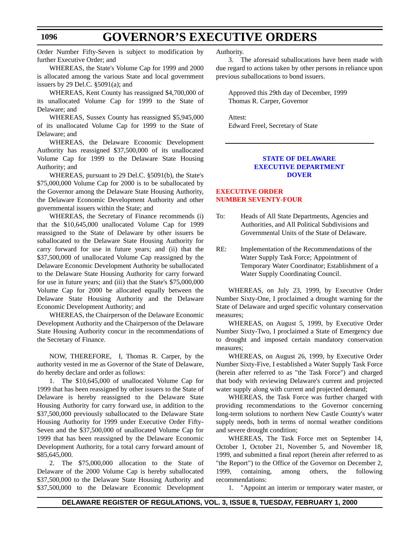Order Number Fifty-Seven is subject to modification by further Executive Order; and

WHEREAS, the State's Volume Cap for 1999 and 2000 is allocated among the various State and local government issuers by 29 Del.C.  $\S5091(a)$ ; and

 WHEREAS, Kent County has reassigned \$4,700,000 of its unallocated Volume Cap for 1999 to the State of Delaware; and

WHEREAS, Sussex County has reassigned \$5,945,000 of its unallocated Volume Cap for 1999 to the State of Delaware; and

WHEREAS, the Delaware Economic Development Authority has reassigned \$37,500,000 of its unallocated Volume Cap for 1999 to the Delaware State Housing Authority; and

WHEREAS, pursuant to 29 Del.C. §5091(b), the State's \$75,000,000 Volume Cap for 2000 is to be suballocated by the Governor among the Delaware State Housing Authority, the Delaware Economic Development Authority and other governmental issuers within the State; and

WHEREAS, the Secretary of Finance recommends (i) that the \$10,645,000 unallocated Volume Cap for 1999 reassigned to the State of Delaware by other issuers be suballocated to the Delaware State Housing Authority for carry forward for use in future years; and (ii) that the \$37,500,000 of unallocated Volume Cap reassigned by the Delaware Economic Development Authority be suballocated to the Delaware State Housing Authority for carry forward for use in future years; and (iii) that the State's \$75,000,000 Volume Cap for 2000 be allocated equally between the Delaware State Housing Authority and the Delaware Economic Development Authority; and

WHEREAS, the Chairperson of the Delaware Economic Development Authority and the Chairperson of the Delaware State Housing Authority concur in the recommendations of the Secretary of Finance.

NOW, THEREFORE, I, Thomas R. Carper, by the authority vested in me as Governor of the State of Delaware, do hereby declare and order as follows:

1. The \$10,645,000 of unallocated Volume Cap for 1999 that has been reassigned by other issuers to the State of Delaware is hereby reassigned to the Delaware State Housing Authority for carry forward use, in addition to the \$37,500,000 previously suballocated to the Delaware State Housing Authority for 1999 under Executive Order Fifty-Seven and the \$37,500,000 of unallocated Volume Cap for 1999 that has been reassigned by the Delaware Economic Development Authority, for a total carry forward amount of \$85,645,000.

2. The \$75,000,000 allocation to the State of Delaware of the 2000 Volume Cap is hereby suballocated \$37,500,000 to the Delaware State Housing Authority and \$37,500,000 to the Delaware Economic Development Authority.

3. The aforesaid suballocations have been made with due regard to actions taken by other persons in reliance upon previous suballocations to bond issuers.

Approved this 29th day of December, 1999 Thomas R. Carper, Governor

Attest: Edward Freel, Secretary of State

# **STATE OF DELAWARE [EXECUTIVE DEPARTMENT](http://www.state.de.us/governor/index.htm) DOVER**

# **EXECUTIVE ORDER [NUMBER SEVENTY-FOUR](#page-4-0)**

- To: Heads of All State Departments, Agencies and Authorities, and All Political Subdivisions and Governmental Units of the State of Delaware.
- RE: Implementation of the Recommendations of the Water Supply Task Force; Appointment of Temporary Water Coordinator; Establishment of a Water Supply Coordinating Council.

WHEREAS, on July 23, 1999, by Executive Order Number Sixty-One, I proclaimed a drought warning for the State of Delaware and urged specific voluntary conservation measures;

WHEREAS, on August 5, 1999, by Executive Order Number Sixty-Two, I proclaimed a State of Emergency due to drought and imposed certain mandatory conservation measures;

WHEREAS, on August 26, 1999, by Executive Order Number Sixty-Five, I established a Water Supply Task Force (herein after referred to as "the Task Force") and charged that body with reviewing Delaware's current and projected water supply along with current and projected demand;

WHEREAS, the Task Force was further charged with providing recommendations to the Governor concerning long-term solutions to northern New Castle County's water supply needs, both in terms of normal weather conditions and severe drought condition;

WHEREAS, The Task Force met on September 14, October 1, October 21, November 5, and November 18, 1999, and submitted a final report (herein after referred to as "the Report") to the Office of the Governor on December 2, 1999, containing, among others, the following recommendations:

1. "Appoint an interim or temporary water master, or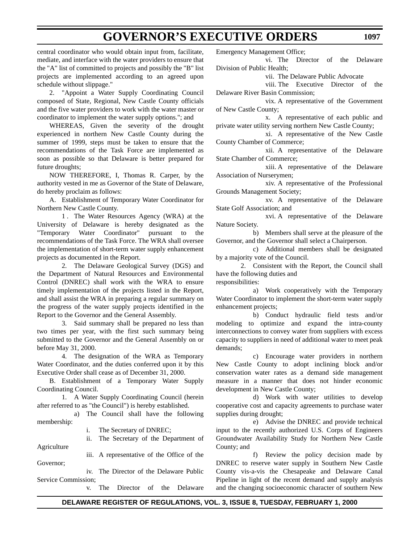**1097**

central coordinator who would obtain input from, facilitate, mediate, and interface with the water providers to ensure that the "A" list of committed to projects and possibly the "B" list projects are implemented according to an agreed upon schedule without slippage."

2. "Appoint a Water Supply Coordinating Council composed of State, Regional, New Castle County officials and the five water providers to work with the water master or coordinator to implement the water supply options."; and

WHEREAS, Given the severity of the drought experienced in northern New Castle County during the summer of 1999, steps must be taken to ensure that the recommendations of the Task Force are implemented as soon as possible so that Delaware is better prepared for future droughts;

NOW THEREFORE, I, Thomas R. Carper, by the authority vested in me as Governor of the State of Delaware, do hereby proclaim as follows:

A. Establishment of Temporary Water Coordinator for Northern New Castle County.

1 . The Water Resources Agency (WRA) at the University of Delaware is hereby designated as the "Temporary Water Coordinator" pursuant to the recommendations of the Task Force. The WRA shall oversee the implementation of short-term water supply enhancement projects as documented in the Report.

2. The Delaware Geological Survey (DGS) and the Department of Natural Resources and Environmental Control (DNREC) shall work with the WRA to ensure timely implementation of the projects listed in the Report, and shall assist the WRA in preparing a regular summary on the progress of the water supply projects identified in the Report to the Governor and the General Assembly.

3. Said summary shall be prepared no less than two times per year, with the first such summary being submitted to the Governor and the General Assembly on or before May 31, 2000.

4. The designation of the WRA as Temporary Water Coordinator, and the duties conferred upon it by this Executive Order shall cease as of December 31, 2000.

B. Establishment of a Temporary Water Supply Coordinating Council.

1. A Water Supply Coordinating Council (herein after referred to as "the Council") is hereby established.

a) The Council shall have the following membership:

i. The Secretary of DNREC;

ii. The Secretary of the Department of Agriculture

Governor;

iv. The Director of the Delaware Public Service Commission;

v. The Director of the Delaware

iii. A representative of the Office of the

Emergency Management Office;

vi. The Director of the Delaware Division of Public Health;

vii. The Delaware Public Advocate

viii. The Executive Director of the Delaware River Basin Commission;

vix. A representative of the Government of New Castle County;

x. A representative of each public and private water utility serving northern New Castle County;

xi. A representative of the New Castle County Chamber of Commerce;

xii. A representative of the Delaware State Chamber of Commerce;

xiii. A representative of the Delaware Association of Nurserymen;

xiv. A representative of the Professional Grounds Management Society;

xv. A representative of the Delaware State Golf Association; and

xvi. A representative of the Delaware Nature Society.

b) Members shall serve at the pleasure of the Governor, and the Governor shall select a Chairperson.

c) Additional members shall be designated by a majority vote of the Council.

2. Consistent with the Report, the Council shall have the following duties and responsibilities:

a) Work cooperatively with the Temporary Water Coordinator to implement the short-term water supply

enhancement projects; b) Conduct hydraulic field tests and/or modeling to optimize and expand the intra-county interconnections to convey water from suppliers with excess capacity to suppliers in need of additional water to meet peak demands;

c) Encourage water providers in northern New Castle County to adopt inclining block and/or conservation water rates as a demand side management measure in a manner that does not hinder economic development in New Castle County;

d) Work with water utilities to develop cooperative cost and capacity agreements to purchase water supplies during drought;

e) Advise the DNREC and provide technical input to the recently authorized U.S. Corps of Engineers Groundwater Availability Study for Northern New Castle County; and

f) Review the policy decision made by DNREC to reserve water supply in Southern New Castle County vis-a-vis the Chesapeake and Delaware Canal Pipeline in light of the recent demand and supply analysis and the changing socioeconomic character of southern New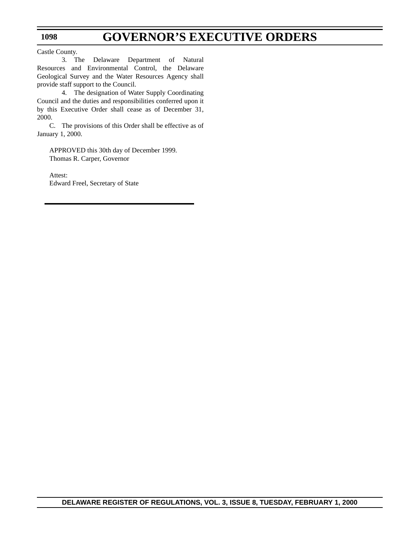Castle County.

**1098**

3. The Delaware Department of Natural Resources and Environmental Control, the Delaware Geological Survey and the Water Resources Agency shall provide staff support to the Council.

4. The designation of Water Supply Coordinating Council and the duties and responsibilities conferred upon it by this Executive Order shall cease as of December 31, 2000.

C. The provisions of this Order shall be effective as of January 1, 2000.

APPROVED this 30th day of December 1999. Thomas R. Carper, Governor

Attest: Edward Freel, Secretary of State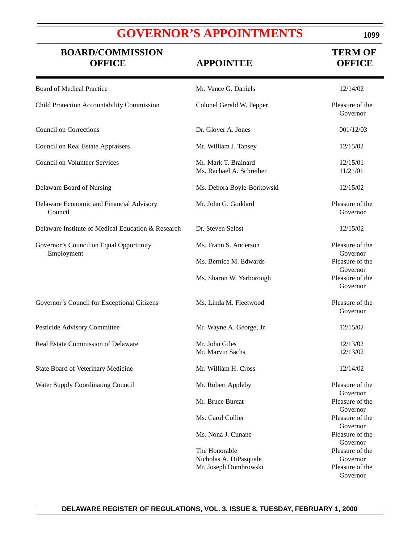# **[GOVERNOR'S APPOINTMENTS](#page-4-0)**

| <b>BOARD/COMMISSION</b><br><b>OFFICE</b>              | <b>APPOINTEE</b>                                 | <b>TERM OF</b><br><b>OFFICE</b> |
|-------------------------------------------------------|--------------------------------------------------|---------------------------------|
| <b>Board of Medical Practice</b>                      | Mr. Vance G. Daniels                             | 12/14/02                        |
| Child Protection Accountability Commission            | Colonel Gerald W. Pepper                         | Pleasure of the<br>Governor     |
| <b>Council on Corrections</b>                         | Dr. Glover A. Jones                              | 001/12/03                       |
| <b>Council on Real Estate Appraisers</b>              | Mr. William J. Tansey                            | 12/15/02                        |
| <b>Council on Volunteer Services</b>                  | Mr. Mark T. Brainard<br>Ms. Rachael A. Schreiber | 12/15/01<br>11/21/01            |
| Delaware Board of Nursing                             | Ms. Debora Boyle-Borkowski                       | 12/15/02                        |
| Delaware Economic and Financial Advisory<br>Council   | Mr. John G. Goddard                              | Pleasure of the<br>Governor     |
| Delaware Institute of Medical Education & Research    | Dr. Steven Selbst                                | 12/15/02                        |
| Governor's Council on Equal Opportunity<br>Employment | Ms. Frann S. Anderson                            | Pleasure of the<br>Governor     |
|                                                       | Ms. Bernice M. Edwards                           | Pleasure of the<br>Governor     |
|                                                       | Ms. Sharon W. Yarborough                         | Pleasure of the<br>Governor     |
| Governor's Council for Exceptional Citizens           | Ms. Linda M. Fleetwood                           | Pleasure of the<br>Governor     |
| Pesticide Advisory Committee                          | Mr. Wayne A. George, Jr.                         | 12/15/02                        |
| Real Estate Commission of Delaware                    | Mr. John Giles<br>Mr. Marvin Sachs               | 12/13/02<br>12/13/02            |
| State Board of Veterinary Medicine                    | Mr. William H. Cross                             | 12/14/02                        |
| Water Supply Coordinating Council                     | Mr. Robert Appleby                               | Pleasure of the<br>Governor     |
|                                                       | Mr. Bruce Burcat                                 | Pleasure of the<br>Governor     |
|                                                       | Ms. Carol Collier                                | Pleasure of the<br>Governor     |
|                                                       | Ms. Nona J. Cunane                               | Pleasure of the<br>Governor     |
|                                                       | The Honorable                                    | Pleasure of the                 |
|                                                       | Nicholas A. DiPasquale                           | Governor                        |
|                                                       | Mr. Joseph Dombrowski                            | Pleasure of the<br>Governor     |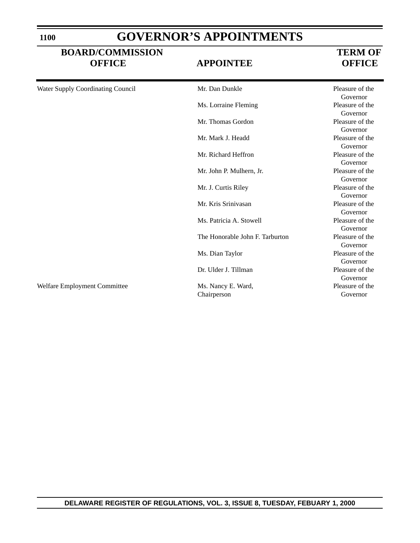| <b>GOVERNOR'S APPOINTMENTS</b> |
|--------------------------------|
|--------------------------------|

# **BOARD/COMMISSION TERM OF OFFICE APPOINTEE OFFICE**

| Water Supply Coordinating Council | Mr. Dan Dunkle                    | Pleasure of the<br>Governor |
|-----------------------------------|-----------------------------------|-----------------------------|
|                                   | Ms. Lorraine Fleming              | Pleasure of the<br>Governor |
|                                   | Mr. Thomas Gordon                 | Pleasure of the<br>Governor |
|                                   | Mr. Mark J. Headd                 | Pleasure of the<br>Governor |
|                                   | Mr. Richard Heffron               | Pleasure of the<br>Governor |
|                                   | Mr. John P. Mulhern, Jr.          | Pleasure of the<br>Governor |
|                                   | Mr. J. Curtis Riley               | Pleasure of the<br>Governor |
|                                   | Mr. Kris Srinivasan               | Pleasure of the<br>Governor |
|                                   | Ms. Patricia A. Stowell           | Pleasure of the<br>Governor |
|                                   | The Honorable John F. Tarburton   | Pleasure of the<br>Governor |
|                                   | Ms. Dian Taylor                   | Pleasure of the<br>Governor |
|                                   | Dr. Ulder J. Tillman              | Pleasure of the<br>Governor |
| Welfare Employment Committee      | Ms. Nancy E. Ward,<br>Chairperson | Pleasure of the<br>Governor |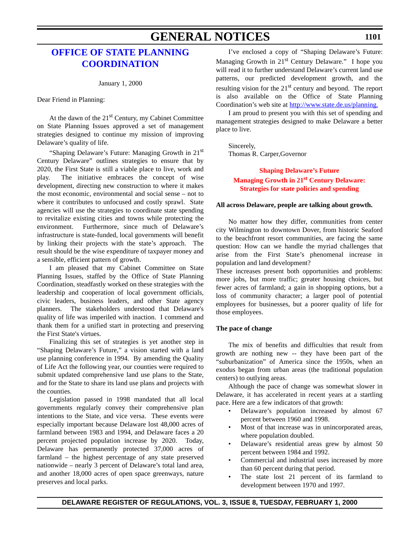# **GENERAL NOTICES**

# **[OFFICE OF STATE PLANNING](http://www.state.de.us/planning/index.htm) COORDINATION**

January 1, 2000

Dear Friend in Planning:

At the dawn of the  $21<sup>st</sup>$  Century, my Cabinet Committee on State Planning Issues approved a set of management strategies designed to continue my mission of improving Delaware's quality of life.

"Shaping Delaware's Future: Managing Growth in 21<sup>st</sup> Century Delaware" outlines strategies to ensure that by 2020, the First State is still a viable place to live, work and play. The initiative embraces the concept of wise development, directing new construction to where it makes the most economic, environmental and social sense – not to where it contributes to unfocused and costly sprawl. State agencies will use the strategies to coordinate state spending to revitalize existing cities and towns while protecting the environment. Furthermore, since much of Delaware's infrastructure is state-funded, local governments will benefit by linking their projects with the state's approach. The result should be the wise expenditure of taxpayer money and a sensible, efficient pattern of growth.

I am pleased that my Cabinet Committee on State Planning Issues, staffed by the Office of State Planning Coordination, steadfastly worked on these strategies with the leadership and cooperation of local government officials, civic leaders, business leaders, and other State agency planners. The stakeholders understood that Delaware's quality of life was imperiled with inaction. I commend and thank them for a unified start in protecting and preserving the First State's virtues.

Finalizing this set of strategies is yet another step in "Shaping Delaware's Future," a vision started with a land use planning conference in 1994. By amending the Quality of Life Act the following year, our counties were required to submit updated comprehensive land use plans to the State, and for the State to share its land use plans and projects with the counties.

Legislation passed in 1998 mandated that all local governments regularly convey their comprehensive plan intentions to the State, and vice versa. These events were especially important because Delaware lost 48,000 acres of farmland between 1983 and 1994, and Delaware faces a 20 percent projected population increase by 2020. Today, Delaware has permanently protected 37,000 acres of farmland – the highest percentage of any state preserved nationwide – nearly 3 percent of Delaware's total land area, and another 18,000 acres of open space greenways, nature preserves and local parks.

I've enclosed a copy of "Shaping Delaware's Future: Managing Growth in 21<sup>st</sup> Century Delaware." I hope you will read it to further understand Delaware's current land use patterns, our predicted development growth, and the resulting vision for the 21<sup>st</sup> century and beyond. The report is also available on the Office of State Planning Coordination's web site at http://www.state.de.us/planning.

I am proud to present you with this set of spending and management strategies designed to make Delaware a better place to live.

Sincerely, Thomas R. Carper,Governor

# **Shaping Delaware's Future [Managing Growth in 21st Century Delaware:](#page-4-0) Strategies for state policies and spending**

### **All across Delaware, people are talking about growth.**

No matter how they differ, communities from center city Wilmington to downtown Dover, from historic Seaford to the beachfront resort communities, are facing the same question: How can we handle the myriad challenges that arise from the First State's phenomenal increase in population and land development?

These increases present both opportunities and problems: more jobs, but more traffic; greater housing choices, but fewer acres of farmland; a gain in shopping options, but a loss of community character; a larger pool of potential employees for businesses, but a poorer quality of life for those employees.

# **The pace of change**

The mix of benefits and difficulties that result from growth are nothing new -- they have been part of the "suburbanization" of America since the 1950s, when an exodus began from urban areas (the traditional population centers) to outlying areas.

Although the pace of change was somewhat slower in Delaware, it has accelerated in recent years at a startling pace. Here are a few indicators of that growth:

- Delaware's population increased by almost 67 percent between 1960 and 1998.
- Most of that increase was in unincorporated areas, where population doubled.
- Delaware's residential areas grew by almost 50 percent between 1984 and 1992.
- Commercial and industrial uses increased by more than 60 percent during that period.
- The state lost 21 percent of its farmland to development between 1970 and 1997.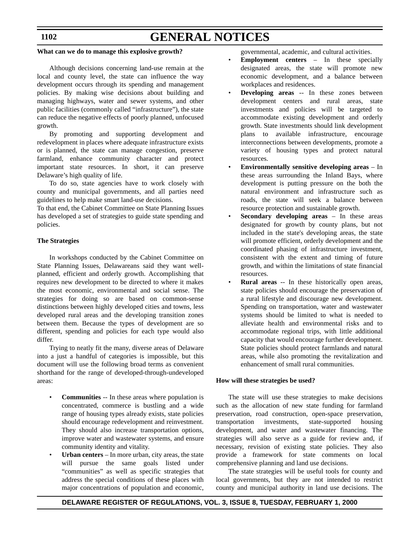# **1102**

# **GENERAL NOTICES**

# **What can we do to manage this explosive growth?**

Although decisions concerning land-use remain at the local and county level, the state can influence the way development occurs through its spending and management policies. By making wise decisions about building and managing highways, water and sewer systems, and other public facilities (commonly called "infrastructure"), the state can reduce the negative effects of poorly planned, unfocused growth.

By promoting and supporting development and redevelopment in places where adequate infrastructure exists or is planned, the state can manage congestion, preserve farmland, enhance community character and protect important state resources. In short, it can preserve Delaware's high quality of life.

To do so, state agencies have to work closely with county and municipal governments, and all parties need guidelines to help make smart land-use decisions.

To that end, the Cabinet Committee on State Planning Issues has developed a set of strategies to guide state spending and policies.

# **The Strategies**

In workshops conducted by the Cabinet Committee on State Planning Issues, Delawareans said they want wellplanned, efficient and orderly growth. Accomplishing that requires new development to be directed to where it makes the most economic, environmental and social sense. The strategies for doing so are based on common-sense distinctions between highly developed cities and towns, less developed rural areas and the developing transition zones between them. Because the types of development are so different, spending and policies for each type would also differ.

Trying to neatly fit the many, diverse areas of Delaware into a just a handful of categories is impossible, but this document will use the following broad terms as convenient shorthand for the range of developed-through-undeveloped areas:

- **Communities** -- In these areas where population is concentrated, commerce is bustling and a wide range of housing types already exists, state policies should encourage redevelopment and reinvestment. They should also increase transportation options, improve water and wastewater systems, and ensure community identity and vitality.
- **Urban centers** In more urban, city areas, the state will pursue the same goals listed under "communities" as well as specific strategies that address the special conditions of these places with major concentrations of population and economic,

governmental, academic, and cultural activities.

- **Employment centers** In these specially designated areas, the state will promote new economic development, and a balance between workplaces and residences.
- **Developing areas** -- In these zones between development centers and rural areas, state investments and policies will be targeted to accommodate existing development and orderly growth. State investments should link development plans to available infrastructure, encourage interconnections between developments, promote a variety of housing types and protect natural resources.
- **Environmentally sensitive developing areas** In these areas surrounding the Inland Bays, where development is putting pressure on the both the natural environment and infrastructure such as roads, the state will seek a balance between resource protection and sustainable growth.
- **Secondary developing areas** In these areas designated for growth by county plans, but not included in the state's developing areas, the state will promote efficient, orderly development and the coordinated phasing of infrastructure investment, consistent with the extent and timing of future growth, and within the limitations of state financial resources.
- **Rural areas** -- In these historically open areas, state policies should encourage the preservation of a rural lifestyle and discourage new development. Spending on transportation, water and wastewater systems should be limited to what is needed to alleviate health and environmental risks and to accommodate regional trips, with little additional capacity that would encourage further development. State policies should protect farmlands and natural areas, while also promoting the revitalization and enhancement of small rural communities.

### **How will these strategies be used?**

The state will use these strategies to make decisions such as the allocation of new state funding for farmland preservation, road construction, open-space preservation, transportation investments, state-supported housing development, and water and wastewater financing. The strategies will also serve as a guide for review and, if necessary, revision of existing state policies. They also provide a framework for state comments on local comprehensive planning and land use decisions.

The state strategies will be useful tools for county and local governments, but they are not intended to restrict county and municipal authority in land use decisions. The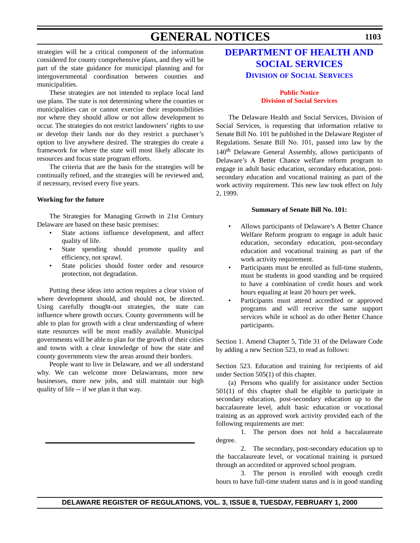# **GENERAL NOTICES**

strategies will be a critical component of the information considered for county comprehensive plans, and they will be part of the state guidance for municipal planning and for intergovernmental coordination between counties and municipalities.

These strategies are not intended to replace local land use plans. The state is not determining where the counties or municipalities can or cannot exercise their responsibilities nor where they should allow or not allow development to occur. The strategies do not restrict landowners' rights to use or develop their lands nor do they restrict a purchaser's option to live anywhere desired. The strategies do create a framework for where the state will most likely allocate its resources and focus state program efforts.

The criteria that are the basis for the strategies will be continually refined, and the strategies will be reviewed and, if necessary, revised every five years.

# **Working for the future**

The Strategies for Managing Growth in 21st Century Delaware are based on these basic premises:

- State actions influence development, and affect quality of life.
- State spending should promote quality and efficiency, not sprawl.
- State policies should foster order and resource protection, not degradation.

Putting these ideas into action requires a clear vision of where development should, and should not, be directed. Using carefully thought-out strategies, the state can influence where growth occurs. County governments will be able to plan for growth with a clear understanding of where state resources will be most readily available. Municipal governments will be able to plan for the growth of their cities and towns with a clear knowledge of how the state and county governments view the areas around their borders.

People want to live in Delaware, and we all understand why. We can welcome more Delawareans, more new businesses, more new jobs, and still maintain our high quality of life -- if we plan it that way.

# **[DEPARTMENT OF HEALTH AND](http://www.state.de.us/dhss/irm/dss/dsshome.htm) SOCIAL SERVICES DIVISION OF SOCIAL SERVICES**

# **Public Notice [Division of Social Services](#page-4-0)**

The Delaware Health and Social Services, Division of Social Services, is requesting that information relative to Senate Bill No. 101 be published in the Delaware Register of Regulations. Senate Bill No. 101, passed into law by the 140<sup>th</sup> Delaware General Assembly, allows participants of Delaware's A Better Chance welfare reform program to engage in adult basic education, secondary education, postsecondary education and vocational training as part of the work activity requirement. This new law took effect on July 2, 1999.

### **Summary of Senate Bill No. 101:**

- Allows participants of Delaware's A Better Chance Welfare Reform program to engage in adult basic education, secondary education, post-secondary education and vocational training as part of the work activity requirement.
- Participants must be enrolled as full-time students, must be students in good standing and be required to have a combination of credit hours and work hours equaling at least 20 hours per week.
- Participants must attend accredited or approved programs and will receive the same support services while in school as do other Better Chance participants.

Section 1. Amend Chapter 5, Title 31 of the Delaware Code by adding a new Section 523, to read as follows:

Section 523. Education and training for recipients of aid under Section 505(1) of this chapter.

(a) Persons who qualify for assistance under Section 501(1) of this chapter shall be eligible to participate in secondary education, post-secondary education up to the baccalaureate level, adult basic education or vocational training as an approved work activity provided each of the following requirements are met:

1. The person does not hold a baccalaureate degree.

2. The secondary, post-secondary education up to the baccalaureate level, or vocational training is pursued through an accredited or approved school program.

3. The person is enrolled with enough credit hours to have full-time student status and is in good standing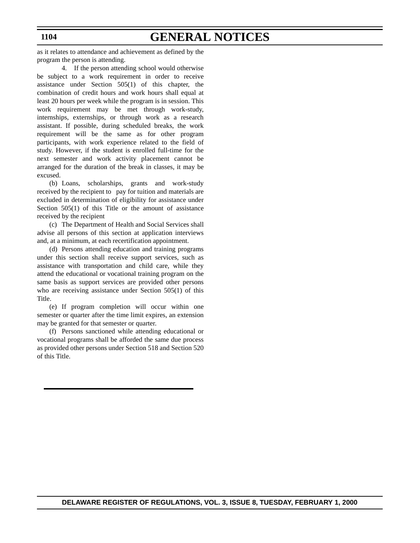**1104**

# **GENERAL NOTICES**

as it relates to attendance and achievement as defined by the program the person is attending.

4. If the person attending school would otherwise be subject to a work requirement in order to receive assistance under Section 505(1) of this chapter, the combination of credit hours and work hours shall equal at least 20 hours per week while the program is in session. This work requirement may be met through work-study, internships, externships, or through work as a research assistant. If possible, during scheduled breaks, the work requirement will be the same as for other program participants, with work experience related to the field of study. However, if the student is enrolled full-time for the next semester and work activity placement cannot be arranged for the duration of the break in classes, it may be excused.

(b) Loans, scholarships, grants and work-study received by the recipient to pay for tuition and materials are excluded in determination of eligibility for assistance under Section 505(1) of this Title or the amount of assistance received by the recipient

(c) The Department of Health and Social Services shall advise all persons of this section at application interviews and, at a minimum, at each recertification appointment.

(d) Persons attending education and training programs under this section shall receive support services, such as assistance with transportation and child care, while they attend the educational or vocational training program on the same basis as support services are provided other persons who are receiving assistance under Section 505(1) of this Title.

(e) If program completion will occur within one semester or quarter after the time limit expires, an extension may be granted for that semester or quarter.

(f) Persons sanctioned while attending educational or vocational programs shall be afforded the same due process as provided other persons under Section 518 and Section 520 of this Title.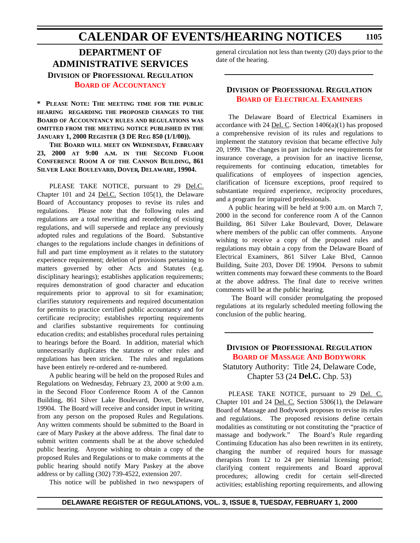# **CALENDAR OF EVENTS/HEARING NOTICES**

**DEPARTMENT OF ADMINISTRATIVE SERVICES DIVISION OF PROFESSIONAL REGULATION BOARD [OF ACCOUNTANCY](#page-4-0)**

**\* PLEASE NOTE: THE MEETING TIME FOR THE PUBLIC HEARING REGARDING THE PROPOSED CHANGES TO THE BOARD OF ACCOUNTANCY RULES AND REGULATIONS WAS OMITTED FROM THE MEETING NOTICE PUBLISHED IN THE JANUARY 1, 2000 REGISTER (3 DE REG 850 (1/1/00)).** 

**THE BOARD WILL MEET ON WEDNESDAY, FEBRUARY 23, 2000 AT 9:00 A.M. IN THE SECOND FLOOR CONFERENCE ROOM A OF THE CANNON BUILDING, 861 SILVER LAKE BOULEVARD, DOVER, DELAWARE, 19904.**

PLEASE TAKE NOTICE, pursuant to 29 Del.C. Chapter 101 and 24 Del.C. Section 105(1), the Delaware Board of Accountancy proposes to revise its rules and regulations. Please note that the following rules and regulations are a total rewriting and reordering of existing regulations, and will supersede and replace any previously adopted rules and regulations of the Board. Substantive changes to the regulations include changes in definitions of full and part time employment as it relates to the statutory experience requirement; deletion of provisions pertaining to matters governed by other Acts and Statutes (e.g. disciplinary hearings); establishes application requirements; requires demonstration of good character and education requirements prior to approval to sit for examination; clarifies statutory requirements and required documentation for permits to practice certified public accountancy and for certificate reciprocity; establishes reporting requirements and clarifies substantive requirements for continuing education credits; and establishes procedural rules pertaining to hearings before the Board. In addition, material which unnecessarily duplicates the statutes or other rules and regulations has been stricken. The rules and regulations have been entirely re-ordered and re-numbered.

A public hearing will be held on the proposed Rules and Regulations on Wednesday, February 23, 2000 at 9:00 a.m. in the Second Floor Conference Room A of the Cannon Building, 861 Silver Lake Boulevard, Dover, Delaware, 19904. The Board will receive and consider input in writing from any person on the proposed Rules and Regulations. Any written comments should be submitted to the Board in care of Mary Paskey at the above address. The final date to submit written comments shall be at the above scheduled public hearing. Anyone wishing to obtain a copy of the proposed Rules and Regulations or to make comments at the public hearing should notify Mary Paskey at the above address or by calling (302) 739-4522, extension 207.

This notice will be published in two newspapers of

general circulation not less than twenty (20) days prior to the date of the hearing.

# **DIVISION OF PROFESSIONAL REGULATION BOARD [OF ELECTRICAL EXAMINERS](#page-4-0)**

The Delaware Board of Electrical Examiners in accordance with 24 <u>Del. C</u>. Section  $1406(a)(1)$  has proposed a comprehensive revision of its rules and regulations to implement the statutory revision that became effective July 20, 1999. The changes in part include new requirements for insurance coverage, a provision for an inactive license, requirements for continuing education, timetables for qualifications of employees of inspection agencies, clarification of licensure exceptions, proof required to substantiate required experience, reciprocity procedures, and a program for impaired professionals.

A public hearing will be held at 9:00 a.m. on March 7, 2000 in the second for conference room A of the Cannon Building, 861 Silver Lake Boulevard, Dover, Delaware where members of the public can offer comments. Anyone wishing to receive a copy of the proposed rules and regulations may obtain a copy from the Delaware Board of Electrical Examiners, 861 Silver Lake Blvd, Cannon Building, Suite 203, Dover DE 19904. Persons to submit written comments may forward these comments to the Board at the above address. The final date to receive written comments will be at the public hearing.

 The Board will consider promulgating the proposed regulations at its regularly scheduled meeting following the conclusion of the public hearing.

# **DIVISION OF PROFESSIONAL REGULATION BOARD [OF MASSAGE AND BODYWORK](#page-4-0)** Statutory Authority: Title 24, Delaware Code,

Chapter 53 (24 **Del.C.** Chp. 53)

PLEASE TAKE NOTICE, pursuant to 29 Del. C. Chapter 101 and 24 Del. C. Section 5306(1), the Delaware Board of Massage and Bodywork proposes to revise its rules and regulations. The proposed revisions define certain modalities as constituting or not constituting the "practice of massage and bodywork." The Board's Rule regarding Continuing Education has also been rewritten in its entirety, changing the number of required hours for massage therapists from 12 to 24 per biennial licensing period; clarifying content requirements and Board approval procedures; allowing credit for certain self-directed activities; establishing reporting requirements, and allowing